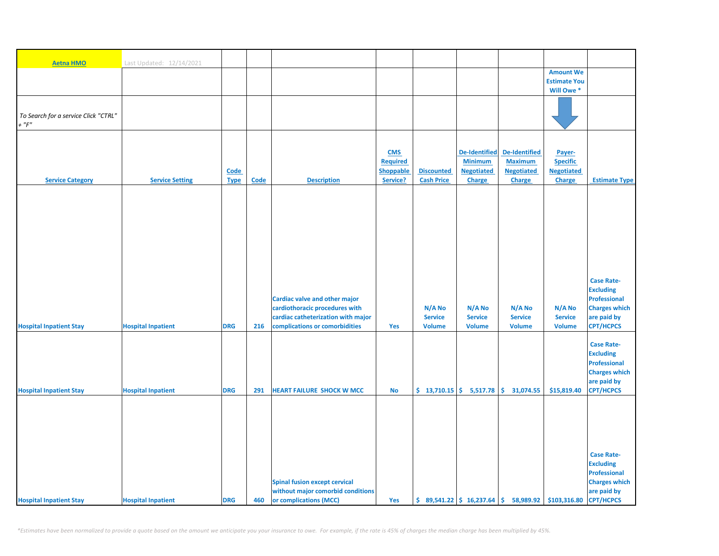| <b>Aetna HMO</b>                                    | Last Updated: 12/14/2021  |             |             |                                                                           |                 |                   |                          |                                                                                                    |                                         |                                     |
|-----------------------------------------------------|---------------------------|-------------|-------------|---------------------------------------------------------------------------|-----------------|-------------------|--------------------------|----------------------------------------------------------------------------------------------------|-----------------------------------------|-------------------------------------|
|                                                     |                           |             |             |                                                                           |                 |                   |                          |                                                                                                    | <b>Amount We</b><br><b>Estimate You</b> |                                     |
|                                                     |                           |             |             |                                                                           |                 |                   |                          |                                                                                                    | Will Owe *                              |                                     |
|                                                     |                           |             |             |                                                                           |                 |                   |                          |                                                                                                    |                                         |                                     |
|                                                     |                           |             |             |                                                                           |                 |                   |                          |                                                                                                    |                                         |                                     |
| To Search for a service Click "CTRL"<br>$+$ " $F$ " |                           |             |             |                                                                           |                 |                   |                          |                                                                                                    |                                         |                                     |
|                                                     |                           |             |             |                                                                           |                 |                   |                          |                                                                                                    |                                         |                                     |
|                                                     |                           |             |             |                                                                           |                 |                   |                          |                                                                                                    |                                         |                                     |
|                                                     |                           |             |             |                                                                           | <b>CMS</b>      |                   | <b>De-Identified</b>     | <b>De-Identified</b>                                                                               | Payer-                                  |                                     |
|                                                     |                           |             |             |                                                                           | <b>Required</b> |                   | <b>Minimum</b>           | <b>Maximum</b>                                                                                     | <b>Specific</b>                         |                                     |
|                                                     |                           | Code        |             |                                                                           | Shoppable       | <b>Discounted</b> | <b>Negotiated</b>        | <b>Negotiated</b>                                                                                  | <b>Negotiated</b>                       |                                     |
| <b>Service Category</b>                             | <b>Service Setting</b>    | <b>Type</b> | <b>Code</b> | <b>Description</b>                                                        | Service?        | <b>Cash Price</b> | <b>Charge</b>            | <b>Charge</b>                                                                                      | Charge                                  | <b>Estimate Type</b>                |
|                                                     |                           |             |             |                                                                           |                 |                   |                          |                                                                                                    |                                         |                                     |
|                                                     |                           |             |             |                                                                           |                 |                   |                          |                                                                                                    |                                         |                                     |
|                                                     |                           |             |             |                                                                           |                 |                   |                          |                                                                                                    |                                         |                                     |
|                                                     |                           |             |             |                                                                           |                 |                   |                          |                                                                                                    |                                         |                                     |
|                                                     |                           |             |             |                                                                           |                 |                   |                          |                                                                                                    |                                         |                                     |
|                                                     |                           |             |             |                                                                           |                 |                   |                          |                                                                                                    |                                         |                                     |
|                                                     |                           |             |             |                                                                           |                 |                   |                          |                                                                                                    |                                         |                                     |
|                                                     |                           |             |             |                                                                           |                 |                   |                          |                                                                                                    |                                         |                                     |
|                                                     |                           |             |             |                                                                           |                 |                   |                          |                                                                                                    |                                         | <b>Case Rate-</b>                   |
|                                                     |                           |             |             |                                                                           |                 |                   |                          |                                                                                                    |                                         | <b>Excluding</b>                    |
|                                                     |                           |             |             | <b>Cardiac valve and other major</b>                                      |                 |                   |                          |                                                                                                    |                                         | <b>Professional</b>                 |
|                                                     |                           |             |             | cardiothoracic procedures with                                            |                 | N/A No            | N/A No                   | N/A No                                                                                             | N/A No                                  | <b>Charges which</b>                |
|                                                     |                           |             |             | cardiac catheterization with major                                        |                 | <b>Service</b>    | <b>Service</b>           | <b>Service</b>                                                                                     | <b>Service</b>                          | are paid by                         |
| <b>Hospital Inpatient Stay</b>                      | <b>Hospital Inpatient</b> | <b>DRG</b>  | 216         | complications or comorbidities                                            | Yes             | <b>Volume</b>     | <b>Volume</b>            | <b>Volume</b>                                                                                      | <b>Volume</b>                           | <b>CPT/HCPCS</b>                    |
|                                                     |                           |             |             |                                                                           |                 |                   |                          |                                                                                                    |                                         | <b>Case Rate-</b>                   |
|                                                     |                           |             |             |                                                                           |                 |                   |                          |                                                                                                    |                                         | <b>Excluding</b>                    |
|                                                     |                           |             |             |                                                                           |                 |                   |                          |                                                                                                    |                                         | <b>Professional</b>                 |
|                                                     |                           |             |             |                                                                           |                 |                   |                          |                                                                                                    |                                         | <b>Charges which</b>                |
|                                                     |                           |             |             |                                                                           |                 |                   |                          |                                                                                                    |                                         | are paid by                         |
| <b>Hospital Inpatient Stay</b>                      | <b>Hospital Inpatient</b> | <b>DRG</b>  | 291         | <b>HEART FAILURE SHOCK W MCC</b>                                          | <b>No</b>       |                   | $$13,710.15$ $$5,517.78$ | \$<br>31,074.55                                                                                    | \$15,819.40                             | <b>CPT/HCPCS</b>                    |
|                                                     |                           |             |             |                                                                           |                 |                   |                          |                                                                                                    |                                         |                                     |
|                                                     |                           |             |             |                                                                           |                 |                   |                          |                                                                                                    |                                         |                                     |
|                                                     |                           |             |             |                                                                           |                 |                   |                          |                                                                                                    |                                         |                                     |
|                                                     |                           |             |             |                                                                           |                 |                   |                          |                                                                                                    |                                         |                                     |
|                                                     |                           |             |             |                                                                           |                 |                   |                          |                                                                                                    |                                         |                                     |
|                                                     |                           |             |             |                                                                           |                 |                   |                          |                                                                                                    |                                         | <b>Case Rate-</b>                   |
|                                                     |                           |             |             |                                                                           |                 |                   |                          |                                                                                                    |                                         | <b>Excluding</b>                    |
|                                                     |                           |             |             |                                                                           |                 |                   |                          |                                                                                                    |                                         | <b>Professional</b>                 |
|                                                     |                           |             |             | <b>Spinal fusion except cervical</b><br>without major comorbid conditions |                 |                   |                          |                                                                                                    |                                         | <b>Charges which</b><br>are paid by |
| <b>Hospital Inpatient Stay</b>                      | <b>Hospital Inpatient</b> | <b>DRG</b>  | 460         | or complications (MCC)                                                    | Yes             |                   |                          | $\binom{6}{5}$ 89,541.22 $\binom{6}{5}$ 16,237.64 $\binom{6}{5}$ 58,989.92 $\binom{6}{103,316.80}$ |                                         | <b>CPT/HCPCS</b>                    |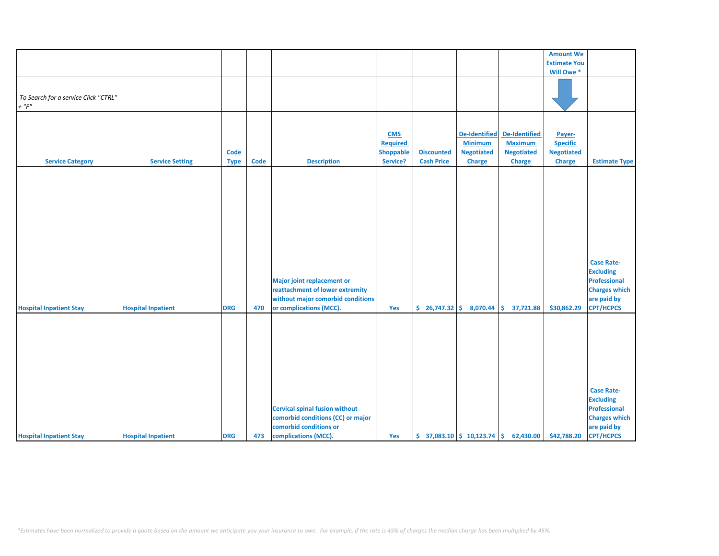|                                                     |                           |             |             |                                                                                                                                      |                  |                   |                              |                                                                            | <b>Amount We</b>      |                                                                                                                         |
|-----------------------------------------------------|---------------------------|-------------|-------------|--------------------------------------------------------------------------------------------------------------------------------------|------------------|-------------------|------------------------------|----------------------------------------------------------------------------|-----------------------|-------------------------------------------------------------------------------------------------------------------------|
|                                                     |                           |             |             |                                                                                                                                      |                  |                   |                              |                                                                            |                       |                                                                                                                         |
|                                                     |                           |             |             |                                                                                                                                      |                  |                   |                              |                                                                            | <b>Estimate You</b>   |                                                                                                                         |
|                                                     |                           |             |             |                                                                                                                                      |                  |                   |                              |                                                                            | Will Owe <sup>*</sup> |                                                                                                                         |
|                                                     |                           |             |             |                                                                                                                                      |                  |                   |                              |                                                                            |                       |                                                                                                                         |
| To Search for a service Click "CTRL"<br>$+$ " $F$ " |                           |             |             |                                                                                                                                      |                  |                   |                              |                                                                            |                       |                                                                                                                         |
|                                                     |                           |             |             |                                                                                                                                      |                  |                   |                              |                                                                            |                       |                                                                                                                         |
|                                                     |                           |             |             |                                                                                                                                      | <b>CMS</b>       |                   | <b>De-Identified</b>         | De-Identified                                                              | Payer-                |                                                                                                                         |
|                                                     |                           |             |             |                                                                                                                                      | <b>Required</b>  |                   | <b>Minimum</b>               | <b>Maximum</b>                                                             | <b>Specific</b>       |                                                                                                                         |
|                                                     |                           | Code        |             |                                                                                                                                      | <b>Shoppable</b> | <b>Discounted</b> | <b>Negotiated</b>            | <b>Negotiated</b>                                                          | <b>Negotiated</b>     |                                                                                                                         |
| <b>Service Category</b>                             | <b>Service Setting</b>    | <b>Type</b> | <b>Code</b> | <b>Description</b>                                                                                                                   | Service?         | <b>Cash Price</b> | <b>Charge</b>                | Charge                                                                     | <b>Charge</b>         | <b>Estimate Type</b>                                                                                                    |
|                                                     |                           |             |             |                                                                                                                                      |                  |                   |                              |                                                                            |                       |                                                                                                                         |
| <b>Hospital Inpatient Stay</b>                      | <b>Hospital Inpatient</b> | <b>DRG</b>  | 470         | <b>Major joint replacement or</b><br>reattachment of lower extremity<br>without major comorbid conditions<br>or complications (MCC). | Yes              |                   | $$26,747.32 \mid $8,070.44]$ | \$37,721.88                                                                | \$30,862.29           | <b>Case Rate-</b><br><b>Excluding</b><br><b>Professional</b><br><b>Charges which</b><br>are paid by<br><b>CPT/HCPCS</b> |
| <b>Hospital Inpatient Stay</b>                      | <b>Hospital Inpatient</b> | <b>DRG</b>  | 473         | <b>Cervical spinal fusion without</b><br>comorbid conditions (CC) or major<br>comorbid conditions or<br>complications (MCC).         | Yes              |                   |                              | $\binom{2}{3}$ 37,083.10 $\binom{2}{3}$ 10,123.74 $\binom{2}{3}$ 62,430.00 | \$42,788.20           | <b>Case Rate-</b><br><b>Excluding</b><br>Professional<br><b>Charges which</b><br>are paid by<br><b>CPT/HCPCS</b>        |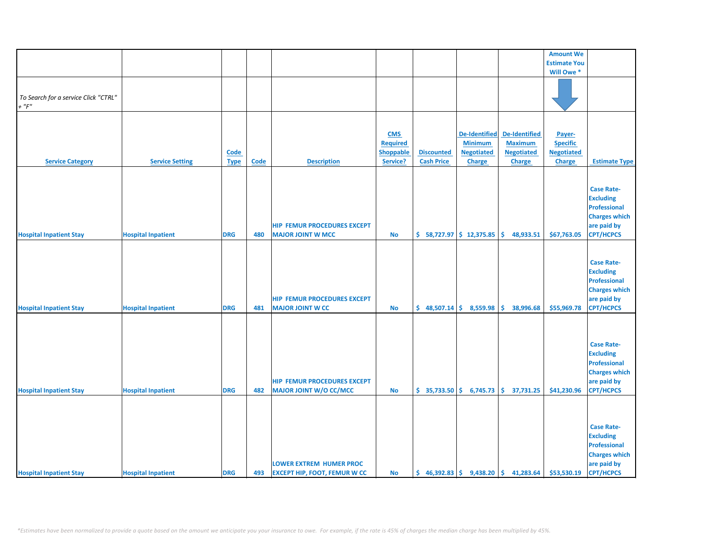|                                      |                           |             |             |                                     |                  |                   |                           |                                                                           | <b>Amount We</b>    |                      |
|--------------------------------------|---------------------------|-------------|-------------|-------------------------------------|------------------|-------------------|---------------------------|---------------------------------------------------------------------------|---------------------|----------------------|
|                                      |                           |             |             |                                     |                  |                   |                           |                                                                           | <b>Estimate You</b> |                      |
|                                      |                           |             |             |                                     |                  |                   |                           |                                                                           | Will Owe *          |                      |
|                                      |                           |             |             |                                     |                  |                   |                           |                                                                           |                     |                      |
|                                      |                           |             |             |                                     |                  |                   |                           |                                                                           |                     |                      |
| To Search for a service Click "CTRL" |                           |             |             |                                     |                  |                   |                           |                                                                           |                     |                      |
| $+$ " $F"$                           |                           |             |             |                                     |                  |                   |                           |                                                                           |                     |                      |
|                                      |                           |             |             |                                     |                  |                   |                           |                                                                           |                     |                      |
|                                      |                           |             |             |                                     |                  |                   |                           |                                                                           |                     |                      |
|                                      |                           |             |             |                                     | <b>CMS</b>       |                   | <b>De-Identified</b>      | <b>De-Identified</b>                                                      | Payer-              |                      |
|                                      |                           |             |             |                                     | <b>Required</b>  |                   | <b>Minimum</b>            | <b>Maximum</b>                                                            | <b>Specific</b>     |                      |
|                                      |                           | <b>Code</b> |             |                                     | <b>Shoppable</b> | <b>Discounted</b> | <b>Negotiated</b>         | <b>Negotiated</b>                                                         | <b>Negotiated</b>   |                      |
| <b>Service Category</b>              | <b>Service Setting</b>    | <b>Type</b> | <b>Code</b> | <b>Description</b>                  | Service?         | <b>Cash Price</b> | <b>Charge</b>             | <b>Charge</b>                                                             | Charge              | <b>Estimate Type</b> |
|                                      |                           |             |             |                                     |                  |                   |                           |                                                                           |                     |                      |
|                                      |                           |             |             |                                     |                  |                   |                           |                                                                           |                     |                      |
|                                      |                           |             |             |                                     |                  |                   |                           |                                                                           |                     | <b>Case Rate-</b>    |
|                                      |                           |             |             |                                     |                  |                   |                           |                                                                           |                     |                      |
|                                      |                           |             |             |                                     |                  |                   |                           |                                                                           |                     | <b>Excluding</b>     |
|                                      |                           |             |             |                                     |                  |                   |                           |                                                                           |                     | <b>Professional</b>  |
|                                      |                           |             |             |                                     |                  |                   |                           |                                                                           |                     | <b>Charges which</b> |
|                                      |                           |             |             | <b>HIP FEMUR PROCEDURES EXCEPT</b>  |                  |                   |                           |                                                                           |                     | are paid by          |
| <b>Hospital Inpatient Stay</b>       | <b>Hospital Inpatient</b> | <b>DRG</b>  | 480         | <b>MAJOR JOINT W MCC</b>            | <b>No</b>        |                   | $$58,727.97$$ \$12,375.85 | \$.<br>48,933.51                                                          | \$67,763.05         | <b>CPT/HCPCS</b>     |
|                                      |                           |             |             |                                     |                  |                   |                           |                                                                           |                     |                      |
|                                      |                           |             |             |                                     |                  |                   |                           |                                                                           |                     |                      |
|                                      |                           |             |             |                                     |                  |                   |                           |                                                                           |                     | <b>Case Rate-</b>    |
|                                      |                           |             |             |                                     |                  |                   |                           |                                                                           |                     | <b>Excluding</b>     |
|                                      |                           |             |             |                                     |                  |                   |                           |                                                                           |                     | <b>Professional</b>  |
|                                      |                           |             |             |                                     |                  |                   |                           |                                                                           |                     | <b>Charges which</b> |
|                                      |                           |             |             | <b>HIP FEMUR PROCEDURES EXCEPT</b>  |                  |                   |                           |                                                                           |                     | are paid by          |
| <b>Hospital Inpatient Stay</b>       | <b>Hospital Inpatient</b> | <b>DRG</b>  | 481         | <b>MAJOR JOINT W CC</b>             | <b>No</b>        |                   | $$48,507.14$$ $$8,559.98$ | \$.<br>38,996.68                                                          | \$55,969.78         | <b>CPT/HCPCS</b>     |
|                                      |                           |             |             |                                     |                  |                   |                           |                                                                           |                     |                      |
|                                      |                           |             |             |                                     |                  |                   |                           |                                                                           |                     |                      |
|                                      |                           |             |             |                                     |                  |                   |                           |                                                                           |                     |                      |
|                                      |                           |             |             |                                     |                  |                   |                           |                                                                           |                     | <b>Case Rate-</b>    |
|                                      |                           |             |             |                                     |                  |                   |                           |                                                                           |                     | <b>Excluding</b>     |
|                                      |                           |             |             |                                     |                  |                   |                           |                                                                           |                     | <b>Professional</b>  |
|                                      |                           |             |             |                                     |                  |                   |                           |                                                                           |                     | <b>Charges which</b> |
|                                      |                           |             |             | <b>HIP FEMUR PROCEDURES EXCEPT</b>  |                  |                   |                           |                                                                           |                     | are paid by          |
| <b>Hospital Inpatient Stay</b>       | <b>Hospital Inpatient</b> | <b>DRG</b>  | 482         | <b>MAJOR JOINT W/O CC/MCC</b>       | No               |                   |                           | $\binom{1}{2}$ 35,733.50 $\binom{2}{3}$ 6,745.73 $\binom{3}{2}$ 37,731.25 | \$41,230.96         | <b>CPT/HCPCS</b>     |
|                                      |                           |             |             |                                     |                  |                   |                           |                                                                           |                     |                      |
|                                      |                           |             |             |                                     |                  |                   |                           |                                                                           |                     |                      |
|                                      |                           |             |             |                                     |                  |                   |                           |                                                                           |                     |                      |
|                                      |                           |             |             |                                     |                  |                   |                           |                                                                           |                     | <b>Case Rate-</b>    |
|                                      |                           |             |             |                                     |                  |                   |                           |                                                                           |                     | <b>Excluding</b>     |
|                                      |                           |             |             |                                     |                  |                   |                           |                                                                           |                     | Professional         |
|                                      |                           |             |             |                                     |                  |                   |                           |                                                                           |                     | <b>Charges which</b> |
|                                      |                           |             |             | <b>LOWER EXTREM HUMER PROC</b>      |                  |                   |                           |                                                                           |                     | are paid by          |
| <b>Hospital Inpatient Stay</b>       | <b>Hospital Inpatient</b> | <b>DRG</b>  | 493         | <b>EXCEPT HIP, FOOT, FEMUR W CC</b> | <b>No</b>        |                   |                           | $\binom{6}{5}$ 46,392.83 $\binom{6}{5}$ 9,438.20 $\binom{6}{5}$ 41,283.64 | \$53,530.19         | <b>CPT/HCPCS</b>     |
|                                      |                           |             |             |                                     |                  |                   |                           |                                                                           |                     |                      |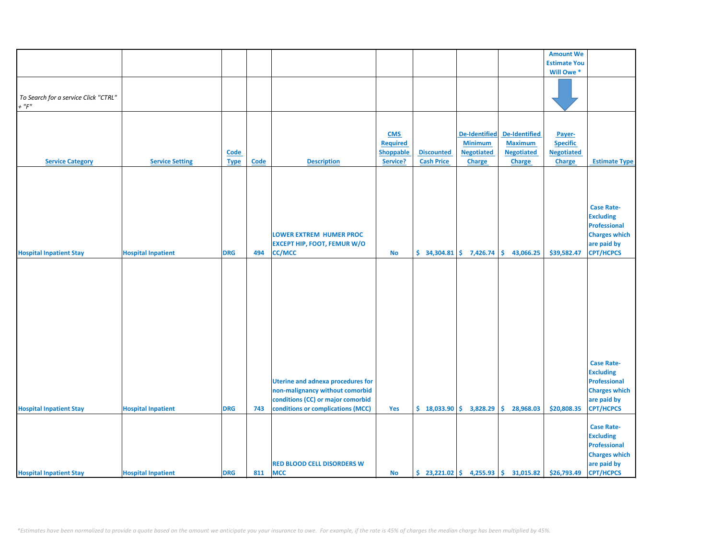|                                      |                           |             |      |                                          |                 |                                                |                      |                                                           | <b>Amount We</b>    |                      |
|--------------------------------------|---------------------------|-------------|------|------------------------------------------|-----------------|------------------------------------------------|----------------------|-----------------------------------------------------------|---------------------|----------------------|
|                                      |                           |             |      |                                          |                 |                                                |                      |                                                           | <b>Estimate You</b> |                      |
|                                      |                           |             |      |                                          |                 |                                                |                      |                                                           | Will Owe *          |                      |
|                                      |                           |             |      |                                          |                 |                                                |                      |                                                           |                     |                      |
|                                      |                           |             |      |                                          |                 |                                                |                      |                                                           |                     |                      |
|                                      |                           |             |      |                                          |                 |                                                |                      |                                                           |                     |                      |
| To Search for a service Click "CTRL" |                           |             |      |                                          |                 |                                                |                      |                                                           |                     |                      |
| $+$ " $F"$                           |                           |             |      |                                          |                 |                                                |                      |                                                           |                     |                      |
|                                      |                           |             |      |                                          |                 |                                                |                      |                                                           |                     |                      |
|                                      |                           |             |      |                                          |                 |                                                |                      |                                                           |                     |                      |
|                                      |                           |             |      |                                          |                 |                                                |                      |                                                           |                     |                      |
|                                      |                           |             |      |                                          | <b>CMS</b>      |                                                | <b>De-Identified</b> | <b>De-Identified</b>                                      | Payer-              |                      |
|                                      |                           |             |      |                                          | <b>Required</b> |                                                | <b>Minimum</b>       | <b>Maximum</b>                                            | <b>Specific</b>     |                      |
|                                      |                           |             |      |                                          |                 |                                                |                      |                                                           |                     |                      |
|                                      |                           | <b>Code</b> |      |                                          | Shoppable       | <b>Discounted</b>                              | <b>Negotiated</b>    | <b>Negotiated</b>                                         | <b>Negotiated</b>   |                      |
| <b>Service Category</b>              | <b>Service Setting</b>    | <b>Type</b> | Code | <b>Description</b>                       | Service?        | <b>Cash Price</b>                              | Charge               | <b>Charge</b>                                             | <b>Charge</b>       | <b>Estimate Type</b> |
|                                      |                           |             |      |                                          |                 |                                                |                      |                                                           |                     |                      |
|                                      |                           |             |      |                                          |                 |                                                |                      |                                                           |                     |                      |
|                                      |                           |             |      |                                          |                 |                                                |                      |                                                           |                     |                      |
|                                      |                           |             |      |                                          |                 |                                                |                      |                                                           |                     |                      |
|                                      |                           |             |      |                                          |                 |                                                |                      |                                                           |                     |                      |
|                                      |                           |             |      |                                          |                 |                                                |                      |                                                           |                     | <b>Case Rate-</b>    |
|                                      |                           |             |      |                                          |                 |                                                |                      |                                                           |                     |                      |
|                                      |                           |             |      |                                          |                 |                                                |                      |                                                           |                     | <b>Excluding</b>     |
|                                      |                           |             |      |                                          |                 |                                                |                      |                                                           |                     | <b>Professional</b>  |
|                                      |                           |             |      | <b>LOWER EXTREM HUMER PROC</b>           |                 |                                                |                      |                                                           |                     | <b>Charges which</b> |
|                                      |                           |             |      |                                          |                 |                                                |                      |                                                           |                     |                      |
|                                      |                           |             |      | <b>EXCEPT HIP, FOOT, FEMUR W/O</b>       |                 |                                                |                      |                                                           |                     | are paid by          |
| <b>Hospital Inpatient Stay</b>       | <b>Hospital Inpatient</b> | <b>DRG</b>  | 494  | <b>CC/MCC</b>                            | No              | $\frac{1}{2}$ 34,304.81 $\frac{1}{2}$ 7,426.74 |                      | \$.<br>43,066.25                                          | \$39,582.47         | <b>CPT/HCPCS</b>     |
|                                      |                           |             |      |                                          |                 |                                                |                      |                                                           |                     |                      |
|                                      |                           |             |      |                                          |                 |                                                |                      |                                                           |                     |                      |
|                                      |                           |             |      |                                          |                 |                                                |                      |                                                           |                     |                      |
|                                      |                           |             |      |                                          |                 |                                                |                      |                                                           |                     |                      |
|                                      |                           |             |      |                                          |                 |                                                |                      |                                                           |                     |                      |
|                                      |                           |             |      |                                          |                 |                                                |                      |                                                           |                     |                      |
|                                      |                           |             |      |                                          |                 |                                                |                      |                                                           |                     |                      |
|                                      |                           |             |      |                                          |                 |                                                |                      |                                                           |                     |                      |
|                                      |                           |             |      |                                          |                 |                                                |                      |                                                           |                     |                      |
|                                      |                           |             |      |                                          |                 |                                                |                      |                                                           |                     |                      |
|                                      |                           |             |      |                                          |                 |                                                |                      |                                                           |                     |                      |
|                                      |                           |             |      |                                          |                 |                                                |                      |                                                           |                     |                      |
|                                      |                           |             |      |                                          |                 |                                                |                      |                                                           |                     |                      |
|                                      |                           |             |      |                                          |                 |                                                |                      |                                                           |                     |                      |
|                                      |                           |             |      |                                          |                 |                                                |                      |                                                           |                     |                      |
|                                      |                           |             |      |                                          |                 |                                                |                      |                                                           |                     | <b>Case Rate-</b>    |
|                                      |                           |             |      |                                          |                 |                                                |                      |                                                           |                     | <b>Excluding</b>     |
|                                      |                           |             |      | <b>Uterine and adnexa procedures for</b> |                 |                                                |                      |                                                           |                     | <b>Professional</b>  |
|                                      |                           |             |      |                                          |                 |                                                |                      |                                                           |                     |                      |
|                                      |                           |             |      | non-malignancy without comorbid          |                 |                                                |                      |                                                           |                     | <b>Charges which</b> |
|                                      |                           |             |      | conditions (CC) or major comorbid        |                 |                                                |                      |                                                           |                     | are paid by          |
| <b>Hospital Inpatient Stay</b>       | <b>Hospital Inpatient</b> | <b>DRG</b>  | 743  | conditions or complications (MCC)        | Yes             | $$18,033.90 \mid $3,828.29$                    |                      | \$.<br>28,968.03                                          | \$20,808.35         | <b>CPT/HCPCS</b>     |
|                                      |                           |             |      |                                          |                 |                                                |                      |                                                           |                     |                      |
|                                      |                           |             |      |                                          |                 |                                                |                      |                                                           |                     |                      |
|                                      |                           |             |      |                                          |                 |                                                |                      |                                                           |                     | <b>Case Rate-</b>    |
|                                      |                           |             |      |                                          |                 |                                                |                      |                                                           |                     | <b>Excluding</b>     |
|                                      |                           |             |      |                                          |                 |                                                |                      |                                                           |                     | <b>Professional</b>  |
|                                      |                           |             |      |                                          |                 |                                                |                      |                                                           |                     |                      |
|                                      |                           |             |      |                                          |                 |                                                |                      |                                                           |                     | <b>Charges which</b> |
|                                      |                           |             |      | <b>RED BLOOD CELL DISORDERS W</b>        |                 |                                                |                      |                                                           |                     | are paid by          |
| <b>Hospital Inpatient Stay</b>       | <b>Hospital Inpatient</b> | <b>DRG</b>  | 811  | <b>MCC</b>                               | <b>No</b>       |                                                |                      | $\binom{23,221.02}{5}$ 4,255.93 $\binom{25,31,015.82}{5}$ | \$26,793.49         | <b>CPT/HCPCS</b>     |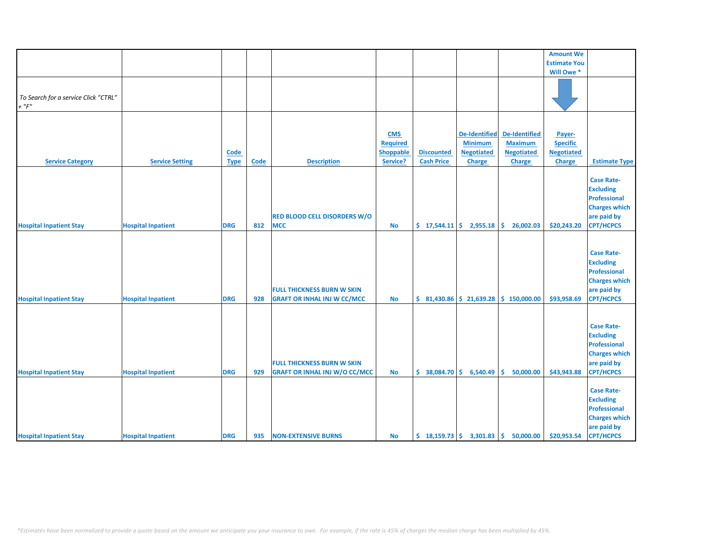|                                                     |                           |                     |      |                                                                           |                                                               |                                        |                                                                       |                                                                              | <b>Amount We</b>                                                |                                                                                                                         |
|-----------------------------------------------------|---------------------------|---------------------|------|---------------------------------------------------------------------------|---------------------------------------------------------------|----------------------------------------|-----------------------------------------------------------------------|------------------------------------------------------------------------------|-----------------------------------------------------------------|-------------------------------------------------------------------------------------------------------------------------|
|                                                     |                           |                     |      |                                                                           |                                                               |                                        |                                                                       |                                                                              | <b>Estimate You</b>                                             |                                                                                                                         |
|                                                     |                           |                     |      |                                                                           |                                                               |                                        |                                                                       |                                                                              | Will Owe *                                                      |                                                                                                                         |
| To Search for a service Click "CTRL"<br>$+$ " $F$ " |                           |                     |      |                                                                           |                                                               |                                        |                                                                       |                                                                              |                                                                 |                                                                                                                         |
| <b>Service Category</b>                             | <b>Service Setting</b>    | Code<br><b>Type</b> | Code | <b>Description</b>                                                        | <b>CMS</b><br><b>Required</b><br><b>Shoppable</b><br>Service? | <b>Discounted</b><br><b>Cash Price</b> | <b>De-Identified</b><br><b>Minimum</b><br><b>Negotiated</b><br>Charge | <b>De-Identified</b><br><b>Maximum</b><br><b>Negotiated</b><br><b>Charge</b> | Payer-<br><b>Specific</b><br><b>Negotiated</b><br><b>Charge</b> | <b>Estimate Type</b>                                                                                                    |
| <b>Hospital Inpatient Stay</b>                      | <b>Hospital Inpatient</b> | <b>DRG</b>          | 812  | <b>RED BLOOD CELL DISORDERS W/O</b><br><b>MCC</b>                         | <b>No</b>                                                     |                                        | $\frac{1}{2}$ 17,544.11 $\frac{1}{2}$ 2,955.18                        | \$.<br>26,002.03                                                             | \$20,243.20                                                     | <b>Case Rate-</b><br><b>Excluding</b><br><b>Professional</b><br><b>Charges which</b><br>are paid by<br><b>CPT/HCPCS</b> |
| <b>Hospital Inpatient Stay</b>                      | <b>Hospital Inpatient</b> | <b>DRG</b>          | 928  | <b>FULL THICKNESS BURN W SKIN</b><br><b>GRAFT OR INHAL INJ W CC/MCC</b>   | <b>No</b>                                                     |                                        | $$31,430.86 \mid $21,639.28$                                          | \$150,000.00                                                                 | \$93,958.69                                                     | <b>Case Rate-</b><br><b>Excluding</b><br><b>Professional</b><br><b>Charges which</b><br>are paid by<br><b>CPT/HCPCS</b> |
| <b>Hospital Inpatient Stay</b>                      | <b>Hospital Inpatient</b> | <b>DRG</b>          | 929  | <b>FULL THICKNESS BURN W SKIN</b><br><b>GRAFT OR INHAL INJ W/O CC/MCC</b> | <b>No</b>                                                     | $$38,084.70 \mid $6,540.49$            |                                                                       | 50,000.00<br>Ŝ.                                                              | \$43,943.88                                                     | <b>Case Rate-</b><br><b>Excluding</b><br><b>Professional</b><br><b>Charges which</b><br>are paid by<br><b>CPT/HCPCS</b> |
| <b>Hospital Inpatient Stay</b>                      | <b>Hospital Inpatient</b> | <b>DRG</b>          | 935  | <b>NON-EXTENSIVE BURNS</b>                                                | No                                                            |                                        |                                                                       | $\binom{18,159.73}{ }$ $\binom{26}{ }$ 3,301.83 $\binom{36}{ }$ 50,000.00    | \$20,953.54                                                     | <b>Case Rate-</b><br><b>Excluding</b><br><b>Professional</b><br><b>Charges which</b><br>are paid by<br><b>CPT/HCPCS</b> |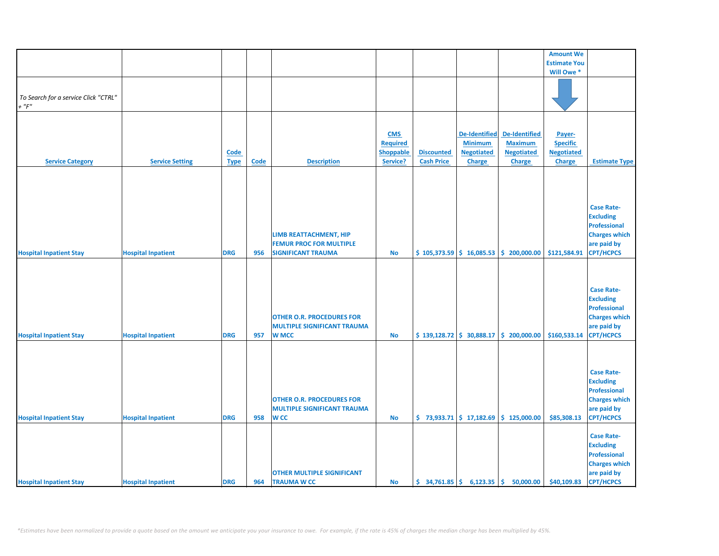|                                                     |                           |             |             |                                    |                 |                                                              |                      |                                                                             | <b>Amount We</b>    |                      |
|-----------------------------------------------------|---------------------------|-------------|-------------|------------------------------------|-----------------|--------------------------------------------------------------|----------------------|-----------------------------------------------------------------------------|---------------------|----------------------|
|                                                     |                           |             |             |                                    |                 |                                                              |                      |                                                                             | <b>Estimate You</b> |                      |
|                                                     |                           |             |             |                                    |                 |                                                              |                      |                                                                             | Will Owe *          |                      |
| To Search for a service Click "CTRL"<br>$+$ " $F$ " |                           |             |             |                                    |                 |                                                              |                      |                                                                             |                     |                      |
|                                                     |                           |             |             |                                    |                 |                                                              |                      |                                                                             |                     |                      |
|                                                     |                           |             |             |                                    |                 |                                                              |                      |                                                                             |                     |                      |
|                                                     |                           |             |             |                                    | <b>CMS</b>      |                                                              | <b>De-Identified</b> | De-Identified                                                               | Payer-              |                      |
|                                                     |                           |             |             |                                    | <b>Required</b> |                                                              | <b>Minimum</b>       | <b>Maximum</b>                                                              | <b>Specific</b>     |                      |
|                                                     |                           | <b>Code</b> |             |                                    | Shoppable       | <b>Discounted</b>                                            | <b>Negotiated</b>    | <b>Negotiated</b>                                                           | <b>Negotiated</b>   |                      |
| <b>Service Category</b>                             | <b>Service Setting</b>    | <b>Type</b> | <b>Code</b> | <b>Description</b>                 | Service?        | <b>Cash Price</b>                                            | <b>Charge</b>        | <b>Charge</b>                                                               | Charge              | <b>Estimate Type</b> |
|                                                     |                           |             |             |                                    |                 |                                                              |                      |                                                                             |                     |                      |
|                                                     |                           |             |             |                                    |                 |                                                              |                      |                                                                             |                     |                      |
|                                                     |                           |             |             |                                    |                 |                                                              |                      |                                                                             |                     |                      |
|                                                     |                           |             |             |                                    |                 |                                                              |                      |                                                                             |                     |                      |
|                                                     |                           |             |             |                                    |                 |                                                              |                      |                                                                             |                     | <b>Case Rate-</b>    |
|                                                     |                           |             |             |                                    |                 |                                                              |                      |                                                                             |                     | <b>Excluding</b>     |
|                                                     |                           |             |             |                                    |                 |                                                              |                      |                                                                             |                     | <b>Professional</b>  |
|                                                     |                           |             |             | LIMB REATTACHMENT, HIP             |                 |                                                              |                      |                                                                             |                     | <b>Charges which</b> |
|                                                     |                           |             |             | <b>FEMUR PROC FOR MULTIPLE</b>     |                 |                                                              |                      |                                                                             |                     | are paid by          |
| <b>Hospital Inpatient Stay</b>                      | <b>Hospital Inpatient</b> | <b>DRG</b>  | 956         | <b>SIGNIFICANT TRAUMA</b>          | No              |                                                              |                      | $$105,373.59 \mid $16,085.53 \mid $200,000.00$                              | \$121,584.91        | <b>CPT/HCPCS</b>     |
|                                                     |                           |             |             |                                    |                 |                                                              |                      |                                                                             |                     |                      |
|                                                     |                           |             |             |                                    |                 |                                                              |                      |                                                                             |                     |                      |
|                                                     |                           |             |             |                                    |                 |                                                              |                      |                                                                             |                     |                      |
|                                                     |                           |             |             |                                    |                 |                                                              |                      |                                                                             |                     | <b>Case Rate-</b>    |
|                                                     |                           |             |             |                                    |                 |                                                              |                      |                                                                             |                     | <b>Excluding</b>     |
|                                                     |                           |             |             |                                    |                 |                                                              |                      |                                                                             |                     | Professional         |
|                                                     |                           |             |             | <b>OTHER O.R. PROCEDURES FOR</b>   |                 |                                                              |                      |                                                                             |                     | <b>Charges which</b> |
|                                                     |                           |             |             | <b>MULTIPLE SIGNIFICANT TRAUMA</b> |                 |                                                              |                      |                                                                             |                     | are paid by          |
| <b>Hospital Inpatient Stay</b>                      | <b>Hospital Inpatient</b> | <b>DRG</b>  | 957         | <b>W MCC</b>                       | <b>No</b>       |                                                              |                      | $\frac{1}{2}$ 139,128.72 $\frac{1}{2}$ 30,888.17 $\frac{1}{2}$ 200,000.00   | \$160,533.14        | <b>CPT/HCPCS</b>     |
|                                                     |                           |             |             |                                    |                 |                                                              |                      |                                                                             |                     |                      |
|                                                     |                           |             |             |                                    |                 |                                                              |                      |                                                                             |                     |                      |
|                                                     |                           |             |             |                                    |                 |                                                              |                      |                                                                             |                     |                      |
|                                                     |                           |             |             |                                    |                 |                                                              |                      |                                                                             |                     | <b>Case Rate-</b>    |
|                                                     |                           |             |             |                                    |                 |                                                              |                      |                                                                             |                     | <b>Excluding</b>     |
|                                                     |                           |             |             |                                    |                 |                                                              |                      |                                                                             |                     | <b>Professional</b>  |
|                                                     |                           |             |             | <b>OTHER O.R. PROCEDURES FOR</b>   |                 |                                                              |                      |                                                                             |                     | <b>Charges which</b> |
|                                                     |                           |             |             | <b>MULTIPLE SIGNIFICANT TRAUMA</b> |                 |                                                              |                      |                                                                             |                     | are paid by          |
| <b>Hospital Inpatient Stay</b>                      | <b>Hospital Inpatient</b> | <b>DRG</b>  | 958         | <b>WCC</b>                         | <b>No</b>       |                                                              |                      | $\binom{1}{2}$ 73,933.71 $\binom{2}{3}$ 17,182.69 $\binom{3}{2}$ 125,000.00 | \$85,308.13         | <b>CPT/HCPCS</b>     |
|                                                     |                           |             |             |                                    |                 |                                                              |                      |                                                                             |                     |                      |
|                                                     |                           |             |             |                                    |                 |                                                              |                      |                                                                             |                     | <b>Case Rate-</b>    |
|                                                     |                           |             |             |                                    |                 |                                                              |                      |                                                                             |                     | <b>Excluding</b>     |
|                                                     |                           |             |             |                                    |                 |                                                              |                      |                                                                             |                     | <b>Professional</b>  |
|                                                     |                           |             |             |                                    |                 |                                                              |                      |                                                                             |                     | <b>Charges which</b> |
|                                                     |                           |             |             | <b>OTHER MULTIPLE SIGNIFICANT</b>  |                 |                                                              |                      |                                                                             |                     | are paid by          |
| <b>Hospital Inpatient Stay</b>                      | <b>Hospital Inpatient</b> | <b>DRG</b>  | 964         | <b>TRAUMA W CC</b>                 | <b>No</b>       | $\frac{1}{2}$ 34,761.85 $\frac{1}{2}$ 6,123.35 $\frac{1}{2}$ |                      | 50,000.00                                                                   | \$40,109.83         | <b>CPT/HCPCS</b>     |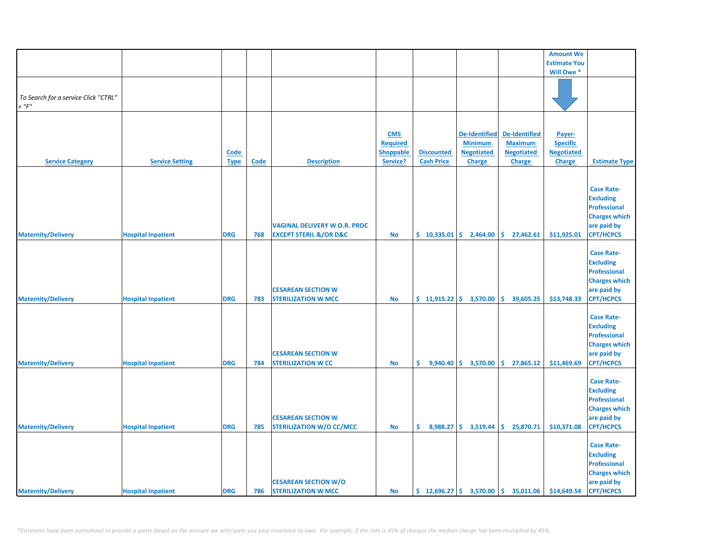|                                                     |                           |                            |      |                                                                              |                                                               |                                                  |                                                                              |                                                                                                | <b>Amount We</b>                                                |                                                                                                                         |
|-----------------------------------------------------|---------------------------|----------------------------|------|------------------------------------------------------------------------------|---------------------------------------------------------------|--------------------------------------------------|------------------------------------------------------------------------------|------------------------------------------------------------------------------------------------|-----------------------------------------------------------------|-------------------------------------------------------------------------------------------------------------------------|
|                                                     |                           |                            |      |                                                                              |                                                               |                                                  |                                                                              |                                                                                                | <b>Estimate You</b>                                             |                                                                                                                         |
|                                                     |                           |                            |      |                                                                              |                                                               |                                                  |                                                                              |                                                                                                | Will Owe *                                                      |                                                                                                                         |
| To Search for a service Click "CTRL"<br>$+$ " $F$ " |                           |                            |      |                                                                              |                                                               |                                                  |                                                                              |                                                                                                |                                                                 |                                                                                                                         |
| <b>Service Category</b>                             | <b>Service Setting</b>    | <b>Code</b><br><b>Type</b> | Code | <b>Description</b>                                                           | <b>CMS</b><br><b>Required</b><br><b>Shoppable</b><br>Service? | <b>Discounted</b><br><b>Cash Price</b>           | <b>De-Identified</b><br><b>Minimum</b><br><b>Negotiated</b><br><b>Charge</b> | <b>De-Identified</b><br><b>Maximum</b><br><b>Negotiated</b><br><b>Charge</b>                   | Payer-<br><b>Specific</b><br><b>Negotiated</b><br><b>Charge</b> | <b>Estimate Type</b>                                                                                                    |
| <b>Maternity/Delivery</b>                           | <b>Hospital Inpatient</b> | <b>DRG</b>                 | 768  | <b>VAGINAL DELIVERY W O.R. PROC</b><br><b>EXCEPT STERIL &amp;/OR D&amp;C</b> | <b>No</b>                                                     | $\binom{6}{5}$ 10,335.01 $\binom{6}{5}$ 2,464.00 |                                                                              | $\frac{1}{2}$ 27,462.61                                                                        | \$11,925.01                                                     | <b>Case Rate-</b><br><b>Excluding</b><br><b>Professional</b><br><b>Charges which</b><br>are paid by<br><b>CPT/HCPCS</b> |
| <b>Maternity/Delivery</b>                           | <b>Hospital Inpatient</b> | <b>DRG</b>                 | 783  | <b>CESAREAN SECTION W</b><br><b>STERILIZATION W MCC</b>                      | No                                                            | $$11,915.22 \mid $3,570.00$                      |                                                                              | ۱\$.<br>39,605.25                                                                              | \$13,748.33                                                     | <b>Case Rate-</b><br><b>Excluding</b><br><b>Professional</b><br><b>Charges which</b><br>are paid by<br><b>CPT/HCPCS</b> |
| <b>Maternity/Delivery</b>                           | <b>Hospital Inpatient</b> | <b>DRG</b>                 | 784  | <b>CESAREAN SECTION W</b><br><b>STERILIZATION W CC</b>                       | No                                                            | \$.<br>9,940.40                                  | \$3,570.00                                                                   | \$27,865.12                                                                                    | \$11,469.69                                                     | <b>Case Rate-</b><br><b>Excluding</b><br><b>Professional</b><br><b>Charges which</b><br>are paid by<br><b>CPT/HCPCS</b> |
| <b>Maternity/Delivery</b>                           | <b>Hospital Inpatient</b> | <b>DRG</b>                 | 785  | <b>CESAREAN SECTION W</b><br><b>STERILIZATION W/O CC/MCC</b>                 | No                                                            | \$.                                              |                                                                              | $8,988.27$ \$ 3,519.44 \$ 25,870.71                                                            | \$10,371.08                                                     | <b>Case Rate-</b><br><b>Excluding</b><br><b>Professional</b><br><b>Charges which</b><br>are paid by<br><b>CPT/HCPCS</b> |
| <b>Maternity/Delivery</b>                           | <b>Hospital Inpatient</b> | <b>DRG</b>                 | 786  | <b>CESAREAN SECTION W/O</b><br><b>STERILIZATION W MCC</b>                    | No                                                            |                                                  |                                                                              | $\frac{1}{2}$ 12,696.27 $\frac{1}{2}$ 3,570.00 $\frac{1}{2}$ 35,011.06 $\frac{1}{2}$ 44,649.54 |                                                                 | <b>Case Rate-</b><br><b>Excluding</b><br><b>Professional</b><br><b>Charges which</b><br>are paid by<br><b>CPT/HCPCS</b> |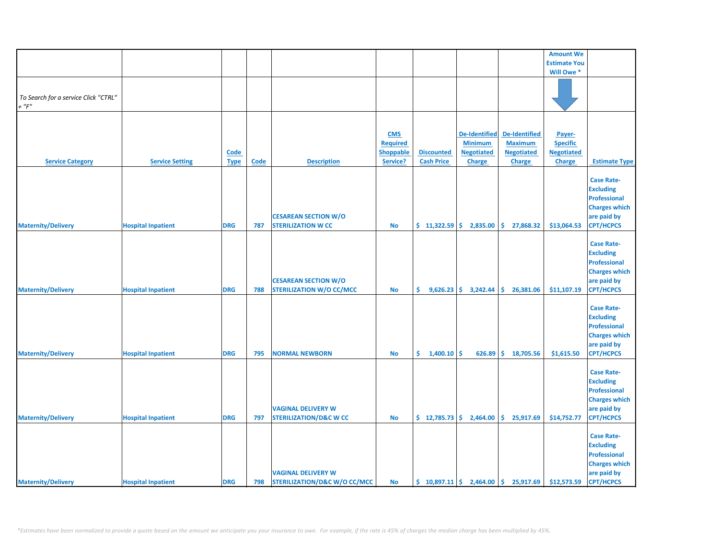|                                      |                           |             |      |                                                                      |                 |                   |                                                    |                                                                  | <b>Amount We</b>    |                                                                                                                         |
|--------------------------------------|---------------------------|-------------|------|----------------------------------------------------------------------|-----------------|-------------------|----------------------------------------------------|------------------------------------------------------------------|---------------------|-------------------------------------------------------------------------------------------------------------------------|
|                                      |                           |             |      |                                                                      |                 |                   |                                                    |                                                                  | <b>Estimate You</b> |                                                                                                                         |
|                                      |                           |             |      |                                                                      |                 |                   |                                                    |                                                                  | Will Owe *          |                                                                                                                         |
| To Search for a service Click "CTRL" |                           |             |      |                                                                      |                 |                   |                                                    |                                                                  |                     |                                                                                                                         |
| $+$ " $F$ "                          |                           |             |      |                                                                      |                 |                   |                                                    |                                                                  |                     |                                                                                                                         |
|                                      |                           |             |      |                                                                      |                 |                   |                                                    |                                                                  |                     |                                                                                                                         |
|                                      |                           |             |      |                                                                      |                 |                   |                                                    |                                                                  |                     |                                                                                                                         |
|                                      |                           |             |      |                                                                      | <b>CMS</b>      |                   | <b>De-Identified</b>                               | De-Identified                                                    | Payer-              |                                                                                                                         |
|                                      |                           |             |      |                                                                      | <b>Required</b> |                   | <b>Minimum</b>                                     | <b>Maximum</b>                                                   | <b>Specific</b>     |                                                                                                                         |
|                                      |                           | <b>Code</b> |      |                                                                      | Shoppable       | <b>Discounted</b> | <b>Negotiated</b>                                  | <b>Negotiated</b>                                                | <b>Negotiated</b>   |                                                                                                                         |
| <b>Service Category</b>              | <b>Service Setting</b>    | <b>Type</b> | Code | <b>Description</b>                                                   | Service?        | <b>Cash Price</b> | <b>Charge</b>                                      | <b>Charge</b>                                                    | Charge              | <b>Estimate Type</b>                                                                                                    |
| <b>Maternity/Delivery</b>            | <b>Hospital Inpatient</b> | <b>DRG</b>  | 787  | <b>CESAREAN SECTION W/O</b><br><b>STERILIZATION W CC</b>             | No              | \$11,322.59       | 2,835.00                                           | \$.<br>27,868.32                                                 | \$13,064.53         | <b>Case Rate-</b><br><b>Excluding</b><br><b>Professional</b><br><b>Charges which</b><br>are paid by<br><b>CPT/HCPCS</b> |
| <b>Maternity/Delivery</b>            | <b>Hospital Inpatient</b> | <b>DRG</b>  | 788  | <b>CESAREAN SECTION W/O</b><br>STERILIZATION W/O CC/MCC              | No              | \$.               | $9,626.23$ \$ 3,242.44                             | \$26,381.06                                                      | \$11,107.19         | <b>Case Rate-</b><br><b>Excluding</b><br><b>Professional</b><br><b>Charges which</b><br>are paid by<br><b>CPT/HCPCS</b> |
| <b>Maternity/Delivery</b>            | <b>Hospital Inpatient</b> | <b>DRG</b>  | 795  | <b>NORMAL NEWBORN</b>                                                | <b>No</b>       | \$.<br>1,400.10   | \$<br>626.89                                       | \$<br>18,705.56                                                  | \$1,615.50          | <b>Case Rate-</b><br><b>Excluding</b><br><b>Professional</b><br><b>Charges which</b><br>are paid by<br><b>CPT/HCPCS</b> |
| <b>Maternity/Delivery</b>            | <b>Hospital Inpatient</b> | <b>DRG</b>  | 797  | <b>VAGINAL DELIVERY W</b><br><b>STERILIZATION/D&amp;C W CC</b>       | No              |                   | $\frac{1}{2}$ , 12,785.73 $\frac{1}{2}$ , 2,464.00 | \$.<br>25,917.69                                                 | \$14,752.77         | <b>Case Rate-</b><br><b>Excluding</b><br><b>Professional</b><br><b>Charges which</b><br>are paid by<br><b>CPT/HCPCS</b> |
| <b>Maternity/Delivery</b>            | <b>Hospital Inpatient</b> | <b>DRG</b>  | 798  | <b>VAGINAL DELIVERY W</b><br><b>STERILIZATION/D&amp;C W/O CC/MCC</b> | <b>No</b>       |                   |                                                    | $\binom{10,897.11}{5}$ 2,464.00 $\binom{10,897.11}{5}$ 25,917.69 | \$12,573.59         | <b>Case Rate-</b><br><b>Excluding</b><br><b>Professional</b><br><b>Charges which</b><br>are paid by<br><b>CPT/HCPCS</b> |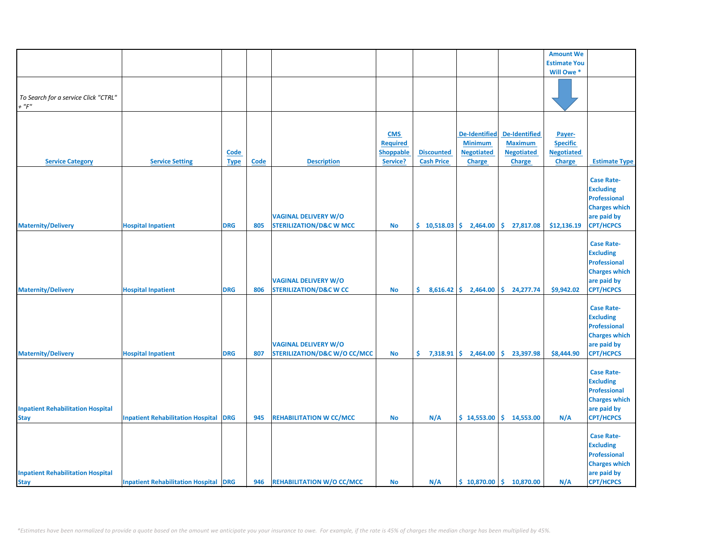|                                                         |                                              |             |      |                                                                        |                                                               |                                        |                                                             |                                                             | <b>Amount We</b>                               |                                                                                                                         |
|---------------------------------------------------------|----------------------------------------------|-------------|------|------------------------------------------------------------------------|---------------------------------------------------------------|----------------------------------------|-------------------------------------------------------------|-------------------------------------------------------------|------------------------------------------------|-------------------------------------------------------------------------------------------------------------------------|
|                                                         |                                              |             |      |                                                                        |                                                               |                                        |                                                             |                                                             | <b>Estimate You</b>                            |                                                                                                                         |
|                                                         |                                              |             |      |                                                                        |                                                               |                                        |                                                             |                                                             | Will Owe *                                     |                                                                                                                         |
| To Search for a service Click "CTRL"<br>$+$ " $F$ "     |                                              |             |      |                                                                        |                                                               |                                        |                                                             |                                                             |                                                |                                                                                                                         |
|                                                         |                                              |             |      |                                                                        |                                                               |                                        |                                                             |                                                             |                                                |                                                                                                                         |
|                                                         |                                              | <b>Code</b> |      |                                                                        | <b>CMS</b><br><b>Required</b><br><b>Shoppable</b><br>Service? | <b>Discounted</b><br><b>Cash Price</b> | <b>De-Identified</b><br><b>Minimum</b><br><b>Negotiated</b> | <b>De-Identified</b><br><b>Maximum</b><br><b>Negotiated</b> | Payer-<br><b>Specific</b><br><b>Negotiated</b> | <b>Estimate Type</b>                                                                                                    |
| <b>Service Category</b>                                 | <b>Service Setting</b>                       | <b>Type</b> | Code | <b>Description</b>                                                     |                                                               |                                        | <b>Charge</b>                                               | <b>Charge</b>                                               | Charge                                         |                                                                                                                         |
| <b>Maternity/Delivery</b>                               | <b>Hospital Inpatient</b>                    | <b>DRG</b>  | 805  | <b>VAGINAL DELIVERY W/O</b><br><b>STERILIZATION/D&amp;C W MCC</b>      | No                                                            | \$10,518.03                            | 2,464.00                                                    | \$.<br>27,817.08                                            | \$12,136.19                                    | <b>Case Rate-</b><br><b>Excluding</b><br><b>Professional</b><br><b>Charges which</b><br>are paid by<br><b>CPT/HCPCS</b> |
| <b>Maternity/Delivery</b>                               | <b>Hospital Inpatient</b>                    | <b>DRG</b>  | 806  | <b>VAGINAL DELIVERY W/O</b><br><b>STERILIZATION/D&amp;C W CC</b>       | <b>No</b>                                                     | \$.                                    | $8,616.42$ \$ 2,464.00                                      | \$24,277.74                                                 | \$9,942.02                                     | <b>Case Rate-</b><br><b>Excluding</b><br><b>Professional</b><br><b>Charges which</b><br>are paid by<br><b>CPT/HCPCS</b> |
| <b>Maternity/Delivery</b>                               | <b>Hospital Inpatient</b>                    | <b>DRG</b>  | 807  | <b>VAGINAL DELIVERY W/O</b><br><b>STERILIZATION/D&amp;C W/O CC/MCC</b> | <b>No</b>                                                     | \$.<br>7,318.91                        | \$.<br>2,464.00                                             | \$.<br>23,397.98                                            | \$8,444.90                                     | <b>Case Rate-</b><br><b>Excluding</b><br><b>Professional</b><br><b>Charges which</b><br>are paid by<br><b>CPT/HCPCS</b> |
| <b>Inpatient Rehabilitation Hospital</b><br><b>Stay</b> | <b>Inpatient Rehabilitation Hospital</b>     | <b>DRG</b>  | 945  | <b>REHABILITATION W CC/MCC</b>                                         | <b>No</b>                                                     | N/A                                    | \$14,553.00                                                 | \$14,553.00                                                 | N/A                                            | <b>Case Rate-</b><br><b>Excluding</b><br><b>Professional</b><br><b>Charges which</b><br>are paid by<br><b>CPT/HCPCS</b> |
| <b>Inpatient Rehabilitation Hospital</b><br><b>Stay</b> | <b>Inpatient Rehabilitation Hospital DRG</b> |             | 946  | <b>REHABILITATION W/O CC/MCC</b>                                       | <b>No</b>                                                     | N/A                                    |                                                             | $$10,870.00 \mid $10,870.00$                                | N/A                                            | <b>Case Rate-</b><br><b>Excluding</b><br><b>Professional</b><br><b>Charges which</b><br>are paid by<br><b>CPT/HCPCS</b> |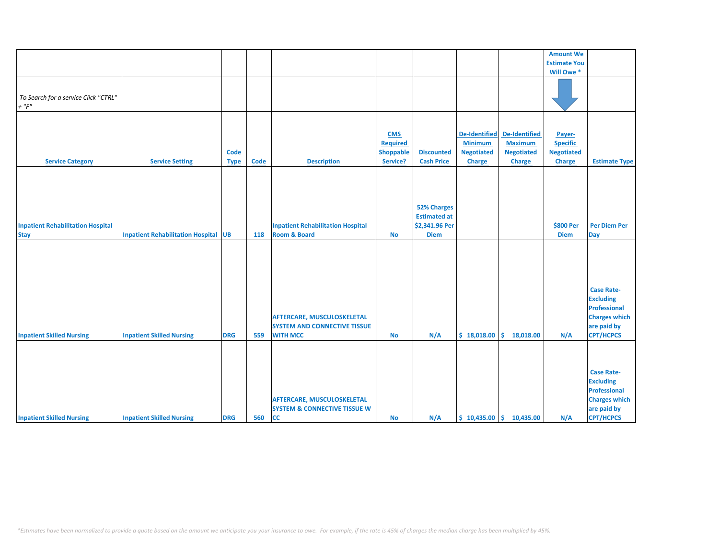|                                                         |                                             |                     |      |                                                                                             |                                                               |                                                                            |                                                                              |                                                                              | <b>Amount We</b>                                         |                                                                                                                         |
|---------------------------------------------------------|---------------------------------------------|---------------------|------|---------------------------------------------------------------------------------------------|---------------------------------------------------------------|----------------------------------------------------------------------------|------------------------------------------------------------------------------|------------------------------------------------------------------------------|----------------------------------------------------------|-------------------------------------------------------------------------------------------------------------------------|
|                                                         |                                             |                     |      |                                                                                             |                                                               |                                                                            |                                                                              |                                                                              | <b>Estimate You</b>                                      |                                                                                                                         |
|                                                         |                                             |                     |      |                                                                                             |                                                               |                                                                            |                                                                              |                                                                              | Will Owe *                                               |                                                                                                                         |
| To Search for a service Click "CTRL"<br>$+$ " $F$ "     |                                             |                     |      |                                                                                             |                                                               |                                                                            |                                                                              |                                                                              |                                                          |                                                                                                                         |
| <b>Service Category</b>                                 | <b>Service Setting</b>                      | Code<br><b>Type</b> | Code | <b>Description</b>                                                                          | <b>CMS</b><br><b>Required</b><br><b>Shoppable</b><br>Service? | <b>Discounted</b><br><b>Cash Price</b>                                     | <b>De-Identified</b><br><b>Minimum</b><br><b>Negotiated</b><br><b>Charge</b> | <b>De-Identified</b><br><b>Maximum</b><br><b>Negotiated</b><br><b>Charge</b> | Payer-<br><b>Specific</b><br><b>Negotiated</b><br>Charge | <b>Estimate Type</b>                                                                                                    |
| <b>Inpatient Rehabilitation Hospital</b><br><b>Stay</b> | <b>Inpatient Rehabilitation Hospital UB</b> |                     | 118  | <b>Inpatient Rehabilitation Hospital</b><br><b>Room &amp; Board</b>                         | <b>No</b>                                                     | <b>52% Charges</b><br><b>Estimated at</b><br>\$2,341.96 Per<br><b>Diem</b> |                                                                              |                                                                              | \$800 Per<br><b>Diem</b>                                 | <b>Per Diem Per</b><br><b>Day</b>                                                                                       |
| <b>Inpatient Skilled Nursing</b>                        | <b>Inpatient Skilled Nursing</b>            | <b>DRG</b>          | 559  | <b>AFTERCARE, MUSCULOSKELETAL</b><br><b>SYSTEM AND CONNECTIVE TISSUE</b><br><b>WITH MCC</b> | <b>No</b>                                                     | N/A                                                                        | \$18,018.00                                                                  | \$.<br>18,018.00                                                             | N/A                                                      | <b>Case Rate-</b><br><b>Excluding</b><br><b>Professional</b><br><b>Charges which</b><br>are paid by<br><b>CPT/HCPCS</b> |
| <b>Inpatient Skilled Nursing</b>                        | <b>Inpatient Skilled Nursing</b>            | <b>DRG</b>          | 560  | <b>AFTERCARE, MUSCULOSKELETAL</b><br><b>SYSTEM &amp; CONNECTIVE TISSUE W</b><br><b>CC</b>   | <b>No</b>                                                     | N/A                                                                        |                                                                              | $$10,435.00 \mid $10,435.00$                                                 | N/A                                                      | <b>Case Rate-</b><br><b>Excluding</b><br><b>Professional</b><br><b>Charges which</b><br>are paid by<br><b>CPT/HCPCS</b> |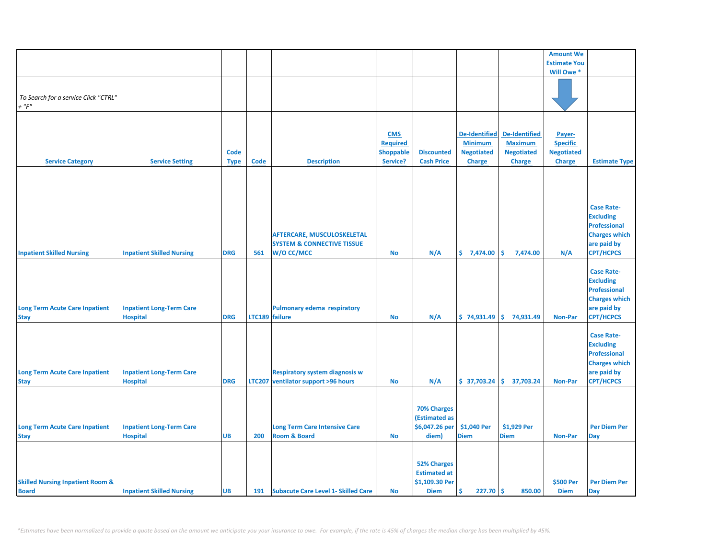|                                                             |                                                    |                     |                |                                                                                          |                                                               |                                                                            |                                                                              |                                                                              | <b>Amount We</b>                                                |                                                                                                                         |
|-------------------------------------------------------------|----------------------------------------------------|---------------------|----------------|------------------------------------------------------------------------------------------|---------------------------------------------------------------|----------------------------------------------------------------------------|------------------------------------------------------------------------------|------------------------------------------------------------------------------|-----------------------------------------------------------------|-------------------------------------------------------------------------------------------------------------------------|
|                                                             |                                                    |                     |                |                                                                                          |                                                               |                                                                            |                                                                              |                                                                              | <b>Estimate You</b>                                             |                                                                                                                         |
|                                                             |                                                    |                     |                |                                                                                          |                                                               |                                                                            |                                                                              |                                                                              | Will Owe *                                                      |                                                                                                                         |
| To Search for a service Click "CTRL"<br>$+$ " $F$ "         |                                                    |                     |                |                                                                                          |                                                               |                                                                            |                                                                              |                                                                              |                                                                 |                                                                                                                         |
| <b>Service Category</b>                                     | <b>Service Setting</b>                             | Code<br><b>Type</b> | <b>Code</b>    | <b>Description</b>                                                                       | <b>CMS</b><br><b>Required</b><br><b>Shoppable</b><br>Service? | <b>Discounted</b><br><b>Cash Price</b>                                     | <b>De-Identified</b><br><b>Minimum</b><br><b>Negotiated</b><br><b>Charge</b> | <b>De-Identified</b><br><b>Maximum</b><br><b>Negotiated</b><br><b>Charge</b> | Payer-<br><b>Specific</b><br><b>Negotiated</b><br><b>Charge</b> | <b>Estimate Type</b>                                                                                                    |
|                                                             |                                                    |                     |                |                                                                                          |                                                               |                                                                            |                                                                              |                                                                              |                                                                 |                                                                                                                         |
| <b>Inpatient Skilled Nursing</b>                            | <b>Inpatient Skilled Nursing</b>                   | <b>DRG</b>          | 561            | <b>AFTERCARE, MUSCULOSKELETAL</b><br><b>SYSTEM &amp; CONNECTIVE TISSUE</b><br>W/O CC/MCC | <b>No</b>                                                     | N/A                                                                        | \$7,474.00                                                                   | \$<br>7,474.00                                                               | N/A                                                             | <b>Case Rate-</b><br><b>Excluding</b><br><b>Professional</b><br><b>Charges which</b><br>are paid by<br><b>CPT/HCPCS</b> |
| <b>Long Term Acute Care Inpatient</b><br><b>Stay</b>        | <b>Inpatient Long-Term Care</b><br><b>Hospital</b> | <b>DRG</b>          | LTC189 failure | Pulmonary edema respiratory                                                              | No                                                            | N/A                                                                        |                                                                              | $$74,931.49$ $$74,931.49$                                                    | <b>Non-Par</b>                                                  | <b>Case Rate-</b><br><b>Excluding</b><br><b>Professional</b><br><b>Charges which</b><br>are paid by<br><b>CPT/HCPCS</b> |
| <b>Long Term Acute Care Inpatient</b><br><b>Stay</b>        | <b>Inpatient Long-Term Care</b><br><b>Hospital</b> | <b>DRG</b>          |                | <b>Respiratory system diagnosis w</b><br>LTC207 ventilator support >96 hours             | No                                                            | N/A                                                                        |                                                                              | $$37,703.24 \mid $37,703.24$$                                                | <b>Non-Par</b>                                                  | <b>Case Rate-</b><br><b>Excluding</b><br><b>Professional</b><br><b>Charges which</b><br>are paid by<br><b>CPT/HCPCS</b> |
| <b>Long Term Acute Care Inpatient</b><br><b>Stay</b>        | <b>Inpatient Long-Term Care</b><br><b>Hospital</b> | <b>UB</b>           | 200            | <b>Long Term Care Intensive Care</b><br><b>Room &amp; Board</b>                          | <b>No</b>                                                     | <b>70% Charges</b><br>(Estimated as<br>\$6,047.26 per<br>diem)             | \$1,040 Per<br><b>Diem</b>                                                   | \$1,929 Per<br><b>Diem</b>                                                   | <b>Non-Par</b>                                                  | <b>Per Diem Per</b><br>Day                                                                                              |
| <b>Skilled Nursing Inpatient Room &amp;</b><br><b>Board</b> | <b>Inpatient Skilled Nursing</b>                   | <b>UB</b>           |                | 191 Subacute Care Level 1- Skilled Care                                                  | <b>No</b>                                                     | <b>52% Charges</b><br><b>Estimated at</b><br>\$1,109.30 Per<br><b>Diem</b> | Ŝ<br>$227.70$ \$                                                             | 850.00                                                                       | \$500 Per<br><b>Diem</b>                                        | <b>Per Diem Per</b><br>Day                                                                                              |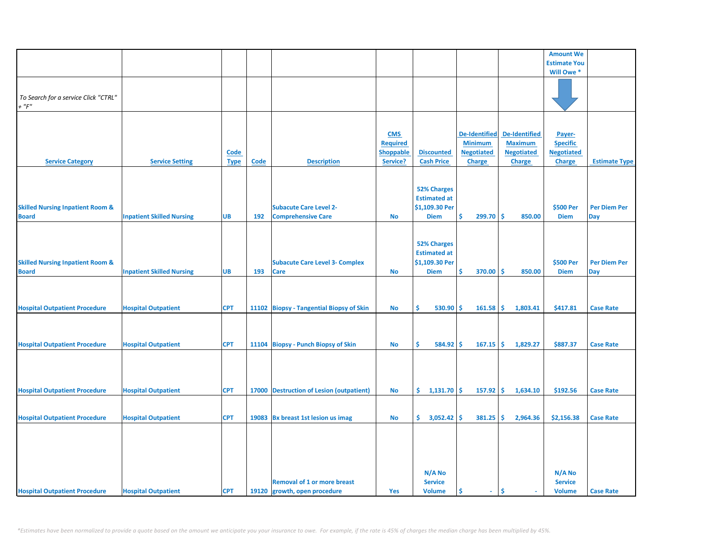|                                                             |                                  |                     |      |                                                                    |                                                               |                                                                            |                                                                              |                                                                              | <b>Amount We</b>                                                |                            |
|-------------------------------------------------------------|----------------------------------|---------------------|------|--------------------------------------------------------------------|---------------------------------------------------------------|----------------------------------------------------------------------------|------------------------------------------------------------------------------|------------------------------------------------------------------------------|-----------------------------------------------------------------|----------------------------|
|                                                             |                                  |                     |      |                                                                    |                                                               |                                                                            |                                                                              |                                                                              | <b>Estimate You</b>                                             |                            |
|                                                             |                                  |                     |      |                                                                    |                                                               |                                                                            |                                                                              |                                                                              | Will Owe *                                                      |                            |
| To Search for a service Click "CTRL"<br>$+$ " $F$ "         |                                  |                     |      |                                                                    |                                                               |                                                                            |                                                                              |                                                                              |                                                                 |                            |
| <b>Service Category</b>                                     | <b>Service Setting</b>           | Code<br><b>Type</b> | Code | <b>Description</b>                                                 | <b>CMS</b><br><b>Required</b><br><b>Shoppable</b><br>Service? | <b>Discounted</b><br><b>Cash Price</b>                                     | <b>De-Identified</b><br><b>Minimum</b><br><b>Negotiated</b><br><b>Charge</b> | <b>De-Identified</b><br><b>Maximum</b><br><b>Negotiated</b><br><b>Charge</b> | Payer-<br><b>Specific</b><br><b>Negotiated</b><br><b>Charge</b> | <b>Estimate Type</b>       |
| <b>Skilled Nursing Inpatient Room &amp;</b><br><b>Board</b> | <b>Inpatient Skilled Nursing</b> | <b>UB</b>           | 192  | <b>Subacute Care Level 2-</b><br><b>Comprehensive Care</b>         | <b>No</b>                                                     | <b>52% Charges</b><br><b>Estimated at</b><br>\$1,109.30 Per<br><b>Diem</b> | \$<br>$299.70$ \$                                                            | 850.00                                                                       | \$500 Per<br><b>Diem</b>                                        | <b>Per Diem Per</b><br>Day |
| <b>Skilled Nursing Inpatient Room &amp;</b><br><b>Board</b> | <b>Inpatient Skilled Nursing</b> | <b>UB</b>           | 193  | <b>Subacute Care Level 3- Complex</b><br><b>Care</b>               | <b>No</b>                                                     | <b>52% Charges</b><br><b>Estimated at</b><br>\$1,109.30 Per<br><b>Diem</b> | \$<br>370.00                                                                 | ۱\$<br>850.00                                                                | \$500 Per<br><b>Diem</b>                                        | <b>Per Diem Per</b><br>Day |
| <b>Hospital Outpatient Procedure</b>                        | <b>Hospital Outpatient</b>       | <b>CPT</b>          |      | 11102 Biopsy - Tangential Biopsy of Skin                           | No                                                            | 530.90<br>Ś.                                                               | -Ś<br>161.58                                                                 | 1,803.41<br>۱\$                                                              | \$417.81                                                        | <b>Case Rate</b>           |
| <b>Hospital Outpatient Procedure</b>                        | <b>Hospital Outpatient</b>       | <b>CPT</b>          |      | 11104 Biopsy - Punch Biopsy of Skin                                | <b>No</b>                                                     | Ś.<br>584.92                                                               | -Ś<br>$167.15$ \$                                                            | 1,829.27                                                                     | \$887.37                                                        | <b>Case Rate</b>           |
| <b>Hospital Outpatient Procedure</b>                        | <b>Hospital Outpatient</b>       | <b>CPT</b>          |      | 17000 Destruction of Lesion (outpatient)                           | No                                                            | $1,131.70$ \$<br>\$.                                                       | $157.92$ \$                                                                  | 1,634.10                                                                     | \$192.56                                                        | <b>Case Rate</b>           |
| <b>Hospital Outpatient Procedure</b>                        | <b>Hospital Outpatient</b>       | <b>CPT</b>          |      | 19083 Bx breast 1st lesion us imag                                 | No                                                            | $\frac{1}{2}$ 3,052.42 \$                                                  | $381.25$ \$                                                                  | 2,964.36                                                                     | \$2,156.38                                                      | <b>Case Rate</b>           |
| <b>Hospital Outpatient Procedure</b>                        | <b>Hospital Outpatient</b>       | <b>CPT</b>          |      | <b>Removal of 1 or more breast</b><br>19120 growth, open procedure | Yes                                                           | N/A No<br><b>Service</b><br><b>Volume</b>                                  | Ś<br>$\sim$                                                                  | Ŝ                                                                            | N/A No<br><b>Service</b><br><b>Volume</b>                       | <b>Case Rate</b>           |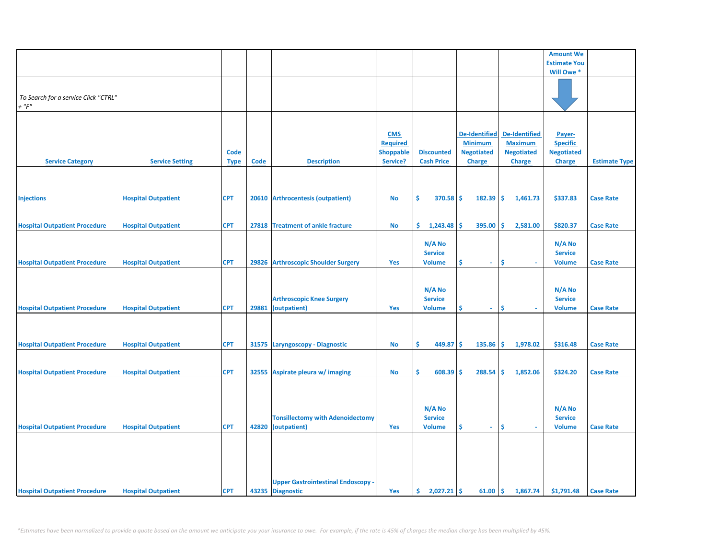| <b>Amount We</b><br><b>Estimate You</b><br>Will Owe *<br>To Search for a service Click "CTRL"<br>$+$ " $F$ "                                                                                         |                      |
|------------------------------------------------------------------------------------------------------------------------------------------------------------------------------------------------------|----------------------|
|                                                                                                                                                                                                      |                      |
|                                                                                                                                                                                                      |                      |
|                                                                                                                                                                                                      |                      |
|                                                                                                                                                                                                      |                      |
|                                                                                                                                                                                                      |                      |
|                                                                                                                                                                                                      |                      |
|                                                                                                                                                                                                      |                      |
|                                                                                                                                                                                                      |                      |
|                                                                                                                                                                                                      |                      |
|                                                                                                                                                                                                      |                      |
| <b>De-Identified</b><br><b>CMS</b><br><b>De-Identified</b><br>Payer-                                                                                                                                 |                      |
|                                                                                                                                                                                                      |                      |
| <b>Maximum</b><br><b>Required</b><br><b>Minimum</b><br><b>Specific</b>                                                                                                                               |                      |
| <b>Discounted</b><br><b>Negotiated</b><br><b>Negotiated</b><br><b>Shoppable</b><br><b>Negotiated</b><br><b>Code</b>                                                                                  |                      |
| Service?<br><b>Cash Price</b><br><b>Service Category</b><br><b>Service Setting</b><br>Code<br><b>Description</b><br><b>Charge</b><br><b>Charge</b><br><b>Charge</b><br><b>Type</b>                   | <b>Estimate Type</b> |
|                                                                                                                                                                                                      |                      |
|                                                                                                                                                                                                      |                      |
|                                                                                                                                                                                                      |                      |
|                                                                                                                                                                                                      |                      |
| <b>CPT</b><br><b>Arthrocentesis (outpatient)</b><br>\$<br>370.58<br>Ŝ.<br>182.39<br>\$<br>1,461.73<br>\$337.83<br><b>Injections</b><br><b>Hospital Outpatient</b><br>20610<br>No                     | <b>Case Rate</b>     |
|                                                                                                                                                                                                      |                      |
|                                                                                                                                                                                                      |                      |
|                                                                                                                                                                                                      |                      |
| <b>CPT</b><br>27818 Treatment of ankle fracture<br>1,243.48<br>395.00<br>Ŝ.<br>2,581.00<br>\$820.37<br><b>Hospital Outpatient Procedure</b><br><b>Hospital Outpatient</b><br><b>No</b><br>\$.<br>\$. | <b>Case Rate</b>     |
|                                                                                                                                                                                                      |                      |
| N/A No<br>$N/A$ No                                                                                                                                                                                   |                      |
| <b>Service</b><br><b>Service</b>                                                                                                                                                                     |                      |
|                                                                                                                                                                                                      |                      |
| \$<br><b>Hospital Outpatient Procedure</b><br><b>Hospital Outpatient</b><br><b>CPT</b><br>29826 Arthroscopic Shoulder Surgery<br><b>Yes</b><br><b>Volume</b><br>\$.<br><b>Volume</b><br>$\sim$       | <b>Case Rate</b>     |
|                                                                                                                                                                                                      |                      |
|                                                                                                                                                                                                      |                      |
| N/A No<br>N/A No                                                                                                                                                                                     |                      |
|                                                                                                                                                                                                      |                      |
| <b>Arthroscopic Knee Surgery</b><br><b>Service</b><br><b>Service</b>                                                                                                                                 |                      |
| Ŝ<br><b>Hospital Outpatient Procedure</b><br>29881<br>\$<br><b>Hospital Outpatient</b><br><b>CPT</b><br>(outpatient)<br>Yes<br><b>Volume</b><br><b>Volume</b><br>$\omega$ .                          | <b>Case Rate</b>     |
|                                                                                                                                                                                                      |                      |
|                                                                                                                                                                                                      |                      |
|                                                                                                                                                                                                      |                      |
|                                                                                                                                                                                                      |                      |
| <b>Hospital Outpatient Procedure</b><br><b>Hospital Outpatient</b><br><b>CPT</b><br>31575 Laryngoscopy - Diagnostic<br>\$<br>449.87<br>\$<br>135.86<br>\$<br>1,978.02<br>\$316.48<br><b>No</b>       | <b>Case Rate</b>     |
|                                                                                                                                                                                                      |                      |
|                                                                                                                                                                                                      |                      |
|                                                                                                                                                                                                      |                      |
| <b>CPT</b><br>\$<br>608.39<br>288.54<br>Ś<br>1,852.06<br>\$324.20<br><b>Hospital Outpatient Procedure</b><br><b>Hospital Outpatient</b><br>32555<br>Aspirate pleura w/ imaging<br>No<br>Ś            | <b>Case Rate</b>     |
|                                                                                                                                                                                                      |                      |
|                                                                                                                                                                                                      |                      |
|                                                                                                                                                                                                      |                      |
|                                                                                                                                                                                                      |                      |
| N/A No<br>N/A No                                                                                                                                                                                     |                      |
| <b>Service</b><br><b>Tonsillectomy with Adenoidectomy</b><br><b>Service</b>                                                                                                                          |                      |
| \$<br><b>Hospital Outpatient Procedure</b><br><b>CPT</b><br>42820 (outpatient)<br><b>Volume</b><br>\$<br><b>Volume</b><br><b>Hospital Outpatient</b><br>Yes<br>$\sim$<br>a.                          | <b>Case Rate</b>     |
|                                                                                                                                                                                                      |                      |
|                                                                                                                                                                                                      |                      |
|                                                                                                                                                                                                      |                      |
|                                                                                                                                                                                                      |                      |
|                                                                                                                                                                                                      |                      |
|                                                                                                                                                                                                      |                      |
|                                                                                                                                                                                                      |                      |
|                                                                                                                                                                                                      |                      |
| <b>Upper Gastrointestinal Endoscopy -</b>                                                                                                                                                            |                      |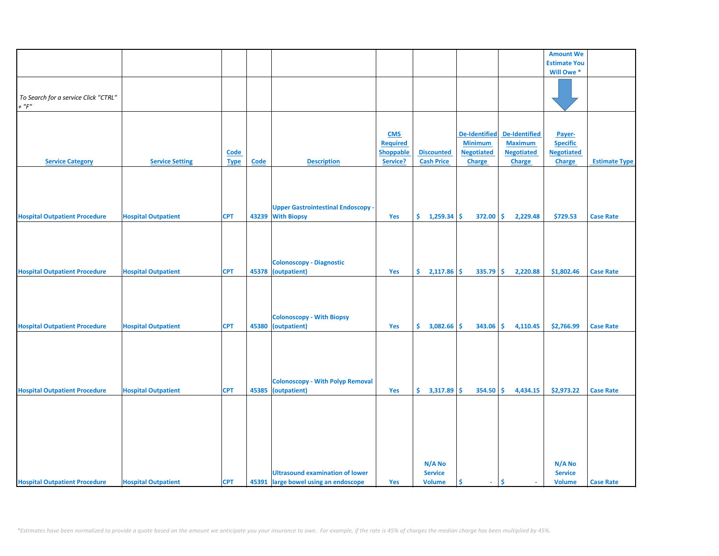|                                      |                            |             |             |                                           |                  |                   |                      |                                 | <b>Amount We</b>    |                      |
|--------------------------------------|----------------------------|-------------|-------------|-------------------------------------------|------------------|-------------------|----------------------|---------------------------------|---------------------|----------------------|
|                                      |                            |             |             |                                           |                  |                   |                      |                                 | <b>Estimate You</b> |                      |
|                                      |                            |             |             |                                           |                  |                   |                      |                                 | Will Owe *          |                      |
|                                      |                            |             |             |                                           |                  |                   |                      |                                 |                     |                      |
|                                      |                            |             |             |                                           |                  |                   |                      |                                 |                     |                      |
|                                      |                            |             |             |                                           |                  |                   |                      |                                 |                     |                      |
| To Search for a service Click "CTRL" |                            |             |             |                                           |                  |                   |                      |                                 |                     |                      |
| $+$ " $F"$                           |                            |             |             |                                           |                  |                   |                      |                                 |                     |                      |
|                                      |                            |             |             |                                           |                  |                   |                      |                                 |                     |                      |
|                                      |                            |             |             |                                           |                  |                   |                      |                                 |                     |                      |
|                                      |                            |             |             |                                           |                  |                   |                      |                                 |                     |                      |
|                                      |                            |             |             |                                           | <b>CMS</b>       |                   | <b>De-Identified</b> | <b>De-Identified</b>            | Payer-              |                      |
|                                      |                            |             |             |                                           | <b>Required</b>  |                   | <b>Minimum</b>       | <b>Maximum</b>                  | <b>Specific</b>     |                      |
|                                      |                            |             |             |                                           |                  |                   |                      |                                 |                     |                      |
|                                      |                            | <b>Code</b> |             |                                           | <b>Shoppable</b> | <b>Discounted</b> | <b>Negotiated</b>    | <b>Negotiated</b>               | <b>Negotiated</b>   |                      |
| <b>Service Category</b>              | <b>Service Setting</b>     | <b>Type</b> | <b>Code</b> | <b>Description</b>                        | Service?         | <b>Cash Price</b> | <b>Charge</b>        | <b>Charge</b>                   | Charge              | <b>Estimate Type</b> |
|                                      |                            |             |             |                                           |                  |                   |                      |                                 |                     |                      |
|                                      |                            |             |             |                                           |                  |                   |                      |                                 |                     |                      |
|                                      |                            |             |             |                                           |                  |                   |                      |                                 |                     |                      |
|                                      |                            |             |             |                                           |                  |                   |                      |                                 |                     |                      |
|                                      |                            |             |             |                                           |                  |                   |                      |                                 |                     |                      |
|                                      |                            |             |             | <b>Upper Gastrointestinal Endoscopy -</b> |                  |                   |                      |                                 |                     |                      |
|                                      |                            |             |             |                                           |                  |                   |                      |                                 |                     |                      |
| <b>Hospital Outpatient Procedure</b> | <b>Hospital Outpatient</b> | <b>CPT</b>  | 43239       | <b>With Biopsy</b>                        | Yes              | \$.<br>1,259.34   | \$<br>372.00         | \$.<br>2,229.48                 | \$729.53            | <b>Case Rate</b>     |
|                                      |                            |             |             |                                           |                  |                   |                      |                                 |                     |                      |
|                                      |                            |             |             |                                           |                  |                   |                      |                                 |                     |                      |
|                                      |                            |             |             |                                           |                  |                   |                      |                                 |                     |                      |
|                                      |                            |             |             |                                           |                  |                   |                      |                                 |                     |                      |
|                                      |                            |             |             |                                           |                  |                   |                      |                                 |                     |                      |
|                                      |                            |             |             | <b>Colonoscopy - Diagnostic</b>           |                  |                   |                      |                                 |                     |                      |
|                                      |                            |             |             |                                           |                  |                   |                      |                                 |                     |                      |
| <b>Hospital Outpatient Procedure</b> | <b>Hospital Outpatient</b> | <b>CPT</b>  | 45378       | (outpatient)                              | Yes              | \$<br>2,117.86    | \$<br>335.79         | \$<br>2,220.88                  | \$1,802.46          | <b>Case Rate</b>     |
|                                      |                            |             |             |                                           |                  |                   |                      |                                 |                     |                      |
|                                      |                            |             |             |                                           |                  |                   |                      |                                 |                     |                      |
|                                      |                            |             |             |                                           |                  |                   |                      |                                 |                     |                      |
|                                      |                            |             |             |                                           |                  |                   |                      |                                 |                     |                      |
|                                      |                            |             |             |                                           |                  |                   |                      |                                 |                     |                      |
|                                      |                            |             |             | <b>Colonoscopy - With Biopsy</b>          |                  |                   |                      |                                 |                     |                      |
| <b>Hospital Outpatient Procedure</b> |                            | <b>CPT</b>  |             | 45380 (outpatient)                        | Yes              | \$.<br>3,082.66   | Ŝ.<br>343.06         | Ś.<br>4,110.45                  | \$2,766.99          | <b>Case Rate</b>     |
|                                      | <b>Hospital Outpatient</b> |             |             |                                           |                  |                   |                      |                                 |                     |                      |
|                                      |                            |             |             |                                           |                  |                   |                      |                                 |                     |                      |
|                                      |                            |             |             |                                           |                  |                   |                      |                                 |                     |                      |
|                                      |                            |             |             |                                           |                  |                   |                      |                                 |                     |                      |
|                                      |                            |             |             |                                           |                  |                   |                      |                                 |                     |                      |
|                                      |                            |             |             |                                           |                  |                   |                      |                                 |                     |                      |
|                                      |                            |             |             |                                           |                  |                   |                      |                                 |                     |                      |
|                                      |                            |             |             | <b>Colonoscopy - With Polyp Removal</b>   |                  |                   |                      |                                 |                     |                      |
|                                      |                            |             |             |                                           |                  |                   |                      |                                 |                     |                      |
| <b>Hospital Outpatient Procedure</b> | <b>Hospital Outpatient</b> | <b>CPT</b>  | 45385       | (outpatient)                              | Yes              | \$.<br>3,317.89   | \$<br>354.50         | \$<br>4,434.15                  | \$2,973.22          | <b>Case Rate</b>     |
|                                      |                            |             |             |                                           |                  |                   |                      |                                 |                     |                      |
|                                      |                            |             |             |                                           |                  |                   |                      |                                 |                     |                      |
|                                      |                            |             |             |                                           |                  |                   |                      |                                 |                     |                      |
|                                      |                            |             |             |                                           |                  |                   |                      |                                 |                     |                      |
|                                      |                            |             |             |                                           |                  |                   |                      |                                 |                     |                      |
|                                      |                            |             |             |                                           |                  |                   |                      |                                 |                     |                      |
|                                      |                            |             |             |                                           |                  |                   |                      |                                 |                     |                      |
|                                      |                            |             |             |                                           |                  |                   |                      |                                 |                     |                      |
|                                      |                            |             |             |                                           |                  |                   |                      |                                 |                     |                      |
|                                      |                            |             |             |                                           |                  | N/A No            |                      |                                 | N/A No              |                      |
|                                      |                            |             |             |                                           |                  |                   |                      |                                 |                     |                      |
|                                      |                            |             |             | <b>Ultrasound examination of lower</b>    |                  | <b>Service</b>    |                      |                                 | <b>Service</b>      |                      |
| <b>Hospital Outpatient Procedure</b> | <b>Hospital Outpatient</b> | <b>CPT</b>  |             | 45391 large bowel using an endoscope      | Yes              | <b>Volume</b>     | \$<br>$\sim$         | \$.<br>$\overline{\phantom{a}}$ | <b>Volume</b>       | <b>Case Rate</b>     |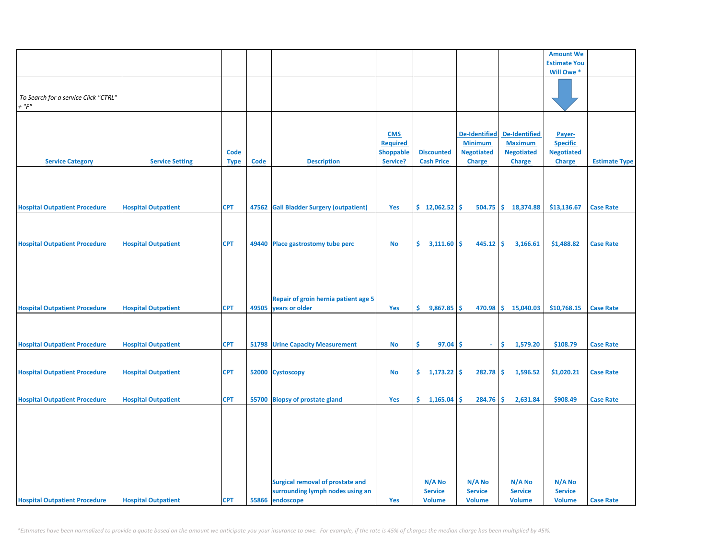|                                                     |                            |                            |       |                                                                                                |                                                               |                                           |                                                                       |                                                                       | <b>Amount We</b>                                                |                      |
|-----------------------------------------------------|----------------------------|----------------------------|-------|------------------------------------------------------------------------------------------------|---------------------------------------------------------------|-------------------------------------------|-----------------------------------------------------------------------|-----------------------------------------------------------------------|-----------------------------------------------------------------|----------------------|
|                                                     |                            |                            |       |                                                                                                |                                                               |                                           |                                                                       |                                                                       | <b>Estimate You</b>                                             |                      |
|                                                     |                            |                            |       |                                                                                                |                                                               |                                           |                                                                       |                                                                       | Will Owe *                                                      |                      |
| To Search for a service Click "CTRL"<br>$+$ " $F$ " |                            |                            |       |                                                                                                |                                                               |                                           |                                                                       |                                                                       |                                                                 |                      |
| <b>Service Category</b>                             | <b>Service Setting</b>     | <b>Code</b><br><b>Type</b> | Code  | <b>Description</b>                                                                             | <b>CMS</b><br><b>Required</b><br><b>Shoppable</b><br>Service? | <b>Discounted</b><br><b>Cash Price</b>    | <b>De-Identified</b><br><b>Minimum</b><br><b>Negotiated</b><br>Charge | <b>De-Identified</b><br><b>Maximum</b><br><b>Negotiated</b><br>Charge | Payer-<br><b>Specific</b><br><b>Negotiated</b><br><b>Charge</b> | <b>Estimate Type</b> |
| <b>Hospital Outpatient Procedure</b>                | <b>Hospital Outpatient</b> | <b>CPT</b>                 | 47562 | <b>Gall Bladder Surgery (outpatient)</b>                                                       | Yes                                                           | \$12,062.52                               | Ŝ<br>504.75                                                           | \$.<br>18,374.88                                                      | \$13,136.67                                                     | <b>Case Rate</b>     |
|                                                     |                            |                            |       |                                                                                                |                                                               |                                           |                                                                       |                                                                       |                                                                 |                      |
| <b>Hospital Outpatient Procedure</b>                | <b>Hospital Outpatient</b> | <b>CPT</b>                 |       | 49440 Place gastrostomy tube perc                                                              | No                                                            | \$<br>3,111.60                            | \$<br>445.12                                                          | -\$<br>3,166.61                                                       | \$1,488.82                                                      | <b>Case Rate</b>     |
| <b>Hospital Outpatient Procedure</b>                | <b>Hospital Outpatient</b> | <b>CPT</b>                 | 49505 | Repair of groin hernia patient age 5<br>years or older                                         | Yes                                                           | \$.<br>$9,867.85$ \$                      | 470.98                                                                | \$15,040.03                                                           | \$10,768.15                                                     | <b>Case Rate</b>     |
| <b>Hospital Outpatient Procedure</b>                | <b>Hospital Outpatient</b> | <b>CPT</b>                 | 51798 | <b>Urine Capacity Measurement</b>                                                              | No                                                            | \$<br>97.04                               | \$<br>÷.                                                              | \$<br>1,579.20                                                        | \$108.79                                                        | <b>Case Rate</b>     |
| <b>Hospital Outpatient Procedure</b>                | <b>Hospital Outpatient</b> | <b>CPT</b>                 |       | 52000 Cystoscopy                                                                               | No                                                            | \$.<br>$1,173.22$ \$                      | 282.78                                                                | \$<br>1,596.52                                                        | \$1,020.21                                                      | <b>Case Rate</b>     |
| <b>Hospital Outpatient Procedure</b>                | <b>Hospital Outpatient</b> | <b>CPT</b>                 |       | 55700 Biopsy of prostate gland                                                                 | Yes                                                           | \$.<br>1,165.04                           | \$<br>284.76                                                          | \$<br>2,631.84                                                        | \$908.49                                                        | <b>Case Rate</b>     |
| <b>Hospital Outpatient Procedure</b>                | <b>Hospital Outpatient</b> | <b>CPT</b>                 |       | <b>Surgical removal of prostate and</b><br>surrounding lymph nodes using an<br>55866 endoscope | Yes                                                           | N/A No<br><b>Service</b><br><b>Volume</b> | N/A No<br><b>Service</b><br><b>Volume</b>                             | N/A No<br><b>Service</b><br><b>Volume</b>                             | $N/A$ No<br><b>Service</b><br><b>Volume</b>                     | <b>Case Rate</b>     |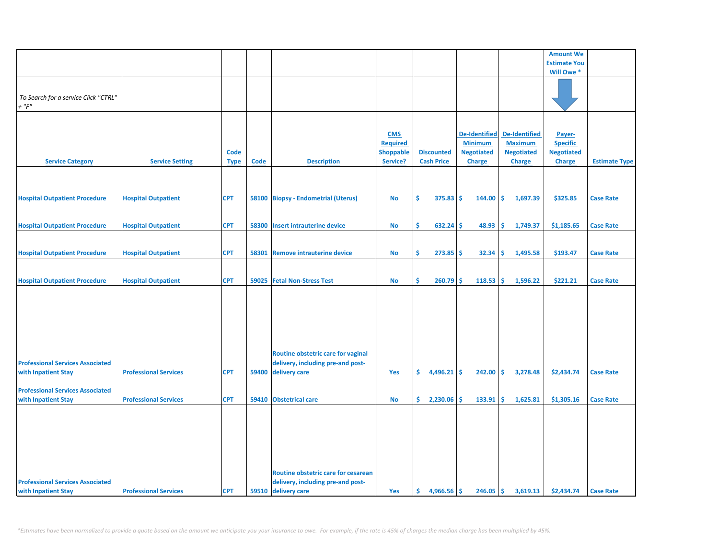|                                         |                              |             |             |                                     |                  |     |                   |                      |     |                   | <b>Amount We</b>    |                      |
|-----------------------------------------|------------------------------|-------------|-------------|-------------------------------------|------------------|-----|-------------------|----------------------|-----|-------------------|---------------------|----------------------|
|                                         |                              |             |             |                                     |                  |     |                   |                      |     |                   |                     |                      |
|                                         |                              |             |             |                                     |                  |     |                   |                      |     |                   | <b>Estimate You</b> |                      |
|                                         |                              |             |             |                                     |                  |     |                   |                      |     |                   | Will Owe *          |                      |
|                                         |                              |             |             |                                     |                  |     |                   |                      |     |                   |                     |                      |
| To Search for a service Click "CTRL"    |                              |             |             |                                     |                  |     |                   |                      |     |                   |                     |                      |
| $+$ " $F$ "                             |                              |             |             |                                     |                  |     |                   |                      |     |                   |                     |                      |
|                                         |                              |             |             |                                     |                  |     |                   |                      |     |                   |                     |                      |
|                                         |                              |             |             |                                     |                  |     |                   |                      |     |                   |                     |                      |
|                                         |                              |             |             |                                     |                  |     |                   |                      |     |                   |                     |                      |
|                                         |                              |             |             |                                     | <b>CMS</b>       |     |                   | <b>De-Identified</b> |     | De-Identified     | Payer-              |                      |
|                                         |                              |             |             |                                     | <b>Required</b>  |     |                   | <b>Minimum</b>       |     | <b>Maximum</b>    | <b>Specific</b>     |                      |
|                                         |                              | <b>Code</b> |             |                                     | <b>Shoppable</b> |     | <b>Discounted</b> | <b>Negotiated</b>    |     | <b>Negotiated</b> | <b>Negotiated</b>   |                      |
| <b>Service Category</b>                 | <b>Service Setting</b>       | <b>Type</b> | <b>Code</b> | <b>Description</b>                  | Service?         |     | <b>Cash Price</b> | <b>Charge</b>        |     | <b>Charge</b>     | <b>Charge</b>       | <b>Estimate Type</b> |
|                                         |                              |             |             |                                     |                  |     |                   |                      |     |                   |                     |                      |
|                                         |                              |             |             |                                     |                  |     |                   |                      |     |                   |                     |                      |
|                                         |                              |             |             |                                     |                  |     |                   |                      |     |                   |                     |                      |
| <b>Hospital Outpatient Procedure</b>    | <b>Hospital Outpatient</b>   | <b>CPT</b>  |             | 58100 Biopsy - Endometrial (Uterus) | <b>No</b>        | Ŝ.  | 375.83            | Ŝ.<br>144.00         | Ŝ.  | 1,697.39          | \$325.85            | <b>Case Rate</b>     |
|                                         |                              |             |             |                                     |                  |     |                   |                      |     |                   |                     |                      |
|                                         |                              |             |             |                                     |                  |     |                   |                      |     |                   |                     |                      |
|                                         |                              |             |             |                                     |                  |     |                   |                      |     |                   |                     |                      |
| <b>Hospital Outpatient Procedure</b>    | <b>Hospital Outpatient</b>   | <b>CPT</b>  |             | 58300 Insert intrauterine device    | <b>No</b>        | \$  | 632.24            | 48.93<br>\$.         | \$  | 1,749.37          | \$1,185.65          | <b>Case Rate</b>     |
|                                         |                              |             |             |                                     |                  |     |                   |                      |     |                   |                     |                      |
|                                         |                              |             |             |                                     |                  |     |                   |                      |     |                   |                     |                      |
| <b>Hospital Outpatient Procedure</b>    | <b>Hospital Outpatient</b>   | <b>CPT</b>  | 58301       | <b>Remove intrauterine device</b>   | No               | \$  | 273.85            | \$.<br>32.34         | \$. | 1,495.58          | \$193.47            | <b>Case Rate</b>     |
|                                         |                              |             |             |                                     |                  |     |                   |                      |     |                   |                     |                      |
|                                         |                              |             |             |                                     |                  |     |                   |                      |     |                   |                     |                      |
| <b>Hospital Outpatient Procedure</b>    | <b>Hospital Outpatient</b>   | <b>CPT</b>  | 59025       | <b>Fetal Non-Stress Test</b>        | No               | \$  | 260.79            | 118.53<br>\$.        | \$  | 1,596.22          | \$221.21            | <b>Case Rate</b>     |
|                                         |                              |             |             |                                     |                  |     |                   |                      |     |                   |                     |                      |
|                                         |                              |             |             |                                     |                  |     |                   |                      |     |                   |                     |                      |
|                                         |                              |             |             |                                     |                  |     |                   |                      |     |                   |                     |                      |
|                                         |                              |             |             |                                     |                  |     |                   |                      |     |                   |                     |                      |
|                                         |                              |             |             |                                     |                  |     |                   |                      |     |                   |                     |                      |
|                                         |                              |             |             |                                     |                  |     |                   |                      |     |                   |                     |                      |
|                                         |                              |             |             |                                     |                  |     |                   |                      |     |                   |                     |                      |
|                                         |                              |             |             |                                     |                  |     |                   |                      |     |                   |                     |                      |
|                                         |                              |             |             | Routine obstetric care for vaginal  |                  |     |                   |                      |     |                   |                     |                      |
| <b>Professional Services Associated</b> |                              |             |             | delivery, including pre-and post-   |                  |     |                   |                      |     |                   |                     |                      |
| with Inpatient Stay                     | <b>Professional Services</b> | <b>CPT</b>  | 59400       | delivery care                       | Yes              | \$. | 4,496.21          | \$<br>242.00         | \$. | 3,278.48          | \$2,434.74          | <b>Case Rate</b>     |
|                                         |                              |             |             |                                     |                  |     |                   |                      |     |                   |                     |                      |
| <b>Professional Services Associated</b> |                              |             |             |                                     |                  |     |                   |                      |     |                   |                     |                      |
| with Inpatient Stay                     | <b>Professional Services</b> | <b>CPT</b>  |             | 59410 Obstetrical care              | <b>No</b>        | \$. | 2,230.06          | Ś<br>133.91          | \$. | 1,625.81          | \$1,305.16          | <b>Case Rate</b>     |
|                                         |                              |             |             |                                     |                  |     |                   |                      |     |                   |                     |                      |
|                                         |                              |             |             |                                     |                  |     |                   |                      |     |                   |                     |                      |
|                                         |                              |             |             |                                     |                  |     |                   |                      |     |                   |                     |                      |
|                                         |                              |             |             |                                     |                  |     |                   |                      |     |                   |                     |                      |
|                                         |                              |             |             |                                     |                  |     |                   |                      |     |                   |                     |                      |
|                                         |                              |             |             |                                     |                  |     |                   |                      |     |                   |                     |                      |
|                                         |                              |             |             |                                     |                  |     |                   |                      |     |                   |                     |                      |
|                                         |                              |             |             |                                     |                  |     |                   |                      |     |                   |                     |                      |
|                                         |                              |             |             | Routine obstetric care for cesarean |                  |     |                   |                      |     |                   |                     |                      |
| <b>Professional Services Associated</b> |                              |             |             | delivery, including pre-and post-   |                  |     |                   |                      |     |                   |                     |                      |
| with Inpatient Stay                     | <b>Professional Services</b> | <b>CPT</b>  |             | 59510 delivery care                 | Yes              | \$. | $4,966.56$ \$     | 246.05               | \$  | 3,619.13          | \$2,434.74          | <b>Case Rate</b>     |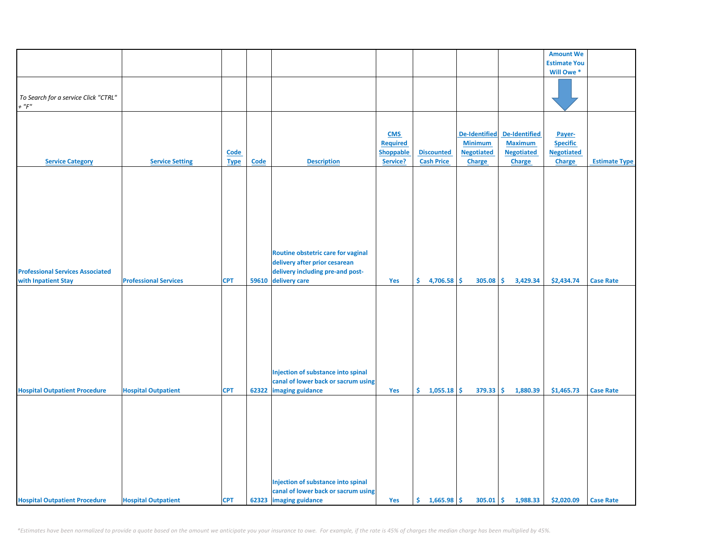|                                         |                              |             |       |                                     |                  |                   |                      |                      | <b>Amount We</b>    |                      |
|-----------------------------------------|------------------------------|-------------|-------|-------------------------------------|------------------|-------------------|----------------------|----------------------|---------------------|----------------------|
|                                         |                              |             |       |                                     |                  |                   |                      |                      |                     |                      |
|                                         |                              |             |       |                                     |                  |                   |                      |                      | <b>Estimate You</b> |                      |
|                                         |                              |             |       |                                     |                  |                   |                      |                      | Will Owe *          |                      |
|                                         |                              |             |       |                                     |                  |                   |                      |                      |                     |                      |
|                                         |                              |             |       |                                     |                  |                   |                      |                      |                     |                      |
| To Search for a service Click "CTRL"    |                              |             |       |                                     |                  |                   |                      |                      |                     |                      |
| $+$ " $F$ "                             |                              |             |       |                                     |                  |                   |                      |                      |                     |                      |
|                                         |                              |             |       |                                     |                  |                   |                      |                      |                     |                      |
|                                         |                              |             |       |                                     |                  |                   |                      |                      |                     |                      |
|                                         |                              |             |       |                                     | <b>CMS</b>       |                   | <b>De-Identified</b> | <b>De-Identified</b> | Payer-              |                      |
|                                         |                              |             |       |                                     | <b>Required</b>  |                   | <b>Minimum</b>       | <b>Maximum</b>       | <b>Specific</b>     |                      |
|                                         |                              | Code        |       |                                     | <b>Shoppable</b> | <b>Discounted</b> | <b>Negotiated</b>    | <b>Negotiated</b>    | <b>Negotiated</b>   |                      |
| <b>Service Category</b>                 | <b>Service Setting</b>       | <b>Type</b> | Code  | <b>Description</b>                  | Service?         | <b>Cash Price</b> | <b>Charge</b>        | <b>Charge</b>        | Charge              | <b>Estimate Type</b> |
|                                         |                              |             |       |                                     |                  |                   |                      |                      |                     |                      |
|                                         |                              |             |       |                                     |                  |                   |                      |                      |                     |                      |
|                                         |                              |             |       |                                     |                  |                   |                      |                      |                     |                      |
|                                         |                              |             |       |                                     |                  |                   |                      |                      |                     |                      |
|                                         |                              |             |       |                                     |                  |                   |                      |                      |                     |                      |
|                                         |                              |             |       |                                     |                  |                   |                      |                      |                     |                      |
|                                         |                              |             |       |                                     |                  |                   |                      |                      |                     |                      |
|                                         |                              |             |       |                                     |                  |                   |                      |                      |                     |                      |
|                                         |                              |             |       |                                     |                  |                   |                      |                      |                     |                      |
|                                         |                              |             |       |                                     |                  |                   |                      |                      |                     |                      |
|                                         |                              |             |       |                                     |                  |                   |                      |                      |                     |                      |
|                                         |                              |             |       | Routine obstetric care for vaginal  |                  |                   |                      |                      |                     |                      |
|                                         |                              |             |       | delivery after prior cesarean       |                  |                   |                      |                      |                     |                      |
| <b>Professional Services Associated</b> |                              |             |       | delivery including pre-and post-    |                  |                   |                      |                      |                     |                      |
| with Inpatient Stay                     | <b>Professional Services</b> | <b>CPT</b>  | 59610 | delivery care                       | Yes              | \$<br>4,706.58    | \$<br>305.08         | \$<br>3,429.34       | \$2,434.74          | <b>Case Rate</b>     |
|                                         |                              |             |       |                                     |                  |                   |                      |                      |                     |                      |
|                                         |                              |             |       |                                     |                  |                   |                      |                      |                     |                      |
|                                         |                              |             |       |                                     |                  |                   |                      |                      |                     |                      |
|                                         |                              |             |       |                                     |                  |                   |                      |                      |                     |                      |
|                                         |                              |             |       |                                     |                  |                   |                      |                      |                     |                      |
|                                         |                              |             |       |                                     |                  |                   |                      |                      |                     |                      |
|                                         |                              |             |       |                                     |                  |                   |                      |                      |                     |                      |
|                                         |                              |             |       |                                     |                  |                   |                      |                      |                     |                      |
|                                         |                              |             |       |                                     |                  |                   |                      |                      |                     |                      |
|                                         |                              |             |       |                                     |                  |                   |                      |                      |                     |                      |
|                                         |                              |             |       |                                     |                  |                   |                      |                      |                     |                      |
|                                         |                              |             |       | Injection of substance into spinal  |                  |                   |                      |                      |                     |                      |
|                                         |                              |             |       | canal of lower back or sacrum using |                  |                   |                      |                      |                     |                      |
| <b>Hospital Outpatient Procedure</b>    | <b>Hospital Outpatient</b>   | <b>CPT</b>  | 62322 | imaging guidance                    | Yes              | \$.<br>1,055.18   | \$<br>379.33         | \$<br>1,880.39       | \$1,465.73          | <b>Case Rate</b>     |
|                                         |                              |             |       |                                     |                  |                   |                      |                      |                     |                      |
|                                         |                              |             |       |                                     |                  |                   |                      |                      |                     |                      |
|                                         |                              |             |       |                                     |                  |                   |                      |                      |                     |                      |
|                                         |                              |             |       |                                     |                  |                   |                      |                      |                     |                      |
|                                         |                              |             |       |                                     |                  |                   |                      |                      |                     |                      |
|                                         |                              |             |       |                                     |                  |                   |                      |                      |                     |                      |
|                                         |                              |             |       |                                     |                  |                   |                      |                      |                     |                      |
|                                         |                              |             |       |                                     |                  |                   |                      |                      |                     |                      |
|                                         |                              |             |       |                                     |                  |                   |                      |                      |                     |                      |
|                                         |                              |             |       |                                     |                  |                   |                      |                      |                     |                      |
|                                         |                              |             |       | Injection of substance into spinal  |                  |                   |                      |                      |                     |                      |
|                                         |                              |             |       | canal of lower back or sacrum using |                  |                   |                      |                      |                     |                      |
|                                         |                              |             |       |                                     |                  |                   |                      |                      |                     |                      |
| <b>Hospital Outpatient Procedure</b>    | <b>Hospital Outpatient</b>   | <b>CPT</b>  |       | 62323 imaging guidance              | Yes              | \$1,665.98        | $305.01$ \$          | 1,988.33             | \$2,020.09          | <b>Case Rate</b>     |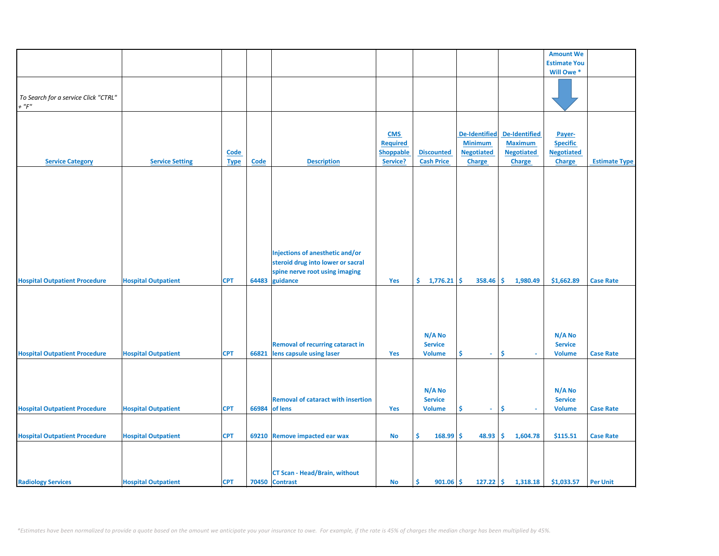|                                      |                            |             |             |                                           |                 |                      |                      |                   | <b>Amount We</b>    |                      |
|--------------------------------------|----------------------------|-------------|-------------|-------------------------------------------|-----------------|----------------------|----------------------|-------------------|---------------------|----------------------|
|                                      |                            |             |             |                                           |                 |                      |                      |                   | <b>Estimate You</b> |                      |
|                                      |                            |             |             |                                           |                 |                      |                      |                   | Will Owe *          |                      |
|                                      |                            |             |             |                                           |                 |                      |                      |                   |                     |                      |
|                                      |                            |             |             |                                           |                 |                      |                      |                   |                     |                      |
| To Search for a service Click "CTRL" |                            |             |             |                                           |                 |                      |                      |                   |                     |                      |
| $+$ " $F$ "                          |                            |             |             |                                           |                 |                      |                      |                   |                     |                      |
|                                      |                            |             |             |                                           |                 |                      |                      |                   |                     |                      |
|                                      |                            |             |             |                                           |                 |                      |                      |                   |                     |                      |
|                                      |                            |             |             |                                           |                 |                      |                      |                   |                     |                      |
|                                      |                            |             |             |                                           | <b>CMS</b>      |                      | <b>De-Identified</b> | De-Identified     | Payer-              |                      |
|                                      |                            |             |             |                                           | <b>Required</b> |                      | <b>Minimum</b>       | <b>Maximum</b>    | <b>Specific</b>     |                      |
|                                      |                            | <b>Code</b> |             |                                           | Shoppable       | <b>Discounted</b>    | <b>Negotiated</b>    | <b>Negotiated</b> | <b>Negotiated</b>   |                      |
| <b>Service Category</b>              | <b>Service Setting</b>     | <b>Type</b> | <b>Code</b> | <b>Description</b>                        | Service?        | <b>Cash Price</b>    | <b>Charge</b>        | <b>Charge</b>     | Charge              | <b>Estimate Type</b> |
|                                      |                            |             |             |                                           |                 |                      |                      |                   |                     |                      |
|                                      |                            |             |             |                                           |                 |                      |                      |                   |                     |                      |
|                                      |                            |             |             |                                           |                 |                      |                      |                   |                     |                      |
|                                      |                            |             |             |                                           |                 |                      |                      |                   |                     |                      |
|                                      |                            |             |             |                                           |                 |                      |                      |                   |                     |                      |
|                                      |                            |             |             |                                           |                 |                      |                      |                   |                     |                      |
|                                      |                            |             |             |                                           |                 |                      |                      |                   |                     |                      |
|                                      |                            |             |             |                                           |                 |                      |                      |                   |                     |                      |
|                                      |                            |             |             |                                           |                 |                      |                      |                   |                     |                      |
|                                      |                            |             |             |                                           |                 |                      |                      |                   |                     |                      |
|                                      |                            |             |             |                                           |                 |                      |                      |                   |                     |                      |
|                                      |                            |             |             | Injections of anesthetic and/or           |                 |                      |                      |                   |                     |                      |
|                                      |                            |             |             | steroid drug into lower or sacral         |                 |                      |                      |                   |                     |                      |
|                                      |                            |             |             | spine nerve root using imaging            |                 |                      |                      |                   |                     |                      |
| <b>Hospital Outpatient Procedure</b> | <b>Hospital Outpatient</b> | <b>CPT</b>  | 64483       | guidance                                  | Yes             | \$.<br>$1,776.21$ \$ | 358.46               | 1,980.49<br>-\$   | \$1,662.89          | <b>Case Rate</b>     |
|                                      |                            |             |             |                                           |                 |                      |                      |                   |                     |                      |
|                                      |                            |             |             |                                           |                 |                      |                      |                   |                     |                      |
|                                      |                            |             |             |                                           |                 |                      |                      |                   |                     |                      |
|                                      |                            |             |             |                                           |                 |                      |                      |                   |                     |                      |
|                                      |                            |             |             |                                           |                 |                      |                      |                   |                     |                      |
|                                      |                            |             |             |                                           |                 |                      |                      |                   |                     |                      |
|                                      |                            |             |             |                                           |                 | N/A No               |                      |                   | N/A No              |                      |
|                                      |                            |             |             | <b>Removal of recurring cataract in</b>   |                 | <b>Service</b>       |                      |                   | <b>Service</b>      |                      |
| <b>Hospital Outpatient Procedure</b> | <b>Hospital Outpatient</b> | <b>CPT</b>  | 66821       | lens capsule using laser                  | Yes             | <b>Volume</b>        | \$<br>$\omega$       | \$<br>$\sim$      | <b>Volume</b>       | <b>Case Rate</b>     |
|                                      |                            |             |             |                                           |                 |                      |                      |                   |                     |                      |
|                                      |                            |             |             |                                           |                 |                      |                      |                   |                     |                      |
|                                      |                            |             |             |                                           |                 |                      |                      |                   |                     |                      |
|                                      |                            |             |             |                                           |                 |                      |                      |                   |                     |                      |
|                                      |                            |             |             |                                           |                 | N/A No               |                      |                   | N/A No              |                      |
|                                      |                            |             |             | <b>Removal of cataract with insertion</b> |                 | <b>Service</b>       |                      |                   | <b>Service</b>      |                      |
| <b>Hospital Outpatient Procedure</b> | <b>Hospital Outpatient</b> | <b>CPT</b>  | 66984       | of lens                                   | Yes             | <b>Volume</b>        | \$<br>÷.             | \$                | <b>Volume</b>       | <b>Case Rate</b>     |
|                                      |                            |             |             |                                           |                 |                      |                      |                   |                     |                      |
|                                      |                            |             |             |                                           |                 |                      |                      |                   |                     |                      |
| <b>Hospital Outpatient Procedure</b> | <b>Hospital Outpatient</b> | <b>CPT</b>  |             | 69210 Remove impacted ear wax             | No              | \$<br>168.99         | \$<br>48.93          | \$.<br>1,604.78   | \$115.51            | <b>Case Rate</b>     |
|                                      |                            |             |             |                                           |                 |                      |                      |                   |                     |                      |
|                                      |                            |             |             |                                           |                 |                      |                      |                   |                     |                      |
|                                      |                            |             |             |                                           |                 |                      |                      |                   |                     |                      |
|                                      |                            |             |             |                                           |                 |                      |                      |                   |                     |                      |
|                                      |                            |             |             | <b>CT Scan - Head/Brain, without</b>      |                 |                      |                      |                   |                     |                      |
| <b>Radiology Services</b>            | <b>Hospital Outpatient</b> | <b>CPT</b>  |             | 70450 Contrast                            | No              | -\$<br>$901.06$ \$   | $127.22$ \$          | 1,318.18          | \$1,033.57          | <b>Per Unit</b>      |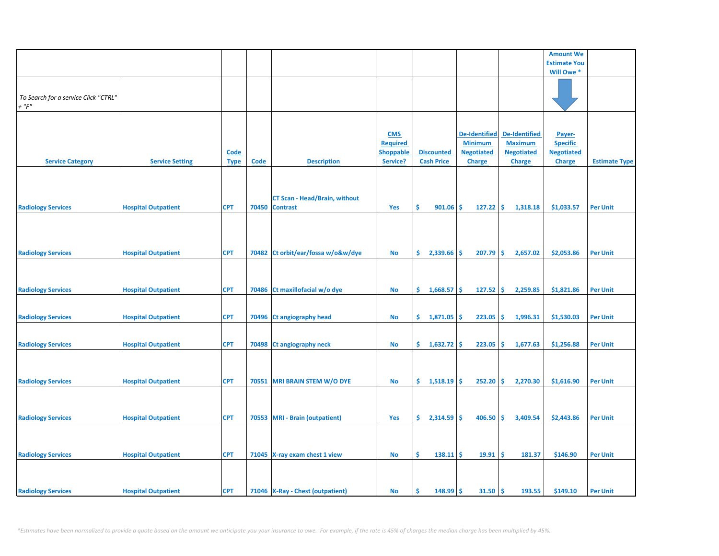|                                                     |                            |                            |       |                                                         |                                                               |                                        |                                                                              |                                                                              | <b>Amount We</b>                                                |                      |
|-----------------------------------------------------|----------------------------|----------------------------|-------|---------------------------------------------------------|---------------------------------------------------------------|----------------------------------------|------------------------------------------------------------------------------|------------------------------------------------------------------------------|-----------------------------------------------------------------|----------------------|
|                                                     |                            |                            |       |                                                         |                                                               |                                        |                                                                              |                                                                              | <b>Estimate You</b>                                             |                      |
|                                                     |                            |                            |       |                                                         |                                                               |                                        |                                                                              |                                                                              | Will Owe *                                                      |                      |
| To Search for a service Click "CTRL"<br>$+$ " $F$ " |                            |                            |       |                                                         |                                                               |                                        |                                                                              |                                                                              |                                                                 |                      |
| <b>Service Category</b>                             | <b>Service Setting</b>     | <b>Code</b><br><b>Type</b> | Code  | <b>Description</b>                                      | <b>CMS</b><br><b>Required</b><br><b>Shoppable</b><br>Service? | <b>Discounted</b><br><b>Cash Price</b> | <b>De-Identified</b><br><b>Minimum</b><br><b>Negotiated</b><br><b>Charge</b> | <b>De-Identified</b><br><b>Maximum</b><br><b>Negotiated</b><br><b>Charge</b> | Payer-<br><b>Specific</b><br><b>Negotiated</b><br><b>Charge</b> | <b>Estimate Type</b> |
| <b>Radiology Services</b>                           | <b>Hospital Outpatient</b> | <b>CPT</b>                 | 70450 | <b>CT Scan - Head/Brain, without</b><br><b>Contrast</b> | Yes                                                           | \$<br>901.06                           | -\$<br>127.22                                                                | \$<br>1,318.18                                                               | \$1,033.57                                                      | <b>Per Unit</b>      |
| <b>Radiology Services</b>                           | <b>Hospital Outpatient</b> | <b>CPT</b>                 | 70482 | Ct orbit/ear/fossa w/o&w/dye                            | <b>No</b>                                                     | \$.<br>2,339.66                        | 207.79<br>\$                                                                 | Ŝ.<br>2,657.02                                                               | \$2,053.86                                                      | <b>Per Unit</b>      |
| <b>Radiology Services</b>                           | <b>Hospital Outpatient</b> | <b>CPT</b>                 |       | 70486 Ct maxillofacial w/o dye                          | No                                                            | \$.<br>1,668.57                        | \$<br>127.52                                                                 | \$.<br>2,259.85                                                              | \$1,821.86                                                      | <b>Per Unit</b>      |
| <b>Radiology Services</b>                           | <b>Hospital Outpatient</b> | <b>CPT</b>                 | 70496 | <b>Ct angiography head</b>                              | No                                                            | \$.<br>1,871.05                        | 223.05<br>\$                                                                 | \$<br>1,996.31                                                               | \$1,530.03                                                      | <b>Per Unit</b>      |
| <b>Radiology Services</b>                           | <b>Hospital Outpatient</b> | <b>CPT</b>                 |       | 70498 Ct angiography neck                               | No                                                            | Ŝ.<br>1,632.72                         | Ŝ.<br>223.05                                                                 | \$.<br>1,677.63                                                              | \$1,256.88                                                      | <b>Per Unit</b>      |
| <b>Radiology Services</b>                           | <b>Hospital Outpatient</b> | <b>CPT</b>                 |       | 70551 MRI BRAIN STEM W/O DYE                            | <b>No</b>                                                     | \$.<br>$1,518.19$ \$                   | 252.20                                                                       | \$<br>2,270.30                                                               | \$1,616.90                                                      | <b>Per Unit</b>      |
| <b>Radiology Services</b>                           | <b>Hospital Outpatient</b> | <b>CPT</b>                 |       | 70553 MRI - Brain (outpatient)                          | Yes                                                           | \$.<br>2,314.59                        | 406.50<br>\$.                                                                | Ŝ.<br>3,409.54                                                               | \$2,443.86                                                      | <b>Per Unit</b>      |
| <b>Radiology Services</b>                           | <b>Hospital Outpatient</b> | <b>CPT</b>                 |       | 71045 X-ray exam chest 1 view                           | No                                                            | \$<br>138.11                           | -\$<br>19.91                                                                 | \$<br>181.37                                                                 | \$146.90                                                        | <b>Per Unit</b>      |
| <b>Radiology Services</b>                           | <b>Hospital Outpatient</b> | <b>CPT</b>                 |       | 71046 X-Ray - Chest (outpatient)                        | No                                                            | Ś<br>148.99                            | 31.50<br>\$                                                                  | \$<br>193.55                                                                 | \$149.10                                                        | <b>Per Unit</b>      |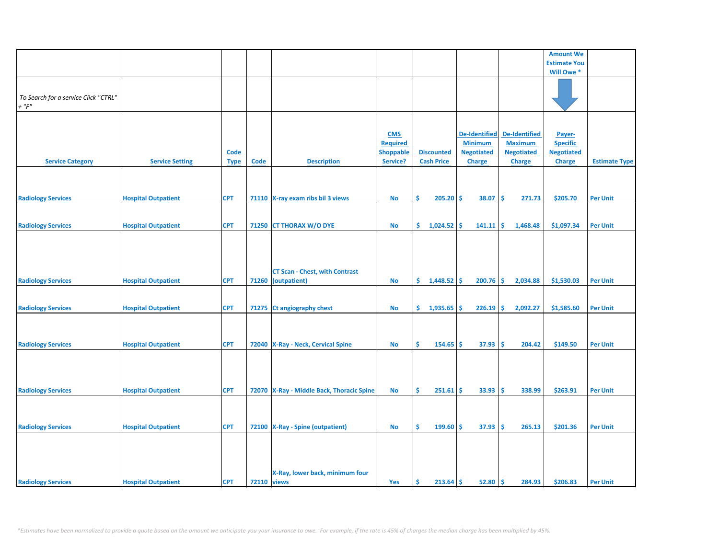|                                      |                            |             |             |                                           |                  |                    |                      |                      | <b>Amount We</b>    |                      |
|--------------------------------------|----------------------------|-------------|-------------|-------------------------------------------|------------------|--------------------|----------------------|----------------------|---------------------|----------------------|
|                                      |                            |             |             |                                           |                  |                    |                      |                      | <b>Estimate You</b> |                      |
|                                      |                            |             |             |                                           |                  |                    |                      |                      | Will Owe*           |                      |
|                                      |                            |             |             |                                           |                  |                    |                      |                      |                     |                      |
|                                      |                            |             |             |                                           |                  |                    |                      |                      |                     |                      |
| To Search for a service Click "CTRL" |                            |             |             |                                           |                  |                    |                      |                      |                     |                      |
|                                      |                            |             |             |                                           |                  |                    |                      |                      |                     |                      |
| $+$ " $F$ "                          |                            |             |             |                                           |                  |                    |                      |                      |                     |                      |
|                                      |                            |             |             |                                           |                  |                    |                      |                      |                     |                      |
|                                      |                            |             |             |                                           |                  |                    |                      |                      |                     |                      |
|                                      |                            |             |             |                                           | <b>CMS</b>       |                    | <b>De-Identified</b> | <b>De-Identified</b> | Payer-              |                      |
|                                      |                            |             |             |                                           | <b>Required</b>  |                    | <b>Minimum</b>       | <b>Maximum</b>       | <b>Specific</b>     |                      |
|                                      |                            |             |             |                                           |                  |                    |                      |                      |                     |                      |
|                                      |                            | <b>Code</b> |             |                                           | <b>Shoppable</b> | <b>Discounted</b>  | <b>Negotiated</b>    | <b>Negotiated</b>    | <b>Negotiated</b>   |                      |
| <b>Service Category</b>              | <b>Service Setting</b>     | <b>Type</b> | Code        | <b>Description</b>                        | Service?         | <b>Cash Price</b>  | <b>Charge</b>        | <b>Charge</b>        | <b>Charge</b>       | <b>Estimate Type</b> |
|                                      |                            |             |             |                                           |                  |                    |                      |                      |                     |                      |
|                                      |                            |             |             |                                           |                  |                    |                      |                      |                     |                      |
|                                      |                            |             |             |                                           |                  |                    |                      |                      |                     |                      |
| <b>Radiology Services</b>            | <b>Hospital Outpatient</b> | <b>CPT</b>  |             | 71110 X-ray exam ribs bil 3 views         | <b>No</b>        | \$<br>205.20       | -\$<br>38.07         | -\$<br>271.73        | \$205.70            | <b>Per Unit</b>      |
|                                      |                            |             |             |                                           |                  |                    |                      |                      |                     |                      |
|                                      |                            |             |             |                                           |                  |                    |                      |                      |                     |                      |
|                                      |                            |             |             |                                           |                  |                    |                      |                      |                     |                      |
| <b>Radiology Services</b>            | <b>Hospital Outpatient</b> | <b>CPT</b>  |             | 71250 CT THORAX W/O DYE                   | <b>No</b>        | \$.<br>1,024.52    | Ŝ.<br>141.11         | \$<br>1,468.48       | \$1,097.34          | <b>Per Unit</b>      |
|                                      |                            |             |             |                                           |                  |                    |                      |                      |                     |                      |
|                                      |                            |             |             |                                           |                  |                    |                      |                      |                     |                      |
|                                      |                            |             |             |                                           |                  |                    |                      |                      |                     |                      |
|                                      |                            |             |             |                                           |                  |                    |                      |                      |                     |                      |
|                                      |                            |             |             |                                           |                  |                    |                      |                      |                     |                      |
|                                      |                            |             |             | <b>CT Scan - Chest, with Contrast</b>     |                  |                    |                      |                      |                     |                      |
| <b>Radiology Services</b>            | <b>Hospital Outpatient</b> | <b>CPT</b>  | 71260       | (outpatient)                              | <b>No</b>        | \$.<br>1,448.52    | 200.76<br>-\$        | -\$<br>2,034.88      | \$1,530.03          | <b>Per Unit</b>      |
|                                      |                            |             |             |                                           |                  |                    |                      |                      |                     |                      |
|                                      |                            |             |             |                                           |                  |                    |                      |                      |                     |                      |
|                                      |                            |             |             |                                           |                  |                    |                      |                      |                     |                      |
| <b>Radiology Services</b>            | <b>Hospital Outpatient</b> | <b>CPT</b>  |             | 71275 Ct angiography chest                | No               | \$.<br>1,935.65    | 226.19<br>\$.        | -\$<br>2,092.27      | \$1,585.60          | <b>Per Unit</b>      |
|                                      |                            |             |             |                                           |                  |                    |                      |                      |                     |                      |
|                                      |                            |             |             |                                           |                  |                    |                      |                      |                     |                      |
|                                      |                            |             |             |                                           |                  |                    |                      |                      |                     |                      |
| <b>Radiology Services</b>            | <b>Hospital Outpatient</b> | <b>CPT</b>  |             | 72040   X-Ray - Neck, Cervical Spine      | <b>No</b>        | \$<br>154.65       | 37.93<br>-\$         | -\$<br>204.42        | \$149.50            | <b>Per Unit</b>      |
|                                      |                            |             |             |                                           |                  |                    |                      |                      |                     |                      |
|                                      |                            |             |             |                                           |                  |                    |                      |                      |                     |                      |
|                                      |                            |             |             |                                           |                  |                    |                      |                      |                     |                      |
|                                      |                            |             |             |                                           |                  |                    |                      |                      |                     |                      |
|                                      |                            |             |             |                                           |                  |                    |                      |                      |                     |                      |
| <b>Radiology Services</b>            | <b>Hospital Outpatient</b> | <b>CPT</b>  |             | 72070 X-Ray - Middle Back, Thoracic Spine | <b>No</b>        | \$.<br>$251.61$ \$ | 33.93                | -\$<br>338.99        | \$263.91            | <b>Per Unit</b>      |
|                                      |                            |             |             |                                           |                  |                    |                      |                      |                     |                      |
|                                      |                            |             |             |                                           |                  |                    |                      |                      |                     |                      |
|                                      |                            |             |             |                                           |                  |                    |                      |                      |                     |                      |
|                                      |                            |             |             |                                           |                  |                    |                      |                      |                     |                      |
| <b>Radiology Services</b>            | <b>Hospital Outpatient</b> | <b>CPT</b>  |             | 72100 X-Ray - Spine (outpatient)          | <b>No</b>        | Ŝ.<br>199.60       | Ŝ.<br>37.93          | -\$<br>265.13        | \$201.36            | <b>Per Unit</b>      |
|                                      |                            |             |             |                                           |                  |                    |                      |                      |                     |                      |
|                                      |                            |             |             |                                           |                  |                    |                      |                      |                     |                      |
|                                      |                            |             |             |                                           |                  |                    |                      |                      |                     |                      |
|                                      |                            |             |             |                                           |                  |                    |                      |                      |                     |                      |
|                                      |                            |             |             |                                           |                  |                    |                      |                      |                     |                      |
|                                      |                            |             |             | X-Ray, lower back, minimum four           |                  |                    |                      |                      |                     |                      |
| <b>Radiology Services</b>            | <b>Hospital Outpatient</b> | <b>CPT</b>  | 72110 views |                                           | Yes              | Ŝ<br>$213.64$ \$   | 52.80                | ١\$<br>284.93        | \$206.83            | <b>Per Unit</b>      |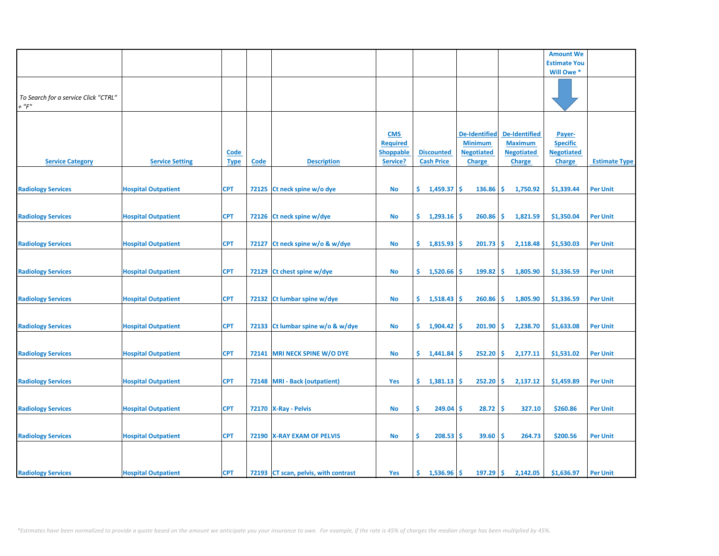|                                      |                            |             |       |                                      |                  |                      |                      |                      | <b>Amount We</b>    |                      |
|--------------------------------------|----------------------------|-------------|-------|--------------------------------------|------------------|----------------------|----------------------|----------------------|---------------------|----------------------|
|                                      |                            |             |       |                                      |                  |                      |                      |                      | <b>Estimate You</b> |                      |
|                                      |                            |             |       |                                      |                  |                      |                      |                      | Will Owe *          |                      |
|                                      |                            |             |       |                                      |                  |                      |                      |                      |                     |                      |
|                                      |                            |             |       |                                      |                  |                      |                      |                      |                     |                      |
| To Search for a service Click "CTRL" |                            |             |       |                                      |                  |                      |                      |                      |                     |                      |
| $+$ " $F$ "                          |                            |             |       |                                      |                  |                      |                      |                      |                     |                      |
|                                      |                            |             |       |                                      |                  |                      |                      |                      |                     |                      |
|                                      |                            |             |       |                                      |                  |                      |                      |                      |                     |                      |
|                                      |                            |             |       |                                      |                  |                      |                      |                      |                     |                      |
|                                      |                            |             |       |                                      | <b>CMS</b>       |                      | <b>De-Identified</b> | <b>De-Identified</b> | Payer-              |                      |
|                                      |                            |             |       |                                      | <b>Required</b>  |                      | <b>Minimum</b>       | <b>Maximum</b>       | <b>Specific</b>     |                      |
|                                      |                            | <b>Code</b> |       |                                      | <b>Shoppable</b> | <b>Discounted</b>    | <b>Negotiated</b>    | <b>Negotiated</b>    | <b>Negotiated</b>   |                      |
| <b>Service Category</b>              | <b>Service Setting</b>     | <b>Type</b> | Code  | <b>Description</b>                   | Service?         | <b>Cash Price</b>    | <b>Charge</b>        | <b>Charge</b>        | <b>Charge</b>       | <b>Estimate Type</b> |
|                                      |                            |             |       |                                      |                  |                      |                      |                      |                     |                      |
|                                      |                            |             |       |                                      |                  |                      |                      |                      |                     |                      |
| <b>Radiology Services</b>            | <b>Hospital Outpatient</b> | <b>CPT</b>  |       | 72125 Ct neck spine w/o dye          | No               | \$.<br>1,459.37      | <b>S</b><br>136.86   | -\$<br>1,750.92      | \$1,339.44          | <b>Per Unit</b>      |
|                                      |                            |             |       |                                      |                  |                      |                      |                      |                     |                      |
|                                      |                            |             |       |                                      |                  |                      |                      |                      |                     |                      |
| <b>Radiology Services</b>            | <b>Hospital Outpatient</b> | <b>CPT</b>  |       | 72126 Ct neck spine w/dye            | No               | \$.<br>$1,293.16$ \$ | 260.86               | l\$<br>1,821.59      | \$1,350.04          | <b>Per Unit</b>      |
|                                      |                            |             |       |                                      |                  |                      |                      |                      |                     |                      |
|                                      |                            |             |       |                                      |                  |                      |                      |                      |                     |                      |
|                                      |                            |             |       |                                      |                  |                      |                      |                      |                     |                      |
| <b>Radiology Services</b>            | <b>Hospital Outpatient</b> | <b>CPT</b>  | 72127 | Ct neck spine w/o & w/dye            | No               | \$.<br>1,815.93      | 201.73<br><b>S</b>   | -\$<br>2,118.48      | \$1,530.03          | <b>Per Unit</b>      |
|                                      |                            |             |       |                                      |                  |                      |                      |                      |                     |                      |
|                                      |                            |             |       |                                      |                  |                      |                      |                      |                     |                      |
| <b>Radiology Services</b>            | <b>Hospital Outpatient</b> | <b>CPT</b>  |       | 72129 Ct chest spine w/dye           | <b>No</b>        | \$.<br>1,520.66      | 199.82<br>\$.        | -\$<br>1,805.90      | \$1,336.59          | <b>Per Unit</b>      |
|                                      |                            |             |       |                                      |                  |                      |                      |                      |                     |                      |
|                                      |                            |             |       |                                      |                  |                      |                      |                      |                     |                      |
| <b>Radiology Services</b>            | <b>Hospital Outpatient</b> | <b>CPT</b>  |       | 72132 Ct lumbar spine w/dye          | <b>No</b>        | \$.<br>1,518.43      | 260.86<br><b>S</b>   | -\$<br>1,805.90      | \$1,336.59          | <b>Per Unit</b>      |
|                                      |                            |             |       |                                      |                  |                      |                      |                      |                     |                      |
|                                      |                            |             |       |                                      |                  |                      |                      |                      |                     |                      |
| <b>Radiology Services</b>            | <b>Hospital Outpatient</b> | <b>CPT</b>  |       | 72133 Ct lumbar spine w/o & w/dye    | <b>No</b>        | \$.<br>1,904.42      | 201.90<br>-\$        | -\$<br>2,238.70      | \$1,633.08          | <b>Per Unit</b>      |
|                                      |                            |             |       |                                      |                  |                      |                      |                      |                     |                      |
|                                      |                            |             |       |                                      |                  |                      |                      |                      |                     |                      |
| <b>Radiology Services</b>            | <b>Hospital Outpatient</b> | <b>CPT</b>  |       | 72141 MRI NECK SPINE W/O DYE         | No               | \$1,441.84           | 252.20<br>-S         | ١\$<br>2,177.11      | \$1,531.02          | <b>Per Unit</b>      |
|                                      |                            |             |       |                                      |                  |                      |                      |                      |                     |                      |
|                                      |                            |             |       |                                      |                  |                      |                      |                      |                     |                      |
|                                      |                            |             |       |                                      |                  |                      |                      |                      |                     |                      |
| <b>Radiology Services</b>            | <b>Hospital Outpatient</b> | <b>CPT</b>  |       | 72148 MRI - Back (outpatient)        | Yes              | \$.<br>1,381.13      | <b>S</b><br>252.20   | \$<br>2,137.12       | \$1,459.89          | <b>Per Unit</b>      |
|                                      |                            |             |       |                                      |                  |                      |                      |                      |                     |                      |
|                                      |                            |             |       |                                      |                  |                      |                      |                      |                     |                      |
| <b>Radiology Services</b>            | <b>Hospital Outpatient</b> | <b>CPT</b>  |       | 72170 X-Ray - Pelvis                 | No               | \$<br>$249.04$ \$    | 28.72                | -\$<br>327.10        | \$260.86            | <b>Per Unit</b>      |
|                                      |                            |             |       |                                      |                  |                      |                      |                      |                     |                      |
|                                      |                            |             |       |                                      |                  |                      |                      |                      |                     |                      |
| <b>Radiology Services</b>            | <b>Hospital Outpatient</b> | <b>CPT</b>  |       | 72190   X-RAY EXAM OF PELVIS         | <b>No</b>        | \$<br>$208.53$ \$    | 39.60                | 264.73<br>-\$        | \$200.56            | <b>Per Unit</b>      |
|                                      |                            |             |       |                                      |                  |                      |                      |                      |                     |                      |
|                                      |                            |             |       |                                      |                  |                      |                      |                      |                     |                      |
|                                      |                            |             |       |                                      |                  |                      |                      |                      |                     |                      |
| <b>Radiology Services</b>            | <b>Hospital Outpatient</b> | <b>CPT</b>  |       | 72193 CT scan, pelvis, with contrast | Yes              | \$.<br>1,536.96      | 197.29<br>Ŝ          | -\$<br>2,142.05      | \$1,636.97          | <b>Per Unit</b>      |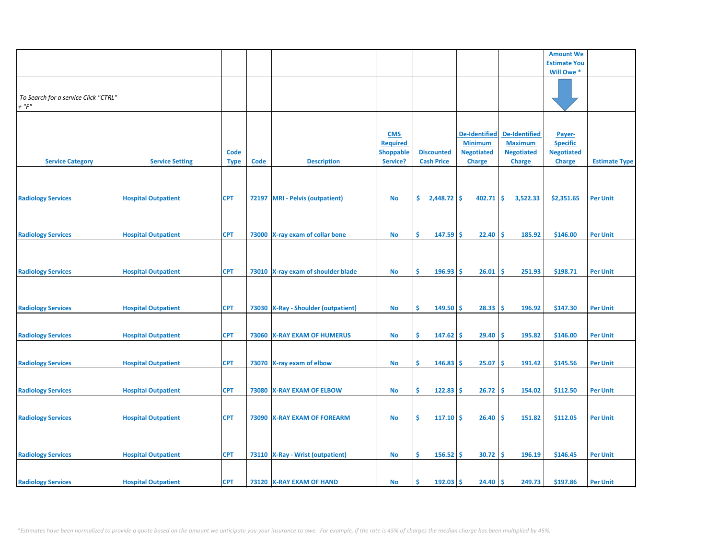|                                      |                            |             |      |                                       |                  |                   |                      |                      | <b>Amount We</b>    |                      |
|--------------------------------------|----------------------------|-------------|------|---------------------------------------|------------------|-------------------|----------------------|----------------------|---------------------|----------------------|
|                                      |                            |             |      |                                       |                  |                   |                      |                      | <b>Estimate You</b> |                      |
|                                      |                            |             |      |                                       |                  |                   |                      |                      | Will Owe *          |                      |
|                                      |                            |             |      |                                       |                  |                   |                      |                      |                     |                      |
|                                      |                            |             |      |                                       |                  |                   |                      |                      |                     |                      |
|                                      |                            |             |      |                                       |                  |                   |                      |                      |                     |                      |
| To Search for a service Click "CTRL" |                            |             |      |                                       |                  |                   |                      |                      |                     |                      |
| $+$ " $F$ "                          |                            |             |      |                                       |                  |                   |                      |                      |                     |                      |
|                                      |                            |             |      |                                       |                  |                   |                      |                      |                     |                      |
|                                      |                            |             |      |                                       |                  |                   |                      |                      |                     |                      |
|                                      |                            |             |      |                                       |                  |                   |                      |                      |                     |                      |
|                                      |                            |             |      |                                       | <b>CMS</b>       |                   | <b>De-Identified</b> | <b>De-Identified</b> | Payer-              |                      |
|                                      |                            |             |      |                                       | <b>Required</b>  |                   | <b>Minimum</b>       | <b>Maximum</b>       | <b>Specific</b>     |                      |
|                                      |                            |             |      |                                       |                  |                   |                      |                      |                     |                      |
|                                      |                            | <b>Code</b> |      |                                       | <b>Shoppable</b> | <b>Discounted</b> | <b>Negotiated</b>    | <b>Negotiated</b>    | <b>Negotiated</b>   |                      |
| <b>Service Category</b>              | <b>Service Setting</b>     | <b>Type</b> | Code | <b>Description</b>                    | Service?         | <b>Cash Price</b> | <b>Charge</b>        | <b>Charge</b>        | <b>Charge</b>       | <b>Estimate Type</b> |
|                                      |                            |             |      |                                       |                  |                   |                      |                      |                     |                      |
|                                      |                            |             |      |                                       |                  |                   |                      |                      |                     |                      |
|                                      |                            |             |      |                                       |                  |                   |                      |                      |                     |                      |
|                                      |                            |             |      |                                       |                  |                   |                      |                      |                     |                      |
| <b>Radiology Services</b>            | <b>Hospital Outpatient</b> | <b>CPT</b>  |      | 72197 MRI - Pelvis (outpatient)       | <b>No</b>        | \$<br>2,448.72    | \$<br>402.71         | -\$<br>3,522.33      | \$2,351.65          | <b>Per Unit</b>      |
|                                      |                            |             |      |                                       |                  |                   |                      |                      |                     |                      |
|                                      |                            |             |      |                                       |                  |                   |                      |                      |                     |                      |
|                                      |                            |             |      |                                       |                  |                   |                      |                      |                     |                      |
|                                      |                            |             |      |                                       |                  |                   |                      |                      |                     |                      |
| <b>Radiology Services</b>            | <b>Hospital Outpatient</b> | <b>CPT</b>  |      | 73000 X-ray exam of collar bone       | <b>No</b>        | \$<br>147.59      | 22.40<br>\$.         | \$ ا<br>185.92       | \$146.00            | <b>Per Unit</b>      |
|                                      |                            |             |      |                                       |                  |                   |                      |                      |                     |                      |
|                                      |                            |             |      |                                       |                  |                   |                      |                      |                     |                      |
|                                      |                            |             |      |                                       |                  |                   |                      |                      |                     |                      |
|                                      |                            |             |      |                                       |                  |                   |                      |                      |                     |                      |
| <b>Radiology Services</b>            | <b>Hospital Outpatient</b> | <b>CPT</b>  |      | 73010 X-ray exam of shoulder blade    | <b>No</b>        | \$<br>196.93      | Ŝ<br>26.01           | \$.<br>251.93        | \$198.71            | <b>Per Unit</b>      |
|                                      |                            |             |      |                                       |                  |                   |                      |                      |                     |                      |
|                                      |                            |             |      |                                       |                  |                   |                      |                      |                     |                      |
|                                      |                            |             |      |                                       |                  |                   |                      |                      |                     |                      |
|                                      |                            |             |      |                                       |                  |                   |                      |                      |                     |                      |
| <b>Radiology Services</b>            | <b>Hospital Outpatient</b> | <b>CPT</b>  |      | 73030   X-Ray - Shoulder (outpatient) | No               | \$<br>149.50      | Ŝ<br>28.33           | \$.<br>196.92        | \$147.30            | <b>Per Unit</b>      |
|                                      |                            |             |      |                                       |                  |                   |                      |                      |                     |                      |
|                                      |                            |             |      |                                       |                  |                   |                      |                      |                     |                      |
|                                      |                            |             |      |                                       |                  |                   |                      |                      |                     |                      |
| <b>Radiology Services</b>            | <b>Hospital Outpatient</b> | <b>CPT</b>  |      | 73060 X-RAY EXAM OF HUMERUS           | <b>No</b>        | \$<br>$147.62$ \$ | 29.40                | ۱\$<br>195.82        | \$146.00            | <b>Per Unit</b>      |
|                                      |                            |             |      |                                       |                  |                   |                      |                      |                     |                      |
|                                      |                            |             |      |                                       |                  |                   |                      |                      |                     |                      |
|                                      |                            |             |      |                                       |                  |                   |                      |                      |                     |                      |
| <b>Radiology Services</b>            | <b>Hospital Outpatient</b> | <b>CPT</b>  |      | 73070 X-ray exam of elbow             | <b>No</b>        | \$<br>146.83      | 25.07<br>-S          | -\$<br>191.42        | \$145.56            | <b>Per Unit</b>      |
|                                      |                            |             |      |                                       |                  |                   |                      |                      |                     |                      |
|                                      |                            |             |      |                                       |                  |                   |                      |                      |                     |                      |
|                                      |                            |             |      |                                       |                  |                   |                      |                      |                     |                      |
| <b>Radiology Services</b>            | <b>Hospital Outpatient</b> | <b>CPT</b>  |      | 73080 X-RAY EXAM OF ELBOW             | <b>No</b>        | \$<br>122.83      | 26.72<br>'\$         | Ŝ<br>154.02          | \$112.50            | <b>Per Unit</b>      |
|                                      |                            |             |      |                                       |                  |                   |                      |                      |                     |                      |
|                                      |                            |             |      |                                       |                  |                   |                      |                      |                     |                      |
| <b>Radiology Services</b>            | <b>Hospital Outpatient</b> | <b>CPT</b>  |      | 73090 X-RAY EXAM OF FOREARM           | <b>No</b>        | \$<br>$117.10$ \$ | 26.40                | ۱\$<br>151.82        | \$112.05            | <b>Per Unit</b>      |
|                                      |                            |             |      |                                       |                  |                   |                      |                      |                     |                      |
|                                      |                            |             |      |                                       |                  |                   |                      |                      |                     |                      |
|                                      |                            |             |      |                                       |                  |                   |                      |                      |                     |                      |
|                                      |                            |             |      |                                       |                  |                   |                      |                      |                     |                      |
| <b>Radiology Services</b>            | <b>Hospital Outpatient</b> | <b>CPT</b>  |      | 73110   X-Ray - Wrist (outpatient)    | <b>No</b>        | \$<br>156.52      | 30.72<br><b>S</b>    | -\$<br>196.19        | \$146.45            | <b>Per Unit</b>      |
|                                      |                            |             |      |                                       |                  |                   |                      |                      |                     |                      |
|                                      |                            |             |      |                                       |                  |                   |                      |                      |                     |                      |
|                                      |                            |             |      |                                       |                  |                   |                      |                      |                     |                      |
| <b>Radiology Services</b>            | <b>Hospital Outpatient</b> | <b>CPT</b>  |      | 73120 X-RAY EXAM OF HAND              | <b>No</b>        | 192.03<br>Ś       | <b>S</b><br>24.40    | \$ ا<br>249.73       | \$197.86            | <b>Per Unit</b>      |
|                                      |                            |             |      |                                       |                  |                   |                      |                      |                     |                      |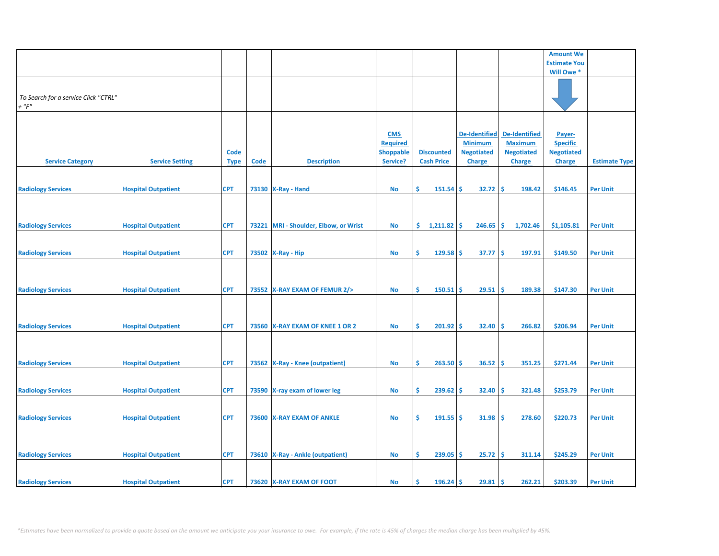|                                      |                            |             |             |                                  |                  |                   |                    |                      | <b>Amount We</b>    |                      |
|--------------------------------------|----------------------------|-------------|-------------|----------------------------------|------------------|-------------------|--------------------|----------------------|---------------------|----------------------|
|                                      |                            |             |             |                                  |                  |                   |                    |                      |                     |                      |
|                                      |                            |             |             |                                  |                  |                   |                    |                      | <b>Estimate You</b> |                      |
|                                      |                            |             |             |                                  |                  |                   |                    |                      | Will Owe *          |                      |
|                                      |                            |             |             |                                  |                  |                   |                    |                      |                     |                      |
|                                      |                            |             |             |                                  |                  |                   |                    |                      |                     |                      |
| To Search for a service Click "CTRL" |                            |             |             |                                  |                  |                   |                    |                      |                     |                      |
| $+$ " $F$ "                          |                            |             |             |                                  |                  |                   |                    |                      |                     |                      |
|                                      |                            |             |             |                                  |                  |                   |                    |                      |                     |                      |
|                                      |                            |             |             |                                  |                  |                   |                    |                      |                     |                      |
|                                      |                            |             |             |                                  |                  |                   |                    |                      |                     |                      |
|                                      |                            |             |             |                                  | <b>CMS</b>       |                   | De-Identified      | <b>De-Identified</b> | Payer-              |                      |
|                                      |                            |             |             |                                  | <b>Required</b>  |                   | <b>Minimum</b>     | <b>Maximum</b>       | <b>Specific</b>     |                      |
|                                      |                            | <b>Code</b> |             |                                  | <b>Shoppable</b> | <b>Discounted</b> | <b>Negotiated</b>  | <b>Negotiated</b>    | <b>Negotiated</b>   |                      |
| <b>Service Category</b>              | <b>Service Setting</b>     | <b>Type</b> | <b>Code</b> | <b>Description</b>               | Service?         | <b>Cash Price</b> | <b>Charge</b>      | <b>Charge</b>        | <b>Charge</b>       | <b>Estimate Type</b> |
|                                      |                            |             |             |                                  |                  |                   |                    |                      |                     |                      |
|                                      |                            |             |             |                                  |                  |                   |                    |                      |                     |                      |
|                                      |                            |             |             |                                  |                  |                   |                    |                      |                     |                      |
| <b>Radiology Services</b>            | <b>Hospital Outpatient</b> | <b>CPT</b>  |             | 73130   X-Ray - Hand             | No               | Ŝ<br>151.54       | 32.72<br><b>S</b>  | -\$<br>198.42        | \$146.45            | <b>Per Unit</b>      |
|                                      |                            |             |             |                                  |                  |                   |                    |                      |                     |                      |
|                                      |                            |             |             |                                  |                  |                   |                    |                      |                     |                      |
|                                      |                            |             |             |                                  |                  |                   |                    |                      |                     |                      |
| <b>Radiology Services</b>            | <b>Hospital Outpatient</b> | <b>CPT</b>  | 73221       | MRI - Shoulder, Elbow, or Wrist  | No               | \$.<br>1,211.82   | 246.65<br><b>S</b> | -\$<br>1,702.46      | \$1,105.81          | <b>Per Unit</b>      |
|                                      |                            |             |             |                                  |                  |                   |                    |                      |                     |                      |
|                                      |                            |             |             |                                  |                  |                   |                    |                      |                     |                      |
|                                      |                            |             |             |                                  |                  |                   |                    |                      |                     |                      |
| <b>Radiology Services</b>            | <b>Hospital Outpatient</b> | <b>CPT</b>  |             | 73502 X-Ray - Hip                | No               | \$<br>$129.58$ \$ | 37.77              | -\$<br>197.91        | \$149.50            | <b>Per Unit</b>      |
|                                      |                            |             |             |                                  |                  |                   |                    |                      |                     |                      |
|                                      |                            |             |             |                                  |                  |                   |                    |                      |                     |                      |
|                                      |                            |             |             |                                  |                  |                   |                    |                      |                     |                      |
| <b>Radiology Services</b>            |                            | <b>CPT</b>  |             | 73552 X-RAY EXAM OF FEMUR 2/>    | No               | Ŝ.<br>$150.51$ \$ | 29.51              | -\$<br>189.38        | \$147.30            | <b>Per Unit</b>      |
|                                      | <b>Hospital Outpatient</b> |             |             |                                  |                  |                   |                    |                      |                     |                      |
|                                      |                            |             |             |                                  |                  |                   |                    |                      |                     |                      |
|                                      |                            |             |             |                                  |                  |                   |                    |                      |                     |                      |
|                                      |                            |             |             |                                  |                  |                   |                    |                      |                     |                      |
| <b>Radiology Services</b>            | <b>Hospital Outpatient</b> | <b>CPT</b>  |             | 73560 X-RAY EXAM OF KNEE 1 OR 2  | No               | \$<br>$201.92$ \$ | 32.40              | -\$<br>266.82        | \$206.94            | <b>Per Unit</b>      |
|                                      |                            |             |             |                                  |                  |                   |                    |                      |                     |                      |
|                                      |                            |             |             |                                  |                  |                   |                    |                      |                     |                      |
|                                      |                            |             |             |                                  |                  |                   |                    |                      |                     |                      |
|                                      |                            |             |             |                                  |                  |                   |                    |                      |                     |                      |
| <b>Radiology Services</b>            | <b>Hospital Outpatient</b> | <b>CPT</b>  |             | 73562 X-Ray - Knee (outpatient)  | No               | Ŝ.<br>$263.50$ \$ | 36.52              | -\$<br>351.25        | \$271.44            | <b>Per Unit</b>      |
|                                      |                            |             |             |                                  |                  |                   |                    |                      |                     |                      |
|                                      |                            |             |             |                                  |                  |                   |                    |                      |                     |                      |
| <b>Radiology Services</b>            | <b>Hospital Outpatient</b> | <b>CPT</b>  |             | 73590 X-ray exam of lower leg    | <b>No</b>        | \$<br>239.62      | 32.40<br>\$.       | \$.<br>321.48        | \$253.79            | <b>Per Unit</b>      |
|                                      |                            |             |             |                                  |                  |                   |                    |                      |                     |                      |
|                                      |                            |             |             |                                  |                  |                   |                    |                      |                     |                      |
|                                      |                            |             |             |                                  |                  |                   |                    |                      |                     |                      |
| <b>Radiology Services</b>            | <b>Hospital Outpatient</b> | <b>CPT</b>  |             | 73600 X-RAY EXAM OF ANKLE        | <b>No</b>        | \$<br>$191.55$ \$ | 31.98              | -\$<br>278.60        | \$220.73            | <b>Per Unit</b>      |
|                                      |                            |             |             |                                  |                  |                   |                    |                      |                     |                      |
|                                      |                            |             |             |                                  |                  |                   |                    |                      |                     |                      |
|                                      |                            |             |             |                                  |                  |                   |                    |                      |                     |                      |
| <b>Radiology Services</b>            | <b>Hospital Outpatient</b> | <b>CPT</b>  |             | 73610 X-Ray - Ankle (outpatient) | <b>No</b>        | \$<br>239.05      | -\$<br>25.72       | \$<br>311.14         | \$245.29            | <b>Per Unit</b>      |
|                                      |                            |             |             |                                  |                  |                   |                    |                      |                     |                      |
|                                      |                            |             |             |                                  |                  |                   |                    |                      |                     |                      |
|                                      |                            |             |             |                                  |                  |                   |                    |                      |                     |                      |
| <b>Radiology Services</b>            | <b>Hospital Outpatient</b> | <b>CPT</b>  |             | 73620 X-RAY EXAM OF FOOT         | No               | $196.24$ \$<br>Ŝ. | 29.81              | -\$<br>262.21        | \$203.39            | <b>Per Unit</b>      |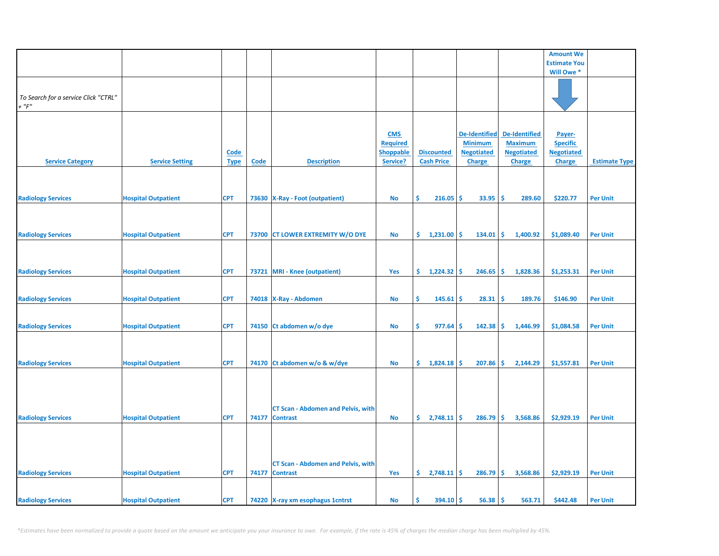|                                      |                            |             |       |                                           |                               |                          |                                        |                                        | <b>Amount We</b>          |                      |
|--------------------------------------|----------------------------|-------------|-------|-------------------------------------------|-------------------------------|--------------------------|----------------------------------------|----------------------------------------|---------------------------|----------------------|
|                                      |                            |             |       |                                           |                               |                          |                                        |                                        | <b>Estimate You</b>       |                      |
|                                      |                            |             |       |                                           |                               |                          |                                        |                                        | Will Owe *                |                      |
|                                      |                            |             |       |                                           |                               |                          |                                        |                                        |                           |                      |
| To Search for a service Click "CTRL" |                            |             |       |                                           |                               |                          |                                        |                                        |                           |                      |
| $+$ " $F$ "                          |                            |             |       |                                           |                               |                          |                                        |                                        |                           |                      |
|                                      |                            |             |       |                                           |                               |                          |                                        |                                        |                           |                      |
|                                      |                            |             |       |                                           |                               |                          |                                        |                                        |                           |                      |
|                                      |                            |             |       |                                           | <b>CMS</b><br><b>Required</b> |                          | <b>De-Identified</b><br><b>Minimum</b> | <b>De-Identified</b><br><b>Maximum</b> | Payer-<br><b>Specific</b> |                      |
|                                      |                            | <b>Code</b> |       |                                           | <b>Shoppable</b>              | <b>Discounted</b>        | <b>Negotiated</b>                      | <b>Negotiated</b>                      | <b>Negotiated</b>         |                      |
| <b>Service Category</b>              | <b>Service Setting</b>     | <b>Type</b> | Code  | <b>Description</b>                        | Service?                      | <b>Cash Price</b>        | Charge                                 | Charge                                 | <b>Charge</b>             | <b>Estimate Type</b> |
|                                      |                            |             |       |                                           |                               |                          |                                        |                                        |                           |                      |
|                                      |                            |             |       |                                           |                               |                          |                                        |                                        |                           |                      |
|                                      |                            |             |       |                                           |                               | \$                       | <b>S</b>                               | -\$                                    | \$220.77                  |                      |
| <b>Radiology Services</b>            | <b>Hospital Outpatient</b> | <b>CPT</b>  |       | 73630 X-Ray - Foot (outpatient)           | No                            | 216.05                   | 33.95                                  | 289.60                                 |                           | <b>Per Unit</b>      |
|                                      |                            |             |       |                                           |                               |                          |                                        |                                        |                           |                      |
|                                      |                            |             |       |                                           |                               |                          |                                        |                                        |                           |                      |
| <b>Radiology Services</b>            | <b>Hospital Outpatient</b> | <b>CPT</b>  |       | 73700 CT LOWER EXTREMITY W/O DYE          | <b>No</b>                     | \$.<br>1,231.00          | Ŝ.<br>134.01                           | -Ś<br>1,400.92                         | \$1,089.40                | <b>Per Unit</b>      |
|                                      |                            |             |       |                                           |                               |                          |                                        |                                        |                           |                      |
|                                      |                            |             |       |                                           |                               |                          |                                        |                                        |                           |                      |
| <b>Radiology Services</b>            | <b>Hospital Outpatient</b> | <b>CPT</b>  |       | 73721 MRI - Knee (outpatient)             | Yes                           | \$.<br>$1,224.32$ \$     | 246.65                                 | -\$<br>1,828.36                        | \$1,253.31                | <b>Per Unit</b>      |
|                                      |                            |             |       |                                           |                               |                          |                                        |                                        |                           |                      |
|                                      |                            |             |       |                                           |                               |                          |                                        |                                        |                           |                      |
| <b>Radiology Services</b>            | <b>Hospital Outpatient</b> | <b>CPT</b>  |       | 74018   X-Ray - Abdomen                   | No                            | Ŝ.<br>145.61             | <b>S</b><br>28.31                      | -\$<br>189.76                          | \$146.90                  | <b>Per Unit</b>      |
|                                      |                            |             |       |                                           |                               |                          |                                        |                                        |                           |                      |
|                                      |                            |             |       |                                           |                               | Ŝ.                       | 142.38<br><b>S</b>                     | -\$                                    |                           |                      |
| <b>Radiology Services</b>            | <b>Hospital Outpatient</b> | <b>CPT</b>  |       | 74150 Ct abdomen w/o dye                  | No                            | 977.64                   |                                        | 1,446.99                               | \$1,084.58                | <b>Per Unit</b>      |
|                                      |                            |             |       |                                           |                               |                          |                                        |                                        |                           |                      |
|                                      |                            |             |       |                                           |                               |                          |                                        |                                        |                           |                      |
| <b>Radiology Services</b>            | <b>Hospital Outpatient</b> | <b>CPT</b>  |       | 74170 Ct abdomen w/o & w/dye              | <b>No</b>                     | $\sin 1,824.18$ $\sin 5$ | 207.86                                 | Ŝ.<br>2,144.29                         | \$1,557.81                | <b>Per Unit</b>      |
|                                      |                            |             |       |                                           |                               |                          |                                        |                                        |                           |                      |
|                                      |                            |             |       |                                           |                               |                          |                                        |                                        |                           |                      |
|                                      |                            |             |       |                                           |                               |                          |                                        |                                        |                           |                      |
|                                      |                            |             |       | <b>CT Scan - Abdomen and Pelvis, with</b> |                               |                          |                                        |                                        |                           |                      |
| <b>Radiology Services</b>            | <b>Hospital Outpatient</b> | <b>CPT</b>  | 74177 | <b>Contrast</b>                           | <b>No</b>                     | $\frac{2,748.11}{5}$     | 286.79                                 | Ŝ.<br>3,568.86                         | \$2,929.19                | <b>Per Unit</b>      |
|                                      |                            |             |       |                                           |                               |                          |                                        |                                        |                           |                      |
|                                      |                            |             |       |                                           |                               |                          |                                        |                                        |                           |                      |
|                                      |                            |             |       |                                           |                               |                          |                                        |                                        |                           |                      |
|                                      |                            |             |       | <b>CT Scan - Abdomen and Pelvis, with</b> |                               |                          |                                        |                                        |                           |                      |
| <b>Radiology Services</b>            | <b>Hospital Outpatient</b> | <b>CPT</b>  | 74177 | <b>Contrast</b>                           | Yes                           | $\frac{2,748.11}{5}$     | 286.79                                 | <b>S</b><br>3,568.86                   | \$2,929.19                | <b>Per Unit</b>      |
|                                      |                            |             |       |                                           |                               |                          |                                        |                                        |                           |                      |
|                                      |                            |             |       |                                           |                               |                          |                                        |                                        |                           |                      |
| <b>Radiology Services</b>            | <b>Hospital Outpatient</b> | <b>CPT</b>  |       | 74220 X-ray xm esophagus 1 cntrst         | <b>No</b>                     | \$<br>$394.10$ \$        | 56.38                                  | l\$<br>563.71                          | \$442.48                  | <b>Per Unit</b>      |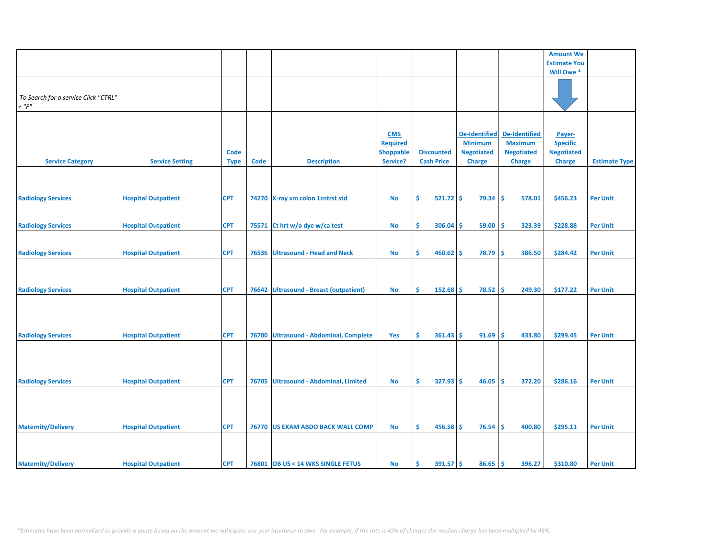|                                                     |                            |                     |             |                                         |                                                               |                                        |                                                                              |                                                                              | <b>Amount We</b>                                                |                      |
|-----------------------------------------------------|----------------------------|---------------------|-------------|-----------------------------------------|---------------------------------------------------------------|----------------------------------------|------------------------------------------------------------------------------|------------------------------------------------------------------------------|-----------------------------------------------------------------|----------------------|
|                                                     |                            |                     |             |                                         |                                                               |                                        |                                                                              |                                                                              |                                                                 |                      |
|                                                     |                            |                     |             |                                         |                                                               |                                        |                                                                              |                                                                              | <b>Estimate You</b>                                             |                      |
|                                                     |                            |                     |             |                                         |                                                               |                                        |                                                                              |                                                                              | Will Owe*                                                       |                      |
| To Search for a service Click "CTRL"<br>$+$ " $F$ " |                            |                     |             |                                         |                                                               |                                        |                                                                              |                                                                              |                                                                 |                      |
|                                                     |                            |                     |             |                                         |                                                               |                                        |                                                                              |                                                                              |                                                                 |                      |
| <b>Service Category</b>                             | <b>Service Setting</b>     | Code<br><b>Type</b> | <b>Code</b> | <b>Description</b>                      | <b>CMS</b><br><b>Required</b><br><b>Shoppable</b><br>Service? | <b>Discounted</b><br><b>Cash Price</b> | <b>De-Identified</b><br><b>Minimum</b><br><b>Negotiated</b><br><b>Charge</b> | <b>De-Identified</b><br><b>Maximum</b><br><b>Negotiated</b><br><b>Charge</b> | Payer-<br><b>Specific</b><br><b>Negotiated</b><br><b>Charge</b> | <b>Estimate Type</b> |
|                                                     |                            |                     |             |                                         |                                                               |                                        |                                                                              |                                                                              |                                                                 |                      |
| <b>Radiology Services</b>                           | <b>Hospital Outpatient</b> | <b>CPT</b>          |             | 74270 X-ray xm colon 1 cntrst std       | <b>No</b>                                                     | \$<br>$521.72$ \$                      | 79.34                                                                        | \$.<br>578.01                                                                | \$456.23                                                        | <b>Per Unit</b>      |
|                                                     |                            |                     |             |                                         |                                                               |                                        |                                                                              |                                                                              |                                                                 |                      |
|                                                     |                            |                     |             |                                         |                                                               |                                        |                                                                              |                                                                              |                                                                 |                      |
| <b>Radiology Services</b>                           | <b>Hospital Outpatient</b> | <b>CPT</b>          | 75571       | Ct hrt w/o dye w/ca test                | No                                                            | \$<br>306.04                           | 59.00<br>\$.                                                                 | \$.<br>323.39                                                                | \$228.88                                                        | <b>Per Unit</b>      |
| <b>Radiology Services</b>                           | <b>Hospital Outpatient</b> | <b>CPT</b>          | 76536       | <b>Ultrasound - Head and Neck</b>       | <b>No</b>                                                     | \$<br>460.62                           | \$<br>78.79                                                                  | Ŝ<br>386.50                                                                  | \$284.42                                                        | <b>Per Unit</b>      |
| <b>Radiology Services</b>                           | <b>Hospital Outpatient</b> | <b>CPT</b>          | 76642       | <b>Ultrasound - Breast (outpatient)</b> | <b>No</b>                                                     | Ś<br>152.68                            | \$<br>78.52                                                                  | Ŝ<br>249.30                                                                  | \$177.22                                                        | <b>Per Unit</b>      |
| <b>Radiology Services</b>                           | <b>Hospital Outpatient</b> | <b>CPT</b>          | 76700       | <b>Ultrasound - Abdominal, Complete</b> | Yes                                                           | Ŝ.<br>361.43                           | 91.69<br>-S                                                                  | Ŝ<br>433.80                                                                  | \$299.45                                                        | <b>Per Unit</b>      |
| <b>Radiology Services</b>                           | <b>Hospital Outpatient</b> | <b>CPT</b>          | 76705       | Ultrasound - Abdominal, Limited         | No                                                            | \$<br>327.93                           | Ŝ<br>46.05                                                                   | Ś<br>372.20                                                                  | \$286.16                                                        | <b>Per Unit</b>      |
|                                                     |                            |                     |             |                                         |                                                               |                                        |                                                                              |                                                                              |                                                                 |                      |
| <b>Maternity/Delivery</b>                           | <b>Hospital Outpatient</b> | <b>CPT</b>          |             | 76770 US EXAM ABDO BACK WALL COMP       | No                                                            | \$<br>$456.58$ \$                      | 76.54                                                                        | Ŝ<br>400.80                                                                  | \$295.11                                                        | <b>Per Unit</b>      |
| <b>Maternity/Delivery</b>                           | <b>Hospital Outpatient</b> | <b>CPT</b>          |             | 76801 OB US < 14 WKS SINGLE FETUS       | <b>No</b>                                                     | Ŝ<br>$391.57$ \$                       | 86.65                                                                        | Ŝ.<br>396.27                                                                 | \$310.80                                                        | <b>Per Unit</b>      |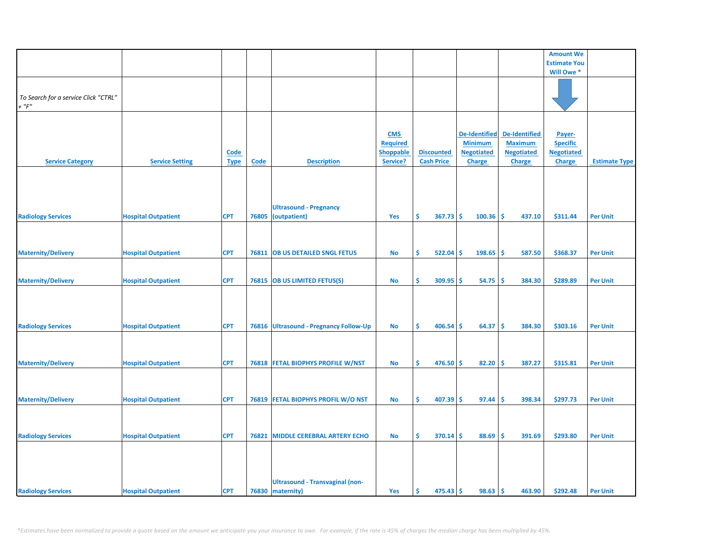|                                      |                            |             |             |                                        |                  |                    |                      |                      | <b>Amount We</b>    |                      |
|--------------------------------------|----------------------------|-------------|-------------|----------------------------------------|------------------|--------------------|----------------------|----------------------|---------------------|----------------------|
|                                      |                            |             |             |                                        |                  |                    |                      |                      | <b>Estimate You</b> |                      |
|                                      |                            |             |             |                                        |                  |                    |                      |                      | Will Owe *          |                      |
|                                      |                            |             |             |                                        |                  |                    |                      |                      |                     |                      |
|                                      |                            |             |             |                                        |                  |                    |                      |                      |                     |                      |
| To Search for a service Click "CTRL" |                            |             |             |                                        |                  |                    |                      |                      |                     |                      |
| $+$ " $F$ "                          |                            |             |             |                                        |                  |                    |                      |                      |                     |                      |
|                                      |                            |             |             |                                        |                  |                    |                      |                      |                     |                      |
|                                      |                            |             |             |                                        |                  |                    |                      |                      |                     |                      |
|                                      |                            |             |             |                                        |                  |                    |                      |                      |                     |                      |
|                                      |                            |             |             |                                        | <b>CMS</b>       |                    | <b>De-Identified</b> | <b>De-Identified</b> | Payer-              |                      |
|                                      |                            |             |             |                                        | <b>Required</b>  |                    | <b>Minimum</b>       | <b>Maximum</b>       | <b>Specific</b>     |                      |
|                                      |                            | <b>Code</b> |             |                                        | <b>Shoppable</b> | <b>Discounted</b>  | <b>Negotiated</b>    | <b>Negotiated</b>    | <b>Negotiated</b>   |                      |
| <b>Service Category</b>              | <b>Service Setting</b>     | <b>Type</b> | <b>Code</b> | <b>Description</b>                     | Service?         | <b>Cash Price</b>  | <b>Charge</b>        | <b>Charge</b>        | <b>Charge</b>       | <b>Estimate Type</b> |
|                                      |                            |             |             |                                        |                  |                    |                      |                      |                     |                      |
|                                      |                            |             |             |                                        |                  |                    |                      |                      |                     |                      |
|                                      |                            |             |             |                                        |                  |                    |                      |                      |                     |                      |
|                                      |                            |             |             |                                        |                  |                    |                      |                      |                     |                      |
|                                      |                            |             |             | <b>Ultrasound - Pregnancy</b>          |                  |                    |                      |                      |                     |                      |
|                                      |                            |             | 76805       |                                        | Yes              | \$<br>367.73       | \$<br>100.36         | Ś<br>437.10          |                     | <b>Per Unit</b>      |
| <b>Radiology Services</b>            | <b>Hospital Outpatient</b> | <b>CPT</b>  |             | (outpatient)                           |                  |                    |                      |                      | \$311.44            |                      |
|                                      |                            |             |             |                                        |                  |                    |                      |                      |                     |                      |
|                                      |                            |             |             |                                        |                  |                    |                      |                      |                     |                      |
|                                      |                            |             |             |                                        |                  |                    |                      |                      |                     |                      |
| <b>Maternity/Delivery</b>            | <b>Hospital Outpatient</b> | <b>CPT</b>  | 76811       | <b>OB US DETAILED SNGL FETUS</b>       | No               | \$<br>522.04       | \$<br>198.65         | -\$<br>587.50        | \$368.37            | <b>Per Unit</b>      |
|                                      |                            |             |             |                                        |                  |                    |                      |                      |                     |                      |
|                                      |                            |             |             |                                        |                  |                    |                      |                      |                     |                      |
| <b>Maternity/Delivery</b>            | <b>Hospital Outpatient</b> | <b>CPT</b>  |             | 76815 OB US LIMITED FETUS(S)           | No               | Ŝ.<br>309.95       | 54.75<br>\$.         | <b>S</b><br>384.30   | \$289.89            | <b>Per Unit</b>      |
|                                      |                            |             |             |                                        |                  |                    |                      |                      |                     |                      |
|                                      |                            |             |             |                                        |                  |                    |                      |                      |                     |                      |
|                                      |                            |             |             |                                        |                  |                    |                      |                      |                     |                      |
|                                      |                            |             |             |                                        |                  |                    |                      |                      |                     |                      |
|                                      |                            |             |             |                                        |                  |                    |                      |                      |                     |                      |
| <b>Radiology Services</b>            | <b>Hospital Outpatient</b> | <b>CPT</b>  |             | 76816 Ultrasound - Pregnancy Follow-Up | No               | \$<br>406.54       | \$<br>64.37          | \$<br>384.30         | \$303.16            | <b>Per Unit</b>      |
|                                      |                            |             |             |                                        |                  |                    |                      |                      |                     |                      |
|                                      |                            |             |             |                                        |                  |                    |                      |                      |                     |                      |
|                                      |                            |             |             |                                        |                  |                    |                      |                      |                     |                      |
| <b>Maternity/Delivery</b>            | <b>Hospital Outpatient</b> | <b>CPT</b>  |             | 76818 FETAL BIOPHYS PROFILE W/NST      | No               | \$<br>476.50       | 82.20<br>\$          | <b>S</b><br>387.27   | \$315.81            | <b>Per Unit</b>      |
|                                      |                            |             |             |                                        |                  |                    |                      |                      |                     |                      |
|                                      |                            |             |             |                                        |                  |                    |                      |                      |                     |                      |
|                                      |                            |             |             |                                        |                  |                    |                      |                      |                     |                      |
| <b>Maternity/Delivery</b>            | <b>Hospital Outpatient</b> | <b>CPT</b>  |             | 76819 FETAL BIOPHYS PROFIL W/O NST     | No               | \$<br>407.39       | \$<br>97.44          | \$<br>398.34         | \$297.73            | <b>Per Unit</b>      |
|                                      |                            |             |             |                                        |                  |                    |                      |                      |                     |                      |
|                                      |                            |             |             |                                        |                  |                    |                      |                      |                     |                      |
|                                      |                            |             |             |                                        |                  |                    |                      |                      |                     |                      |
|                                      |                            |             |             |                                        |                  |                    |                      |                      |                     |                      |
| <b>Radiology Services</b>            | <b>Hospital Outpatient</b> | <b>CPT</b>  | 76821       | <b>MIDDLE CEREBRAL ARTERY ECHO</b>     | No               | \$<br>370.14       | -\$<br>88.69         | -\$<br>391.69        | \$293.80            | <b>Per Unit</b>      |
|                                      |                            |             |             |                                        |                  |                    |                      |                      |                     |                      |
|                                      |                            |             |             |                                        |                  |                    |                      |                      |                     |                      |
|                                      |                            |             |             |                                        |                  |                    |                      |                      |                     |                      |
|                                      |                            |             |             |                                        |                  |                    |                      |                      |                     |                      |
|                                      |                            |             |             | <b>Ultrasound - Transvaginal (non-</b> |                  |                    |                      |                      |                     |                      |
| <b>Radiology Services</b>            | <b>Hospital Outpatient</b> | <b>CPT</b>  |             | 76830 maternity)                       | Yes              | -\$<br>$475.43$ \$ | 98.63                | \$<br>463.90         | \$292.48            | <b>Per Unit</b>      |
|                                      |                            |             |             |                                        |                  |                    |                      |                      |                     |                      |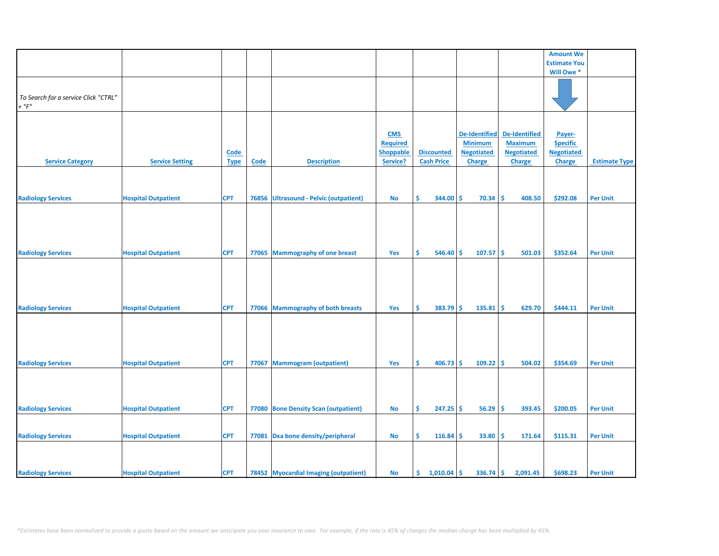|                                      |                            |             |             |                                       |                  |                      |                      |                      | <b>Amount We</b>    |                      |
|--------------------------------------|----------------------------|-------------|-------------|---------------------------------------|------------------|----------------------|----------------------|----------------------|---------------------|----------------------|
|                                      |                            |             |             |                                       |                  |                      |                      |                      | <b>Estimate You</b> |                      |
|                                      |                            |             |             |                                       |                  |                      |                      |                      | Will Owe *          |                      |
|                                      |                            |             |             |                                       |                  |                      |                      |                      |                     |                      |
|                                      |                            |             |             |                                       |                  |                      |                      |                      |                     |                      |
|                                      |                            |             |             |                                       |                  |                      |                      |                      |                     |                      |
| To Search for a service Click "CTRL" |                            |             |             |                                       |                  |                      |                      |                      |                     |                      |
| $+$ " $F"$                           |                            |             |             |                                       |                  |                      |                      |                      |                     |                      |
|                                      |                            |             |             |                                       |                  |                      |                      |                      |                     |                      |
|                                      |                            |             |             |                                       |                  |                      |                      |                      |                     |                      |
|                                      |                            |             |             |                                       |                  |                      |                      |                      |                     |                      |
|                                      |                            |             |             |                                       | <b>CMS</b>       |                      | <b>De-Identified</b> | <b>De-Identified</b> | Payer-              |                      |
|                                      |                            |             |             |                                       |                  |                      |                      |                      |                     |                      |
|                                      |                            |             |             |                                       | <b>Required</b>  |                      | <b>Minimum</b>       | <b>Maximum</b>       | <b>Specific</b>     |                      |
|                                      |                            | <b>Code</b> |             |                                       | <b>Shoppable</b> | <b>Discounted</b>    | <b>Negotiated</b>    | <b>Negotiated</b>    | <b>Negotiated</b>   |                      |
| <b>Service Category</b>              | <b>Service Setting</b>     | <b>Type</b> | <b>Code</b> | <b>Description</b>                    | Service?         | <b>Cash Price</b>    | Charge               | Charge               | <b>Charge</b>       | <b>Estimate Type</b> |
|                                      |                            |             |             |                                       |                  |                      |                      |                      |                     |                      |
|                                      |                            |             |             |                                       |                  |                      |                      |                      |                     |                      |
|                                      |                            |             |             |                                       |                  |                      |                      |                      |                     |                      |
|                                      |                            |             |             |                                       |                  |                      |                      |                      |                     |                      |
|                                      |                            | <b>CPT</b>  | 76856       |                                       | <b>No</b>        | \$<br>344.00         | 70.34<br><b>S</b>    | 408.50<br>-\$        | \$292.08            | <b>Per Unit</b>      |
| <b>Radiology Services</b>            | <b>Hospital Outpatient</b> |             |             | Ultrasound - Pelvic (outpatient)      |                  |                      |                      |                      |                     |                      |
|                                      |                            |             |             |                                       |                  |                      |                      |                      |                     |                      |
|                                      |                            |             |             |                                       |                  |                      |                      |                      |                     |                      |
|                                      |                            |             |             |                                       |                  |                      |                      |                      |                     |                      |
|                                      |                            |             |             |                                       |                  |                      |                      |                      |                     |                      |
|                                      |                            |             |             |                                       |                  |                      |                      |                      |                     |                      |
|                                      |                            |             |             |                                       |                  |                      |                      |                      |                     |                      |
| <b>Radiology Services</b>            | <b>Hospital Outpatient</b> | <b>CPT</b>  |             | 77065 Mammography of one breast       | Yes              | \$<br>546.40         | 107.57<br><b>S</b>   | ١\$<br>501.03        | \$352.64            | <b>Per Unit</b>      |
|                                      |                            |             |             |                                       |                  |                      |                      |                      |                     |                      |
|                                      |                            |             |             |                                       |                  |                      |                      |                      |                     |                      |
|                                      |                            |             |             |                                       |                  |                      |                      |                      |                     |                      |
|                                      |                            |             |             |                                       |                  |                      |                      |                      |                     |                      |
|                                      |                            |             |             |                                       |                  |                      |                      |                      |                     |                      |
|                                      |                            |             |             |                                       |                  |                      |                      |                      |                     |                      |
|                                      |                            |             |             |                                       |                  |                      |                      |                      |                     |                      |
| <b>Radiology Services</b>            | <b>Hospital Outpatient</b> | <b>CPT</b>  |             | 77066 Mammography of both breasts     | Yes              | \$<br>$383.79$ \$    | 135.81               | l\$<br>629.70        | \$444.11            | <b>Per Unit</b>      |
|                                      |                            |             |             |                                       |                  |                      |                      |                      |                     |                      |
|                                      |                            |             |             |                                       |                  |                      |                      |                      |                     |                      |
|                                      |                            |             |             |                                       |                  |                      |                      |                      |                     |                      |
|                                      |                            |             |             |                                       |                  |                      |                      |                      |                     |                      |
|                                      |                            |             |             |                                       |                  |                      |                      |                      |                     |                      |
|                                      |                            |             |             |                                       |                  |                      |                      |                      |                     |                      |
|                                      |                            |             |             |                                       |                  |                      |                      |                      |                     |                      |
| <b>Radiology Services</b>            | <b>Hospital Outpatient</b> | <b>CPT</b>  | 77067       | <b>Mammogram (outpatient)</b>         | Yes              | \$<br>$406.73$ \$    | $109.22$ \$          | 504.02               | \$354.69            | <b>Per Unit</b>      |
|                                      |                            |             |             |                                       |                  |                      |                      |                      |                     |                      |
|                                      |                            |             |             |                                       |                  |                      |                      |                      |                     |                      |
|                                      |                            |             |             |                                       |                  |                      |                      |                      |                     |                      |
|                                      |                            |             |             |                                       |                  |                      |                      |                      |                     |                      |
|                                      |                            |             |             |                                       |                  |                      |                      |                      |                     |                      |
|                                      |                            |             |             |                                       |                  |                      |                      |                      |                     |                      |
| <b>Radiology Services</b>            | <b>Hospital Outpatient</b> | <b>CPT</b>  |             | 77080 Bone Density Scan (outpatient)  | <b>No</b>        | \$<br>$247.25$ \$    | 56.29                | ١\$<br>393.45        | \$200.05            | <b>Per Unit</b>      |
|                                      |                            |             |             |                                       |                  |                      |                      |                      |                     |                      |
|                                      |                            |             |             |                                       |                  |                      |                      |                      |                     |                      |
|                                      |                            |             |             |                                       |                  |                      |                      |                      |                     |                      |
| <b>Radiology Services</b>            | <b>Hospital Outpatient</b> | <b>CPT</b>  |             | 77081 Dxa bone density/peripheral     | No               | \$<br>116.84         | 33.80<br>Ŝ.          | \$<br>171.64         | \$115.31            | <b>Per Unit</b>      |
|                                      |                            |             |             |                                       |                  |                      |                      |                      |                     |                      |
|                                      |                            |             |             |                                       |                  |                      |                      |                      |                     |                      |
|                                      |                            |             |             |                                       |                  |                      |                      |                      |                     |                      |
|                                      |                            |             |             |                                       |                  |                      |                      |                      |                     |                      |
| <b>Radiology Services</b>            | <b>Hospital Outpatient</b> | <b>CPT</b>  |             | 78452 Myocardial Imaging (outpatient) | <b>No</b>        | \$.<br>$1,010.04$ \$ | $336.74$ \$          | 2,091.45             | \$698.23            | <b>Per Unit</b>      |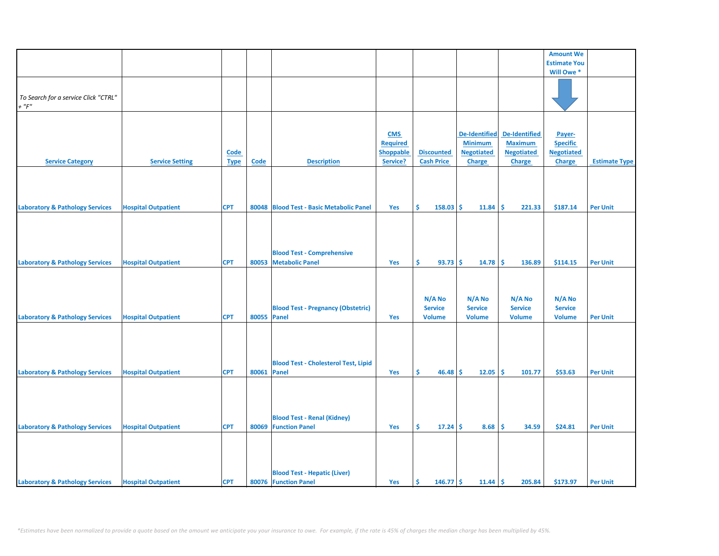|                                            |                            |             |             |                                             |                  |                   |                      |                   | <b>Amount We</b>    |                      |
|--------------------------------------------|----------------------------|-------------|-------------|---------------------------------------------|------------------|-------------------|----------------------|-------------------|---------------------|----------------------|
|                                            |                            |             |             |                                             |                  |                   |                      |                   | <b>Estimate You</b> |                      |
|                                            |                            |             |             |                                             |                  |                   |                      |                   | Will Owe *          |                      |
|                                            |                            |             |             |                                             |                  |                   |                      |                   |                     |                      |
|                                            |                            |             |             |                                             |                  |                   |                      |                   |                     |                      |
| To Search for a service Click "CTRL"       |                            |             |             |                                             |                  |                   |                      |                   |                     |                      |
| $+$ " $F$ "                                |                            |             |             |                                             |                  |                   |                      |                   |                     |                      |
|                                            |                            |             |             |                                             |                  |                   |                      |                   |                     |                      |
|                                            |                            |             |             |                                             |                  |                   |                      |                   |                     |                      |
|                                            |                            |             |             |                                             | <b>CMS</b>       |                   | <b>De-Identified</b> | De-Identified     | Payer-              |                      |
|                                            |                            |             |             |                                             | <b>Required</b>  |                   | <b>Minimum</b>       | <b>Maximum</b>    | <b>Specific</b>     |                      |
|                                            |                            | <b>Code</b> |             |                                             | <b>Shoppable</b> | <b>Discounted</b> | <b>Negotiated</b>    | <b>Negotiated</b> | <b>Negotiated</b>   |                      |
| <b>Service Category</b>                    | <b>Service Setting</b>     |             | <b>Code</b> | <b>Description</b>                          | Service?         | <b>Cash Price</b> | Charge               |                   | <b>Charge</b>       | <b>Estimate Type</b> |
|                                            |                            | <b>Type</b> |             |                                             |                  |                   |                      | Charge            |                     |                      |
|                                            |                            |             |             |                                             |                  |                   |                      |                   |                     |                      |
|                                            |                            |             |             |                                             |                  |                   |                      |                   |                     |                      |
|                                            |                            |             |             |                                             |                  |                   |                      |                   |                     |                      |
|                                            |                            |             |             |                                             |                  |                   |                      |                   |                     |                      |
| <b>Laboratory &amp; Pathology Services</b> | <b>Hospital Outpatient</b> | <b>CPT</b>  |             | 80048 Blood Test - Basic Metabolic Panel    | Yes              | Ŝ.<br>$158.03$ \$ | 11.84                | -\$<br>221.33     | \$187.14            | <b>Per Unit</b>      |
|                                            |                            |             |             |                                             |                  |                   |                      |                   |                     |                      |
|                                            |                            |             |             |                                             |                  |                   |                      |                   |                     |                      |
|                                            |                            |             |             |                                             |                  |                   |                      |                   |                     |                      |
|                                            |                            |             |             |                                             |                  |                   |                      |                   |                     |                      |
|                                            |                            |             |             | <b>Blood Test - Comprehensive</b>           |                  |                   |                      |                   |                     |                      |
| <b>Laboratory &amp; Pathology Services</b> | <b>Hospital Outpatient</b> | <b>CPT</b>  |             | 80053 Metabolic Panel                       | Yes              | \$<br>93.73       | -Ś<br>14.78          | -\$<br>136.89     | \$114.15            | <b>Per Unit</b>      |
|                                            |                            |             |             |                                             |                  |                   |                      |                   |                     |                      |
|                                            |                            |             |             |                                             |                  |                   |                      |                   |                     |                      |
|                                            |                            |             |             |                                             |                  |                   |                      |                   |                     |                      |
|                                            |                            |             |             |                                             |                  |                   |                      |                   |                     |                      |
|                                            |                            |             |             |                                             |                  | N/A No            | N/A No               | N/A No            | N/A No              |                      |
|                                            |                            |             |             | <b>Blood Test - Pregnancy (Obstetric)</b>   |                  | <b>Service</b>    | <b>Service</b>       | <b>Service</b>    | <b>Service</b>      |                      |
| <b>Laboratory &amp; Pathology Services</b> | <b>Hospital Outpatient</b> | <b>CPT</b>  | 80055 Panel |                                             | Yes              | <b>Volume</b>     | <b>Volume</b>        | <b>Volume</b>     | <b>Volume</b>       | <b>Per Unit</b>      |
|                                            |                            |             |             |                                             |                  |                   |                      |                   |                     |                      |
|                                            |                            |             |             |                                             |                  |                   |                      |                   |                     |                      |
|                                            |                            |             |             |                                             |                  |                   |                      |                   |                     |                      |
|                                            |                            |             |             |                                             |                  |                   |                      |                   |                     |                      |
|                                            |                            |             |             | <b>Blood Test - Cholesterol Test, Lipid</b> |                  |                   |                      |                   |                     |                      |
| <b>Laboratory &amp; Pathology Services</b> | <b>Hospital Outpatient</b> | <b>CPT</b>  | 80061 Panel |                                             | Yes              | Ŝ.<br>$46.48$ \$  | 12.05                | ١\$<br>101.77     | \$53.63             | <b>Per Unit</b>      |
|                                            |                            |             |             |                                             |                  |                   |                      |                   |                     |                      |
|                                            |                            |             |             |                                             |                  |                   |                      |                   |                     |                      |
|                                            |                            |             |             |                                             |                  |                   |                      |                   |                     |                      |
|                                            |                            |             |             |                                             |                  |                   |                      |                   |                     |                      |
|                                            |                            |             |             |                                             |                  |                   |                      |                   |                     |                      |
|                                            |                            |             |             | <b>Blood Test - Renal (Kidney)</b>          |                  |                   |                      |                   |                     |                      |
| <b>Laboratory &amp; Pathology Services</b> | <b>Hospital Outpatient</b> | <b>CPT</b>  |             | 80069 Function Panel                        | Yes              | \$.<br>17.24      | 8.68<br>-\$          | -\$<br>34.59      | \$24.81             | <b>Per Unit</b>      |
|                                            |                            |             |             |                                             |                  |                   |                      |                   |                     |                      |
|                                            |                            |             |             |                                             |                  |                   |                      |                   |                     |                      |
|                                            |                            |             |             |                                             |                  |                   |                      |                   |                     |                      |
|                                            |                            |             |             |                                             |                  |                   |                      |                   |                     |                      |
|                                            |                            |             |             | <b>Blood Test - Hepatic (Liver)</b>         |                  |                   |                      |                   |                     |                      |
| <b>Laboratory &amp; Pathology Services</b> | <b>Hospital Outpatient</b> | <b>CPT</b>  |             | 80076 Function Panel                        | Yes              | \$<br>$146.77$ \$ | 11.44                | l\$<br>205.84     | \$173.97            | <b>Per Unit</b>      |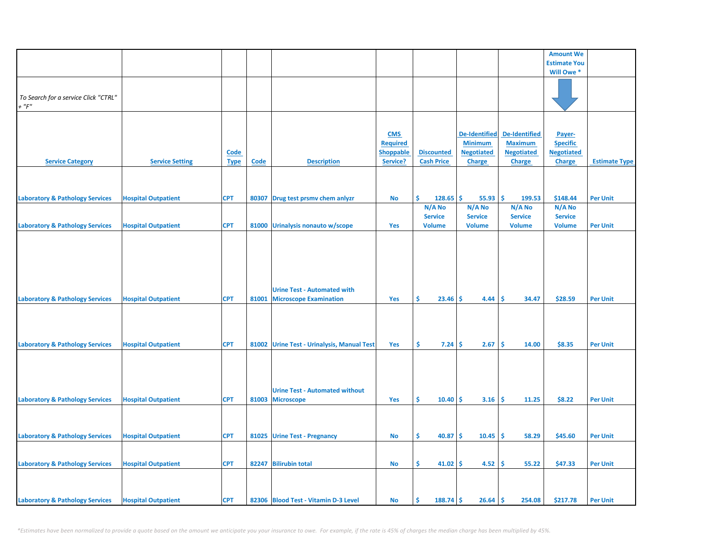|                                            |                            |             |       |                                            |                  |                     |                      |                      | <b>Amount We</b>    |                      |
|--------------------------------------------|----------------------------|-------------|-------|--------------------------------------------|------------------|---------------------|----------------------|----------------------|---------------------|----------------------|
|                                            |                            |             |       |                                            |                  |                     |                      |                      | <b>Estimate You</b> |                      |
|                                            |                            |             |       |                                            |                  |                     |                      |                      | Will Owe *          |                      |
|                                            |                            |             |       |                                            |                  |                     |                      |                      |                     |                      |
| To Search for a service Click "CTRL"       |                            |             |       |                                            |                  |                     |                      |                      |                     |                      |
| $+$ " $F$ "                                |                            |             |       |                                            |                  |                     |                      |                      |                     |                      |
|                                            |                            |             |       |                                            |                  |                     |                      |                      |                     |                      |
|                                            |                            |             |       |                                            |                  |                     |                      |                      |                     |                      |
|                                            |                            |             |       |                                            | <b>CMS</b>       |                     | <b>De-Identified</b> | <b>De-Identified</b> | Payer-              |                      |
|                                            |                            |             |       |                                            | <b>Required</b>  |                     | <b>Minimum</b>       | <b>Maximum</b>       | <b>Specific</b>     |                      |
|                                            |                            | <b>Code</b> |       |                                            | <b>Shoppable</b> | <b>Discounted</b>   | <b>Negotiated</b>    | <b>Negotiated</b>    | <b>Negotiated</b>   |                      |
| <b>Service Category</b>                    | <b>Service Setting</b>     | <b>Type</b> | Code  | <b>Description</b>                         | Service?         | <b>Cash Price</b>   | Charge               | Charge               | <b>Charge</b>       | <b>Estimate Type</b> |
|                                            |                            |             |       |                                            |                  |                     |                      |                      |                     |                      |
|                                            |                            |             |       |                                            |                  |                     |                      |                      |                     |                      |
| <b>Laboratory &amp; Pathology Services</b> | <b>Hospital Outpatient</b> | <b>CPT</b>  | 80307 | Drug test prsmv chem anlyzr                | No               | Ś.<br>128.65        | \$.<br>55.93         | -\$<br>199.53        | \$148.44            | <b>Per Unit</b>      |
|                                            |                            |             |       |                                            |                  | N/A No              | N/A No               | N/A No               | N/A No              |                      |
|                                            |                            |             |       |                                            |                  | <b>Service</b>      | <b>Service</b>       | <b>Service</b>       | <b>Service</b>      |                      |
| <b>Laboratory &amp; Pathology Services</b> | <b>Hospital Outpatient</b> | <b>CPT</b>  |       | 81000 Urinalysis nonauto w/scope           | Yes              | <b>Volume</b>       | <b>Volume</b>        | <b>Volume</b>        | <b>Volume</b>       | <b>Per Unit</b>      |
|                                            |                            |             |       |                                            |                  |                     |                      |                      |                     |                      |
|                                            |                            |             |       |                                            |                  |                     |                      |                      |                     |                      |
|                                            |                            |             |       |                                            |                  |                     |                      |                      |                     |                      |
|                                            |                            |             |       |                                            |                  |                     |                      |                      |                     |                      |
|                                            |                            |             |       |                                            |                  |                     |                      |                      |                     |                      |
|                                            |                            |             |       | <b>Urine Test - Automated with</b>         |                  |                     |                      |                      |                     |                      |
| <b>Laboratory &amp; Pathology Services</b> | <b>Hospital Outpatient</b> | <b>CPT</b>  | 81001 | <b>Microscope Examination</b>              | Yes              | \$<br>23.46         | Ŝ.<br>4.44           | <b>S</b><br>34.47    | \$28.59             | <b>Per Unit</b>      |
|                                            |                            |             |       |                                            |                  |                     |                      |                      |                     |                      |
|                                            |                            |             |       |                                            |                  |                     |                      |                      |                     |                      |
|                                            |                            |             |       |                                            |                  |                     |                      |                      |                     |                      |
|                                            |                            |             |       |                                            |                  |                     |                      |                      |                     |                      |
| <b>Laboratory &amp; Pathology Services</b> | <b>Hospital Outpatient</b> | <b>CPT</b>  |       | 81002 Urine Test - Urinalysis, Manual Test | Yes              | \$.<br>$7.24 \,$ \$ | 2.67                 | -\$<br>14.00         | \$8.35              | <b>Per Unit</b>      |
|                                            |                            |             |       |                                            |                  |                     |                      |                      |                     |                      |
|                                            |                            |             |       |                                            |                  |                     |                      |                      |                     |                      |
|                                            |                            |             |       |                                            |                  |                     |                      |                      |                     |                      |
|                                            |                            |             |       | <b>Urine Test - Automated without</b>      |                  |                     |                      |                      |                     |                      |
| <b>Laboratory &amp; Pathology Services</b> | <b>Hospital Outpatient</b> | <b>CPT</b>  |       | 81003 Microscope                           | Yes              | Ŝ.<br>10.40         | 3.16<br>-Ś           | Ŝ.<br>11.25          | \$8.22              | <b>Per Unit</b>      |
|                                            |                            |             |       |                                            |                  |                     |                      |                      |                     |                      |
|                                            |                            |             |       |                                            |                  |                     |                      |                      |                     |                      |
|                                            |                            |             |       |                                            |                  |                     |                      |                      |                     |                      |
| <b>Laboratory &amp; Pathology Services</b> | <b>Hospital Outpatient</b> | <b>CPT</b>  |       | 81025 Urine Test - Pregnancy               | <b>No</b>        | \$<br>40.87         | -Ś<br>10.45          | ١\$<br>58.29         | \$45.60             | <b>Per Unit</b>      |
|                                            |                            |             |       |                                            |                  |                     |                      |                      |                     |                      |
|                                            |                            |             |       |                                            |                  |                     |                      |                      |                     |                      |
| <b>Laboratory &amp; Pathology Services</b> | <b>Hospital Outpatient</b> | <b>CPT</b>  |       | 82247 Bilirubin total                      | <b>No</b>        | \$<br>$41.02$ \$    | 4.52                 | ١\$<br>55.22         | \$47.33             | <b>Per Unit</b>      |
|                                            |                            |             |       |                                            |                  |                     |                      |                      |                     |                      |
|                                            |                            |             |       |                                            |                  |                     |                      |                      |                     |                      |
| <b>Laboratory &amp; Pathology Services</b> | <b>Hospital Outpatient</b> | <b>CPT</b>  |       | 82306 Blood Test - Vitamin D-3 Level       | No               | \$<br>$188.74$ \$   | $26.64$ \$           | 254.08               | \$217.78            | <b>Per Unit</b>      |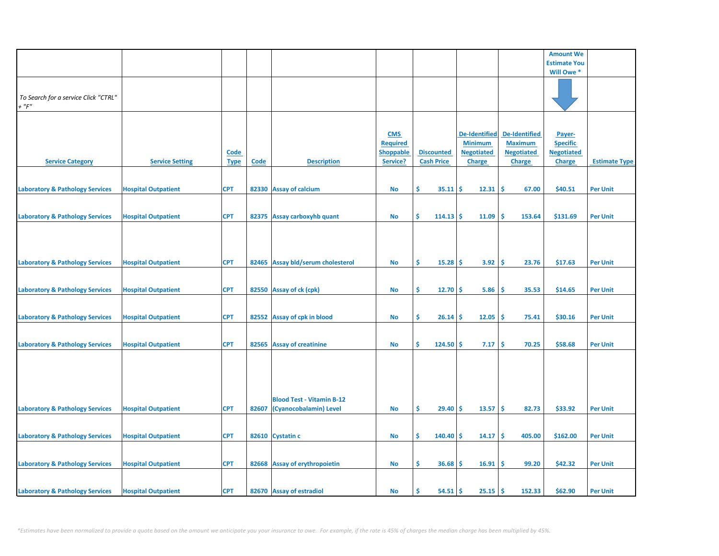|                                                                                          |                            |                            |       |                                                            |                                                               |                                        |                                                                              |                                                                              | <b>Amount We</b>                                                |                      |
|------------------------------------------------------------------------------------------|----------------------------|----------------------------|-------|------------------------------------------------------------|---------------------------------------------------------------|----------------------------------------|------------------------------------------------------------------------------|------------------------------------------------------------------------------|-----------------------------------------------------------------|----------------------|
|                                                                                          |                            |                            |       |                                                            |                                                               |                                        |                                                                              |                                                                              | <b>Estimate You</b>                                             |                      |
|                                                                                          |                            |                            |       |                                                            |                                                               |                                        |                                                                              |                                                                              | Will Owe *                                                      |                      |
| To Search for a service Click "CTRL"<br>$+$ " $F$ "                                      |                            |                            |       |                                                            |                                                               |                                        |                                                                              |                                                                              |                                                                 |                      |
| <b>Service Category</b>                                                                  | <b>Service Setting</b>     | <b>Code</b><br><b>Type</b> | Code  | <b>Description</b>                                         | <b>CMS</b><br><b>Required</b><br><b>Shoppable</b><br>Service? | <b>Discounted</b><br><b>Cash Price</b> | <b>De-Identified</b><br><b>Minimum</b><br><b>Negotiated</b><br><b>Charge</b> | <b>De-Identified</b><br><b>Maximum</b><br><b>Negotiated</b><br><b>Charge</b> | Payer-<br><b>Specific</b><br><b>Negotiated</b><br><b>Charge</b> | <b>Estimate Type</b> |
|                                                                                          | <b>Hospital Outpatient</b> | <b>CPT</b>                 |       | 82330 Assay of calcium                                     |                                                               | \$<br>35.11                            | -Ś                                                                           | \$<br>67.00                                                                  | \$40.51                                                         | <b>Per Unit</b>      |
| <b>Laboratory &amp; Pathology Services</b><br><b>Laboratory &amp; Pathology Services</b> | <b>Hospital Outpatient</b> | <b>CPT</b>                 |       | 82375 Assay carboxyhb quant                                | <b>No</b><br><b>No</b>                                        | \$<br>114.13                           | 12.31<br>Ŝ<br>11.09                                                          | Ś<br>153.64                                                                  | \$131.69                                                        | <b>Per Unit</b>      |
| <b>Laboratory &amp; Pathology Services</b>                                               | <b>Hospital Outpatient</b> | <b>CPT</b>                 |       | 82465 Assay bld/serum cholesterol                          | <b>No</b>                                                     | \$<br>15.28                            | 3.92<br>-Ś                                                                   | -\$<br>23.76                                                                 | \$17.63                                                         | <b>Per Unit</b>      |
| <b>Laboratory &amp; Pathology Services</b>                                               | <b>Hospital Outpatient</b> | <b>CPT</b>                 |       | 82550 Assay of ck (cpk)                                    | <b>No</b>                                                     | \$<br>12.70                            | <b>S</b><br>5.86                                                             | -\$<br>35.53                                                                 | \$14.65                                                         | <b>Per Unit</b>      |
| <b>Laboratory &amp; Pathology Services</b>                                               | <b>Hospital Outpatient</b> | <b>CPT</b>                 |       | 82552 Assay of cpk in blood                                | No                                                            | \$.<br>26.14                           | 12.05<br>-\$                                                                 | -\$<br>75.41                                                                 | \$30.16                                                         | <b>Per Unit</b>      |
| <b>Laboratory &amp; Pathology Services</b>                                               | <b>Hospital Outpatient</b> | <b>CPT</b>                 |       | 82565 Assay of creatinine                                  | <b>No</b>                                                     | Š.<br>124.50                           | Ŝ<br>7.17                                                                    | Ŝ.<br>70.25                                                                  | \$58.68                                                         | <b>Per Unit</b>      |
| <b>Laboratory &amp; Pathology Services</b>                                               | <b>Hospital Outpatient</b> | <b>CPT</b>                 | 82607 | <b>Blood Test - Vitamin B-12</b><br>(Cyanocobalamin) Level | <b>No</b>                                                     | \$<br>29.40                            | <b>S</b><br>13.57                                                            | \$ ا<br>82.73                                                                | \$33.92                                                         | <b>Per Unit</b>      |
|                                                                                          |                            |                            |       |                                                            |                                                               |                                        |                                                                              |                                                                              |                                                                 |                      |
| <b>Laboratory &amp; Pathology Services</b>                                               | <b>Hospital Outpatient</b> | <b>CPT</b>                 |       | 82610 Cystatin c                                           | No                                                            | \$<br>140.40                           | -Ś<br>14.17                                                                  | -\$<br>405.00                                                                | \$162.00                                                        | <b>Per Unit</b>      |
| <b>Laboratory &amp; Pathology Services</b>                                               | <b>Hospital Outpatient</b> | <b>CPT</b>                 |       | 82668 Assay of erythropoietin                              | <b>No</b>                                                     | \$.<br>36.68                           | 16.91<br>-Ś                                                                  | -\$<br>99.20                                                                 | \$42.32                                                         | <b>Per Unit</b>      |
| <b>Laboratory &amp; Pathology Services</b>                                               | <b>Hospital Outpatient</b> | <b>CPT</b>                 |       | 82670 Assay of estradiol                                   | <b>No</b>                                                     | Ś<br>54.51                             | 25.15<br><b>S</b>                                                            | l \$<br>152.33                                                               | \$62.90                                                         | <b>Per Unit</b>      |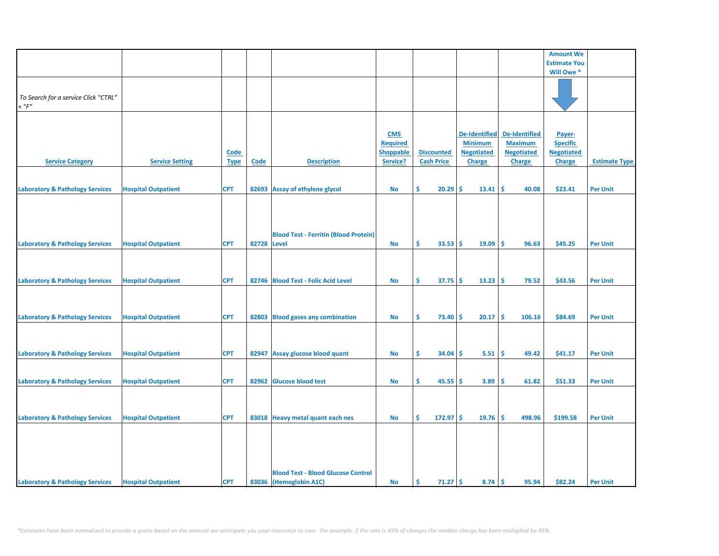|                                            |                            |             |             |                                              |                  |                    |                   |                      | <b>Amount We</b>    |                      |
|--------------------------------------------|----------------------------|-------------|-------------|----------------------------------------------|------------------|--------------------|-------------------|----------------------|---------------------|----------------------|
|                                            |                            |             |             |                                              |                  |                    |                   |                      | <b>Estimate You</b> |                      |
|                                            |                            |             |             |                                              |                  |                    |                   |                      | Will Owe *          |                      |
|                                            |                            |             |             |                                              |                  |                    |                   |                      |                     |                      |
|                                            |                            |             |             |                                              |                  |                    |                   |                      |                     |                      |
| To Search for a service Click "CTRL"       |                            |             |             |                                              |                  |                    |                   |                      |                     |                      |
| $+$ " $F$ "                                |                            |             |             |                                              |                  |                    |                   |                      |                     |                      |
|                                            |                            |             |             |                                              |                  |                    |                   |                      |                     |                      |
|                                            |                            |             |             |                                              |                  |                    |                   |                      |                     |                      |
|                                            |                            |             |             |                                              |                  |                    |                   |                      |                     |                      |
|                                            |                            |             |             |                                              | <b>CMS</b>       |                    | De-Identified     | <b>De-Identified</b> | Payer-              |                      |
|                                            |                            |             |             |                                              | <b>Required</b>  |                    | <b>Minimum</b>    | <b>Maximum</b>       | <b>Specific</b>     |                      |
|                                            |                            | Code        |             |                                              | <b>Shoppable</b> | <b>Discounted</b>  | <b>Negotiated</b> | <b>Negotiated</b>    | <b>Negotiated</b>   |                      |
| <b>Service Category</b>                    | <b>Service Setting</b>     | <b>Type</b> | <b>Code</b> | <b>Description</b>                           | Service?         | <b>Cash Price</b>  | <b>Charge</b>     | <b>Charge</b>        | <b>Charge</b>       | <b>Estimate Type</b> |
|                                            |                            |             |             |                                              |                  |                    |                   |                      |                     |                      |
|                                            |                            |             |             |                                              |                  |                    |                   |                      |                     |                      |
| <b>Laboratory &amp; Pathology Services</b> | <b>Hospital Outpatient</b> | <b>CPT</b>  | 82693       | <b>Assay of ethylene glycol</b>              | No               | Ŝ.<br>20.29        | \$<br>13.41       | \$<br>40.08          | \$23.41             | <b>Per Unit</b>      |
|                                            |                            |             |             |                                              |                  |                    |                   |                      |                     |                      |
|                                            |                            |             |             |                                              |                  |                    |                   |                      |                     |                      |
|                                            |                            |             |             |                                              |                  |                    |                   |                      |                     |                      |
|                                            |                            |             |             |                                              |                  |                    |                   |                      |                     |                      |
|                                            |                            |             |             |                                              |                  |                    |                   |                      |                     |                      |
|                                            |                            |             |             | <b>Blood Test - Ferritin (Blood Protein)</b> |                  |                    |                   |                      |                     |                      |
| <b>Laboratory &amp; Pathology Services</b> | <b>Hospital Outpatient</b> | <b>CPT</b>  | 82728 Level |                                              | <b>No</b>        | Ŝ<br>33.53         | Ŝ.<br>19.09       | Ŝ<br>96.63           | \$45.25             | <b>Per Unit</b>      |
|                                            |                            |             |             |                                              |                  |                    |                   |                      |                     |                      |
|                                            |                            |             |             |                                              |                  |                    |                   |                      |                     |                      |
|                                            |                            |             |             |                                              |                  |                    |                   |                      |                     |                      |
| <b>Laboratory &amp; Pathology Services</b> | <b>Hospital Outpatient</b> | <b>CPT</b>  |             | 82746 Blood Test - Folic Acid Level          | No               | Ŝ.<br>37.75        | 13.23<br>\$.      | \$.<br>79.52         | \$43.56             | <b>Per Unit</b>      |
|                                            |                            |             |             |                                              |                  |                    |                   |                      |                     |                      |
|                                            |                            |             |             |                                              |                  |                    |                   |                      |                     |                      |
|                                            |                            |             |             |                                              |                  |                    |                   |                      |                     |                      |
| <b>Laboratory &amp; Pathology Services</b> | <b>Hospital Outpatient</b> | <b>CPT</b>  | 82803       | <b>Blood gases any combination</b>           | No               | Ŝ<br>73.40         | \$<br>20.17       | \$.<br>106.16        | \$84.69             | <b>Per Unit</b>      |
|                                            |                            |             |             |                                              |                  |                    |                   |                      |                     |                      |
|                                            |                            |             |             |                                              |                  |                    |                   |                      |                     |                      |
|                                            |                            |             |             |                                              |                  |                    |                   |                      |                     |                      |
|                                            |                            |             |             |                                              |                  |                    |                   |                      |                     |                      |
| <b>Laboratory &amp; Pathology Services</b> | <b>Hospital Outpatient</b> | <b>CPT</b>  | 82947       | Assay glucose blood quant                    | <b>No</b>        | Ŝ.<br>34.04        | \$<br>5.51        | Ś<br>49.42           | \$41.17             | <b>Per Unit</b>      |
|                                            |                            |             |             |                                              |                  |                    |                   |                      |                     |                      |
|                                            |                            |             |             |                                              |                  |                    |                   |                      |                     |                      |
| <b>Laboratory &amp; Pathology Services</b> | <b>Hospital Outpatient</b> | <b>CPT</b>  | 82962       | <b>Glucose blood test</b>                    | <b>No</b>        | \$.<br>45.55       | 3.89<br>\$.       | \$<br>61.82          | \$51.33             | <b>Per Unit</b>      |
|                                            |                            |             |             |                                              |                  |                    |                   |                      |                     |                      |
|                                            |                            |             |             |                                              |                  |                    |                   |                      |                     |                      |
|                                            |                            |             |             |                                              |                  |                    |                   |                      |                     |                      |
| <b>Laboratory &amp; Pathology Services</b> | <b>Hospital Outpatient</b> | <b>CPT</b>  | 83018       | <b>Heavy metal quant each nes</b>            | <b>No</b>        | \$.<br>$172.97$ \$ | 19.76             | \$.<br>498.96        | \$199.58            | <b>Per Unit</b>      |
|                                            |                            |             |             |                                              |                  |                    |                   |                      |                     |                      |
|                                            |                            |             |             |                                              |                  |                    |                   |                      |                     |                      |
|                                            |                            |             |             |                                              |                  |                    |                   |                      |                     |                      |
|                                            |                            |             |             |                                              |                  |                    |                   |                      |                     |                      |
|                                            |                            |             |             |                                              |                  |                    |                   |                      |                     |                      |
|                                            |                            |             |             |                                              |                  |                    |                   |                      |                     |                      |
|                                            |                            |             |             | <b>Blood Test - Blood Glucose Control</b>    |                  |                    |                   |                      |                     |                      |
| <b>Laboratory &amp; Pathology Services</b> | <b>Hospital Outpatient</b> | <b>CPT</b>  |             | 83036 (Hemoglobin A1C)                       | <b>No</b>        | $71.27$ \$<br>-\$  | 8.74              | \$<br>95.94          | \$82.24             | <b>Per Unit</b>      |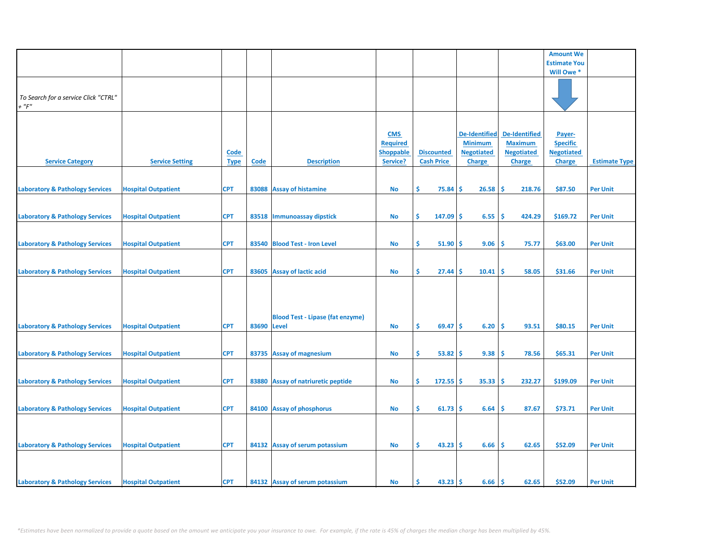|                                            |                            |             |       |                                         |                  |                   |                      |                      | <b>Amount We</b>    |                      |
|--------------------------------------------|----------------------------|-------------|-------|-----------------------------------------|------------------|-------------------|----------------------|----------------------|---------------------|----------------------|
|                                            |                            |             |       |                                         |                  |                   |                      |                      | <b>Estimate You</b> |                      |
|                                            |                            |             |       |                                         |                  |                   |                      |                      | Will Owe *          |                      |
|                                            |                            |             |       |                                         |                  |                   |                      |                      |                     |                      |
|                                            |                            |             |       |                                         |                  |                   |                      |                      |                     |                      |
| To Search for a service Click "CTRL"       |                            |             |       |                                         |                  |                   |                      |                      |                     |                      |
|                                            |                            |             |       |                                         |                  |                   |                      |                      |                     |                      |
| $+$ " $F$ "                                |                            |             |       |                                         |                  |                   |                      |                      |                     |                      |
|                                            |                            |             |       |                                         |                  |                   |                      |                      |                     |                      |
|                                            |                            |             |       |                                         |                  |                   |                      |                      |                     |                      |
|                                            |                            |             |       |                                         | <b>CMS</b>       |                   | <b>De-Identified</b> | <b>De-Identified</b> | Payer-              |                      |
|                                            |                            |             |       |                                         | <b>Required</b>  |                   | <b>Minimum</b>       | <b>Maximum</b>       | <b>Specific</b>     |                      |
|                                            |                            | <b>Code</b> |       |                                         | <b>Shoppable</b> | <b>Discounted</b> | <b>Negotiated</b>    | <b>Negotiated</b>    | <b>Negotiated</b>   |                      |
|                                            |                            |             |       |                                         |                  |                   |                      |                      |                     | <b>Estimate Type</b> |
| <b>Service Category</b>                    | <b>Service Setting</b>     | <b>Type</b> | Code  | <b>Description</b>                      | Service?         | <b>Cash Price</b> | Charge               | Charge               | <b>Charge</b>       |                      |
|                                            |                            |             |       |                                         |                  |                   |                      |                      |                     |                      |
|                                            |                            |             |       |                                         |                  |                   |                      |                      |                     |                      |
| <b>Laboratory &amp; Pathology Services</b> | <b>Hospital Outpatient</b> | <b>CPT</b>  |       | 83088 Assay of histamine                | <b>No</b>        | \$<br>75.84       | 26.58<br>Ŝ           | -Ś<br>218.76         | \$87.50             | <b>Per Unit</b>      |
|                                            |                            |             |       |                                         |                  |                   |                      |                      |                     |                      |
|                                            |                            |             |       |                                         |                  |                   |                      |                      |                     |                      |
| <b>Laboratory &amp; Pathology Services</b> | <b>Hospital Outpatient</b> | <b>CPT</b>  |       | 83518   Immunoassay dipstick            | No               | \$<br>147.09 \$   | 6.55                 | -\$<br>424.29        | \$169.72            | <b>Per Unit</b>      |
|                                            |                            |             |       |                                         |                  |                   |                      |                      |                     |                      |
|                                            |                            |             |       |                                         |                  |                   |                      |                      |                     |                      |
|                                            |                            |             |       |                                         |                  |                   |                      |                      |                     |                      |
| <b>Laboratory &amp; Pathology Services</b> | <b>Hospital Outpatient</b> | <b>CPT</b>  |       | 83540 Blood Test - Iron Level           | No               | \$.<br>51.90      | 9.06<br>-Ś           | -\$<br>75.77         | \$63.00             | <b>Per Unit</b>      |
|                                            |                            |             |       |                                         |                  |                   |                      |                      |                     |                      |
|                                            |                            |             |       |                                         |                  |                   |                      |                      |                     |                      |
| <b>Laboratory &amp; Pathology Services</b> | <b>Hospital Outpatient</b> | <b>CPT</b>  |       | 83605 Assay of lactic acid              | No               | \$<br>27.44       | 10.41<br><b>S</b>    | \$.<br>58.05         | \$31.66             | <b>Per Unit</b>      |
|                                            |                            |             |       |                                         |                  |                   |                      |                      |                     |                      |
|                                            |                            |             |       |                                         |                  |                   |                      |                      |                     |                      |
|                                            |                            |             |       |                                         |                  |                   |                      |                      |                     |                      |
|                                            |                            |             |       |                                         |                  |                   |                      |                      |                     |                      |
|                                            |                            |             |       |                                         |                  |                   |                      |                      |                     |                      |
|                                            |                            |             |       | <b>Blood Test - Lipase (fat enzyme)</b> |                  |                   |                      |                      |                     |                      |
| <b>Laboratory &amp; Pathology Services</b> | <b>Hospital Outpatient</b> | <b>CPT</b>  | 83690 | <b>Level</b>                            | <b>No</b>        | \$<br>69.47       | 6.20<br>Ŝ.           | Ŝ.<br>93.51          | \$80.15             | <b>Per Unit</b>      |
|                                            |                            |             |       |                                         |                  |                   |                      |                      |                     |                      |
|                                            |                            |             |       |                                         |                  |                   |                      |                      |                     |                      |
|                                            |                            |             |       |                                         |                  |                   |                      |                      |                     |                      |
| <b>Laboratory &amp; Pathology Services</b> | <b>Hospital Outpatient</b> | <b>CPT</b>  |       | 83735 Assay of magnesium                | No               | \$<br>53.82       | 9.38<br><b>S</b>     | -\$<br>78.56         | \$65.31             | <b>Per Unit</b>      |
|                                            |                            |             |       |                                         |                  |                   |                      |                      |                     |                      |
|                                            |                            |             |       |                                         |                  |                   |                      |                      |                     |                      |
| <b>Laboratory &amp; Pathology Services</b> | <b>Hospital Outpatient</b> | <b>CPT</b>  |       | 83880 Assay of natriuretic peptide      | No               | Ŝ.<br>$172.55$ \$ | 35.33                | -\$<br>232.27        | \$199.09            | <b>Per Unit</b>      |
|                                            |                            |             |       |                                         |                  |                   |                      |                      |                     |                      |
|                                            |                            |             |       |                                         |                  |                   |                      |                      |                     |                      |
| <b>Laboratory &amp; Pathology Services</b> | <b>Hospital Outpatient</b> | <b>CPT</b>  |       | 84100 Assay of phosphorus               | No               | \$<br>$61.73$ \$  | 6.64                 | \$.<br>87.67         | \$73.71             | <b>Per Unit</b>      |
|                                            |                            |             |       |                                         |                  |                   |                      |                      |                     |                      |
|                                            |                            |             |       |                                         |                  |                   |                      |                      |                     |                      |
|                                            |                            |             |       |                                         |                  |                   |                      |                      |                     |                      |
|                                            |                            |             |       |                                         |                  |                   |                      |                      |                     |                      |
| <b>Laboratory &amp; Pathology Services</b> | <b>Hospital Outpatient</b> | <b>CPT</b>  |       | 84132 Assay of serum potassium          | No               | \$<br>$43.23$ \$  | 6.66                 | \$<br>62.65          | \$52.09             | <b>Per Unit</b>      |
|                                            |                            |             |       |                                         |                  |                   |                      |                      |                     |                      |
|                                            |                            |             |       |                                         |                  |                   |                      |                      |                     |                      |
|                                            |                            |             |       |                                         |                  |                   |                      |                      |                     |                      |
| <b>Laboratory &amp; Pathology Services</b> | <b>Hospital Outpatient</b> | <b>CPT</b>  |       | 84132 Assay of serum potassium          | <b>No</b>        | \$.<br>43.23      | Ŝ.<br>6.66           | ١\$                  | \$52.09             | <b>Per Unit</b>      |
|                                            |                            |             |       |                                         |                  |                   |                      | 62.65                |                     |                      |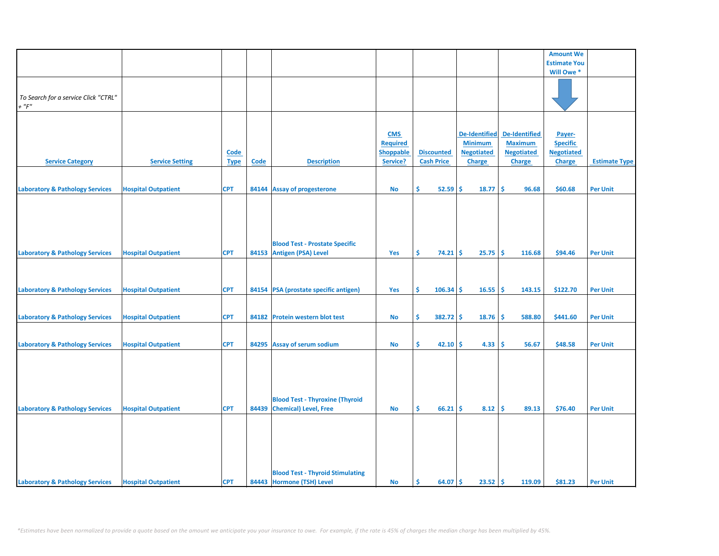|                                            |                            |             |       |                                         |                               |                   |                                        |                      | <b>Amount We</b>                     |                      |
|--------------------------------------------|----------------------------|-------------|-------|-----------------------------------------|-------------------------------|-------------------|----------------------------------------|----------------------|--------------------------------------|----------------------|
|                                            |                            |             |       |                                         |                               |                   |                                        |                      | <b>Estimate You</b>                  |                      |
|                                            |                            |             |       |                                         |                               |                   |                                        |                      | Will Owe*                            |                      |
|                                            |                            |             |       |                                         |                               |                   |                                        |                      |                                      |                      |
|                                            |                            |             |       |                                         |                               |                   |                                        |                      |                                      |                      |
| To Search for a service Click "CTRL"       |                            |             |       |                                         |                               |                   |                                        |                      |                                      |                      |
| $+$ " $F$ "                                |                            |             |       |                                         |                               |                   |                                        |                      |                                      |                      |
|                                            |                            |             |       |                                         |                               |                   |                                        |                      |                                      |                      |
|                                            |                            |             |       |                                         |                               |                   |                                        | <b>De-Identified</b> |                                      |                      |
|                                            |                            |             |       |                                         | <b>CMS</b><br><b>Required</b> |                   | <b>De-Identified</b><br><b>Minimum</b> | <b>Maximum</b>       | Payer-                               |                      |
|                                            |                            |             |       |                                         | <b>Shoppable</b>              | <b>Discounted</b> | <b>Negotiated</b>                      | <b>Negotiated</b>    | <b>Specific</b><br><b>Negotiated</b> |                      |
| <b>Service Category</b>                    | <b>Service Setting</b>     | <b>Code</b> | Code  | <b>Description</b>                      | Service?                      | <b>Cash Price</b> |                                        |                      | <b>Charge</b>                        | <b>Estimate Type</b> |
|                                            |                            | <b>Type</b> |       |                                         |                               |                   | <b>Charge</b>                          | <b>Charge</b>        |                                      |                      |
|                                            |                            |             |       |                                         |                               |                   |                                        |                      |                                      |                      |
| <b>Laboratory &amp; Pathology Services</b> | <b>Hospital Outpatient</b> | <b>CPT</b>  |       | 84144 Assay of progesterone             | No                            | \$<br>$52.59$ \$  | 18.77                                  | \$<br>96.68          | \$60.68                              | <b>Per Unit</b>      |
|                                            |                            |             |       |                                         |                               |                   |                                        |                      |                                      |                      |
|                                            |                            |             |       |                                         |                               |                   |                                        |                      |                                      |                      |
|                                            |                            |             |       |                                         |                               |                   |                                        |                      |                                      |                      |
|                                            |                            |             |       |                                         |                               |                   |                                        |                      |                                      |                      |
|                                            |                            |             |       |                                         |                               |                   |                                        |                      |                                      |                      |
|                                            |                            |             |       | <b>Blood Test - Prostate Specific</b>   |                               |                   |                                        |                      |                                      |                      |
| <b>Laboratory &amp; Pathology Services</b> | <b>Hospital Outpatient</b> | <b>CPT</b>  |       | 84153 Antigen (PSA) Level               | Yes                           | \$.<br>$74.21$ \$ | 25.75                                  | -\$<br>116.68        | \$94.46                              | <b>Per Unit</b>      |
|                                            |                            |             |       |                                         |                               |                   |                                        |                      |                                      |                      |
|                                            |                            |             |       |                                         |                               |                   |                                        |                      |                                      |                      |
|                                            |                            |             |       |                                         |                               |                   |                                        |                      |                                      |                      |
| <b>Laboratory &amp; Pathology Services</b> | <b>Hospital Outpatient</b> | <b>CPT</b>  |       | 84154 PSA (prostate specific antigen)   | Yes                           | \$<br>$106.34$ \$ | 16.55                                  | ١\$<br>143.15        | \$122.70                             | <b>Per Unit</b>      |
|                                            |                            |             |       |                                         |                               |                   |                                        |                      |                                      |                      |
|                                            |                            |             |       |                                         |                               |                   |                                        |                      |                                      |                      |
| <b>Laboratory &amp; Pathology Services</b> | <b>Hospital Outpatient</b> | <b>CPT</b>  | 84182 | <b>Protein western blot test</b>        | No                            | \$<br>$382.72$ \$ | 18.76                                  | -\$<br>588.80        | \$441.60                             | <b>Per Unit</b>      |
|                                            |                            |             |       |                                         |                               |                   |                                        |                      |                                      |                      |
|                                            | <b>Hospital Outpatient</b> | <b>CPT</b>  |       | 84295 Assay of serum sodium             | <b>No</b>                     | \$<br>$42.10$ \$  | 4.33                                   | -\$<br>56.67         | \$48.58                              | <b>Per Unit</b>      |
| <b>Laboratory &amp; Pathology Services</b> |                            |             |       |                                         |                               |                   |                                        |                      |                                      |                      |
|                                            |                            |             |       |                                         |                               |                   |                                        |                      |                                      |                      |
|                                            |                            |             |       |                                         |                               |                   |                                        |                      |                                      |                      |
|                                            |                            |             |       |                                         |                               |                   |                                        |                      |                                      |                      |
|                                            |                            |             |       |                                         |                               |                   |                                        |                      |                                      |                      |
|                                            |                            |             |       | <b>Blood Test - Thyroxine (Thyroid</b>  |                               |                   |                                        |                      |                                      |                      |
| <b>Laboratory &amp; Pathology Services</b> | <b>Hospital Outpatient</b> | <b>CPT</b>  |       | 84439 Chemical) Level, Free             | <b>No</b>                     | \$.<br>66.21      | 8.12<br>Ŝ                              | -\$<br>89.13         | \$76.40                              | <b>Per Unit</b>      |
|                                            |                            |             |       |                                         |                               |                   |                                        |                      |                                      |                      |
|                                            |                            |             |       |                                         |                               |                   |                                        |                      |                                      |                      |
|                                            |                            |             |       |                                         |                               |                   |                                        |                      |                                      |                      |
|                                            |                            |             |       |                                         |                               |                   |                                        |                      |                                      |                      |
|                                            |                            |             |       |                                         |                               |                   |                                        |                      |                                      |                      |
|                                            |                            |             |       |                                         |                               |                   |                                        |                      |                                      |                      |
|                                            |                            |             |       | <b>Blood Test - Thyroid Stimulating</b> |                               |                   |                                        |                      |                                      |                      |
| <b>Laboratory &amp; Pathology Services</b> | <b>Hospital Outpatient</b> | <b>CPT</b>  |       | 84443 Hormone (TSH) Level               | <b>No</b>                     | 64.07 \$<br>\$    | $23.52 \, \text{S}$                    | 119.09               | \$81.23                              | <b>Per Unit</b>      |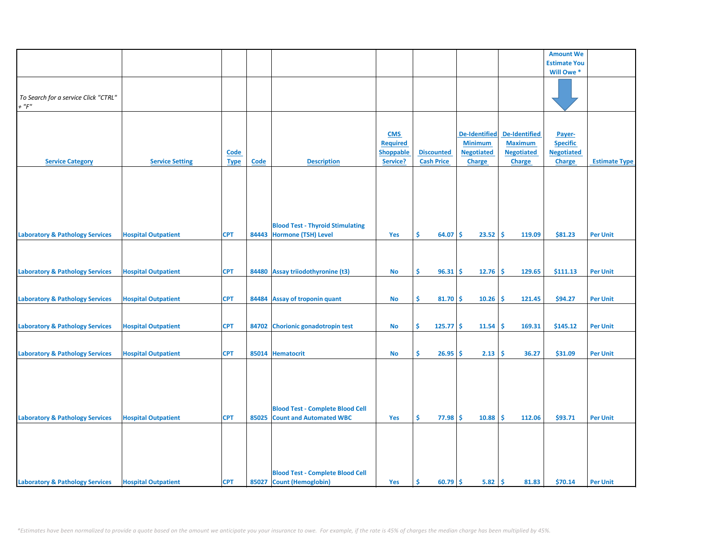|                                                     |                            |             |             |                                         |                  |                   |                      |                      | <b>Amount We</b>          |                      |
|-----------------------------------------------------|----------------------------|-------------|-------------|-----------------------------------------|------------------|-------------------|----------------------|----------------------|---------------------------|----------------------|
|                                                     |                            |             |             |                                         |                  |                   |                      |                      | <b>Estimate You</b>       |                      |
|                                                     |                            |             |             |                                         |                  |                   |                      |                      | Will Owe*                 |                      |
|                                                     |                            |             |             |                                         |                  |                   |                      |                      |                           |                      |
|                                                     |                            |             |             |                                         |                  |                   |                      |                      |                           |                      |
| To Search for a service Click "CTRL"<br>$+$ " $F$ " |                            |             |             |                                         |                  |                   |                      |                      |                           |                      |
|                                                     |                            |             |             |                                         |                  |                   |                      |                      |                           |                      |
|                                                     |                            |             |             |                                         |                  |                   |                      |                      |                           |                      |
|                                                     |                            |             |             |                                         | <b>CMS</b>       |                   | <b>De-Identified</b> | <b>De-Identified</b> |                           |                      |
|                                                     |                            |             |             |                                         | <b>Required</b>  |                   | <b>Minimum</b>       | <b>Maximum</b>       | Payer-<br><b>Specific</b> |                      |
|                                                     |                            | <b>Code</b> |             |                                         | <b>Shoppable</b> | <b>Discounted</b> | <b>Negotiated</b>    | <b>Negotiated</b>    | <b>Negotiated</b>         |                      |
| <b>Service Category</b>                             | <b>Service Setting</b>     | <b>Type</b> | <b>Code</b> | <b>Description</b>                      | Service?         | <b>Cash Price</b> | Charge               | <b>Charge</b>        | <b>Charge</b>             | <b>Estimate Type</b> |
|                                                     |                            |             |             |                                         |                  |                   |                      |                      |                           |                      |
|                                                     |                            |             |             |                                         |                  |                   |                      |                      |                           |                      |
|                                                     |                            |             |             |                                         |                  |                   |                      |                      |                           |                      |
|                                                     |                            |             |             |                                         |                  |                   |                      |                      |                           |                      |
|                                                     |                            |             |             |                                         |                  |                   |                      |                      |                           |                      |
|                                                     |                            |             |             |                                         |                  |                   |                      |                      |                           |                      |
|                                                     |                            |             |             | <b>Blood Test - Thyroid Stimulating</b> |                  |                   |                      |                      |                           |                      |
| <b>Laboratory &amp; Pathology Services</b>          | <b>Hospital Outpatient</b> | <b>CPT</b>  |             | 84443 Hormone (TSH) Level               | Yes              | Ś.<br>64.07       | 23.52<br><b>S</b>    | ١\$<br>119.09        | \$81.23                   | <b>Per Unit</b>      |
|                                                     |                            |             |             |                                         |                  |                   |                      |                      |                           |                      |
|                                                     |                            |             |             |                                         |                  |                   |                      |                      |                           |                      |
|                                                     |                            |             |             |                                         |                  |                   |                      |                      |                           |                      |
| <b>Laboratory &amp; Pathology Services</b>          | <b>Hospital Outpatient</b> | <b>CPT</b>  |             | 84480 Assay triiodothyronine (t3)       | No               | \$.<br>96.31      | 12.76<br><b>S</b>    | -\$<br>129.65        | \$111.13                  | <b>Per Unit</b>      |
|                                                     |                            |             |             |                                         |                  |                   |                      |                      |                           |                      |
|                                                     |                            |             |             |                                         |                  |                   |                      |                      |                           |                      |
| <b>Laboratory &amp; Pathology Services</b>          | <b>Hospital Outpatient</b> | <b>CPT</b>  |             | 84484 Assay of troponin quant           | <b>No</b>        | \$<br>$81.70$ \$  | 10.26                | ۱\$<br>121.45        | \$94.27                   | <b>Per Unit</b>      |
|                                                     |                            |             |             |                                         |                  |                   |                      |                      |                           |                      |
|                                                     |                            |             |             |                                         |                  |                   |                      |                      |                           |                      |
| <b>Laboratory &amp; Pathology Services</b>          | <b>Hospital Outpatient</b> | <b>CPT</b>  |             | 84702 Chorionic gonadotropin test       | No               | \$<br>$125.77$ \$ | 11.54                | -\$<br>169.31        | \$145.12                  | <b>Per Unit</b>      |
|                                                     |                            |             |             |                                         |                  |                   |                      |                      |                           |                      |
|                                                     |                            |             |             |                                         |                  |                   |                      |                      |                           |                      |
| <b>Laboratory &amp; Pathology Services</b>          | <b>Hospital Outpatient</b> | <b>CPT</b>  |             | 85014 Hematocrit                        | No               | \$<br>26.95       | 2.13<br><b>S</b>     | \$<br>36.27          | \$31.09                   | <b>Per Unit</b>      |
|                                                     |                            |             |             |                                         |                  |                   |                      |                      |                           |                      |
|                                                     |                            |             |             |                                         |                  |                   |                      |                      |                           |                      |
|                                                     |                            |             |             |                                         |                  |                   |                      |                      |                           |                      |
|                                                     |                            |             |             |                                         |                  |                   |                      |                      |                           |                      |
|                                                     |                            |             |             |                                         |                  |                   |                      |                      |                           |                      |
|                                                     |                            |             |             | <b>Blood Test - Complete Blood Cell</b> |                  |                   |                      |                      |                           |                      |
| <b>Laboratory &amp; Pathology Services</b>          | <b>Hospital Outpatient</b> | <b>CPT</b>  | 85025       | <b>Count and Automated WBC</b>          | Yes              | \$.<br>77.98      | -Ś<br>10.88          | -\$<br>112.06        | \$93.71                   | <b>Per Unit</b>      |
|                                                     |                            |             |             |                                         |                  |                   |                      |                      |                           |                      |
|                                                     |                            |             |             |                                         |                  |                   |                      |                      |                           |                      |
|                                                     |                            |             |             |                                         |                  |                   |                      |                      |                           |                      |
|                                                     |                            |             |             |                                         |                  |                   |                      |                      |                           |                      |
|                                                     |                            |             |             |                                         |                  |                   |                      |                      |                           |                      |
|                                                     |                            |             |             | <b>Blood Test - Complete Blood Cell</b> |                  |                   |                      |                      |                           |                      |
| <b>Laboratory &amp; Pathology Services</b>          | <b>Hospital Outpatient</b> | <b>CPT</b>  |             | 85027 Count (Hemoglobin)                | Yes              | \$<br>$60.79$ \$  | $5.82 \, \text{S}$   | 81.83                | \$70.14                   | <b>Per Unit</b>      |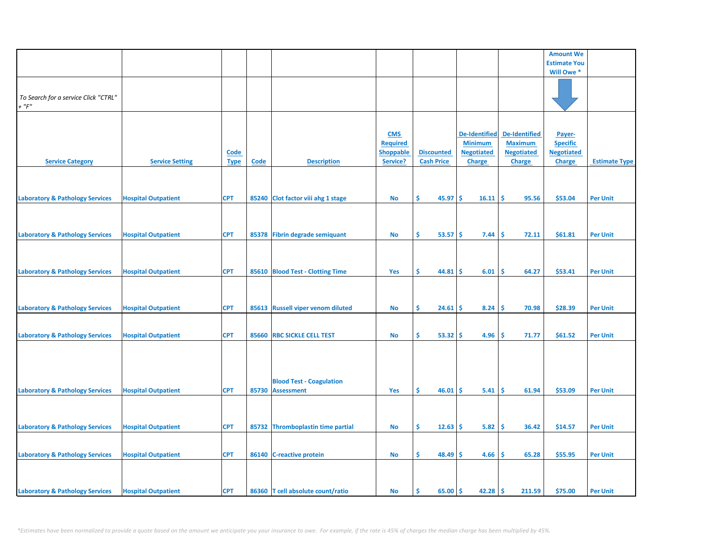|                                                     |                            |                            |       |                                                      |                                                               |                                        |                                                                              |                                                                              | <b>Amount We</b>                                                |                      |
|-----------------------------------------------------|----------------------------|----------------------------|-------|------------------------------------------------------|---------------------------------------------------------------|----------------------------------------|------------------------------------------------------------------------------|------------------------------------------------------------------------------|-----------------------------------------------------------------|----------------------|
|                                                     |                            |                            |       |                                                      |                                                               |                                        |                                                                              |                                                                              | <b>Estimate You</b>                                             |                      |
|                                                     |                            |                            |       |                                                      |                                                               |                                        |                                                                              |                                                                              | Will Owe *                                                      |                      |
| To Search for a service Click "CTRL"<br>$+$ " $F$ " |                            |                            |       |                                                      |                                                               |                                        |                                                                              |                                                                              |                                                                 |                      |
| <b>Service Category</b>                             | <b>Service Setting</b>     | <b>Code</b><br><b>Type</b> | Code  | <b>Description</b>                                   | <b>CMS</b><br><b>Required</b><br><b>Shoppable</b><br>Service? | <b>Discounted</b><br><b>Cash Price</b> | <b>De-Identified</b><br><b>Minimum</b><br><b>Negotiated</b><br><b>Charge</b> | <b>De-Identified</b><br><b>Maximum</b><br><b>Negotiated</b><br><b>Charge</b> | Payer-<br><b>Specific</b><br><b>Negotiated</b><br><b>Charge</b> | <b>Estimate Type</b> |
| <b>Laboratory &amp; Pathology Services</b>          | <b>Hospital Outpatient</b> | <b>CPT</b>                 |       | 85240 Clot factor viii ahg 1 stage                   | <b>No</b>                                                     | \$<br>45.97                            | \$<br>16.11                                                                  | \$.<br>95.56                                                                 | \$53.04                                                         | <b>Per Unit</b>      |
| <b>Laboratory &amp; Pathology Services</b>          | <b>Hospital Outpatient</b> | <b>CPT</b>                 |       | 85378 Fibrin degrade semiquant                       | <b>No</b>                                                     | Ŝ.<br>53.57                            | -\$<br>7.44                                                                  | \$.<br>72.11                                                                 | \$61.81                                                         | <b>Per Unit</b>      |
| <b>Laboratory &amp; Pathology Services</b>          | <b>Hospital Outpatient</b> | <b>CPT</b>                 |       | 85610 Blood Test - Clotting Time                     | <b>Yes</b>                                                    | \$.<br>44.81                           | 6.01<br>\$                                                                   | \$<br>64.27                                                                  | \$53.41                                                         | <b>Per Unit</b>      |
| <b>Laboratory &amp; Pathology Services</b>          | <b>Hospital Outpatient</b> | <b>CPT</b>                 |       | 85613 Russell viper venom diluted                    | <b>No</b>                                                     | \$<br>24.61                            | \$<br>8.24                                                                   | -\$<br>70.98                                                                 | \$28.39                                                         | <b>Per Unit</b>      |
| <b>Laboratory &amp; Pathology Services</b>          | <b>Hospital Outpatient</b> | <b>CPT</b>                 |       | 85660 RBC SICKLE CELL TEST                           | No                                                            | \$.<br>53.32                           | 4.96<br>\$.                                                                  | -\$<br>71.77                                                                 | \$61.52                                                         | <b>Per Unit</b>      |
| <b>Laboratory &amp; Pathology Services</b>          | <b>Hospital Outpatient</b> | <b>CPT</b>                 | 85730 | <b>Blood Test - Coagulation</b><br><b>Assessment</b> | Yes                                                           | Ŝ.<br>46.01                            | \$.<br>5.41                                                                  | -\$<br>61.94                                                                 | \$53.09                                                         | <b>Per Unit</b>      |
|                                                     |                            |                            |       |                                                      |                                                               |                                        |                                                                              |                                                                              |                                                                 |                      |
| <b>Laboratory &amp; Pathology Services</b>          | <b>Hospital Outpatient</b> | <b>CPT</b>                 |       | 85732 Thromboplastin time partial                    | No                                                            | Ŝ.<br>12.63                            | 5.82<br>\$.                                                                  | \$<br>36.42                                                                  | \$14.57                                                         | <b>Per Unit</b>      |
| <b>Laboratory &amp; Pathology Services</b>          | <b>Hospital Outpatient</b> | <b>CPT</b>                 |       | 86140 C-reactive protein                             | <b>No</b>                                                     | \$<br>48.49                            | Ś<br>4.66                                                                    | \$<br>65.28                                                                  | \$55.95                                                         | <b>Per Unit</b>      |
| <b>Laboratory &amp; Pathology Services</b>          | <b>Hospital Outpatient</b> | <b>CPT</b>                 |       | 86360 T cell absolute count/ratio                    | <b>No</b>                                                     | \$<br>65.00                            | \$<br>42.28                                                                  | -\$<br>211.59                                                                | \$75.00                                                         | <b>Per Unit</b>      |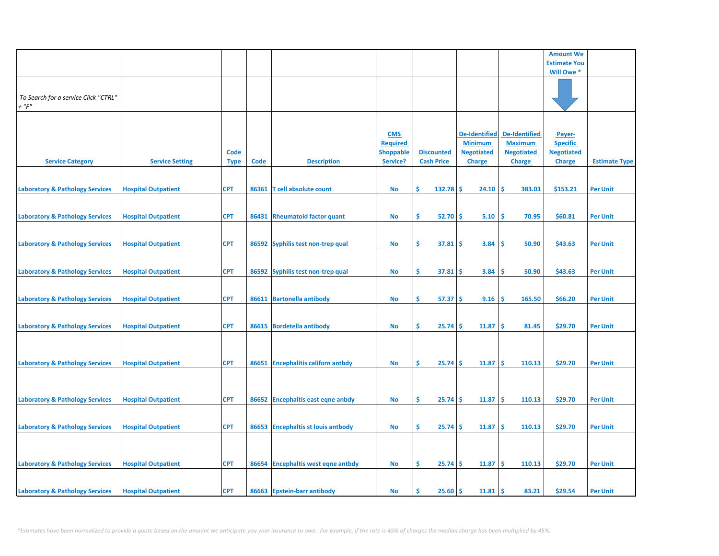|                                                     |                            |                            |       |                                     |                                                               |                                        |                                                                              |                                                                              | <b>Amount We</b>                                                |                      |
|-----------------------------------------------------|----------------------------|----------------------------|-------|-------------------------------------|---------------------------------------------------------------|----------------------------------------|------------------------------------------------------------------------------|------------------------------------------------------------------------------|-----------------------------------------------------------------|----------------------|
|                                                     |                            |                            |       |                                     |                                                               |                                        |                                                                              |                                                                              | <b>Estimate You</b>                                             |                      |
|                                                     |                            |                            |       |                                     |                                                               |                                        |                                                                              |                                                                              | Will Owe *                                                      |                      |
| To Search for a service Click "CTRL"<br>$+$ " $F$ " |                            |                            |       |                                     |                                                               |                                        |                                                                              |                                                                              |                                                                 |                      |
| <b>Service Category</b>                             | <b>Service Setting</b>     | <u>Code</u><br><b>Type</b> | Code  | <b>Description</b>                  | <b>CMS</b><br><b>Required</b><br><b>Shoppable</b><br>Service? | <b>Discounted</b><br><b>Cash Price</b> | <b>De-Identified</b><br><b>Minimum</b><br><b>Negotiated</b><br><b>Charge</b> | <b>De-Identified</b><br><b>Maximum</b><br><b>Negotiated</b><br><b>Charge</b> | Payer-<br><b>Specific</b><br><b>Negotiated</b><br><b>Charge</b> | <b>Estimate Type</b> |
| <b>Laboratory &amp; Pathology Services</b>          | <b>Hospital Outpatient</b> | <b>CPT</b>                 | 86361 | T cell absolute count               | No                                                            | Ŝ.<br>132.78                           | \$.<br>24.10                                                                 | \$.<br>383.03                                                                | \$153.21                                                        | <b>Per Unit</b>      |
| <b>Laboratory &amp; Pathology Services</b>          | <b>Hospital Outpatient</b> | <b>CPT</b>                 | 86431 | <b>Rheumatoid factor quant</b>      | <b>No</b>                                                     | \$<br>52.70                            | \$<br>5.10                                                                   | \$<br>70.95                                                                  | \$60.81                                                         | <b>Per Unit</b>      |
| <b>Laboratory &amp; Pathology Services</b>          | <b>Hospital Outpatient</b> | <b>CPT</b>                 |       | 86592 Syphilis test non-trep qual   | No                                                            | \$<br>37.81                            | 3.84<br>s                                                                    | 50.90<br><b>S</b>                                                            | \$43.63                                                         | <b>Per Unit</b>      |
| <b>Laboratory &amp; Pathology Services</b>          | <b>Hospital Outpatient</b> | <b>CPT</b>                 |       | 86592 Syphilis test non-trep qual   | No                                                            | \$<br>37.81                            | 3.84<br>\$                                                                   | Ś<br>50.90                                                                   | \$43.63                                                         | <b>Per Unit</b>      |
| <b>Laboratory &amp; Pathology Services</b>          | <b>Hospital Outpatient</b> | <b>CPT</b>                 |       | 86611 Bartonella antibody           | No                                                            | \$<br>57.37                            | \$.<br>9.16                                                                  | \$<br>165.50                                                                 | \$66.20                                                         | <b>Per Unit</b>      |
| <b>Laboratory &amp; Pathology Services</b>          | <b>Hospital Outpatient</b> | <b>CPT</b>                 |       | 86615 Bordetella antibody           | No                                                            | \$<br>25.74                            | Ś<br>11.87                                                                   | \$<br>81.45                                                                  | \$29.70                                                         | <b>Per Unit</b>      |
| <b>Laboratory &amp; Pathology Services</b>          | <b>Hospital Outpatient</b> | <b>CPT</b>                 |       | 86651 Encephalitis californ antbdy  | <b>No</b>                                                     | \$<br>25.74                            | Ś<br>11.87                                                                   | Ŝ.<br>110.13                                                                 | \$29.70                                                         | <b>Per Unit</b>      |
|                                                     |                            |                            |       |                                     |                                                               |                                        |                                                                              |                                                                              |                                                                 |                      |
| <b>Laboratory &amp; Pathology Services</b>          | <b>Hospital Outpatient</b> | <b>CPT</b>                 |       | 86652 Encephaltis east eqne anbdy   | <b>No</b>                                                     | \$<br>25.74                            | \$<br>11.87                                                                  | -\$<br>110.13                                                                | \$29.70                                                         | <b>Per Unit</b>      |
| <b>Laboratory &amp; Pathology Services</b>          | <b>Hospital Outpatient</b> | <b>CPT</b>                 | 86653 | <b>Encephaltis st louis antbody</b> | No                                                            | \$.<br>25.74                           | 11.87<br>\$.                                                                 | \$.<br>110.13                                                                | \$29.70                                                         | <b>Per Unit</b>      |
| <b>Laboratory &amp; Pathology Services</b>          | <b>Hospital Outpatient</b> | <b>CPT</b>                 |       | 86654 Encephaltis west eqne antbdy  | No                                                            | \$<br>25.74                            | \$.<br>11.87                                                                 | \$.<br>110.13                                                                | \$29.70                                                         | <b>Per Unit</b>      |
| <b>Laboratory &amp; Pathology Services</b>          | <b>Hospital Outpatient</b> | <b>CPT</b>                 |       | 86663 Epstein-barr antibody         | No                                                            | \$<br>25.60                            | 11.81<br>\$                                                                  | -\$<br>83.21                                                                 | \$29.54                                                         | <b>Per Unit</b>      |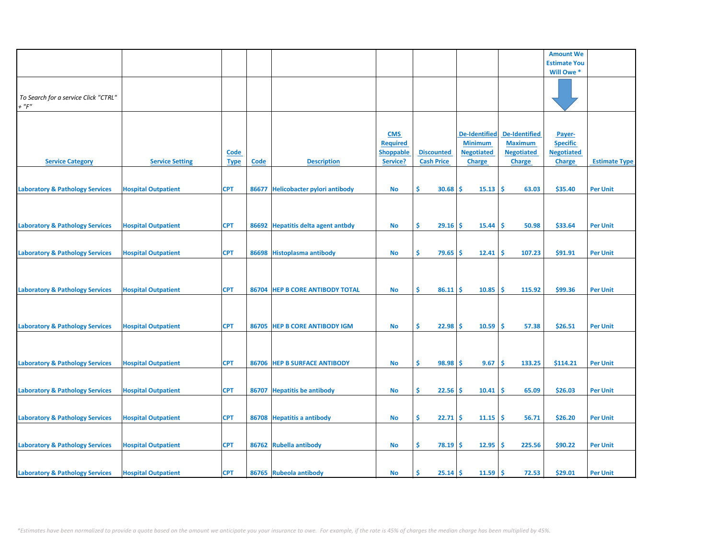|                                            |                            |             |       |                                     |                  |                   |                      |                      | <b>Amount We</b>    |                      |
|--------------------------------------------|----------------------------|-------------|-------|-------------------------------------|------------------|-------------------|----------------------|----------------------|---------------------|----------------------|
|                                            |                            |             |       |                                     |                  |                   |                      |                      | <b>Estimate You</b> |                      |
|                                            |                            |             |       |                                     |                  |                   |                      |                      | Will Owe *          |                      |
|                                            |                            |             |       |                                     |                  |                   |                      |                      |                     |                      |
|                                            |                            |             |       |                                     |                  |                   |                      |                      |                     |                      |
|                                            |                            |             |       |                                     |                  |                   |                      |                      |                     |                      |
| To Search for a service Click "CTRL"       |                            |             |       |                                     |                  |                   |                      |                      |                     |                      |
| $+$ " $F"$                                 |                            |             |       |                                     |                  |                   |                      |                      |                     |                      |
|                                            |                            |             |       |                                     |                  |                   |                      |                      |                     |                      |
|                                            |                            |             |       |                                     |                  |                   |                      |                      |                     |                      |
|                                            |                            |             |       |                                     |                  |                   |                      |                      |                     |                      |
|                                            |                            |             |       |                                     | <b>CMS</b>       |                   | <b>De-Identified</b> | <b>De-Identified</b> | Payer-              |                      |
|                                            |                            |             |       |                                     | <b>Required</b>  |                   | <b>Minimum</b>       | <b>Maximum</b>       | <b>Specific</b>     |                      |
|                                            |                            |             |       |                                     |                  |                   |                      |                      |                     |                      |
|                                            |                            | <b>Code</b> |       |                                     | <b>Shoppable</b> | <b>Discounted</b> | <b>Negotiated</b>    | <b>Negotiated</b>    | <b>Negotiated</b>   |                      |
| <b>Service Category</b>                    | <b>Service Setting</b>     | <b>Type</b> | Code  | <b>Description</b>                  | Service?         | <b>Cash Price</b> | <b>Charge</b>        | <b>Charge</b>        | <b>Charge</b>       | <b>Estimate Type</b> |
|                                            |                            |             |       |                                     |                  |                   |                      |                      |                     |                      |
|                                            |                            |             |       |                                     |                  |                   |                      |                      |                     |                      |
|                                            |                            |             |       |                                     |                  |                   |                      |                      |                     |                      |
| <b>Laboratory &amp; Pathology Services</b> | <b>Hospital Outpatient</b> | <b>CPT</b>  | 86677 | <b>Helicobacter pylori antibody</b> | No               | \$.<br>30.68      | 15.13<br><b>S</b>    | -\$<br>63.03         | \$35.40             | <b>Per Unit</b>      |
|                                            |                            |             |       |                                     |                  |                   |                      |                      |                     |                      |
|                                            |                            |             |       |                                     |                  |                   |                      |                      |                     |                      |
|                                            |                            |             |       |                                     |                  |                   |                      |                      |                     |                      |
|                                            |                            |             |       |                                     |                  |                   |                      |                      |                     |                      |
| <b>Laboratory &amp; Pathology Services</b> | <b>Hospital Outpatient</b> | <b>CPT</b>  | 86692 | <b>Hepatitis delta agent antbdy</b> | No               | \$.<br>$29.16$ \$ | 15.44                | ١\$<br>50.98         | \$33.64             | <b>Per Unit</b>      |
|                                            |                            |             |       |                                     |                  |                   |                      |                      |                     |                      |
|                                            |                            |             |       |                                     |                  |                   |                      |                      |                     |                      |
|                                            |                            |             |       |                                     |                  |                   |                      |                      |                     |                      |
| <b>Laboratory &amp; Pathology Services</b> | <b>Hospital Outpatient</b> | <b>CPT</b>  |       | 86698 Histoplasma antibody          | <b>No</b>        | \$.<br>79.65      | 12.41<br><b>S</b>    | -\$<br>107.23        | \$91.91             | <b>Per Unit</b>      |
|                                            |                            |             |       |                                     |                  |                   |                      |                      |                     |                      |
|                                            |                            |             |       |                                     |                  |                   |                      |                      |                     |                      |
|                                            |                            |             |       |                                     |                  |                   |                      |                      |                     |                      |
|                                            |                            |             |       |                                     |                  |                   |                      |                      |                     |                      |
| <b>Laboratory &amp; Pathology Services</b> | <b>Hospital Outpatient</b> | <b>CPT</b>  | 86704 | <b>HEP B CORE ANTIBODY TOTAL</b>    | No               | \$.<br>86.11      | Ŝ<br>10.85           | -\$<br>115.92        | \$99.36             | <b>Per Unit</b>      |
|                                            |                            |             |       |                                     |                  |                   |                      |                      |                     |                      |
|                                            |                            |             |       |                                     |                  |                   |                      |                      |                     |                      |
|                                            |                            |             |       |                                     |                  |                   |                      |                      |                     |                      |
|                                            |                            |             |       |                                     |                  |                   |                      |                      |                     |                      |
| <b>Laboratory &amp; Pathology Services</b> | <b>Hospital Outpatient</b> | <b>CPT</b>  |       | 86705 HEP B CORE ANTIBODY IGM       | No               | \$<br>$22.98$ \$  | 10.59                | ١\$<br>57.38         | \$26.51             | <b>Per Unit</b>      |
|                                            |                            |             |       |                                     |                  |                   |                      |                      |                     |                      |
|                                            |                            |             |       |                                     |                  |                   |                      |                      |                     |                      |
|                                            |                            |             |       |                                     |                  |                   |                      |                      |                     |                      |
|                                            |                            |             |       |                                     |                  |                   |                      |                      |                     |                      |
| <b>Laboratory &amp; Pathology Services</b> | <b>Hospital Outpatient</b> | <b>CPT</b>  |       | 86706 HEP B SURFACE ANTIBODY        | No               | \$.<br>98.98      | -\$<br>9.67          | -\$<br>133.25        | \$114.21            | <b>Per Unit</b>      |
|                                            |                            |             |       |                                     |                  |                   |                      |                      |                     |                      |
|                                            |                            |             |       |                                     |                  |                   |                      |                      |                     |                      |
|                                            |                            |             |       |                                     |                  |                   |                      |                      |                     |                      |
| <b>Laboratory &amp; Pathology Services</b> | <b>Hospital Outpatient</b> | <b>CPT</b>  | 86707 | <b>Hepatitis be antibody</b>        | No               | \$.<br>22.56      | 10.41<br><b>S</b>    | -\$<br>65.09         | \$26.03             | <b>Per Unit</b>      |
|                                            |                            |             |       |                                     |                  |                   |                      |                      |                     |                      |
|                                            |                            |             |       |                                     |                  |                   |                      |                      |                     |                      |
|                                            |                            |             |       |                                     |                  |                   |                      |                      |                     |                      |
| <b>Laboratory &amp; Pathology Services</b> | <b>Hospital Outpatient</b> | <b>CPT</b>  |       | 86708 Hepatitis a antibody          | No               | \$<br>22.71       | -Ś<br>11.15          | ١\$<br>56.71         | \$26.20             | <b>Per Unit</b>      |
|                                            |                            |             |       |                                     |                  |                   |                      |                      |                     |                      |
|                                            |                            |             |       |                                     |                  |                   |                      |                      |                     |                      |
|                                            |                            |             |       |                                     |                  |                   |                      |                      |                     |                      |
| <b>Laboratory &amp; Pathology Services</b> | <b>Hospital Outpatient</b> | <b>CPT</b>  | 86762 | <b>Rubella antibody</b>             | No               | \$.<br>$78.19$ \$ | 12.95                | -\$<br>225.56        | \$90.22             | <b>Per Unit</b>      |
|                                            |                            |             |       |                                     |                  |                   |                      |                      |                     |                      |
|                                            |                            |             |       |                                     |                  |                   |                      |                      |                     |                      |
|                                            |                            |             |       |                                     |                  |                   |                      |                      |                     |                      |
| <b>Laboratory &amp; Pathology Services</b> | <b>Hospital Outpatient</b> | <b>CPT</b>  |       | 86765 Rubeola antibody              | <b>No</b>        | Ŝ.<br>$25.14$ \$  | $11.59$ \$           | 72.53                | \$29.01             | <b>Per Unit</b>      |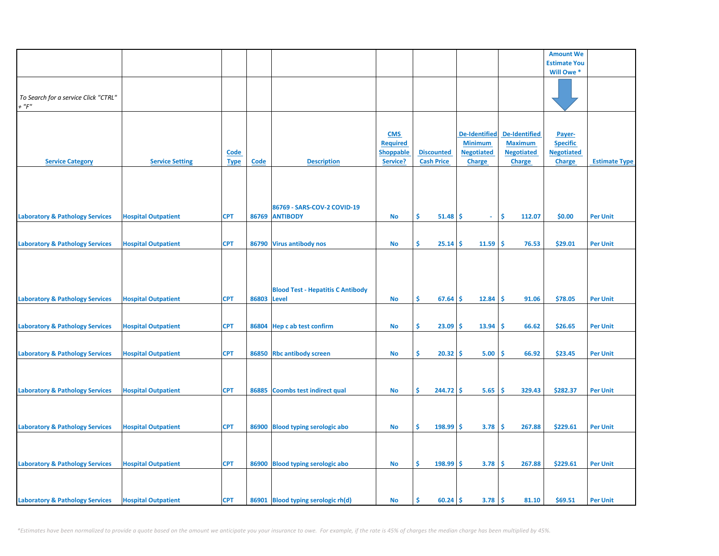|                                            |                            |             |             |                                          |                  |                   |                   |                      | <b>Amount We</b>    |                      |
|--------------------------------------------|----------------------------|-------------|-------------|------------------------------------------|------------------|-------------------|-------------------|----------------------|---------------------|----------------------|
|                                            |                            |             |             |                                          |                  |                   |                   |                      | <b>Estimate You</b> |                      |
|                                            |                            |             |             |                                          |                  |                   |                   |                      | Will Owe *          |                      |
|                                            |                            |             |             |                                          |                  |                   |                   |                      |                     |                      |
|                                            |                            |             |             |                                          |                  |                   |                   |                      |                     |                      |
| To Search for a service Click "CTRL"       |                            |             |             |                                          |                  |                   |                   |                      |                     |                      |
| $+$ " $F$ "                                |                            |             |             |                                          |                  |                   |                   |                      |                     |                      |
|                                            |                            |             |             |                                          |                  |                   |                   |                      |                     |                      |
|                                            |                            |             |             |                                          |                  |                   |                   |                      |                     |                      |
|                                            |                            |             |             |                                          | <b>CMS</b>       |                   | De-Identified     | <b>De-Identified</b> | Payer-              |                      |
|                                            |                            |             |             |                                          | <b>Required</b>  |                   | <b>Minimum</b>    | <b>Maximum</b>       | <b>Specific</b>     |                      |
|                                            |                            | <b>Code</b> |             |                                          | <b>Shoppable</b> | <b>Discounted</b> | <b>Negotiated</b> | <b>Negotiated</b>    | <b>Negotiated</b>   |                      |
| <b>Service Category</b>                    | <b>Service Setting</b>     | <b>Type</b> | <b>Code</b> | <b>Description</b>                       | Service?         | <b>Cash Price</b> | <b>Charge</b>     | Charge               | <b>Charge</b>       | <b>Estimate Type</b> |
|                                            |                            |             |             |                                          |                  |                   |                   |                      |                     |                      |
|                                            |                            |             |             |                                          |                  |                   |                   |                      |                     |                      |
|                                            |                            |             |             |                                          |                  |                   |                   |                      |                     |                      |
|                                            |                            |             |             |                                          |                  |                   |                   |                      |                     |                      |
|                                            |                            |             |             | 86769 - SARS-COV-2 COVID-19              |                  |                   |                   |                      |                     |                      |
| <b>Laboratory &amp; Pathology Services</b> | <b>Hospital Outpatient</b> | <b>CPT</b>  |             | 86769 ANTIBODY                           | <b>No</b>        | Ŝ.<br>51.48       | -\$<br>$\omega$   | Ŝ.<br>112.07         | \$0.00              | <b>Per Unit</b>      |
|                                            |                            |             |             |                                          |                  |                   |                   |                      |                     |                      |
|                                            |                            |             |             |                                          |                  |                   |                   |                      |                     |                      |
| <b>Laboratory &amp; Pathology Services</b> | <b>Hospital Outpatient</b> | <b>CPT</b>  |             | 86790 Virus antibody nos                 | No               | \$<br>25.14       | 11.59<br>\$       | \$.<br>76.53         | \$29.01             | <b>Per Unit</b>      |
|                                            |                            |             |             |                                          |                  |                   |                   |                      |                     |                      |
|                                            |                            |             |             |                                          |                  |                   |                   |                      |                     |                      |
|                                            |                            |             |             |                                          |                  |                   |                   |                      |                     |                      |
|                                            |                            |             |             |                                          |                  |                   |                   |                      |                     |                      |
|                                            |                            |             |             |                                          |                  |                   |                   |                      |                     |                      |
|                                            |                            |             |             | <b>Blood Test - Hepatitis C Antibody</b> |                  |                   |                   |                      |                     |                      |
| <b>Laboratory &amp; Pathology Services</b> | <b>Hospital Outpatient</b> | <b>CPT</b>  | 86803       | <b>Level</b>                             | No               | \$<br>67.64       | \$<br>12.84       | \$.<br>91.06         | \$78.05             | <b>Per Unit</b>      |
|                                            |                            |             |             |                                          |                  |                   |                   |                      |                     |                      |
|                                            |                            |             |             |                                          |                  |                   |                   |                      |                     |                      |
| <b>Laboratory &amp; Pathology Services</b> | <b>Hospital Outpatient</b> | <b>CPT</b>  |             | 86804 Hep c ab test confirm              | No               | \$<br>23.09       | 13.94<br>\$       | -Ś<br>66.62          | \$26.65             | <b>Per Unit</b>      |
|                                            |                            |             |             |                                          |                  |                   |                   |                      |                     |                      |
|                                            |                            |             |             |                                          |                  |                   |                   |                      |                     |                      |
| <b>Laboratory &amp; Pathology Services</b> | <b>Hospital Outpatient</b> | <b>CPT</b>  |             | 86850 Rbc antibody screen                | No               | \$<br>20.32       | 5.00<br>\$.       | \$.<br>66.92         | \$23.45             | <b>Per Unit</b>      |
|                                            |                            |             |             |                                          |                  |                   |                   |                      |                     |                      |
|                                            |                            |             |             |                                          |                  |                   |                   |                      |                     |                      |
|                                            |                            |             |             |                                          |                  |                   |                   |                      |                     |                      |
| <b>Laboratory &amp; Pathology Services</b> | <b>Hospital Outpatient</b> | <b>CPT</b>  | 86885       | <b>Coombs test indirect qual</b>         | No               | \$<br>244.72      | 5.65<br>\$        | -\$<br>329.43        | \$282.37            | <b>Per Unit</b>      |
|                                            |                            |             |             |                                          |                  |                   |                   |                      |                     |                      |
|                                            |                            |             |             |                                          |                  |                   |                   |                      |                     |                      |
|                                            |                            |             |             |                                          |                  |                   |                   |                      |                     |                      |
| <b>Laboratory &amp; Pathology Services</b> | <b>Hospital Outpatient</b> | <b>CPT</b>  |             | 86900 Blood typing serologic abo         | <b>No</b>        | \$<br>198.99      | 3.78<br>\$.       | \$<br>267.88         | \$229.61            | <b>Per Unit</b>      |
|                                            |                            |             |             |                                          |                  |                   |                   |                      |                     |                      |
|                                            |                            |             |             |                                          |                  |                   |                   |                      |                     |                      |
|                                            |                            |             |             |                                          |                  |                   |                   |                      |                     |                      |
| <b>Laboratory &amp; Pathology Services</b> | <b>Hospital Outpatient</b> | <b>CPT</b>  |             | 86900 Blood typing serologic abo         | <b>No</b>        | \$<br>198.99      | 3.78<br>\$        | \$<br>267.88         | \$229.61            | <b>Per Unit</b>      |
|                                            |                            |             |             |                                          |                  |                   |                   |                      |                     |                      |
|                                            |                            |             |             |                                          |                  |                   |                   |                      |                     |                      |
|                                            |                            |             |             |                                          |                  |                   |                   |                      |                     |                      |
| <b>Laboratory &amp; Pathology Services</b> | <b>Hospital Outpatient</b> | <b>CPT</b>  |             | 86901 Blood typing serologic rh(d)       | No               | Ŝ.<br>60.24       | \$<br>3.78        | \$<br>81.10          | \$69.51             | <b>Per Unit</b>      |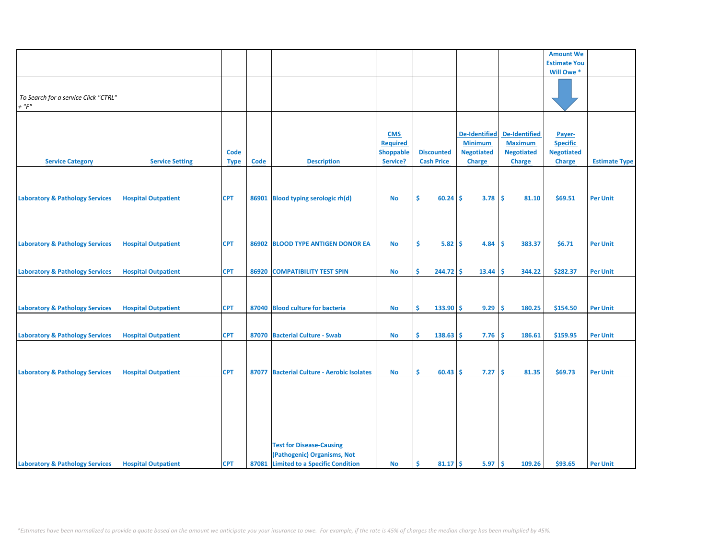|                                            |                            |             |       |                                            |                  |                   |                      |                      | <b>Amount We</b>    |                      |
|--------------------------------------------|----------------------------|-------------|-------|--------------------------------------------|------------------|-------------------|----------------------|----------------------|---------------------|----------------------|
|                                            |                            |             |       |                                            |                  |                   |                      |                      | <b>Estimate You</b> |                      |
|                                            |                            |             |       |                                            |                  |                   |                      |                      | Will Owe *          |                      |
|                                            |                            |             |       |                                            |                  |                   |                      |                      |                     |                      |
|                                            |                            |             |       |                                            |                  |                   |                      |                      |                     |                      |
| To Search for a service Click "CTRL"       |                            |             |       |                                            |                  |                   |                      |                      |                     |                      |
| $+$ " $F$ "                                |                            |             |       |                                            |                  |                   |                      |                      |                     |                      |
|                                            |                            |             |       |                                            |                  |                   |                      |                      |                     |                      |
|                                            |                            |             |       |                                            |                  |                   |                      |                      |                     |                      |
|                                            |                            |             |       |                                            |                  |                   |                      |                      |                     |                      |
|                                            |                            |             |       |                                            | <b>CMS</b>       |                   | <b>De-Identified</b> | <b>De-Identified</b> | Payer-              |                      |
|                                            |                            |             |       |                                            | <b>Required</b>  |                   | <b>Minimum</b>       | <b>Maximum</b>       | <b>Specific</b>     |                      |
|                                            |                            | Code        |       |                                            | <b>Shoppable</b> | <b>Discounted</b> | <b>Negotiated</b>    | <b>Negotiated</b>    | <b>Negotiated</b>   |                      |
|                                            |                            |             |       |                                            |                  |                   |                      |                      |                     |                      |
| <b>Service Category</b>                    | <b>Service Setting</b>     | <b>Type</b> | Code  | <b>Description</b>                         | Service?         | <b>Cash Price</b> | <b>Charge</b>        | <b>Charge</b>        | <b>Charge</b>       | <b>Estimate Type</b> |
|                                            |                            |             |       |                                            |                  |                   |                      |                      |                     |                      |
|                                            |                            |             |       |                                            |                  |                   |                      |                      |                     |                      |
|                                            |                            |             |       |                                            |                  |                   |                      |                      |                     |                      |
| <b>Laboratory &amp; Pathology Services</b> | <b>Hospital Outpatient</b> | <b>CPT</b>  | 86901 | <b>Blood typing serologic rh(d)</b>        | No               | \$.<br>$60.24$ \$ | 3.78                 | <b>S</b><br>81.10    | \$69.51             | <b>Per Unit</b>      |
|                                            |                            |             |       |                                            |                  |                   |                      |                      |                     |                      |
|                                            |                            |             |       |                                            |                  |                   |                      |                      |                     |                      |
|                                            |                            |             |       |                                            |                  |                   |                      |                      |                     |                      |
|                                            |                            |             |       |                                            |                  |                   |                      |                      |                     |                      |
|                                            |                            |             |       |                                            |                  |                   |                      |                      |                     |                      |
| <b>Laboratory &amp; Pathology Services</b> | <b>Hospital Outpatient</b> | <b>CPT</b>  | 86902 | <b>BLOOD TYPE ANTIGEN DONOR EA</b>         | No               | \$<br>5.82        | -\$<br>4.84          | -\$<br>383.37        | \$6.71              | <b>Per Unit</b>      |
|                                            |                            |             |       |                                            |                  |                   |                      |                      |                     |                      |
|                                            |                            |             |       |                                            |                  |                   |                      |                      |                     |                      |
|                                            |                            |             |       |                                            |                  |                   |                      |                      |                     |                      |
| <b>Laboratory &amp; Pathology Services</b> | <b>Hospital Outpatient</b> | <b>CPT</b>  |       | 86920 COMPATIBILITY TEST SPIN              | No               | Ŝ.<br>$244.72$ \$ | 13.44                | <b>S</b><br>344.22   | \$282.37            | <b>Per Unit</b>      |
|                                            |                            |             |       |                                            |                  |                   |                      |                      |                     |                      |
|                                            |                            |             |       |                                            |                  |                   |                      |                      |                     |                      |
|                                            |                            |             |       |                                            |                  |                   |                      |                      |                     |                      |
|                                            |                            |             |       | 87040 Blood culture for bacteria           |                  | Ŝ                 |                      |                      |                     |                      |
| <b>Laboratory &amp; Pathology Services</b> | <b>Hospital Outpatient</b> | <b>CPT</b>  |       |                                            | <b>No</b>        | $133.90$ \$       | 9.29                 | -Ś<br>180.25         | \$154.50            | <b>Per Unit</b>      |
|                                            |                            |             |       |                                            |                  |                   |                      |                      |                     |                      |
|                                            |                            |             |       |                                            |                  |                   |                      |                      |                     |                      |
| <b>Laboratory &amp; Pathology Services</b> | <b>Hospital Outpatient</b> | <b>CPT</b>  |       | 87070 Bacterial Culture - Swab             | <b>No</b>        | \$.<br>138.63     | -\$<br>7.76          | <b>S</b><br>186.61   | \$159.95            | <b>Per Unit</b>      |
|                                            |                            |             |       |                                            |                  |                   |                      |                      |                     |                      |
|                                            |                            |             |       |                                            |                  |                   |                      |                      |                     |                      |
|                                            |                            |             |       |                                            |                  |                   |                      |                      |                     |                      |
|                                            |                            |             |       |                                            |                  |                   |                      |                      |                     |                      |
| <b>Laboratory &amp; Pathology Services</b> | <b>Hospital Outpatient</b> | <b>CPT</b>  |       | 87077 Bacterial Culture - Aerobic Isolates | No               | \$<br>$60.43$ \$  | 7.27                 | \$<br>81.35          | \$69.73             | <b>Per Unit</b>      |
|                                            |                            |             |       |                                            |                  |                   |                      |                      |                     |                      |
|                                            |                            |             |       |                                            |                  |                   |                      |                      |                     |                      |
|                                            |                            |             |       |                                            |                  |                   |                      |                      |                     |                      |
|                                            |                            |             |       |                                            |                  |                   |                      |                      |                     |                      |
|                                            |                            |             |       |                                            |                  |                   |                      |                      |                     |                      |
|                                            |                            |             |       |                                            |                  |                   |                      |                      |                     |                      |
|                                            |                            |             |       |                                            |                  |                   |                      |                      |                     |                      |
|                                            |                            |             |       |                                            |                  |                   |                      |                      |                     |                      |
|                                            |                            |             |       | <b>Test for Disease-Causing</b>            |                  |                   |                      |                      |                     |                      |
|                                            |                            |             |       |                                            |                  |                   |                      |                      |                     |                      |
|                                            |                            |             |       | (Pathogenic) Organisms, Not                |                  |                   |                      |                      |                     |                      |
| <b>Laboratory &amp; Pathology Services</b> | <b>Hospital Outpatient</b> | <b>CPT</b>  |       | 87081 Limited to a Specific Condition      | <b>No</b>        | -\$<br>$81.17$ \$ | 5.97                 | -\$<br>109.26        | \$93.65             | <b>Per Unit</b>      |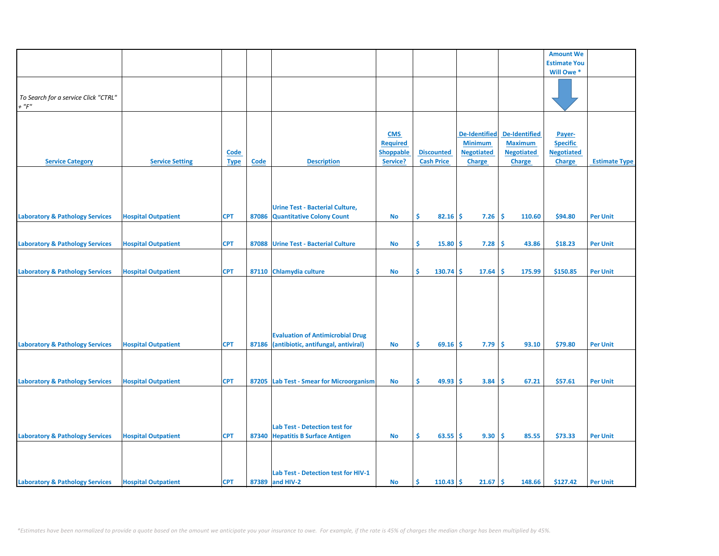|                                            |                            |             |             |                                          |                  |                   |                      |                   | <b>Amount We</b>    |                      |
|--------------------------------------------|----------------------------|-------------|-------------|------------------------------------------|------------------|-------------------|----------------------|-------------------|---------------------|----------------------|
|                                            |                            |             |             |                                          |                  |                   |                      |                   |                     |                      |
|                                            |                            |             |             |                                          |                  |                   |                      |                   | <b>Estimate You</b> |                      |
|                                            |                            |             |             |                                          |                  |                   |                      |                   | Will Owe *          |                      |
|                                            |                            |             |             |                                          |                  |                   |                      |                   |                     |                      |
|                                            |                            |             |             |                                          |                  |                   |                      |                   |                     |                      |
| To Search for a service Click "CTRL"       |                            |             |             |                                          |                  |                   |                      |                   |                     |                      |
| $+$ " $F$ "                                |                            |             |             |                                          |                  |                   |                      |                   |                     |                      |
|                                            |                            |             |             |                                          |                  |                   |                      |                   |                     |                      |
|                                            |                            |             |             |                                          |                  |                   |                      |                   |                     |                      |
|                                            |                            |             |             |                                          | <b>CMS</b>       |                   | <b>De-Identified</b> | De-Identified     | Payer-              |                      |
|                                            |                            |             |             |                                          | <b>Required</b>  |                   | <b>Minimum</b>       | <b>Maximum</b>    | <b>Specific</b>     |                      |
|                                            |                            | <b>Code</b> |             |                                          | <b>Shoppable</b> | <b>Discounted</b> | <b>Negotiated</b>    | <b>Negotiated</b> | <b>Negotiated</b>   |                      |
| <b>Service Category</b>                    | <b>Service Setting</b>     | <b>Type</b> | <b>Code</b> | <b>Description</b>                       | Service?         | <b>Cash Price</b> | <b>Charge</b>        | <b>Charge</b>     | <b>Charge</b>       | <b>Estimate Type</b> |
|                                            |                            |             |             |                                          |                  |                   |                      |                   |                     |                      |
|                                            |                            |             |             |                                          |                  |                   |                      |                   |                     |                      |
|                                            |                            |             |             |                                          |                  |                   |                      |                   |                     |                      |
|                                            |                            |             |             |                                          |                  |                   |                      |                   |                     |                      |
|                                            |                            |             |             |                                          |                  |                   |                      |                   |                     |                      |
|                                            |                            |             |             | <b>Urine Test - Bacterial Culture,</b>   |                  |                   |                      |                   |                     |                      |
| <b>Laboratory &amp; Pathology Services</b> | <b>Hospital Outpatient</b> | <b>CPT</b>  | 87086       | <b>Quantitative Colony Count</b>         | No               | \$<br>82.16       | \$<br>7.26           | \$.<br>110.60     | \$94.80             | <b>Per Unit</b>      |
|                                            |                            |             |             |                                          |                  |                   |                      |                   |                     |                      |
|                                            |                            |             |             |                                          |                  |                   |                      |                   |                     |                      |
| <b>Laboratory &amp; Pathology Services</b> | <b>Hospital Outpatient</b> | <b>CPT</b>  | 87088       | <b>Urine Test - Bacterial Culture</b>    | No               | \$<br>15.80       | \$.<br>7.28          | -\$<br>43.86      | \$18.23             | <b>Per Unit</b>      |
|                                            |                            |             |             |                                          |                  |                   |                      |                   |                     |                      |
|                                            |                            |             |             |                                          |                  |                   |                      |                   |                     |                      |
|                                            |                            |             |             |                                          |                  |                   |                      |                   |                     |                      |
| <b>Laboratory &amp; Pathology Services</b> | <b>Hospital Outpatient</b> | <b>CPT</b>  |             | 87110 Chlamydia culture                  | <b>No</b>        | \$<br>130.74      | \$<br>17.64          | \$<br>175.99      | \$150.85            | <b>Per Unit</b>      |
|                                            |                            |             |             |                                          |                  |                   |                      |                   |                     |                      |
|                                            |                            |             |             |                                          |                  |                   |                      |                   |                     |                      |
|                                            |                            |             |             |                                          |                  |                   |                      |                   |                     |                      |
|                                            |                            |             |             |                                          |                  |                   |                      |                   |                     |                      |
|                                            |                            |             |             |                                          |                  |                   |                      |                   |                     |                      |
|                                            |                            |             |             |                                          |                  |                   |                      |                   |                     |                      |
|                                            |                            |             |             |                                          |                  |                   |                      |                   |                     |                      |
|                                            |                            |             |             | <b>Evaluation of Antimicrobial Drug</b>  |                  |                   |                      |                   |                     |                      |
| <b>Laboratory &amp; Pathology Services</b> | <b>Hospital Outpatient</b> | <b>CPT</b>  | 87186       | (antibiotic, antifungal, antiviral)      | <b>No</b>        | \$<br>69.16       | 7.79<br>-S           | \$.<br>93.10      | \$79.80             | <b>Per Unit</b>      |
|                                            |                            |             |             |                                          |                  |                   |                      |                   |                     |                      |
|                                            |                            |             |             |                                          |                  |                   |                      |                   |                     |                      |
|                                            |                            |             |             |                                          |                  |                   |                      |                   |                     |                      |
| <b>Laboratory &amp; Pathology Services</b> | <b>Hospital Outpatient</b> | <b>CPT</b>  |             | 87205 Lab Test - Smear for Microorganism | No               | \$<br>49.93       | 3.84<br>-\$          | \$.<br>67.21      | \$57.61             | <b>Per Unit</b>      |
|                                            |                            |             |             |                                          |                  |                   |                      |                   |                     |                      |
|                                            |                            |             |             |                                          |                  |                   |                      |                   |                     |                      |
|                                            |                            |             |             |                                          |                  |                   |                      |                   |                     |                      |
|                                            |                            |             |             |                                          |                  |                   |                      |                   |                     |                      |
|                                            |                            |             |             |                                          |                  |                   |                      |                   |                     |                      |
|                                            |                            |             |             | <b>Lab Test - Detection test for</b>     |                  |                   |                      |                   |                     |                      |
| <b>Laboratory &amp; Pathology Services</b> | <b>Hospital Outpatient</b> | <b>CPT</b>  |             | 87340 Hepatitis B Surface Antigen        | <b>No</b>        | Ŝ.<br>63.55       | 9.30<br>Ŝ.           | Ś<br>85.55        | \$73.33             | <b>Per Unit</b>      |
|                                            |                            |             |             |                                          |                  |                   |                      |                   |                     |                      |
|                                            |                            |             |             |                                          |                  |                   |                      |                   |                     |                      |
|                                            |                            |             |             |                                          |                  |                   |                      |                   |                     |                      |
|                                            |                            |             |             | Lab Test - Detection test for HIV-1      |                  |                   |                      |                   |                     |                      |
|                                            |                            |             |             |                                          |                  |                   |                      |                   |                     |                      |
| <b>Laboratory &amp; Pathology Services</b> | <b>Hospital Outpatient</b> | <b>CPT</b>  |             | 87389 and HIV-2                          | No               | Ŝ.<br>$110.43$ \$ | 21.67                | \$<br>148.66      | \$127.42            | <b>Per Unit</b>      |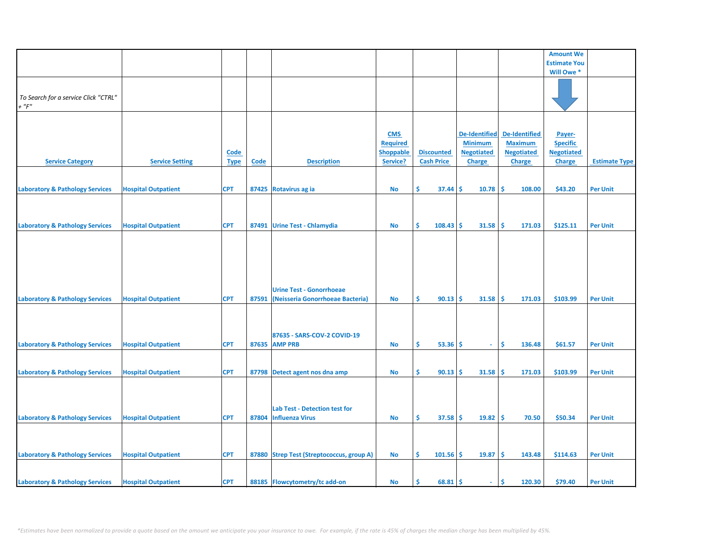|                                            |                            |             |       |                                           |                  |                   |                      |                      | <b>Amount We</b>    |                      |
|--------------------------------------------|----------------------------|-------------|-------|-------------------------------------------|------------------|-------------------|----------------------|----------------------|---------------------|----------------------|
|                                            |                            |             |       |                                           |                  |                   |                      |                      | <b>Estimate You</b> |                      |
|                                            |                            |             |       |                                           |                  |                   |                      |                      | Will Owe *          |                      |
|                                            |                            |             |       |                                           |                  |                   |                      |                      |                     |                      |
|                                            |                            |             |       |                                           |                  |                   |                      |                      |                     |                      |
| To Search for a service Click "CTRL"       |                            |             |       |                                           |                  |                   |                      |                      |                     |                      |
| $+$ " $F$ "                                |                            |             |       |                                           |                  |                   |                      |                      |                     |                      |
|                                            |                            |             |       |                                           |                  |                   |                      |                      |                     |                      |
|                                            |                            |             |       |                                           |                  |                   |                      |                      |                     |                      |
|                                            |                            |             |       |                                           | <b>CMS</b>       |                   | <b>De-Identified</b> | <b>De-Identified</b> | Payer-              |                      |
|                                            |                            |             |       |                                           | <b>Required</b>  |                   | <b>Minimum</b>       | <b>Maximum</b>       | <b>Specific</b>     |                      |
|                                            |                            | <b>Code</b> |       |                                           | <b>Shoppable</b> | <b>Discounted</b> | <b>Negotiated</b>    | <b>Negotiated</b>    | <b>Negotiated</b>   |                      |
| <b>Service Category</b>                    | <b>Service Setting</b>     | <b>Type</b> | Code  | <b>Description</b>                        | Service?         | <b>Cash Price</b> | Charge               | Charge               | <b>Charge</b>       | <b>Estimate Type</b> |
|                                            |                            |             |       |                                           |                  |                   |                      |                      |                     |                      |
|                                            |                            |             |       |                                           |                  |                   |                      |                      |                     |                      |
| <b>Laboratory &amp; Pathology Services</b> | <b>Hospital Outpatient</b> | <b>CPT</b>  |       | 87425 Rotavirus ag ia                     | <b>No</b>        | Ś.<br>37.44       | Ŝ<br>10.78           | <b>S</b><br>108.00   | \$43.20             | <b>Per Unit</b>      |
|                                            |                            |             |       |                                           |                  |                   |                      |                      |                     |                      |
|                                            |                            |             |       |                                           |                  |                   |                      |                      |                     |                      |
|                                            |                            |             |       |                                           |                  |                   |                      |                      |                     |                      |
| <b>Laboratory &amp; Pathology Services</b> | <b>Hospital Outpatient</b> | <b>CPT</b>  |       | 87491 Urine Test - Chlamydia              | <b>No</b>        | Ŝ<br>108.43       | Ŝ<br>31.58           | -\$<br>171.03        | \$125.11            | <b>Per Unit</b>      |
|                                            |                            |             |       |                                           |                  |                   |                      |                      |                     |                      |
|                                            |                            |             |       |                                           |                  |                   |                      |                      |                     |                      |
|                                            |                            |             |       |                                           |                  |                   |                      |                      |                     |                      |
|                                            |                            |             |       |                                           |                  |                   |                      |                      |                     |                      |
|                                            |                            |             |       |                                           |                  |                   |                      |                      |                     |                      |
|                                            |                            |             |       |                                           |                  |                   |                      |                      |                     |                      |
|                                            |                            |             |       | <b>Urine Test - Gonorrhoeae</b>           |                  |                   |                      |                      |                     |                      |
| <b>Laboratory &amp; Pathology Services</b> | <b>Hospital Outpatient</b> | <b>CPT</b>  | 87591 | (Neisseria Gonorrhoeae Bacteria)          | <b>No</b>        | \$<br>$90.13$ \$  | 31.58                | -\$<br>171.03        | \$103.99            | <b>Per Unit</b>      |
|                                            |                            |             |       |                                           |                  |                   |                      |                      |                     |                      |
|                                            |                            |             |       |                                           |                  |                   |                      |                      |                     |                      |
|                                            |                            |             |       |                                           |                  |                   |                      |                      |                     |                      |
|                                            |                            |             |       | 87635 - SARS-COV-2 COVID-19               |                  |                   |                      |                      |                     |                      |
| <b>Laboratory &amp; Pathology Services</b> | <b>Hospital Outpatient</b> | <b>CPT</b>  |       | 87635 AMP PRB                             | <b>No</b>        | \$<br>$53.36$ \$  | a.                   | \$<br>136.48         | \$61.57             | <b>Per Unit</b>      |
|                                            |                            |             |       |                                           |                  |                   |                      |                      |                     |                      |
|                                            |                            |             |       |                                           |                  |                   |                      |                      |                     |                      |
| <b>Laboratory &amp; Pathology Services</b> | <b>Hospital Outpatient</b> | <b>CPT</b>  |       | 87798 Detect agent nos dna amp            | <b>No</b>        | \$<br>90.13       | 31.58<br>-S          | -\$<br>171.03        | \$103.99            | <b>Per Unit</b>      |
|                                            |                            |             |       |                                           |                  |                   |                      |                      |                     |                      |
|                                            |                            |             |       |                                           |                  |                   |                      |                      |                     |                      |
|                                            |                            |             |       |                                           |                  |                   |                      |                      |                     |                      |
|                                            |                            |             |       | Lab Test - Detection test for             |                  |                   |                      |                      |                     |                      |
| <b>Laboratory &amp; Pathology Services</b> | <b>Hospital Outpatient</b> | <b>CPT</b>  |       | 87804 Influenza Virus                     | <b>No</b>        | \$<br>$37.58$ \$  | $19.82 \mid$ \$      | 70.50                | \$50.34             | <b>Per Unit</b>      |
|                                            |                            |             |       |                                           |                  |                   |                      |                      |                     |                      |
|                                            |                            |             |       |                                           |                  |                   |                      |                      |                     |                      |
|                                            |                            |             |       |                                           |                  | \$.               |                      | \$                   |                     |                      |
| <b>Laboratory &amp; Pathology Services</b> | <b>Hospital Outpatient</b> | <b>CPT</b>  |       | 87880 Strep Test (Streptococcus, group A) | No               | $101.56$ \$       | 19.87                | 143.48               | \$114.63            | <b>Per Unit</b>      |
|                                            |                            |             |       |                                           |                  |                   |                      |                      |                     |                      |
|                                            |                            |             |       |                                           |                  |                   |                      |                      |                     |                      |
| <b>Laboratory &amp; Pathology Services</b> | <b>Hospital Outpatient</b> | <b>CPT</b>  |       | 88185 Flowcytometry/tc add-on             | No               | $68.81$ \$<br>\$. | ÷.                   | \$<br>120.30         | \$79.40             | <b>Per Unit</b>      |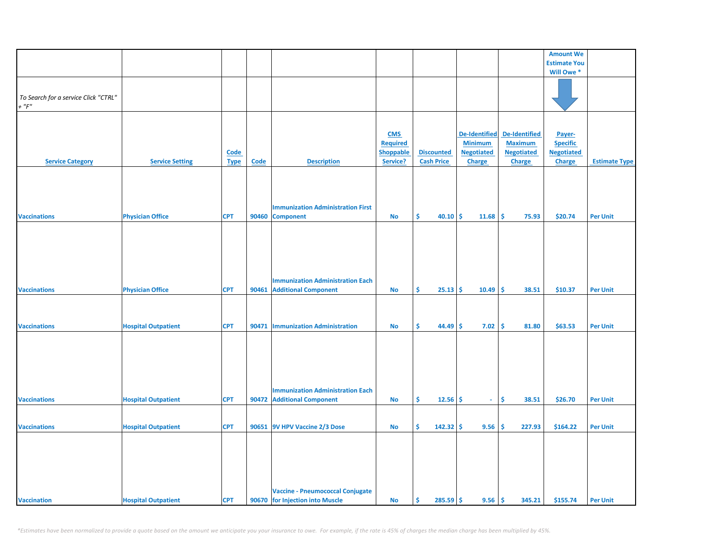|                                      |                            |             |       |                                          |                  |                   |                      |                      | <b>Amount We</b>    |                      |
|--------------------------------------|----------------------------|-------------|-------|------------------------------------------|------------------|-------------------|----------------------|----------------------|---------------------|----------------------|
|                                      |                            |             |       |                                          |                  |                   |                      |                      | <b>Estimate You</b> |                      |
|                                      |                            |             |       |                                          |                  |                   |                      |                      |                     |                      |
|                                      |                            |             |       |                                          |                  |                   |                      |                      | Will Owe *          |                      |
|                                      |                            |             |       |                                          |                  |                   |                      |                      |                     |                      |
| To Search for a service Click "CTRL" |                            |             |       |                                          |                  |                   |                      |                      |                     |                      |
| $+$ " $F$ "                          |                            |             |       |                                          |                  |                   |                      |                      |                     |                      |
|                                      |                            |             |       |                                          |                  |                   |                      |                      |                     |                      |
|                                      |                            |             |       |                                          |                  |                   |                      |                      |                     |                      |
|                                      |                            |             |       |                                          |                  |                   |                      |                      |                     |                      |
|                                      |                            |             |       |                                          | <b>CMS</b>       |                   | <b>De-Identified</b> | <b>De-Identified</b> | Payer-              |                      |
|                                      |                            |             |       |                                          | <b>Required</b>  |                   | <b>Minimum</b>       | <b>Maximum</b>       | <b>Specific</b>     |                      |
|                                      |                            | Code        |       |                                          | <b>Shoppable</b> | <b>Discounted</b> | <b>Negotiated</b>    | <b>Negotiated</b>    | <b>Negotiated</b>   |                      |
| <b>Service Category</b>              | <b>Service Setting</b>     | <b>Type</b> | Code  | <b>Description</b>                       | Service?         | <b>Cash Price</b> | <b>Charge</b>        | Charge               | <b>Charge</b>       | <b>Estimate Type</b> |
|                                      |                            |             |       |                                          |                  |                   |                      |                      |                     |                      |
|                                      |                            |             |       |                                          |                  |                   |                      |                      |                     |                      |
|                                      |                            |             |       |                                          |                  |                   |                      |                      |                     |                      |
|                                      |                            |             |       |                                          |                  |                   |                      |                      |                     |                      |
|                                      |                            |             |       | <b>Immunization Administration First</b> |                  |                   |                      |                      |                     |                      |
| <b>Vaccinations</b>                  | <b>Physician Office</b>    | <b>CPT</b>  | 90460 | <b>Component</b>                         | No               | Ŝ.<br>40.10       | -\$<br>11.68         | \$<br>75.93          | \$20.74             | <b>Per Unit</b>      |
|                                      |                            |             |       |                                          |                  |                   |                      |                      |                     |                      |
|                                      |                            |             |       |                                          |                  |                   |                      |                      |                     |                      |
|                                      |                            |             |       |                                          |                  |                   |                      |                      |                     |                      |
|                                      |                            |             |       |                                          |                  |                   |                      |                      |                     |                      |
|                                      |                            |             |       |                                          |                  |                   |                      |                      |                     |                      |
|                                      |                            |             |       |                                          |                  |                   |                      |                      |                     |                      |
|                                      |                            |             |       | <b>Immunization Administration Each</b>  |                  |                   |                      |                      |                     |                      |
|                                      |                            |             |       |                                          |                  | Ś.                |                      | Ŝ.                   |                     |                      |
| <b>Vaccinations</b>                  | <b>Physician Office</b>    | <b>CPT</b>  |       | 90461 Additional Component               | <b>No</b>        | $25.13$ \$        | 10.49                | 38.51                | \$10.37             | <b>Per Unit</b>      |
|                                      |                            |             |       |                                          |                  |                   |                      |                      |                     |                      |
|                                      |                            |             |       |                                          |                  |                   |                      |                      |                     |                      |
|                                      |                            |             |       |                                          |                  |                   |                      |                      |                     |                      |
| <b>Vaccinations</b>                  | <b>Hospital Outpatient</b> | <b>CPT</b>  |       | 90471   Immunization Administration      | No               | Ŝ.<br>44.49       | \$<br>7.02           | \$<br>81.80          | \$63.53             | <b>Per Unit</b>      |
|                                      |                            |             |       |                                          |                  |                   |                      |                      |                     |                      |
|                                      |                            |             |       |                                          |                  |                   |                      |                      |                     |                      |
|                                      |                            |             |       |                                          |                  |                   |                      |                      |                     |                      |
|                                      |                            |             |       |                                          |                  |                   |                      |                      |                     |                      |
|                                      |                            |             |       |                                          |                  |                   |                      |                      |                     |                      |
|                                      |                            |             |       |                                          |                  |                   |                      |                      |                     |                      |
|                                      |                            |             |       | <b>Immunization Administration Each</b>  |                  |                   |                      |                      |                     |                      |
| <b>Vaccinations</b>                  | <b>Hospital Outpatient</b> | <b>CPT</b>  |       | 90472 Additional Component               | No               | Ŝ<br>12.56        | <b>S</b><br>$\sim$   | Ŝ<br>38.51           | \$26.70             | <b>Per Unit</b>      |
|                                      |                            |             |       |                                          |                  |                   |                      |                      |                     |                      |
|                                      |                            |             |       |                                          |                  |                   |                      |                      |                     |                      |
| <b>Vaccinations</b>                  | <b>Hospital Outpatient</b> | <b>CPT</b>  |       | 90651 9V HPV Vaccine 2/3 Dose            | <b>No</b>        | \$<br>142.32      | \$.<br>9.56          | \$<br>227.93         | \$164.22            | <b>Per Unit</b>      |
|                                      |                            |             |       |                                          |                  |                   |                      |                      |                     |                      |
|                                      |                            |             |       |                                          |                  |                   |                      |                      |                     |                      |
|                                      |                            |             |       |                                          |                  |                   |                      |                      |                     |                      |
|                                      |                            |             |       |                                          |                  |                   |                      |                      |                     |                      |
|                                      |                            |             |       |                                          |                  |                   |                      |                      |                     |                      |
|                                      |                            |             |       |                                          |                  |                   |                      |                      |                     |                      |
|                                      |                            |             |       |                                          |                  |                   |                      |                      |                     |                      |
|                                      |                            |             |       | <b>Vaccine - Pneumococcal Conjugate</b>  |                  |                   |                      |                      |                     |                      |
| <b>Vaccination</b>                   | <b>Hospital Outpatient</b> | <b>CPT</b>  |       | 90670 for Injection into Muscle          | <b>No</b>        | \$<br>$285.59$ \$ | 9.56                 | \$<br>345.21         | \$155.74            | <b>Per Unit</b>      |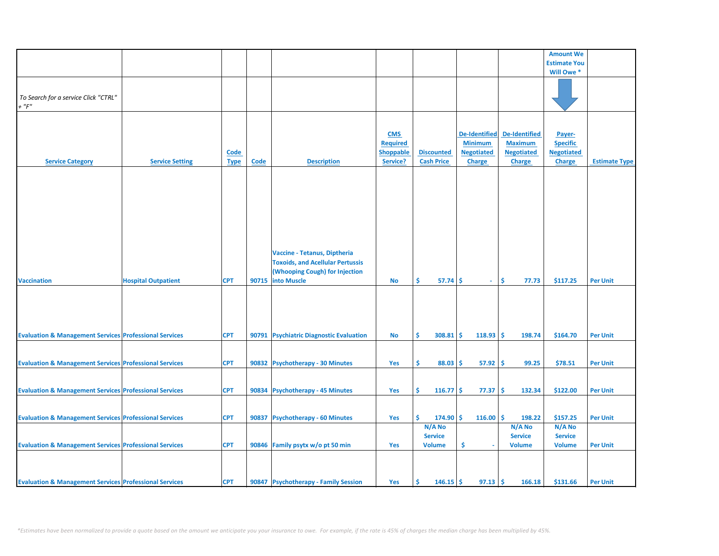|                                                                   |                            |             |       |                                         |                  |                   |                      |                      | <b>Amount We</b>    |                      |
|-------------------------------------------------------------------|----------------------------|-------------|-------|-----------------------------------------|------------------|-------------------|----------------------|----------------------|---------------------|----------------------|
|                                                                   |                            |             |       |                                         |                  |                   |                      |                      | <b>Estimate You</b> |                      |
|                                                                   |                            |             |       |                                         |                  |                   |                      |                      | Will Owe *          |                      |
|                                                                   |                            |             |       |                                         |                  |                   |                      |                      |                     |                      |
|                                                                   |                            |             |       |                                         |                  |                   |                      |                      |                     |                      |
|                                                                   |                            |             |       |                                         |                  |                   |                      |                      |                     |                      |
| To Search for a service Click "CTRL"                              |                            |             |       |                                         |                  |                   |                      |                      |                     |                      |
| $+$ " $F$ "                                                       |                            |             |       |                                         |                  |                   |                      |                      |                     |                      |
|                                                                   |                            |             |       |                                         |                  |                   |                      |                      |                     |                      |
|                                                                   |                            |             |       |                                         |                  |                   |                      |                      |                     |                      |
|                                                                   |                            |             |       |                                         | <b>CMS</b>       |                   | <b>De-Identified</b> | <b>De-Identified</b> | Payer-              |                      |
|                                                                   |                            |             |       |                                         |                  |                   |                      |                      |                     |                      |
|                                                                   |                            |             |       |                                         | <b>Required</b>  |                   | <b>Minimum</b>       | <b>Maximum</b>       | <b>Specific</b>     |                      |
|                                                                   |                            | Code        |       |                                         | <b>Shoppable</b> | <b>Discounted</b> | <b>Negotiated</b>    | <b>Negotiated</b>    | <b>Negotiated</b>   |                      |
| <b>Service Category</b>                                           | <b>Service Setting</b>     | <b>Type</b> | Code  | <b>Description</b>                      | Service?         | <b>Cash Price</b> | <b>Charge</b>        | <b>Charge</b>        | <b>Charge</b>       | <b>Estimate Type</b> |
|                                                                   |                            |             |       |                                         |                  |                   |                      |                      |                     |                      |
|                                                                   |                            |             |       |                                         |                  |                   |                      |                      |                     |                      |
|                                                                   |                            |             |       |                                         |                  |                   |                      |                      |                     |                      |
|                                                                   |                            |             |       |                                         |                  |                   |                      |                      |                     |                      |
|                                                                   |                            |             |       |                                         |                  |                   |                      |                      |                     |                      |
|                                                                   |                            |             |       |                                         |                  |                   |                      |                      |                     |                      |
|                                                                   |                            |             |       |                                         |                  |                   |                      |                      |                     |                      |
|                                                                   |                            |             |       |                                         |                  |                   |                      |                      |                     |                      |
|                                                                   |                            |             |       |                                         |                  |                   |                      |                      |                     |                      |
|                                                                   |                            |             |       |                                         |                  |                   |                      |                      |                     |                      |
|                                                                   |                            |             |       |                                         |                  |                   |                      |                      |                     |                      |
|                                                                   |                            |             |       | Vaccine - Tetanus, Diptheria            |                  |                   |                      |                      |                     |                      |
|                                                                   |                            |             |       |                                         |                  |                   |                      |                      |                     |                      |
|                                                                   |                            |             |       | <b>Toxoids, and Acellular Pertussis</b> |                  |                   |                      |                      |                     |                      |
|                                                                   |                            |             |       | (Whooping Cough) for Injection          |                  |                   |                      |                      |                     |                      |
| <b>Vaccination</b>                                                | <b>Hospital Outpatient</b> | <b>CPT</b>  | 90715 | <b>into Muscle</b>                      | No               | Ŝ.<br>57.74       | Ŝ.<br>$\sim$         | Ŝ.<br>77.73          | \$117.25            | <b>Per Unit</b>      |
|                                                                   |                            |             |       |                                         |                  |                   |                      |                      |                     |                      |
|                                                                   |                            |             |       |                                         |                  |                   |                      |                      |                     |                      |
|                                                                   |                            |             |       |                                         |                  |                   |                      |                      |                     |                      |
|                                                                   |                            |             |       |                                         |                  |                   |                      |                      |                     |                      |
|                                                                   |                            |             |       |                                         |                  |                   |                      |                      |                     |                      |
|                                                                   |                            |             |       |                                         |                  |                   |                      |                      |                     |                      |
| <b>Evaluation &amp; Management Services Professional Services</b> |                            | <b>CPT</b>  |       | 90791 Psychiatric Diagnostic Evaluation | No               | Ŝ.<br>$308.81$ \$ | 118.93               | Ŝ.<br>198.74         | \$164.70            | <b>Per Unit</b>      |
|                                                                   |                            |             |       |                                         |                  |                   |                      |                      |                     |                      |
|                                                                   |                            |             |       |                                         |                  |                   |                      |                      |                     |                      |
|                                                                   |                            |             |       |                                         |                  |                   |                      |                      |                     |                      |
| <b>Evaluation &amp; Management Services Professional Services</b> |                            | <b>CPT</b>  |       | 90832 Psychotherapy - 30 Minutes        | Yes              | Ŝ.<br>88.03       | 57.92<br>\$          | Ŝ<br>99.25           | \$78.51             | <b>Per Unit</b>      |
|                                                                   |                            |             |       |                                         |                  |                   |                      |                      |                     |                      |
|                                                                   |                            |             |       |                                         |                  |                   |                      |                      |                     |                      |
|                                                                   |                            |             |       |                                         |                  |                   |                      |                      |                     |                      |
| <b>Evaluation &amp; Management Services Professional Services</b> |                            | <b>CPT</b>  |       | 90834 Psychotherapy - 45 Minutes        | Yes              | Š.<br>$116.77$ \$ | 77.37                | \$<br>132.34         | \$122.00            | <b>Per Unit</b>      |
|                                                                   |                            |             |       |                                         |                  |                   |                      |                      |                     |                      |
|                                                                   |                            |             |       |                                         |                  |                   |                      |                      |                     |                      |
| <b>Evaluation &amp; Management Services Professional Services</b> |                            | <b>CPT</b>  | 90837 | <b>Psychotherapy - 60 Minutes</b>       | Yes              | Ś.<br>$174.90$ \$ | 116.00               | l\$<br>198.22        | \$157.25            | <b>Per Unit</b>      |
|                                                                   |                            |             |       |                                         |                  |                   |                      |                      |                     |                      |
|                                                                   |                            |             |       |                                         |                  | N/A No            |                      | N/A No               | $N/A$ No            |                      |
|                                                                   |                            |             |       |                                         |                  | <b>Service</b>    |                      | <b>Service</b>       | <b>Service</b>      |                      |
| <b>Evaluation &amp; Management Services Professional Services</b> |                            | <b>CPT</b>  |       | 90846 Family psytx w/o pt 50 min        | Yes              | <b>Volume</b>     | \$                   | <b>Volume</b>        | <b>Volume</b>       | <b>Per Unit</b>      |
|                                                                   |                            |             |       |                                         |                  |                   |                      |                      |                     |                      |
|                                                                   |                            |             |       |                                         |                  |                   |                      |                      |                     |                      |
|                                                                   |                            |             |       |                                         |                  |                   |                      |                      |                     |                      |
|                                                                   |                            |             |       |                                         |                  |                   |                      |                      |                     |                      |
| <b>Evaluation &amp; Management Services Professional Services</b> |                            | <b>CPT</b>  |       | 90847 Psychotherapy - Family Session    | Yes              | Ŝ<br>$146.15$ \$  | 97.13                | -\$<br>166.18        | \$131.66            | <b>Per Unit</b>      |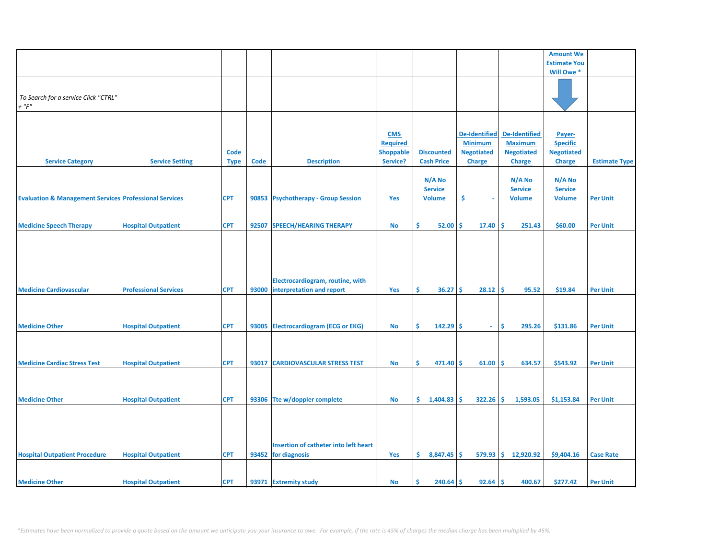|                                                                   |                              |             |             |                                       |                  |                   |                      |                       | <b>Amount We</b>    |                      |
|-------------------------------------------------------------------|------------------------------|-------------|-------------|---------------------------------------|------------------|-------------------|----------------------|-----------------------|---------------------|----------------------|
|                                                                   |                              |             |             |                                       |                  |                   |                      |                       | <b>Estimate You</b> |                      |
|                                                                   |                              |             |             |                                       |                  |                   |                      |                       | Will Owe *          |                      |
|                                                                   |                              |             |             |                                       |                  |                   |                      |                       |                     |                      |
|                                                                   |                              |             |             |                                       |                  |                   |                      |                       |                     |                      |
| To Search for a service Click "CTRL"                              |                              |             |             |                                       |                  |                   |                      |                       |                     |                      |
|                                                                   |                              |             |             |                                       |                  |                   |                      |                       |                     |                      |
| $+$ " $F$ "                                                       |                              |             |             |                                       |                  |                   |                      |                       |                     |                      |
|                                                                   |                              |             |             |                                       |                  |                   |                      |                       |                     |                      |
|                                                                   |                              |             |             |                                       |                  |                   |                      |                       |                     |                      |
|                                                                   |                              |             |             |                                       | <b>CMS</b>       |                   | <b>De-Identified</b> | <b>De-Identified</b>  | Payer-              |                      |
|                                                                   |                              |             |             |                                       | <b>Required</b>  |                   | <b>Minimum</b>       | <b>Maximum</b>        | <b>Specific</b>     |                      |
|                                                                   |                              |             |             |                                       |                  |                   |                      |                       |                     |                      |
|                                                                   |                              | <b>Code</b> |             |                                       | <b>Shoppable</b> | <b>Discounted</b> | <b>Negotiated</b>    | <b>Negotiated</b>     | <b>Negotiated</b>   |                      |
| <b>Service Category</b>                                           | <b>Service Setting</b>       | <b>Type</b> | <b>Code</b> | <b>Description</b>                    | Service?         | <b>Cash Price</b> | <b>Charge</b>        | <b>Charge</b>         | <b>Charge</b>       | <b>Estimate Type</b> |
|                                                                   |                              |             |             |                                       |                  |                   |                      |                       |                     |                      |
|                                                                   |                              |             |             |                                       |                  | N/A No            |                      | N/A No                | N/A No              |                      |
|                                                                   |                              |             |             |                                       |                  | <b>Service</b>    |                      | <b>Service</b>        | <b>Service</b>      |                      |
|                                                                   |                              |             |             |                                       |                  |                   |                      |                       |                     |                      |
| <b>Evaluation &amp; Management Services Professional Services</b> |                              | <b>CPT</b>  |             | 90853 Psychotherapy - Group Session   | Yes              | <b>Volume</b>     | \$.                  | <b>Volume</b>         | <b>Volume</b>       | <b>Per Unit</b>      |
|                                                                   |                              |             |             |                                       |                  |                   |                      |                       |                     |                      |
|                                                                   |                              |             |             |                                       |                  |                   |                      |                       |                     |                      |
| <b>Medicine Speech Therapy</b>                                    | <b>Hospital Outpatient</b>   | <b>CPT</b>  | 92507       | <b>SPEECH/HEARING THERAPY</b>         | <b>No</b>        | \$<br>52.00       | Ŝ.<br>17.40          | \$ ا<br>251.43        | \$60.00             | <b>Per Unit</b>      |
|                                                                   |                              |             |             |                                       |                  |                   |                      |                       |                     |                      |
|                                                                   |                              |             |             |                                       |                  |                   |                      |                       |                     |                      |
|                                                                   |                              |             |             |                                       |                  |                   |                      |                       |                     |                      |
|                                                                   |                              |             |             |                                       |                  |                   |                      |                       |                     |                      |
|                                                                   |                              |             |             |                                       |                  |                   |                      |                       |                     |                      |
|                                                                   |                              |             |             |                                       |                  |                   |                      |                       |                     |                      |
|                                                                   |                              |             |             |                                       |                  |                   |                      |                       |                     |                      |
|                                                                   |                              |             |             | Electrocardiogram, routine, with      |                  |                   |                      |                       |                     |                      |
| <b>Medicine Cardiovascular</b>                                    | <b>Professional Services</b> | <b>CPT</b>  | 93000       | interpretation and report             | Yes              | \$.<br>36.27      | 28.12<br>Ŝ.          | \$.<br>95.52          | \$19.84             | <b>Per Unit</b>      |
|                                                                   |                              |             |             |                                       |                  |                   |                      |                       |                     |                      |
|                                                                   |                              |             |             |                                       |                  |                   |                      |                       |                     |                      |
|                                                                   |                              |             |             |                                       |                  |                   |                      |                       |                     |                      |
| <b>Medicine Other</b>                                             |                              | <b>CPT</b>  |             |                                       | <b>No</b>        | Ś.<br>$142.29$ \$ | $\omega$             | Ŝ.<br>295.26          |                     | <b>Per Unit</b>      |
|                                                                   | <b>Hospital Outpatient</b>   |             |             | 93005 Electrocardiogram (ECG or EKG)  |                  |                   |                      |                       | \$131.86            |                      |
|                                                                   |                              |             |             |                                       |                  |                   |                      |                       |                     |                      |
|                                                                   |                              |             |             |                                       |                  |                   |                      |                       |                     |                      |
|                                                                   |                              |             |             |                                       |                  |                   |                      |                       |                     |                      |
| <b>Medicine Cardiac Stress Test</b>                               | <b>Hospital Outpatient</b>   | <b>CPT</b>  | 93017       | <b>CARDIOVASCULAR STRESS TEST</b>     | <b>No</b>        | \$.<br>471.40     | Ŝ<br>61.00           | Ŝ.<br>634.57          | \$543.92            | <b>Per Unit</b>      |
|                                                                   |                              |             |             |                                       |                  |                   |                      |                       |                     |                      |
|                                                                   |                              |             |             |                                       |                  |                   |                      |                       |                     |                      |
|                                                                   |                              |             |             |                                       |                  |                   |                      |                       |                     |                      |
|                                                                   |                              |             |             |                                       |                  |                   |                      |                       |                     |                      |
| <b>Medicine Other</b>                                             | <b>Hospital Outpatient</b>   | <b>CPT</b>  |             | 93306 Tte w/doppler complete          | <b>No</b>        | \$<br>1,404.83    | $322.26$ \$<br>Ŝ.    | 1,593.05              | \$1,153.84          | <b>Per Unit</b>      |
|                                                                   |                              |             |             |                                       |                  |                   |                      |                       |                     |                      |
|                                                                   |                              |             |             |                                       |                  |                   |                      |                       |                     |                      |
|                                                                   |                              |             |             |                                       |                  |                   |                      |                       |                     |                      |
|                                                                   |                              |             |             |                                       |                  |                   |                      |                       |                     |                      |
|                                                                   |                              |             |             |                                       |                  |                   |                      |                       |                     |                      |
|                                                                   |                              |             |             | Insertion of catheter into left heart |                  |                   |                      |                       |                     |                      |
| <b>Hospital Outpatient Procedure</b>                              | <b>Hospital Outpatient</b>   | <b>CPT</b>  |             | 93452 for diagnosis                   | Yes              | \$.<br>8,847.45   | <b>S</b>             | $579.93$ \$ 12,920.92 | \$9,404.16          | <b>Case Rate</b>     |
|                                                                   |                              |             |             |                                       |                  |                   |                      |                       |                     |                      |
|                                                                   |                              |             |             |                                       |                  |                   |                      |                       |                     |                      |
|                                                                   |                              |             |             |                                       |                  |                   |                      |                       |                     |                      |
| <b>Medicine Other</b>                                             | <b>Hospital Outpatient</b>   | <b>CPT</b>  |             | 93971 Extremity study                 | No               | Ś<br>240.64       | Ŝ.<br>92.64          | l \$<br>400.67        | \$277.42            | <b>Per Unit</b>      |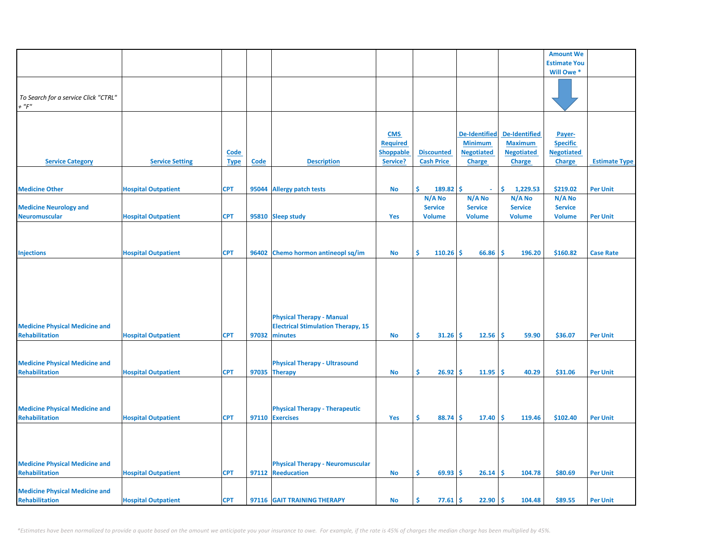|                                       |                            |             |       |                                           |                  |                   |                      |                      | <b>Amount We</b>    |                      |
|---------------------------------------|----------------------------|-------------|-------|-------------------------------------------|------------------|-------------------|----------------------|----------------------|---------------------|----------------------|
|                                       |                            |             |       |                                           |                  |                   |                      |                      | <b>Estimate You</b> |                      |
|                                       |                            |             |       |                                           |                  |                   |                      |                      | Will Owe *          |                      |
|                                       |                            |             |       |                                           |                  |                   |                      |                      |                     |                      |
|                                       |                            |             |       |                                           |                  |                   |                      |                      |                     |                      |
| To Search for a service Click "CTRL"  |                            |             |       |                                           |                  |                   |                      |                      |                     |                      |
| $+$ " $F$ "                           |                            |             |       |                                           |                  |                   |                      |                      |                     |                      |
|                                       |                            |             |       |                                           |                  |                   |                      |                      |                     |                      |
|                                       |                            |             |       |                                           |                  |                   |                      |                      |                     |                      |
|                                       |                            |             |       |                                           |                  |                   |                      |                      |                     |                      |
|                                       |                            |             |       |                                           | <b>CMS</b>       |                   | <b>De-Identified</b> | <b>De-Identified</b> | Payer-              |                      |
|                                       |                            |             |       |                                           | <b>Required</b>  |                   | <b>Minimum</b>       | <b>Maximum</b>       | <b>Specific</b>     |                      |
|                                       |                            | <u>Code</u> |       |                                           | <b>Shoppable</b> | <b>Discounted</b> | <b>Negotiated</b>    | <b>Negotiated</b>    | <b>Negotiated</b>   |                      |
| <b>Service Category</b>               | <b>Service Setting</b>     | <b>Type</b> | Code  | <b>Description</b>                        | Service?         | <b>Cash Price</b> | <b>Charge</b>        | <b>Charge</b>        | <b>Charge</b>       | <b>Estimate Type</b> |
|                                       |                            |             |       |                                           |                  |                   |                      |                      |                     |                      |
|                                       |                            |             |       |                                           |                  |                   |                      |                      |                     |                      |
|                                       |                            |             |       |                                           |                  |                   |                      |                      |                     |                      |
| <b>Medicine Other</b>                 | <b>Hospital Outpatient</b> | <b>CPT</b>  | 95044 | <b>Allergy patch tests</b>                | <b>No</b>        | Ŝ<br>189.82       | Ś<br>$\omega$        | \$<br>1,229.53       | \$219.02            | <b>Per Unit</b>      |
|                                       |                            |             |       |                                           |                  | N/A No            | N/A No               | N/A No               | N/A No              |                      |
| <b>Medicine Neurology and</b>         |                            |             |       |                                           |                  | <b>Service</b>    | <b>Service</b>       | <b>Service</b>       | <b>Service</b>      |                      |
| <b>Neuromuscular</b>                  | <b>Hospital Outpatient</b> | <b>CPT</b>  |       | 95810 Sleep study                         | Yes              | <b>Volume</b>     | <b>Volume</b>        | <b>Volume</b>        | <b>Volume</b>       | <b>Per Unit</b>      |
|                                       |                            |             |       |                                           |                  |                   |                      |                      |                     |                      |
|                                       |                            |             |       |                                           |                  |                   |                      |                      |                     |                      |
|                                       |                            |             |       |                                           |                  |                   |                      |                      |                     |                      |
|                                       |                            |             |       |                                           |                  |                   |                      |                      |                     |                      |
| <b>Injections</b>                     | <b>Hospital Outpatient</b> | <b>CPT</b>  |       | 96402 Chemo hormon antineopl sq/im        | No               | Ŝ.<br>110.26      | \$<br>66.86          | -\$<br>196.20        | \$160.82            | <b>Case Rate</b>     |
|                                       |                            |             |       |                                           |                  |                   |                      |                      |                     |                      |
|                                       |                            |             |       |                                           |                  |                   |                      |                      |                     |                      |
|                                       |                            |             |       |                                           |                  |                   |                      |                      |                     |                      |
|                                       |                            |             |       |                                           |                  |                   |                      |                      |                     |                      |
|                                       |                            |             |       |                                           |                  |                   |                      |                      |                     |                      |
|                                       |                            |             |       |                                           |                  |                   |                      |                      |                     |                      |
|                                       |                            |             |       |                                           |                  |                   |                      |                      |                     |                      |
|                                       |                            |             |       | <b>Physical Therapy - Manual</b>          |                  |                   |                      |                      |                     |                      |
| <b>Medicine Physical Medicine and</b> |                            |             |       | <b>Electrical Stimulation Therapy, 15</b> |                  |                   |                      |                      |                     |                      |
| <b>Rehabilitation</b>                 | <b>Hospital Outpatient</b> | <b>CPT</b>  | 97032 | minutes                                   | No               | Ŝ.<br>31.26       | 12.56<br>\$.         | \$.<br>59.90         | \$36.07             | <b>Per Unit</b>      |
|                                       |                            |             |       |                                           |                  |                   |                      |                      |                     |                      |
|                                       |                            |             |       |                                           |                  |                   |                      |                      |                     |                      |
|                                       |                            |             |       |                                           |                  |                   |                      |                      |                     |                      |
| <b>Medicine Physical Medicine and</b> |                            |             |       | <b>Physical Therapy - Ultrasound</b>      |                  |                   |                      |                      |                     |                      |
| <b>Rehabilitation</b>                 | <b>Hospital Outpatient</b> | <b>CPT</b>  |       | 97035 Therapy                             | No               | Ŝ.<br>26.92       | 11.95<br>\$.         | \$.<br>40.29         | \$31.06             | <b>Per Unit</b>      |
|                                       |                            |             |       |                                           |                  |                   |                      |                      |                     |                      |
|                                       |                            |             |       |                                           |                  |                   |                      |                      |                     |                      |
|                                       |                            |             |       |                                           |                  |                   |                      |                      |                     |                      |
|                                       |                            |             |       |                                           |                  |                   |                      |                      |                     |                      |
| <b>Medicine Physical Medicine and</b> |                            |             |       | <b>Physical Therapy - Therapeutic</b>     |                  |                   |                      |                      |                     |                      |
| <b>Rehabilitation</b>                 | <b>Hospital Outpatient</b> | <b>CPT</b>  |       | 97110 Exercises                           | Yes              | Ŝ.<br>88.74       | \$<br>17.40          | Ŝ.<br>119.46         | \$102.40            | <b>Per Unit</b>      |
|                                       |                            |             |       |                                           |                  |                   |                      |                      |                     |                      |
|                                       |                            |             |       |                                           |                  |                   |                      |                      |                     |                      |
|                                       |                            |             |       |                                           |                  |                   |                      |                      |                     |                      |
|                                       |                            |             |       |                                           |                  |                   |                      |                      |                     |                      |
| <b>Medicine Physical Medicine and</b> |                            |             |       | <b>Physical Therapy - Neuromuscular</b>   |                  |                   |                      |                      |                     |                      |
|                                       |                            |             |       |                                           |                  |                   |                      |                      |                     |                      |
| <b>Rehabilitation</b>                 | <b>Hospital Outpatient</b> | <b>CPT</b>  |       | 97112 Reeducation                         | No               | Ŝ.<br>69.93       | \$.<br>26.14         | Ŝ.<br>104.78         | \$80.69             | <b>Per Unit</b>      |
|                                       |                            |             |       |                                           |                  |                   |                      |                      |                     |                      |
| <b>Medicine Physical Medicine and</b> |                            |             |       |                                           |                  |                   |                      |                      |                     |                      |
| Rehabilitation                        | <b>Hospital Outpatient</b> | <b>CPT</b>  |       | 97116 GAIT TRAINING THERAPY               | <b>No</b>        | \$<br>77.61       | \$<br>22.90          | \$.<br>104.48        | \$89.55             | <b>Per Unit</b>      |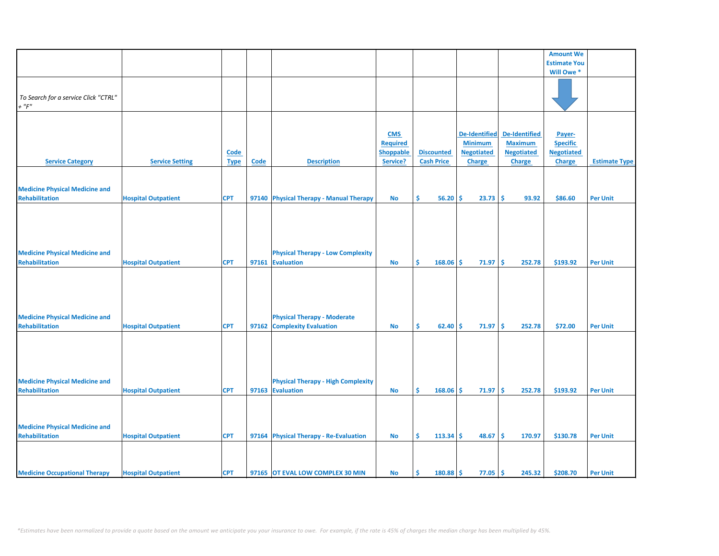|                                       |                            |             |             |                                           |                  |                   |                      |                      | <b>Amount We</b>    |                      |
|---------------------------------------|----------------------------|-------------|-------------|-------------------------------------------|------------------|-------------------|----------------------|----------------------|---------------------|----------------------|
|                                       |                            |             |             |                                           |                  |                   |                      |                      | <b>Estimate You</b> |                      |
|                                       |                            |             |             |                                           |                  |                   |                      |                      | Will Owe *          |                      |
|                                       |                            |             |             |                                           |                  |                   |                      |                      |                     |                      |
|                                       |                            |             |             |                                           |                  |                   |                      |                      |                     |                      |
| To Search for a service Click "CTRL"  |                            |             |             |                                           |                  |                   |                      |                      |                     |                      |
|                                       |                            |             |             |                                           |                  |                   |                      |                      |                     |                      |
| $+$ " $\digamma$ "                    |                            |             |             |                                           |                  |                   |                      |                      |                     |                      |
|                                       |                            |             |             |                                           |                  |                   |                      |                      |                     |                      |
|                                       |                            |             |             |                                           |                  |                   |                      |                      |                     |                      |
|                                       |                            |             |             |                                           | <b>CMS</b>       |                   | <b>De-Identified</b> | <b>De-Identified</b> | Payer-              |                      |
|                                       |                            |             |             |                                           | <b>Required</b>  |                   | <b>Minimum</b>       | <b>Maximum</b>       | <b>Specific</b>     |                      |
|                                       |                            | <b>Code</b> |             |                                           | <b>Shoppable</b> | <b>Discounted</b> | <b>Negotiated</b>    | <b>Negotiated</b>    | <b>Negotiated</b>   |                      |
|                                       |                            |             |             |                                           |                  |                   |                      |                      |                     |                      |
| <b>Service Category</b>               | <b>Service Setting</b>     | <b>Type</b> | <b>Code</b> | <b>Description</b>                        | Service?         | <b>Cash Price</b> | <b>Charge</b>        | <b>Charge</b>        | <b>Charge</b>       | <b>Estimate Type</b> |
|                                       |                            |             |             |                                           |                  |                   |                      |                      |                     |                      |
|                                       |                            |             |             |                                           |                  |                   |                      |                      |                     |                      |
| <b>Medicine Physical Medicine and</b> |                            |             |             |                                           |                  |                   |                      |                      |                     |                      |
| <b>Rehabilitation</b>                 | <b>Hospital Outpatient</b> | <b>CPT</b>  |             | 97140 Physical Therapy - Manual Therapy   | <b>No</b>        | \$<br>56.20       | Ŝ<br>23.73           | -\$<br>93.92         | \$86.60             | <b>Per Unit</b>      |
|                                       |                            |             |             |                                           |                  |                   |                      |                      |                     |                      |
|                                       |                            |             |             |                                           |                  |                   |                      |                      |                     |                      |
|                                       |                            |             |             |                                           |                  |                   |                      |                      |                     |                      |
|                                       |                            |             |             |                                           |                  |                   |                      |                      |                     |                      |
|                                       |                            |             |             |                                           |                  |                   |                      |                      |                     |                      |
|                                       |                            |             |             |                                           |                  |                   |                      |                      |                     |                      |
| <b>Medicine Physical Medicine and</b> |                            |             |             | <b>Physical Therapy - Low Complexity</b>  |                  |                   |                      |                      |                     |                      |
| <b>Rehabilitation</b>                 | <b>Hospital Outpatient</b> | <b>CPT</b>  | 97161       | <b>Evaluation</b>                         | <b>No</b>        | \$<br>168.06      | Ŝ.<br>71.97          | ∣\$<br>252.78        | \$193.92            | <b>Per Unit</b>      |
|                                       |                            |             |             |                                           |                  |                   |                      |                      |                     |                      |
|                                       |                            |             |             |                                           |                  |                   |                      |                      |                     |                      |
|                                       |                            |             |             |                                           |                  |                   |                      |                      |                     |                      |
|                                       |                            |             |             |                                           |                  |                   |                      |                      |                     |                      |
|                                       |                            |             |             |                                           |                  |                   |                      |                      |                     |                      |
|                                       |                            |             |             |                                           |                  |                   |                      |                      |                     |                      |
| <b>Medicine Physical Medicine and</b> |                            |             |             | <b>Physical Therapy - Moderate</b>        |                  |                   |                      |                      |                     |                      |
| <b>Rehabilitation</b>                 |                            | <b>CPT</b>  |             |                                           |                  | \$.<br>62.40      | <b>S</b><br>71.97    | <b>S</b><br>252.78   | \$72.00             | <b>Per Unit</b>      |
|                                       | <b>Hospital Outpatient</b> |             |             | 97162 Complexity Evaluation               | <b>No</b>        |                   |                      |                      |                     |                      |
|                                       |                            |             |             |                                           |                  |                   |                      |                      |                     |                      |
|                                       |                            |             |             |                                           |                  |                   |                      |                      |                     |                      |
|                                       |                            |             |             |                                           |                  |                   |                      |                      |                     |                      |
|                                       |                            |             |             |                                           |                  |                   |                      |                      |                     |                      |
|                                       |                            |             |             |                                           |                  |                   |                      |                      |                     |                      |
|                                       |                            |             |             |                                           |                  |                   |                      |                      |                     |                      |
| <b>Medicine Physical Medicine and</b> |                            |             |             | <b>Physical Therapy - High Complexity</b> |                  |                   |                      |                      |                     |                      |
| <b>Rehabilitation</b>                 | <b>Hospital Outpatient</b> | <b>CPT</b>  |             | 97163 Evaluation                          | <b>No</b>        | \$<br>168.06      | Ŝ.<br>71.97          | -\$<br>252.78        | \$193.92            | <b>Per Unit</b>      |
|                                       |                            |             |             |                                           |                  |                   |                      |                      |                     |                      |
|                                       |                            |             |             |                                           |                  |                   |                      |                      |                     |                      |
|                                       |                            |             |             |                                           |                  |                   |                      |                      |                     |                      |
| <b>Medicine Physical Medicine and</b> |                            |             |             |                                           |                  |                   |                      |                      |                     |                      |
| <b>Rehabilitation</b>                 |                            | <b>CPT</b>  |             |                                           |                  | \$                | Ŝ                    | <b>S</b><br>170.97   | \$130.78            |                      |
|                                       | <b>Hospital Outpatient</b> |             |             | 97164 Physical Therapy - Re-Evaluation    | <b>No</b>        | 113.34            | 48.67                |                      |                     | <b>Per Unit</b>      |
|                                       |                            |             |             |                                           |                  |                   |                      |                      |                     |                      |
|                                       |                            |             |             |                                           |                  |                   |                      |                      |                     |                      |
|                                       |                            |             |             |                                           |                  |                   |                      |                      |                     |                      |
| <b>Medicine Occupational Therapy</b>  | <b>Hospital Outpatient</b> | <b>CPT</b>  |             | 97165 OT EVAL LOW COMPLEX 30 MIN          | <b>No</b>        | $180.88$ \$<br>Ŝ. | $77.05$ \$           | 245.32               | \$208.70            | <b>Per Unit</b>      |
|                                       |                            |             |             |                                           |                  |                   |                      |                      |                     |                      |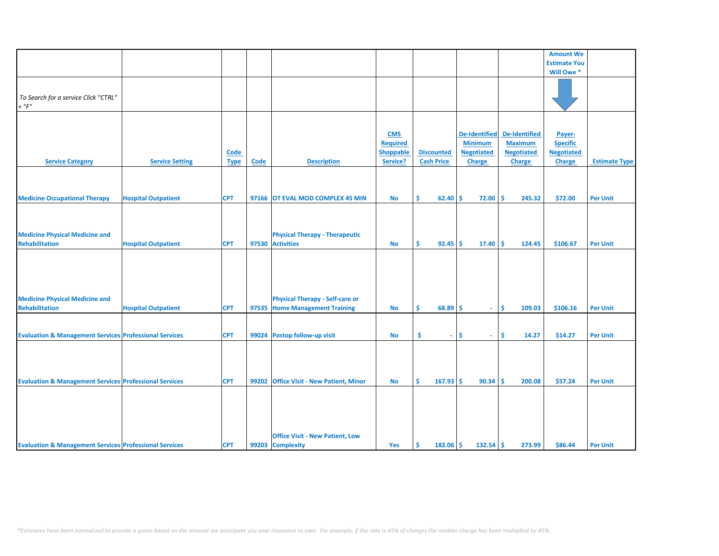|                                                                   |                            |             |       |                                          |                  |                           |                      |                      | <b>Amount We</b>    |                      |
|-------------------------------------------------------------------|----------------------------|-------------|-------|------------------------------------------|------------------|---------------------------|----------------------|----------------------|---------------------|----------------------|
|                                                                   |                            |             |       |                                          |                  |                           |                      |                      | <b>Estimate You</b> |                      |
|                                                                   |                            |             |       |                                          |                  |                           |                      |                      | Will Owe *          |                      |
|                                                                   |                            |             |       |                                          |                  |                           |                      |                      |                     |                      |
|                                                                   |                            |             |       |                                          |                  |                           |                      |                      |                     |                      |
| To Search for a service Click "CTRL"                              |                            |             |       |                                          |                  |                           |                      |                      |                     |                      |
| $+$ " $F$ "                                                       |                            |             |       |                                          |                  |                           |                      |                      |                     |                      |
|                                                                   |                            |             |       |                                          |                  |                           |                      |                      |                     |                      |
|                                                                   |                            |             |       |                                          |                  |                           |                      |                      |                     |                      |
|                                                                   |                            |             |       |                                          |                  |                           |                      |                      |                     |                      |
|                                                                   |                            |             |       |                                          | <b>CMS</b>       |                           | <b>De-Identified</b> | <b>De-Identified</b> | Payer-              |                      |
|                                                                   |                            |             |       |                                          | <b>Required</b>  |                           | <b>Minimum</b>       | <b>Maximum</b>       | <b>Specific</b>     |                      |
|                                                                   |                            | Code        |       |                                          | <b>Shoppable</b> | <b>Discounted</b>         | <b>Negotiated</b>    | <b>Negotiated</b>    | <b>Negotiated</b>   |                      |
| <b>Service Category</b>                                           | <b>Service Setting</b>     | <b>Type</b> | Code  | <b>Description</b>                       | Service?         | <b>Cash Price</b>         | <b>Charge</b>        | <b>Charge</b>        | <b>Charge</b>       | <b>Estimate Type</b> |
|                                                                   |                            |             |       |                                          |                  |                           |                      |                      |                     |                      |
|                                                                   |                            |             |       |                                          |                  |                           |                      |                      |                     |                      |
|                                                                   |                            |             |       |                                          |                  |                           |                      |                      |                     |                      |
| <b>Medicine Occupational Therapy</b>                              | <b>Hospital Outpatient</b> | <b>CPT</b>  |       | 97166 OT EVAL MOD COMPLEX 45 MIN         | <b>No</b>        | \$.<br>$62.40$ $\sqrt{5}$ | 72.00                | Ŝ.<br>245.32         | \$72.00             | <b>Per Unit</b>      |
|                                                                   |                            |             |       |                                          |                  |                           |                      |                      |                     |                      |
|                                                                   |                            |             |       |                                          |                  |                           |                      |                      |                     |                      |
|                                                                   |                            |             |       |                                          |                  |                           |                      |                      |                     |                      |
|                                                                   |                            |             |       |                                          |                  |                           |                      |                      |                     |                      |
| <b>Medicine Physical Medicine and</b>                             |                            |             |       | <b>Physical Therapy - Therapeutic</b>    |                  |                           |                      |                      |                     |                      |
| <b>Rehabilitation</b>                                             | <b>Hospital Outpatient</b> | <b>CPT</b>  |       | 97530 Activities                         | No               | \$<br>$92.45$ \$          | 17.40                | -\$<br>124.45        | \$106.67            | <b>Per Unit</b>      |
|                                                                   |                            |             |       |                                          |                  |                           |                      |                      |                     |                      |
|                                                                   |                            |             |       |                                          |                  |                           |                      |                      |                     |                      |
|                                                                   |                            |             |       |                                          |                  |                           |                      |                      |                     |                      |
|                                                                   |                            |             |       |                                          |                  |                           |                      |                      |                     |                      |
|                                                                   |                            |             |       |                                          |                  |                           |                      |                      |                     |                      |
| <b>Medicine Physical Medicine and</b>                             |                            |             |       | <b>Physical Therapy - Self-care or</b>   |                  |                           |                      |                      |                     |                      |
| <b>Rehabilitation</b>                                             |                            | <b>CPT</b>  |       |                                          |                  | \$<br>$68.89$ \$          | $\sim$               | <b>S</b><br>109.03   | \$106.16            |                      |
|                                                                   | <b>Hospital Outpatient</b> |             |       | 97535 Home Management Training           | <b>No</b>        |                           |                      |                      |                     | <b>Per Unit</b>      |
|                                                                   |                            |             |       |                                          |                  |                           |                      |                      |                     |                      |
|                                                                   |                            |             |       |                                          |                  |                           |                      |                      |                     |                      |
| <b>Evaluation &amp; Management Services Professional Services</b> |                            | <b>CPT</b>  |       | 99024 Postop follow-up visit             | <b>No</b>        | \$<br>÷.                  | Ŝ.<br>$\omega$ .     | \$<br>14.27          | \$14.27             | <b>Per Unit</b>      |
|                                                                   |                            |             |       |                                          |                  |                           |                      |                      |                     |                      |
|                                                                   |                            |             |       |                                          |                  |                           |                      |                      |                     |                      |
|                                                                   |                            |             |       |                                          |                  |                           |                      |                      |                     |                      |
|                                                                   |                            |             |       |                                          |                  |                           |                      |                      |                     |                      |
| <b>Evaluation &amp; Management Services Professional Services</b> |                            | <b>CPT</b>  | 99202 | <b>Office Visit - New Patient, Minor</b> | <b>No</b>        | Ŝ<br>167.93               | Ŝ.<br>90.34          | Ś<br>200.08          | \$57.24             | <b>Per Unit</b>      |
|                                                                   |                            |             |       |                                          |                  |                           |                      |                      |                     |                      |
|                                                                   |                            |             |       |                                          |                  |                           |                      |                      |                     |                      |
|                                                                   |                            |             |       |                                          |                  |                           |                      |                      |                     |                      |
|                                                                   |                            |             |       |                                          |                  |                           |                      |                      |                     |                      |
|                                                                   |                            |             |       |                                          |                  |                           |                      |                      |                     |                      |
|                                                                   |                            |             |       |                                          |                  |                           |                      |                      |                     |                      |
|                                                                   |                            |             |       | <b>Office Visit - New Patient, Low</b>   |                  |                           |                      |                      |                     |                      |
| <b>Evaluation &amp; Management Services Professional Services</b> |                            | <b>CPT</b>  |       | 99203 Complexity                         | Yes              | \$<br>$182.06$ \$         | 132.54               | -\$<br>273.99        | \$86.44             | <b>Per Unit</b>      |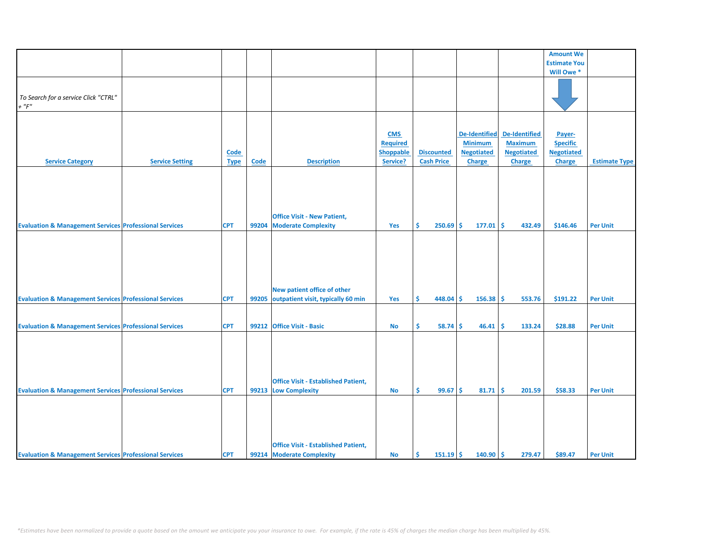|                                                                   |                        |             |             |                                            |                 |                   |                      |                      | <b>Amount We</b>    |                      |
|-------------------------------------------------------------------|------------------------|-------------|-------------|--------------------------------------------|-----------------|-------------------|----------------------|----------------------|---------------------|----------------------|
|                                                                   |                        |             |             |                                            |                 |                   |                      |                      | <b>Estimate You</b> |                      |
|                                                                   |                        |             |             |                                            |                 |                   |                      |                      |                     |                      |
|                                                                   |                        |             |             |                                            |                 |                   |                      |                      | Will Owe*           |                      |
|                                                                   |                        |             |             |                                            |                 |                   |                      |                      |                     |                      |
|                                                                   |                        |             |             |                                            |                 |                   |                      |                      |                     |                      |
| To Search for a service Click "CTRL"                              |                        |             |             |                                            |                 |                   |                      |                      |                     |                      |
| $+$ " $F$ "                                                       |                        |             |             |                                            |                 |                   |                      |                      |                     |                      |
|                                                                   |                        |             |             |                                            |                 |                   |                      |                      |                     |                      |
|                                                                   |                        |             |             |                                            |                 |                   |                      |                      |                     |                      |
|                                                                   |                        |             |             |                                            | <b>CMS</b>      |                   | <b>De-Identified</b> | <b>De-Identified</b> | Payer-              |                      |
|                                                                   |                        |             |             |                                            | <b>Required</b> |                   | <b>Minimum</b>       | <b>Maximum</b>       | <b>Specific</b>     |                      |
|                                                                   |                        |             |             |                                            | Shoppable       | <b>Discounted</b> | <b>Negotiated</b>    | <b>Negotiated</b>    | <b>Negotiated</b>   |                      |
|                                                                   |                        | <b>Code</b> |             |                                            |                 |                   |                      |                      |                     |                      |
| <b>Service Category</b>                                           | <b>Service Setting</b> | <b>Type</b> | <b>Code</b> | <b>Description</b>                         | Service?        | <b>Cash Price</b> | <b>Charge</b>        | <b>Charge</b>        | <b>Charge</b>       | <b>Estimate Type</b> |
|                                                                   |                        |             |             |                                            |                 |                   |                      |                      |                     |                      |
|                                                                   |                        |             |             |                                            |                 |                   |                      |                      |                     |                      |
|                                                                   |                        |             |             |                                            |                 |                   |                      |                      |                     |                      |
|                                                                   |                        |             |             |                                            |                 |                   |                      |                      |                     |                      |
|                                                                   |                        |             |             |                                            |                 |                   |                      |                      |                     |                      |
|                                                                   |                        |             |             |                                            |                 |                   |                      |                      |                     |                      |
|                                                                   |                        |             |             | <b>Office Visit - New Patient,</b>         |                 |                   |                      |                      |                     |                      |
| <b>Evaluation &amp; Management Services Professional Services</b> |                        | <b>CPT</b>  | 99204       | <b>Moderate Complexity</b>                 | Yes             | Ŝ<br>250.69       | Ŝ.<br>177.01         | Ŝ.<br>432.49         | \$146.46            | <b>Per Unit</b>      |
|                                                                   |                        |             |             |                                            |                 |                   |                      |                      |                     |                      |
|                                                                   |                        |             |             |                                            |                 |                   |                      |                      |                     |                      |
|                                                                   |                        |             |             |                                            |                 |                   |                      |                      |                     |                      |
|                                                                   |                        |             |             |                                            |                 |                   |                      |                      |                     |                      |
|                                                                   |                        |             |             |                                            |                 |                   |                      |                      |                     |                      |
|                                                                   |                        |             |             |                                            |                 |                   |                      |                      |                     |                      |
|                                                                   |                        |             |             |                                            |                 |                   |                      |                      |                     |                      |
|                                                                   |                        |             |             | New patient office of other                |                 |                   |                      |                      |                     |                      |
| <b>Evaluation &amp; Management Services Professional Services</b> |                        | <b>CPT</b>  | 99205       | outpatient visit, typically 60 min         | Yes             | \$<br>448.04      | $156.38$ \$<br>-\$   | 553.76               | \$191.22            | <b>Per Unit</b>      |
|                                                                   |                        |             |             |                                            |                 |                   |                      |                      |                     |                      |
|                                                                   |                        |             |             |                                            |                 |                   |                      |                      |                     |                      |
|                                                                   |                        |             |             |                                            |                 |                   |                      |                      |                     |                      |
| <b>Evaluation &amp; Management Services Professional Services</b> |                        | <b>CPT</b>  |             | 99212 Office Visit - Basic                 | <b>No</b>       | \$<br>58.74       | 46.41<br>Ŝ.          | Ŝ.<br>133.24         | \$28.88             | <b>Per Unit</b>      |
|                                                                   |                        |             |             |                                            |                 |                   |                      |                      |                     |                      |
|                                                                   |                        |             |             |                                            |                 |                   |                      |                      |                     |                      |
|                                                                   |                        |             |             |                                            |                 |                   |                      |                      |                     |                      |
|                                                                   |                        |             |             |                                            |                 |                   |                      |                      |                     |                      |
|                                                                   |                        |             |             |                                            |                 |                   |                      |                      |                     |                      |
|                                                                   |                        |             |             |                                            |                 |                   |                      |                      |                     |                      |
|                                                                   |                        |             |             | <b>Office Visit - Established Patient,</b> |                 |                   |                      |                      |                     |                      |
| <b>Evaluation &amp; Management Services Professional Services</b> |                        | <b>CPT</b>  | 99213       | <b>Low Complexity</b>                      | <b>No</b>       | Ŝ.<br>99.67       | Ŝ.<br>81.71          | Ŝ.<br>201.59         | \$58.33             | <b>Per Unit</b>      |
|                                                                   |                        |             |             |                                            |                 |                   |                      |                      |                     |                      |
|                                                                   |                        |             |             |                                            |                 |                   |                      |                      |                     |                      |
|                                                                   |                        |             |             |                                            |                 |                   |                      |                      |                     |                      |
|                                                                   |                        |             |             |                                            |                 |                   |                      |                      |                     |                      |
|                                                                   |                        |             |             |                                            |                 |                   |                      |                      |                     |                      |
|                                                                   |                        |             |             |                                            |                 |                   |                      |                      |                     |                      |
|                                                                   |                        |             |             | <b>Office Visit - Established Patient,</b> |                 |                   |                      |                      |                     |                      |
|                                                                   |                        |             |             |                                            |                 |                   |                      |                      |                     |                      |
| <b>Evaluation &amp; Management Services Professional Services</b> |                        | <b>CPT</b>  |             | 99214 Moderate Complexity                  | <b>No</b>       | $151.19$ \$<br>Ŝ. | 140.90               | l\$<br>279.47        | \$89.47             | <b>Per Unit</b>      |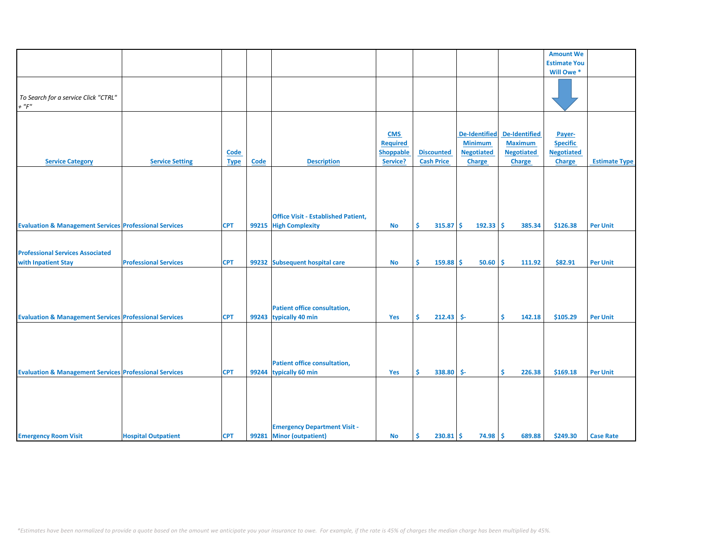|                                                                   |                              |             |       |                                            |                  |                    |                      |                      | <b>Amount We</b>    |                      |
|-------------------------------------------------------------------|------------------------------|-------------|-------|--------------------------------------------|------------------|--------------------|----------------------|----------------------|---------------------|----------------------|
|                                                                   |                              |             |       |                                            |                  |                    |                      |                      | <b>Estimate You</b> |                      |
|                                                                   |                              |             |       |                                            |                  |                    |                      |                      | Will Owe *          |                      |
|                                                                   |                              |             |       |                                            |                  |                    |                      |                      |                     |                      |
|                                                                   |                              |             |       |                                            |                  |                    |                      |                      |                     |                      |
| To Search for a service Click "CTRL"                              |                              |             |       |                                            |                  |                    |                      |                      |                     |                      |
| $+$ " $F$ "                                                       |                              |             |       |                                            |                  |                    |                      |                      |                     |                      |
|                                                                   |                              |             |       |                                            |                  |                    |                      |                      |                     |                      |
|                                                                   |                              |             |       |                                            |                  |                    |                      |                      |                     |                      |
|                                                                   |                              |             |       |                                            |                  |                    |                      |                      |                     |                      |
|                                                                   |                              |             |       |                                            | <b>CMS</b>       |                    | <b>De-Identified</b> | <b>De-Identified</b> | Payer-              |                      |
|                                                                   |                              |             |       |                                            | <b>Required</b>  |                    | <b>Minimum</b>       | <b>Maximum</b>       | <b>Specific</b>     |                      |
|                                                                   |                              | Code        |       |                                            | <b>Shoppable</b> | <b>Discounted</b>  | <b>Negotiated</b>    | <b>Negotiated</b>    | <b>Negotiated</b>   |                      |
| <b>Service Category</b>                                           | <b>Service Setting</b>       | <b>Type</b> | Code  | <b>Description</b>                         | Service?         | <b>Cash Price</b>  | <b>Charge</b>        | <b>Charge</b>        | <b>Charge</b>       | <b>Estimate Type</b> |
|                                                                   |                              |             |       |                                            |                  |                    |                      |                      |                     |                      |
|                                                                   |                              |             |       |                                            |                  |                    |                      |                      |                     |                      |
|                                                                   |                              |             |       |                                            |                  |                    |                      |                      |                     |                      |
|                                                                   |                              |             |       |                                            |                  |                    |                      |                      |                     |                      |
|                                                                   |                              |             |       |                                            |                  |                    |                      |                      |                     |                      |
|                                                                   |                              |             |       |                                            |                  |                    |                      |                      |                     |                      |
|                                                                   |                              |             |       | <b>Office Visit - Established Patient,</b> |                  |                    |                      |                      |                     |                      |
|                                                                   |                              |             |       |                                            |                  | Ś.                 | -Ś                   |                      |                     |                      |
| <b>Evaluation &amp; Management Services Professional Services</b> |                              | <b>CPT</b>  | 99215 | <b>High Complexity</b>                     | <b>No</b>        | 315.87             | $192.33$ \$          | 385.34               | \$126.38            | <b>Per Unit</b>      |
|                                                                   |                              |             |       |                                            |                  |                    |                      |                      |                     |                      |
|                                                                   |                              |             |       |                                            |                  |                    |                      |                      |                     |                      |
| <b>Professional Services Associated</b>                           |                              |             |       |                                            |                  |                    |                      |                      |                     |                      |
| with Inpatient Stay                                               | <b>Professional Services</b> | <b>CPT</b>  |       | 99232 Subsequent hospital care             | <b>No</b>        | \$<br>$159.88$ \$  | $50.60$ \$           | 111.92               | \$82.91             | <b>Per Unit</b>      |
|                                                                   |                              |             |       |                                            |                  |                    |                      |                      |                     |                      |
|                                                                   |                              |             |       |                                            |                  |                    |                      |                      |                     |                      |
|                                                                   |                              |             |       |                                            |                  |                    |                      |                      |                     |                      |
|                                                                   |                              |             |       |                                            |                  |                    |                      |                      |                     |                      |
|                                                                   |                              |             |       |                                            |                  |                    |                      |                      |                     |                      |
|                                                                   |                              |             |       | <b>Patient office consultation,</b>        |                  |                    |                      |                      |                     |                      |
| <b>Evaluation &amp; Management Services Professional Services</b> |                              | <b>CPT</b>  |       | 99243 typically 40 min                     | Yes              | Š.<br>$212.43$ \$- |                      | Ś.<br>142.18         | \$105.29            | <b>Per Unit</b>      |
|                                                                   |                              |             |       |                                            |                  |                    |                      |                      |                     |                      |
|                                                                   |                              |             |       |                                            |                  |                    |                      |                      |                     |                      |
|                                                                   |                              |             |       |                                            |                  |                    |                      |                      |                     |                      |
|                                                                   |                              |             |       |                                            |                  |                    |                      |                      |                     |                      |
|                                                                   |                              |             |       |                                            |                  |                    |                      |                      |                     |                      |
|                                                                   |                              |             |       | <b>Patient office consultation,</b>        |                  |                    |                      |                      |                     |                      |
| <b>Evaluation &amp; Management Services Professional Services</b> |                              | <b>CPT</b>  | 99244 | typically 60 min                           | Yes              | \$<br>338.80 \$-   |                      | \$<br>226.38         | \$169.18            | <b>Per Unit</b>      |
|                                                                   |                              |             |       |                                            |                  |                    |                      |                      |                     |                      |
|                                                                   |                              |             |       |                                            |                  |                    |                      |                      |                     |                      |
|                                                                   |                              |             |       |                                            |                  |                    |                      |                      |                     |                      |
|                                                                   |                              |             |       |                                            |                  |                    |                      |                      |                     |                      |
|                                                                   |                              |             |       |                                            |                  |                    |                      |                      |                     |                      |
|                                                                   |                              |             |       |                                            |                  |                    |                      |                      |                     |                      |
|                                                                   |                              |             |       | <b>Emergency Department Visit -</b>        |                  |                    |                      |                      |                     |                      |
| <b>Emergency Room Visit</b>                                       | <b>Hospital Outpatient</b>   | <b>CPT</b>  | 99281 | <b>Minor (outpatient)</b>                  | <b>No</b>        | \$<br>230.81       | $74.98$ \$<br>-\$    | 689.88               | \$249.30            | <b>Case Rate</b>     |
|                                                                   |                              |             |       |                                            |                  |                    |                      |                      |                     |                      |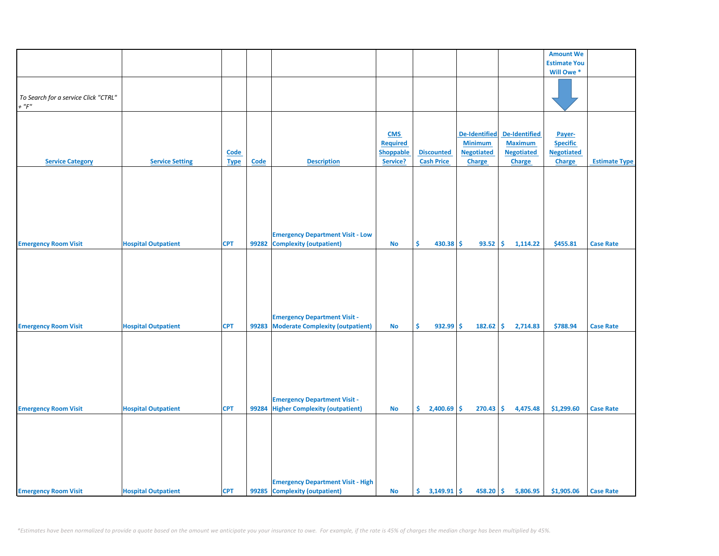|                                      |                            |             |             |                                          |                  |                     |                      |                      | <b>Amount We</b>    |                      |
|--------------------------------------|----------------------------|-------------|-------------|------------------------------------------|------------------|---------------------|----------------------|----------------------|---------------------|----------------------|
|                                      |                            |             |             |                                          |                  |                     |                      |                      | <b>Estimate You</b> |                      |
|                                      |                            |             |             |                                          |                  |                     |                      |                      | Will Owe*           |                      |
|                                      |                            |             |             |                                          |                  |                     |                      |                      |                     |                      |
|                                      |                            |             |             |                                          |                  |                     |                      |                      |                     |                      |
| To Search for a service Click "CTRL" |                            |             |             |                                          |                  |                     |                      |                      |                     |                      |
| $+$ " $F"$                           |                            |             |             |                                          |                  |                     |                      |                      |                     |                      |
|                                      |                            |             |             |                                          |                  |                     |                      |                      |                     |                      |
|                                      |                            |             |             |                                          |                  |                     |                      |                      |                     |                      |
|                                      |                            |             |             |                                          |                  |                     |                      |                      |                     |                      |
|                                      |                            |             |             |                                          | <b>CMS</b>       |                     | <b>De-Identified</b> | <b>De-Identified</b> | Payer-              |                      |
|                                      |                            |             |             |                                          | Required         |                     | <b>Minimum</b>       | <b>Maximum</b>       | <b>Specific</b>     |                      |
|                                      |                            | <b>Code</b> |             |                                          | <b>Shoppable</b> | <b>Discounted</b>   | <b>Negotiated</b>    | <b>Negotiated</b>    | <b>Negotiated</b>   |                      |
| <b>Service Category</b>              | <b>Service Setting</b>     | <b>Type</b> | <b>Code</b> | <b>Description</b>                       | Service?         | <b>Cash Price</b>   | <b>Charge</b>        | <b>Charge</b>        | Charge              | <b>Estimate Type</b> |
|                                      |                            |             |             |                                          |                  |                     |                      |                      |                     |                      |
|                                      |                            |             |             |                                          |                  |                     |                      |                      |                     |                      |
|                                      |                            |             |             |                                          |                  |                     |                      |                      |                     |                      |
|                                      |                            |             |             |                                          |                  |                     |                      |                      |                     |                      |
|                                      |                            |             |             |                                          |                  |                     |                      |                      |                     |                      |
|                                      |                            |             |             |                                          |                  |                     |                      |                      |                     |                      |
|                                      |                            |             |             |                                          |                  |                     |                      |                      |                     |                      |
|                                      |                            |             |             |                                          |                  |                     |                      |                      |                     |                      |
|                                      |                            |             |             |                                          |                  |                     |                      |                      |                     |                      |
|                                      |                            |             |             | <b>Emergency Department Visit - Low</b>  |                  |                     |                      |                      |                     |                      |
| <b>Emergency Room Visit</b>          | <b>Hospital Outpatient</b> | <b>CPT</b>  | 99282       | <b>Complexity (outpatient)</b>           | <b>No</b>        | \$<br>430.38 \$     | 93.52                | 1,114.22<br>\$       | \$455.81            | <b>Case Rate</b>     |
|                                      |                            |             |             |                                          |                  |                     |                      |                      |                     |                      |
|                                      |                            |             |             |                                          |                  |                     |                      |                      |                     |                      |
|                                      |                            |             |             |                                          |                  |                     |                      |                      |                     |                      |
|                                      |                            |             |             |                                          |                  |                     |                      |                      |                     |                      |
|                                      |                            |             |             |                                          |                  |                     |                      |                      |                     |                      |
|                                      |                            |             |             |                                          |                  |                     |                      |                      |                     |                      |
|                                      |                            |             |             |                                          |                  |                     |                      |                      |                     |                      |
|                                      |                            |             |             |                                          |                  |                     |                      |                      |                     |                      |
|                                      |                            |             |             | <b>Emergency Department Visit -</b>      |                  |                     |                      |                      |                     |                      |
| <b>Emergency Room Visit</b>          | <b>Hospital Outpatient</b> | <b>CPT</b>  | 99283       | <b>Moderate Complexity (outpatient)</b>  | <b>No</b>        | \$<br>$932.99$ \$   | 182.62               | \$<br>2,714.83       | \$788.94            | <b>Case Rate</b>     |
|                                      |                            |             |             |                                          |                  |                     |                      |                      |                     |                      |
|                                      |                            |             |             |                                          |                  |                     |                      |                      |                     |                      |
|                                      |                            |             |             |                                          |                  |                     |                      |                      |                     |                      |
|                                      |                            |             |             |                                          |                  |                     |                      |                      |                     |                      |
|                                      |                            |             |             |                                          |                  |                     |                      |                      |                     |                      |
|                                      |                            |             |             |                                          |                  |                     |                      |                      |                     |                      |
|                                      |                            |             |             |                                          |                  |                     |                      |                      |                     |                      |
|                                      |                            |             |             |                                          |                  |                     |                      |                      |                     |                      |
|                                      |                            |             |             |                                          |                  |                     |                      |                      |                     |                      |
|                                      |                            |             |             | <b>Emergency Department Visit -</b>      |                  |                     |                      |                      |                     |                      |
| <b>Emergency Room Visit</b>          | <b>Hospital Outpatient</b> | <b>CPT</b>  |             | 99284 Higher Complexity (outpatient)     | <b>No</b>        | \$<br>$2,400.69$ \$ | 270.43               | \$<br>4,475.48       | \$1,299.60          | <b>Case Rate</b>     |
|                                      |                            |             |             |                                          |                  |                     |                      |                      |                     |                      |
|                                      |                            |             |             |                                          |                  |                     |                      |                      |                     |                      |
|                                      |                            |             |             |                                          |                  |                     |                      |                      |                     |                      |
|                                      |                            |             |             |                                          |                  |                     |                      |                      |                     |                      |
|                                      |                            |             |             |                                          |                  |                     |                      |                      |                     |                      |
|                                      |                            |             |             |                                          |                  |                     |                      |                      |                     |                      |
|                                      |                            |             |             |                                          |                  |                     |                      |                      |                     |                      |
|                                      |                            |             |             |                                          |                  |                     |                      |                      |                     |                      |
|                                      |                            |             |             | <b>Emergency Department Visit - High</b> |                  |                     |                      |                      |                     |                      |
| <b>Emergency Room Visit</b>          | <b>Hospital Outpatient</b> | <b>CPT</b>  |             | 99285 Complexity (outpatient)            | <b>No</b>        |                     | $458.20$ \$          | 5,806.95             | \$1,905.06          | <b>Case Rate</b>     |
|                                      |                            |             |             |                                          |                  |                     |                      |                      |                     |                      |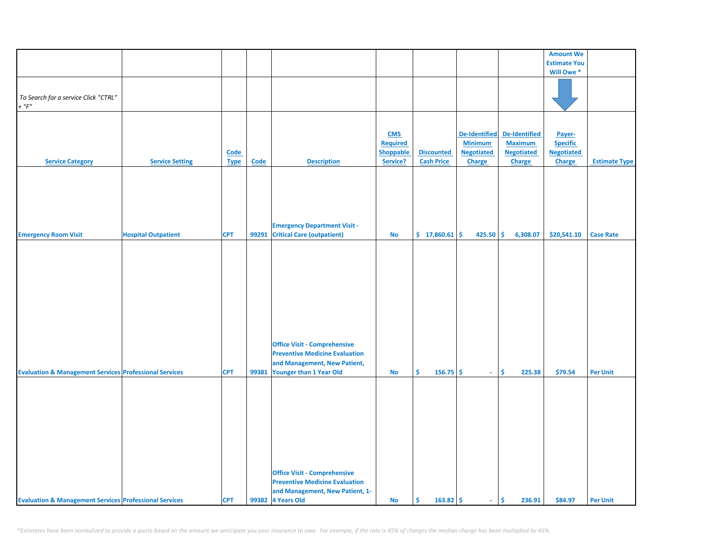|                                                                   |                            |                     |             |                                                                                                                                                |                                                               |                                        |                                                                       |                                                                              | <b>Amount We</b>                                         |                      |
|-------------------------------------------------------------------|----------------------------|---------------------|-------------|------------------------------------------------------------------------------------------------------------------------------------------------|---------------------------------------------------------------|----------------------------------------|-----------------------------------------------------------------------|------------------------------------------------------------------------------|----------------------------------------------------------|----------------------|
|                                                                   |                            |                     |             |                                                                                                                                                |                                                               |                                        |                                                                       |                                                                              | <b>Estimate You</b>                                      |                      |
|                                                                   |                            |                     |             |                                                                                                                                                |                                                               |                                        |                                                                       |                                                                              | Will Owe <sup>*</sup>                                    |                      |
| To Search for a service Click "CTRL"<br>$+$ " $F$ "               |                            |                     |             |                                                                                                                                                |                                                               |                                        |                                                                       |                                                                              |                                                          |                      |
| <b>Service Category</b>                                           | <b>Service Setting</b>     | Code<br><b>Type</b> | <b>Code</b> | <b>Description</b>                                                                                                                             | <b>CMS</b><br><b>Required</b><br><b>Shoppable</b><br>Service? | <b>Discounted</b><br><b>Cash Price</b> | <b>De-Identified</b><br><b>Minimum</b><br><b>Negotiated</b><br>Charge | <b>De-Identified</b><br><b>Maximum</b><br><b>Negotiated</b><br><b>Charge</b> | Payer-<br><b>Specific</b><br><b>Negotiated</b><br>Charge | <b>Estimate Type</b> |
| <b>Emergency Room Visit</b>                                       | <b>Hospital Outpatient</b> | <b>CPT</b>          | 99291       | <b>Emergency Department Visit -</b><br><b>Critical Care (outpatient)</b>                                                                       | No                                                            | \$17,860.61                            | 425.50                                                                | \$<br>6,308.07                                                               | \$20,541.10                                              | <b>Case Rate</b>     |
|                                                                   |                            |                     |             |                                                                                                                                                |                                                               |                                        |                                                                       |                                                                              |                                                          |                      |
| <b>Evaluation &amp; Management Services Professional Services</b> |                            | <b>CPT</b>          | 99381       | <b>Office Visit - Comprehensive</b><br><b>Preventive Medicine Evaluation</b><br>and Management, New Patient,<br><b>Younger than 1 Year Old</b> | No                                                            | \$.<br>$156.75$ \$                     | $\omega$                                                              | \$<br>225.38                                                                 | \$79.54                                                  | <b>Per Unit</b>      |
|                                                                   |                            |                     |             |                                                                                                                                                |                                                               |                                        |                                                                       |                                                                              |                                                          |                      |
| <b>Evaluation &amp; Management Services Professional Services</b> |                            | <b>CPT</b>          |             | <b>Office Visit - Comprehensive</b><br><b>Preventive Medicine Evaluation</b><br>and Management, New Patient, 1-<br>99382 4 Years Old           | No                                                            | \$<br>$163.82 \mid \frac{1}{2}$        | $\sim$                                                                | \$<br>236.91                                                                 | \$84.97                                                  | <b>Per Unit</b>      |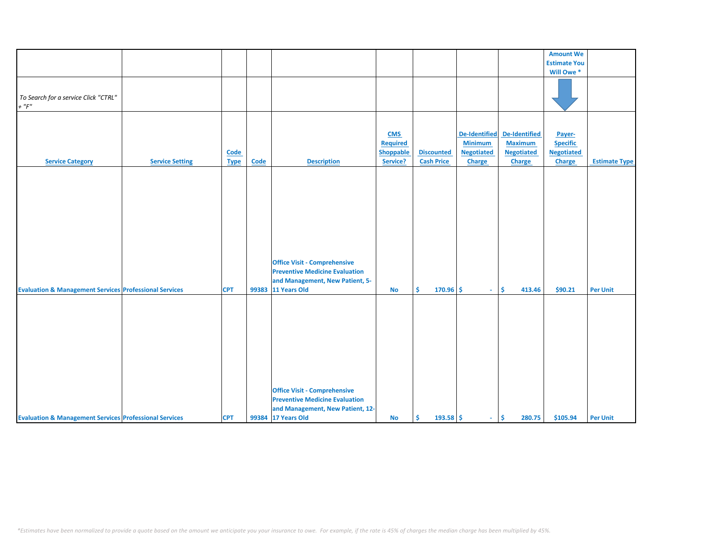|                                                                   |                        |             |       |                                       |                  |                   |                      |                   | <b>Amount We</b>    |                      |
|-------------------------------------------------------------------|------------------------|-------------|-------|---------------------------------------|------------------|-------------------|----------------------|-------------------|---------------------|----------------------|
|                                                                   |                        |             |       |                                       |                  |                   |                      |                   | <b>Estimate You</b> |                      |
|                                                                   |                        |             |       |                                       |                  |                   |                      |                   | Will Owe *          |                      |
|                                                                   |                        |             |       |                                       |                  |                   |                      |                   |                     |                      |
|                                                                   |                        |             |       |                                       |                  |                   |                      |                   |                     |                      |
| To Search for a service Click "CTRL"                              |                        |             |       |                                       |                  |                   |                      |                   |                     |                      |
| $+$ " $F$ "                                                       |                        |             |       |                                       |                  |                   |                      |                   |                     |                      |
|                                                                   |                        |             |       |                                       |                  |                   |                      |                   |                     |                      |
|                                                                   |                        |             |       |                                       |                  |                   |                      |                   |                     |                      |
|                                                                   |                        |             |       |                                       |                  |                   |                      |                   |                     |                      |
|                                                                   |                        |             |       |                                       | <b>CMS</b>       |                   | <b>De-Identified</b> | De-Identified     | Payer-              |                      |
|                                                                   |                        |             |       |                                       | <b>Required</b>  |                   | <b>Minimum</b>       | <b>Maximum</b>    | <b>Specific</b>     |                      |
|                                                                   |                        | <b>Code</b> |       |                                       | <b>Shoppable</b> | <b>Discounted</b> | <b>Negotiated</b>    | <b>Negotiated</b> | <b>Negotiated</b>   |                      |
| <b>Service Category</b>                                           | <b>Service Setting</b> | <b>Type</b> | Code  | <b>Description</b>                    | Service?         | <b>Cash Price</b> | <b>Charge</b>        | Charge            | <b>Charge</b>       | <b>Estimate Type</b> |
|                                                                   |                        |             |       |                                       |                  |                   |                      |                   |                     |                      |
|                                                                   |                        |             |       |                                       |                  |                   |                      |                   |                     |                      |
|                                                                   |                        |             |       |                                       |                  |                   |                      |                   |                     |                      |
|                                                                   |                        |             |       |                                       |                  |                   |                      |                   |                     |                      |
|                                                                   |                        |             |       |                                       |                  |                   |                      |                   |                     |                      |
|                                                                   |                        |             |       |                                       |                  |                   |                      |                   |                     |                      |
|                                                                   |                        |             |       |                                       |                  |                   |                      |                   |                     |                      |
|                                                                   |                        |             |       |                                       |                  |                   |                      |                   |                     |                      |
|                                                                   |                        |             |       |                                       |                  |                   |                      |                   |                     |                      |
|                                                                   |                        |             |       |                                       |                  |                   |                      |                   |                     |                      |
|                                                                   |                        |             |       |                                       |                  |                   |                      |                   |                     |                      |
|                                                                   |                        |             |       | <b>Office Visit - Comprehensive</b>   |                  |                   |                      |                   |                     |                      |
|                                                                   |                        |             |       | <b>Preventive Medicine Evaluation</b> |                  |                   |                      |                   |                     |                      |
|                                                                   |                        |             |       | and Management, New Patient, 5-       |                  |                   |                      |                   |                     |                      |
| <b>Evaluation &amp; Management Services Professional Services</b> |                        | <b>CPT</b>  | 99383 | 11 Years Old                          | <b>No</b>        | Ś.<br>$170.96$ \$ | ÷.                   | Ŝ.<br>413.46      | \$90.21             | <b>Per Unit</b>      |
|                                                                   |                        |             |       |                                       |                  |                   |                      |                   |                     |                      |
|                                                                   |                        |             |       |                                       |                  |                   |                      |                   |                     |                      |
|                                                                   |                        |             |       |                                       |                  |                   |                      |                   |                     |                      |
|                                                                   |                        |             |       |                                       |                  |                   |                      |                   |                     |                      |
|                                                                   |                        |             |       |                                       |                  |                   |                      |                   |                     |                      |
|                                                                   |                        |             |       |                                       |                  |                   |                      |                   |                     |                      |
|                                                                   |                        |             |       |                                       |                  |                   |                      |                   |                     |                      |
|                                                                   |                        |             |       |                                       |                  |                   |                      |                   |                     |                      |
|                                                                   |                        |             |       |                                       |                  |                   |                      |                   |                     |                      |
|                                                                   |                        |             |       |                                       |                  |                   |                      |                   |                     |                      |
|                                                                   |                        |             |       |                                       |                  |                   |                      |                   |                     |                      |
|                                                                   |                        |             |       | <b>Office Visit - Comprehensive</b>   |                  |                   |                      |                   |                     |                      |
|                                                                   |                        |             |       | <b>Preventive Medicine Evaluation</b> |                  |                   |                      |                   |                     |                      |
|                                                                   |                        |             |       |                                       |                  |                   |                      |                   |                     |                      |
|                                                                   |                        | <b>CPT</b>  |       | 99384 17 Years Old                    | <b>No</b>        | Ŝ.<br>$193.58$ \$ | $\omega_{\rm{eff}}$  | \$<br>280.75      | \$105.94            | <b>Per Unit</b>      |
|                                                                   |                        |             |       | and Management, New Patient, 12-      |                  |                   |                      |                   |                     |                      |
| <b>Evaluation &amp; Management Services Professional Services</b> |                        |             |       |                                       |                  |                   |                      |                   |                     |                      |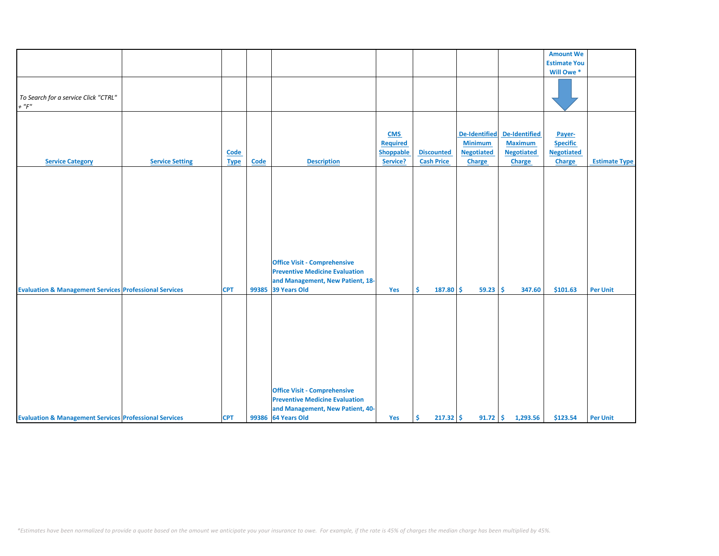|                                                                   |                        |             |       |                                       |                  |                   |                      |                      | <b>Amount We</b>    |                      |
|-------------------------------------------------------------------|------------------------|-------------|-------|---------------------------------------|------------------|-------------------|----------------------|----------------------|---------------------|----------------------|
|                                                                   |                        |             |       |                                       |                  |                   |                      |                      | <b>Estimate You</b> |                      |
|                                                                   |                        |             |       |                                       |                  |                   |                      |                      |                     |                      |
|                                                                   |                        |             |       |                                       |                  |                   |                      |                      | Will Owe *          |                      |
|                                                                   |                        |             |       |                                       |                  |                   |                      |                      |                     |                      |
| To Search for a service Click "CTRL"                              |                        |             |       |                                       |                  |                   |                      |                      |                     |                      |
| $+$ " $F$ "                                                       |                        |             |       |                                       |                  |                   |                      |                      |                     |                      |
|                                                                   |                        |             |       |                                       |                  |                   |                      |                      |                     |                      |
|                                                                   |                        |             |       |                                       |                  |                   |                      |                      |                     |                      |
|                                                                   |                        |             |       |                                       |                  |                   |                      |                      |                     |                      |
|                                                                   |                        |             |       |                                       | <b>CMS</b>       |                   | <b>De-Identified</b> | <b>De-Identified</b> | Payer-              |                      |
|                                                                   |                        |             |       |                                       | <b>Required</b>  |                   | <b>Minimum</b>       | <b>Maximum</b>       | <b>Specific</b>     |                      |
|                                                                   |                        | <b>Code</b> |       |                                       | <b>Shoppable</b> | <b>Discounted</b> | <b>Negotiated</b>    | <b>Negotiated</b>    | <b>Negotiated</b>   |                      |
| <b>Service Category</b>                                           | <b>Service Setting</b> | <b>Type</b> | Code  | <b>Description</b>                    | Service?         | <b>Cash Price</b> | Charge               | Charge               | <b>Charge</b>       | <b>Estimate Type</b> |
|                                                                   |                        |             |       |                                       |                  |                   |                      |                      |                     |                      |
|                                                                   |                        |             |       |                                       |                  |                   |                      |                      |                     |                      |
|                                                                   |                        |             |       |                                       |                  |                   |                      |                      |                     |                      |
|                                                                   |                        |             |       |                                       |                  |                   |                      |                      |                     |                      |
|                                                                   |                        |             |       |                                       |                  |                   |                      |                      |                     |                      |
|                                                                   |                        |             |       |                                       |                  |                   |                      |                      |                     |                      |
|                                                                   |                        |             |       |                                       |                  |                   |                      |                      |                     |                      |
|                                                                   |                        |             |       |                                       |                  |                   |                      |                      |                     |                      |
|                                                                   |                        |             |       |                                       |                  |                   |                      |                      |                     |                      |
|                                                                   |                        |             |       |                                       |                  |                   |                      |                      |                     |                      |
|                                                                   |                        |             |       |                                       |                  |                   |                      |                      |                     |                      |
|                                                                   |                        |             |       | <b>Office Visit - Comprehensive</b>   |                  |                   |                      |                      |                     |                      |
|                                                                   |                        |             |       | <b>Preventive Medicine Evaluation</b> |                  |                   |                      |                      |                     |                      |
|                                                                   |                        |             |       | and Management, New Patient, 18-      |                  |                   |                      |                      |                     |                      |
| <b>Evaluation &amp; Management Services Professional Services</b> |                        | <b>CPT</b>  | 99385 | 39 Years Old                          | Yes              | Ŝ.<br>187.80      | Ŝ.<br>59.23          | Ŝ<br>347.60          | \$101.63            | <b>Per Unit</b>      |
|                                                                   |                        |             |       |                                       |                  |                   |                      |                      |                     |                      |
|                                                                   |                        |             |       |                                       |                  |                   |                      |                      |                     |                      |
|                                                                   |                        |             |       |                                       |                  |                   |                      |                      |                     |                      |
|                                                                   |                        |             |       |                                       |                  |                   |                      |                      |                     |                      |
|                                                                   |                        |             |       |                                       |                  |                   |                      |                      |                     |                      |
|                                                                   |                        |             |       |                                       |                  |                   |                      |                      |                     |                      |
|                                                                   |                        |             |       |                                       |                  |                   |                      |                      |                     |                      |
|                                                                   |                        |             |       |                                       |                  |                   |                      |                      |                     |                      |
|                                                                   |                        |             |       |                                       |                  |                   |                      |                      |                     |                      |
|                                                                   |                        |             |       |                                       |                  |                   |                      |                      |                     |                      |
|                                                                   |                        |             |       |                                       |                  |                   |                      |                      |                     |                      |
|                                                                   |                        |             |       | <b>Office Visit - Comprehensive</b>   |                  |                   |                      |                      |                     |                      |
|                                                                   |                        |             |       | <b>Preventive Medicine Evaluation</b> |                  |                   |                      |                      |                     |                      |
|                                                                   |                        |             |       | and Management, New Patient, 40-      |                  |                   |                      |                      |                     |                      |
| <b>Evaluation &amp; Management Services Professional Services</b> |                        | <b>CPT</b>  |       | 99386 64 Years Old                    | Yes              | Ŝ.<br>$217.32$ \$ |                      | $91.72$ \$ 1,293.56  | \$123.54            | <b>Per Unit</b>      |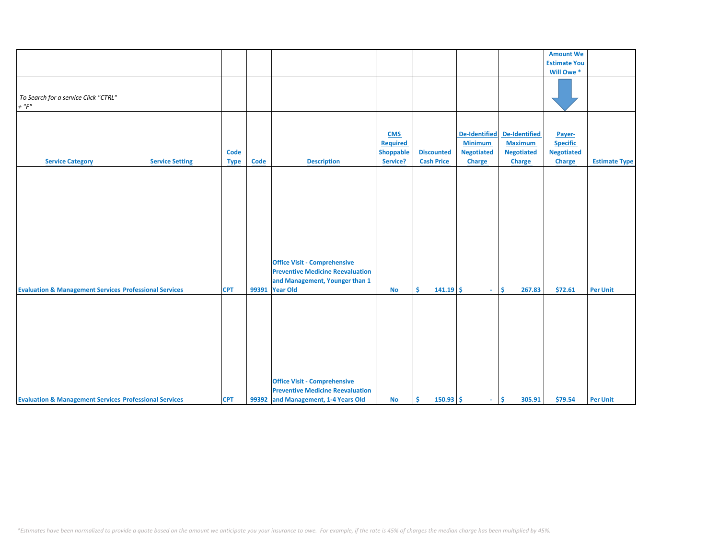|                                                                   |                        |             |             |                                         |                  |                   |                      |                   | <b>Amount We</b>    |                      |
|-------------------------------------------------------------------|------------------------|-------------|-------------|-----------------------------------------|------------------|-------------------|----------------------|-------------------|---------------------|----------------------|
|                                                                   |                        |             |             |                                         |                  |                   |                      |                   | <b>Estimate You</b> |                      |
|                                                                   |                        |             |             |                                         |                  |                   |                      |                   | Will Owe *          |                      |
|                                                                   |                        |             |             |                                         |                  |                   |                      |                   |                     |                      |
|                                                                   |                        |             |             |                                         |                  |                   |                      |                   |                     |                      |
|                                                                   |                        |             |             |                                         |                  |                   |                      |                   |                     |                      |
| To Search for a service Click "CTRL"                              |                        |             |             |                                         |                  |                   |                      |                   |                     |                      |
| $+$ " $F$ "                                                       |                        |             |             |                                         |                  |                   |                      |                   |                     |                      |
|                                                                   |                        |             |             |                                         |                  |                   |                      |                   |                     |                      |
|                                                                   |                        |             |             |                                         |                  |                   |                      |                   |                     |                      |
|                                                                   |                        |             |             |                                         |                  |                   |                      |                   |                     |                      |
|                                                                   |                        |             |             |                                         | <b>CMS</b>       |                   | <b>De-Identified</b> | De-Identified     | Payer-              |                      |
|                                                                   |                        |             |             |                                         | Required         |                   | <b>Minimum</b>       | <b>Maximum</b>    | <b>Specific</b>     |                      |
|                                                                   |                        |             |             |                                         |                  |                   |                      |                   |                     |                      |
|                                                                   |                        | Code        |             |                                         | <b>Shoppable</b> | <b>Discounted</b> | <b>Negotiated</b>    | <b>Negotiated</b> | <b>Negotiated</b>   |                      |
| <b>Service Category</b>                                           | <b>Service Setting</b> | <b>Type</b> | <b>Code</b> | <b>Description</b>                      | Service?         | <b>Cash Price</b> | <b>Charge</b>        | Charge            | <b>Charge</b>       | <b>Estimate Type</b> |
|                                                                   |                        |             |             |                                         |                  |                   |                      |                   |                     |                      |
|                                                                   |                        |             |             |                                         |                  |                   |                      |                   |                     |                      |
|                                                                   |                        |             |             |                                         |                  |                   |                      |                   |                     |                      |
|                                                                   |                        |             |             |                                         |                  |                   |                      |                   |                     |                      |
|                                                                   |                        |             |             |                                         |                  |                   |                      |                   |                     |                      |
|                                                                   |                        |             |             |                                         |                  |                   |                      |                   |                     |                      |
|                                                                   |                        |             |             |                                         |                  |                   |                      |                   |                     |                      |
|                                                                   |                        |             |             |                                         |                  |                   |                      |                   |                     |                      |
|                                                                   |                        |             |             |                                         |                  |                   |                      |                   |                     |                      |
|                                                                   |                        |             |             |                                         |                  |                   |                      |                   |                     |                      |
|                                                                   |                        |             |             |                                         |                  |                   |                      |                   |                     |                      |
|                                                                   |                        |             |             |                                         |                  |                   |                      |                   |                     |                      |
|                                                                   |                        |             |             |                                         |                  |                   |                      |                   |                     |                      |
|                                                                   |                        |             |             | <b>Office Visit - Comprehensive</b>     |                  |                   |                      |                   |                     |                      |
|                                                                   |                        |             |             | <b>Preventive Medicine Reevaluation</b> |                  |                   |                      |                   |                     |                      |
|                                                                   |                        |             |             | and Management, Younger than 1          |                  |                   |                      |                   |                     |                      |
|                                                                   |                        |             |             |                                         |                  |                   |                      |                   |                     |                      |
| <b>Evaluation &amp; Management Services Professional Services</b> |                        | <b>CPT</b>  | 99391       | <b>Year Old</b>                         | <b>No</b>        | Ŝ.<br>$141.19$ \$ | $\omega_{\rm{eff}}$  | Ŝ.<br>267.83      | \$72.61             | <b>Per Unit</b>      |
|                                                                   |                        |             |             |                                         |                  |                   |                      |                   |                     |                      |
|                                                                   |                        |             |             |                                         |                  |                   |                      |                   |                     |                      |
|                                                                   |                        |             |             |                                         |                  |                   |                      |                   |                     |                      |
|                                                                   |                        |             |             |                                         |                  |                   |                      |                   |                     |                      |
|                                                                   |                        |             |             |                                         |                  |                   |                      |                   |                     |                      |
|                                                                   |                        |             |             |                                         |                  |                   |                      |                   |                     |                      |
|                                                                   |                        |             |             |                                         |                  |                   |                      |                   |                     |                      |
|                                                                   |                        |             |             |                                         |                  |                   |                      |                   |                     |                      |
|                                                                   |                        |             |             |                                         |                  |                   |                      |                   |                     |                      |
|                                                                   |                        |             |             |                                         |                  |                   |                      |                   |                     |                      |
|                                                                   |                        |             |             |                                         |                  |                   |                      |                   |                     |                      |
|                                                                   |                        |             |             | <b>Office Visit - Comprehensive</b>     |                  |                   |                      |                   |                     |                      |
|                                                                   |                        |             |             |                                         |                  |                   |                      |                   |                     |                      |
|                                                                   |                        |             |             | <b>Preventive Medicine Reevaluation</b> |                  |                   |                      |                   |                     |                      |
| <b>Evaluation &amp; Management Services Professional Services</b> |                        | <b>CPT</b>  |             | 99392 and Management, 1-4 Years Old     | No               | $150.93$ \$<br>Ŝ. | $\omega_{\rm{eff}}$  | \$<br>305.91      | \$79.54             | <b>Per Unit</b>      |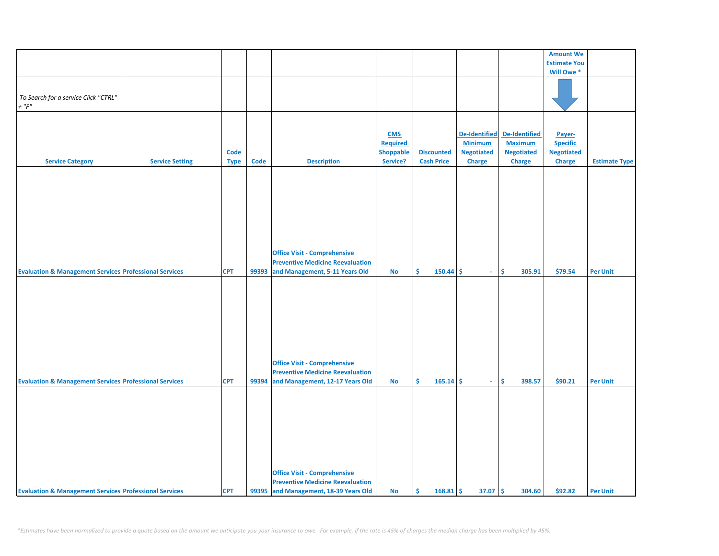|                                                                   |                        |             |             |                                         |                  |                   |                      |                   | <b>Amount We</b>    |                      |
|-------------------------------------------------------------------|------------------------|-------------|-------------|-----------------------------------------|------------------|-------------------|----------------------|-------------------|---------------------|----------------------|
|                                                                   |                        |             |             |                                         |                  |                   |                      |                   | <b>Estimate You</b> |                      |
|                                                                   |                        |             |             |                                         |                  |                   |                      |                   | Will Owe *          |                      |
|                                                                   |                        |             |             |                                         |                  |                   |                      |                   |                     |                      |
|                                                                   |                        |             |             |                                         |                  |                   |                      |                   |                     |                      |
|                                                                   |                        |             |             |                                         |                  |                   |                      |                   |                     |                      |
| To Search for a service Click "CTRL"                              |                        |             |             |                                         |                  |                   |                      |                   |                     |                      |
| $+$ " $F$ "                                                       |                        |             |             |                                         |                  |                   |                      |                   |                     |                      |
|                                                                   |                        |             |             |                                         |                  |                   |                      |                   |                     |                      |
|                                                                   |                        |             |             |                                         |                  |                   |                      |                   |                     |                      |
|                                                                   |                        |             |             |                                         |                  |                   |                      |                   |                     |                      |
|                                                                   |                        |             |             |                                         | <b>CMS</b>       |                   | <b>De-Identified</b> | De-Identified     | Payer-              |                      |
|                                                                   |                        |             |             |                                         |                  |                   | <b>Minimum</b>       |                   |                     |                      |
|                                                                   |                        |             |             |                                         | <b>Required</b>  |                   |                      | <b>Maximum</b>    | <b>Specific</b>     |                      |
|                                                                   |                        | <b>Code</b> |             |                                         | <b>Shoppable</b> | <b>Discounted</b> | <b>Negotiated</b>    | <b>Negotiated</b> | <b>Negotiated</b>   |                      |
| <b>Service Category</b>                                           | <b>Service Setting</b> | <b>Type</b> | <b>Code</b> | <b>Description</b>                      | Service?         | <b>Cash Price</b> | Charge               | Charge            | <b>Charge</b>       | <b>Estimate Type</b> |
|                                                                   |                        |             |             |                                         |                  |                   |                      |                   |                     |                      |
|                                                                   |                        |             |             |                                         |                  |                   |                      |                   |                     |                      |
|                                                                   |                        |             |             |                                         |                  |                   |                      |                   |                     |                      |
|                                                                   |                        |             |             |                                         |                  |                   |                      |                   |                     |                      |
|                                                                   |                        |             |             |                                         |                  |                   |                      |                   |                     |                      |
|                                                                   |                        |             |             |                                         |                  |                   |                      |                   |                     |                      |
|                                                                   |                        |             |             |                                         |                  |                   |                      |                   |                     |                      |
|                                                                   |                        |             |             |                                         |                  |                   |                      |                   |                     |                      |
|                                                                   |                        |             |             |                                         |                  |                   |                      |                   |                     |                      |
|                                                                   |                        |             |             |                                         |                  |                   |                      |                   |                     |                      |
|                                                                   |                        |             |             |                                         |                  |                   |                      |                   |                     |                      |
|                                                                   |                        |             |             |                                         |                  |                   |                      |                   |                     |                      |
|                                                                   |                        |             |             |                                         |                  |                   |                      |                   |                     |                      |
|                                                                   |                        |             |             | <b>Office Visit - Comprehensive</b>     |                  |                   |                      |                   |                     |                      |
|                                                                   |                        |             |             | <b>Preventive Medicine Reevaluation</b> |                  |                   |                      |                   |                     |                      |
| <b>Evaluation &amp; Management Services Professional Services</b> |                        | <b>CPT</b>  | 99393       | and Management, 5-11 Years Old          | No               | Ŝ.<br>150.44      | -\$<br>$\sim$        | Ŝ.<br>305.91      | \$79.54             | <b>Per Unit</b>      |
|                                                                   |                        |             |             |                                         |                  |                   |                      |                   |                     |                      |
|                                                                   |                        |             |             |                                         |                  |                   |                      |                   |                     |                      |
|                                                                   |                        |             |             |                                         |                  |                   |                      |                   |                     |                      |
|                                                                   |                        |             |             |                                         |                  |                   |                      |                   |                     |                      |
|                                                                   |                        |             |             |                                         |                  |                   |                      |                   |                     |                      |
|                                                                   |                        |             |             |                                         |                  |                   |                      |                   |                     |                      |
|                                                                   |                        |             |             |                                         |                  |                   |                      |                   |                     |                      |
|                                                                   |                        |             |             |                                         |                  |                   |                      |                   |                     |                      |
|                                                                   |                        |             |             |                                         |                  |                   |                      |                   |                     |                      |
|                                                                   |                        |             |             |                                         |                  |                   |                      |                   |                     |                      |
|                                                                   |                        |             |             |                                         |                  |                   |                      |                   |                     |                      |
|                                                                   |                        |             |             |                                         |                  |                   |                      |                   |                     |                      |
|                                                                   |                        |             |             |                                         |                  |                   |                      |                   |                     |                      |
|                                                                   |                        |             |             | <b>Office Visit - Comprehensive</b>     |                  |                   |                      |                   |                     |                      |
|                                                                   |                        |             |             | <b>Preventive Medicine Reevaluation</b> |                  |                   |                      |                   |                     |                      |
| <b>Evaluation &amp; Management Services Professional Services</b> |                        | <b>CPT</b>  | 99394       | and Management, 12-17 Years Old         | <b>No</b>        | Ŝ.<br>165.14      | \$<br>$\sim$         | \$<br>398.57      | \$90.21             | <b>Per Unit</b>      |
|                                                                   |                        |             |             |                                         |                  |                   |                      |                   |                     |                      |
|                                                                   |                        |             |             |                                         |                  |                   |                      |                   |                     |                      |
|                                                                   |                        |             |             |                                         |                  |                   |                      |                   |                     |                      |
|                                                                   |                        |             |             |                                         |                  |                   |                      |                   |                     |                      |
|                                                                   |                        |             |             |                                         |                  |                   |                      |                   |                     |                      |
|                                                                   |                        |             |             |                                         |                  |                   |                      |                   |                     |                      |
|                                                                   |                        |             |             |                                         |                  |                   |                      |                   |                     |                      |
|                                                                   |                        |             |             |                                         |                  |                   |                      |                   |                     |                      |
|                                                                   |                        |             |             |                                         |                  |                   |                      |                   |                     |                      |
|                                                                   |                        |             |             |                                         |                  |                   |                      |                   |                     |                      |
|                                                                   |                        |             |             |                                         |                  |                   |                      |                   |                     |                      |
|                                                                   |                        |             |             |                                         |                  |                   |                      |                   |                     |                      |
|                                                                   |                        |             |             |                                         |                  |                   |                      |                   |                     |                      |
|                                                                   |                        |             |             | <b>Office Visit - Comprehensive</b>     |                  |                   |                      |                   |                     |                      |
|                                                                   |                        |             |             | <b>Preventive Medicine Reevaluation</b> |                  |                   |                      |                   |                     |                      |
| <b>Evaluation &amp; Management Services Professional Services</b> |                        | <b>CPT</b>  |             | 99395 and Management, 18-39 Years Old   | <b>No</b>        | \$.<br>168.81     | Ŝ.<br>37.07          | -\$<br>304.60     | \$92.82             | <b>Per Unit</b>      |
|                                                                   |                        |             |             |                                         |                  |                   |                      |                   |                     |                      |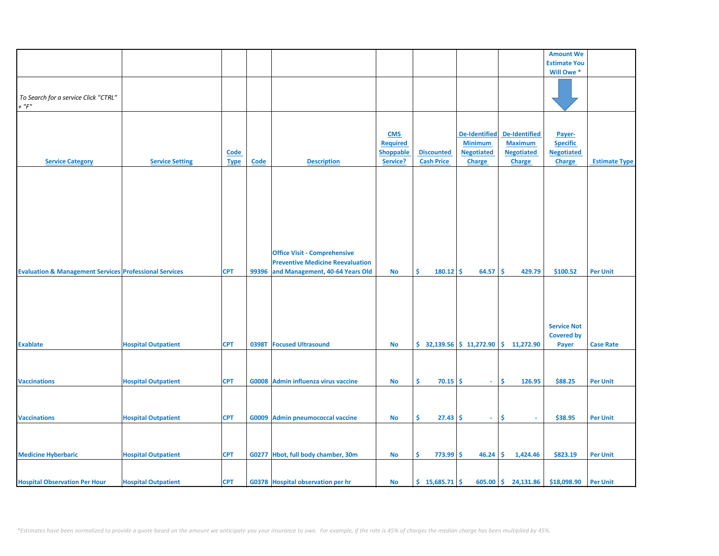|                                                                   |                            |             |       |                                          |                  |                           |                      |                       | <b>Amount We</b>    |                      |
|-------------------------------------------------------------------|----------------------------|-------------|-------|------------------------------------------|------------------|---------------------------|----------------------|-----------------------|---------------------|----------------------|
|                                                                   |                            |             |       |                                          |                  |                           |                      |                       | <b>Estimate You</b> |                      |
|                                                                   |                            |             |       |                                          |                  |                           |                      |                       | Will Owe *          |                      |
|                                                                   |                            |             |       |                                          |                  |                           |                      |                       |                     |                      |
|                                                                   |                            |             |       |                                          |                  |                           |                      |                       |                     |                      |
| To Search for a service Click "CTRL"                              |                            |             |       |                                          |                  |                           |                      |                       |                     |                      |
|                                                                   |                            |             |       |                                          |                  |                           |                      |                       |                     |                      |
| $+$ " $F$ "                                                       |                            |             |       |                                          |                  |                           |                      |                       |                     |                      |
|                                                                   |                            |             |       |                                          |                  |                           |                      |                       |                     |                      |
|                                                                   |                            |             |       |                                          |                  |                           |                      |                       |                     |                      |
|                                                                   |                            |             |       |                                          | <b>CMS</b>       |                           | <b>De-Identified</b> | De-Identified         |                     |                      |
|                                                                   |                            |             |       |                                          |                  |                           |                      |                       | Payer-              |                      |
|                                                                   |                            |             |       |                                          | <b>Required</b>  |                           | <b>Minimum</b>       | <b>Maximum</b>        | <b>Specific</b>     |                      |
|                                                                   |                            | Code        |       |                                          | <b>Shoppable</b> | <b>Discounted</b>         | <b>Negotiated</b>    | <b>Negotiated</b>     | <b>Negotiated</b>   |                      |
| <b>Service Category</b>                                           | <b>Service Setting</b>     | <b>Type</b> | Code  | <b>Description</b>                       | Service?         | <b>Cash Price</b>         | <b>Charge</b>        | <b>Charge</b>         | <b>Charge</b>       | <b>Estimate Type</b> |
|                                                                   |                            |             |       |                                          |                  |                           |                      |                       |                     |                      |
|                                                                   |                            |             |       |                                          |                  |                           |                      |                       |                     |                      |
|                                                                   |                            |             |       |                                          |                  |                           |                      |                       |                     |                      |
|                                                                   |                            |             |       |                                          |                  |                           |                      |                       |                     |                      |
|                                                                   |                            |             |       |                                          |                  |                           |                      |                       |                     |                      |
|                                                                   |                            |             |       |                                          |                  |                           |                      |                       |                     |                      |
|                                                                   |                            |             |       |                                          |                  |                           |                      |                       |                     |                      |
|                                                                   |                            |             |       |                                          |                  |                           |                      |                       |                     |                      |
|                                                                   |                            |             |       |                                          |                  |                           |                      |                       |                     |                      |
|                                                                   |                            |             |       |                                          |                  |                           |                      |                       |                     |                      |
|                                                                   |                            |             |       |                                          |                  |                           |                      |                       |                     |                      |
|                                                                   |                            |             |       |                                          |                  |                           |                      |                       |                     |                      |
|                                                                   |                            |             |       | <b>Office Visit - Comprehensive</b>      |                  |                           |                      |                       |                     |                      |
|                                                                   |                            |             |       | <b>Preventive Medicine Reevaluation</b>  |                  |                           |                      |                       |                     |                      |
|                                                                   |                            |             |       |                                          |                  |                           |                      |                       |                     |                      |
| <b>Evaluation &amp; Management Services Professional Services</b> |                            | <b>CPT</b>  | 99396 | and Management, 40-64 Years Old          | <b>No</b>        | \$<br>180.12              | -\$<br>64.57         | \$.<br>429.79         | \$100.52            | <b>Per Unit</b>      |
|                                                                   |                            |             |       |                                          |                  |                           |                      |                       |                     |                      |
|                                                                   |                            |             |       |                                          |                  |                           |                      |                       |                     |                      |
|                                                                   |                            |             |       |                                          |                  |                           |                      |                       |                     |                      |
|                                                                   |                            |             |       |                                          |                  |                           |                      |                       |                     |                      |
|                                                                   |                            |             |       |                                          |                  |                           |                      |                       |                     |                      |
|                                                                   |                            |             |       |                                          |                  |                           |                      |                       |                     |                      |
|                                                                   |                            |             |       |                                          |                  |                           |                      |                       | <b>Service Not</b>  |                      |
|                                                                   |                            |             |       |                                          |                  |                           |                      |                       |                     |                      |
|                                                                   |                            |             |       |                                          |                  |                           |                      |                       | <b>Covered by</b>   |                      |
| <b>Exablate</b>                                                   | <b>Hospital Outpatient</b> | <b>CPT</b>  | 0398T | <b>Focused Ultrasound</b>                | No               | $$32,139.56$ $$11,272.90$ |                      | \$11,272.90           | Payer               | <b>Case Rate</b>     |
|                                                                   |                            |             |       |                                          |                  |                           |                      |                       |                     |                      |
|                                                                   |                            |             |       |                                          |                  |                           |                      |                       |                     |                      |
|                                                                   |                            |             |       |                                          |                  |                           |                      |                       |                     |                      |
|                                                                   |                            |             |       |                                          |                  |                           |                      |                       |                     |                      |
| <b>Vaccinations</b>                                               | <b>Hospital Outpatient</b> | <b>CPT</b>  |       | G0008 Admin influenza virus vaccine      | No               | Ŝ.<br>70.15               | Ŝ.<br>$\sim$         | Ŝ.<br>126.95          | \$88.25             | <b>Per Unit</b>      |
|                                                                   |                            |             |       |                                          |                  |                           |                      |                       |                     |                      |
|                                                                   |                            |             |       |                                          |                  |                           |                      |                       |                     |                      |
|                                                                   |                            |             |       |                                          |                  |                           |                      |                       |                     |                      |
|                                                                   |                            |             |       |                                          |                  |                           |                      |                       |                     |                      |
| <b>Vaccinations</b>                                               | <b>Hospital Outpatient</b> | <b>CPT</b>  |       | G0009 Admin pneumococcal vaccine         | No               | \$<br>$27.43$ \$          | $\sim$               | \$<br>$\sim$          | \$38.95             | <b>Per Unit</b>      |
|                                                                   |                            |             |       |                                          |                  |                           |                      |                       |                     |                      |
|                                                                   |                            |             |       |                                          |                  |                           |                      |                       |                     |                      |
|                                                                   |                            |             |       |                                          |                  |                           |                      |                       |                     |                      |
|                                                                   |                            |             |       |                                          |                  |                           |                      |                       |                     |                      |
| <b>Medicine Hyberbaric</b>                                        | <b>Hospital Outpatient</b> | <b>CPT</b>  |       | G0277 Hbot, full body chamber, 30m       | No               | \$<br>$773.99$ \$         | 46.24                | \$.<br>1,424.46       | \$823.19            | <b>Per Unit</b>      |
|                                                                   |                            |             |       |                                          |                  |                           |                      |                       |                     |                      |
|                                                                   |                            |             |       |                                          |                  |                           |                      |                       |                     |                      |
|                                                                   |                            |             |       |                                          |                  |                           |                      |                       |                     |                      |
| <b>Hospital Observation Per Hour</b>                              | <b>Hospital Outpatient</b> | <b>CPT</b>  |       | <b>G0378 Hospital observation per hr</b> | No               | $$15,685.71$ \$           |                      | $605.00$ \$ 24,131.86 | \$18,098.90         | <b>Per Unit</b>      |
|                                                                   |                            |             |       |                                          |                  |                           |                      |                       |                     |                      |